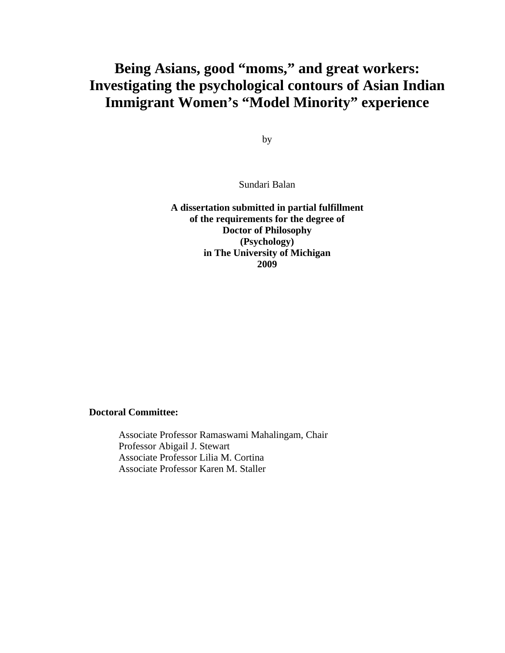## **Being Asians, good "moms," and great workers: Investigating the psychological contours of Asian Indian Immigrant Women's "Model Minority" experience**

by

Sundari Balan

**A dissertation submitted in partial fulfillment of the requirements for the degree of Doctor of Philosophy (Psychology) in The University of Michigan 2009**

**Doctoral Committee:** 

Associate Professor Ramaswami Mahalingam, Chair Professor Abigail J. Stewart Associate Professor Lilia M. Cortina Associate Professor Karen M. Staller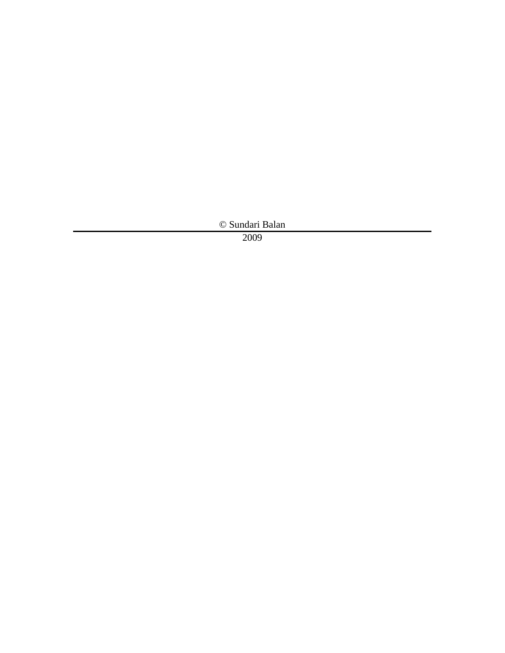© Sundari Balan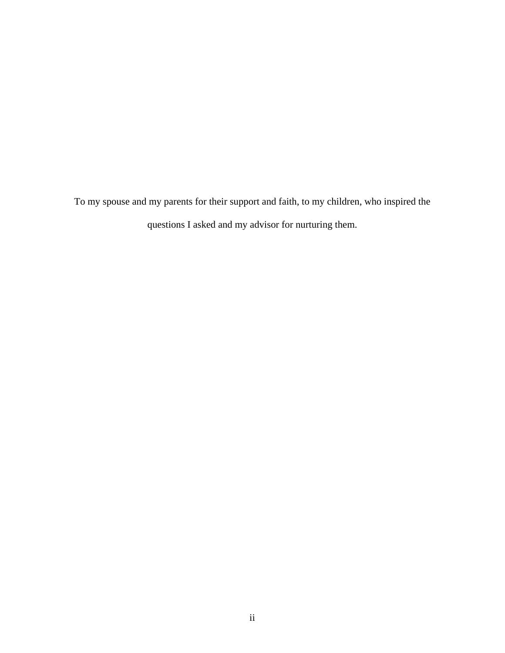To my spouse and my parents for their support and faith, to my children, who inspired the questions I asked and my advisor for nurturing them.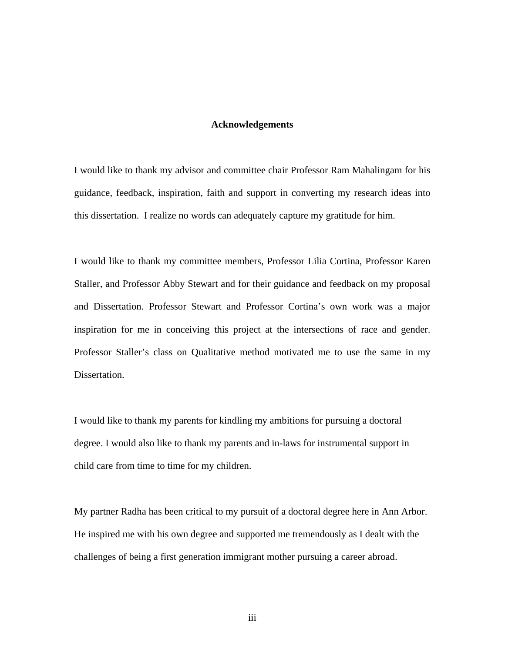#### **Acknowledgements**

I would like to thank my advisor and committee chair Professor Ram Mahalingam for his guidance, feedback, inspiration, faith and support in converting my research ideas into this dissertation. I realize no words can adequately capture my gratitude for him.

I would like to thank my committee members, Professor Lilia Cortina, Professor Karen Staller, and Professor Abby Stewart and for their guidance and feedback on my proposal and Dissertation. Professor Stewart and Professor Cortina's own work was a major inspiration for me in conceiving this project at the intersections of race and gender. Professor Staller's class on Qualitative method motivated me to use the same in my Dissertation.

I would like to thank my parents for kindling my ambitions for pursuing a doctoral degree. I would also like to thank my parents and in-laws for instrumental support in child care from time to time for my children.

My partner Radha has been critical to my pursuit of a doctoral degree here in Ann Arbor. He inspired me with his own degree and supported me tremendously as I dealt with the challenges of being a first generation immigrant mother pursuing a career abroad.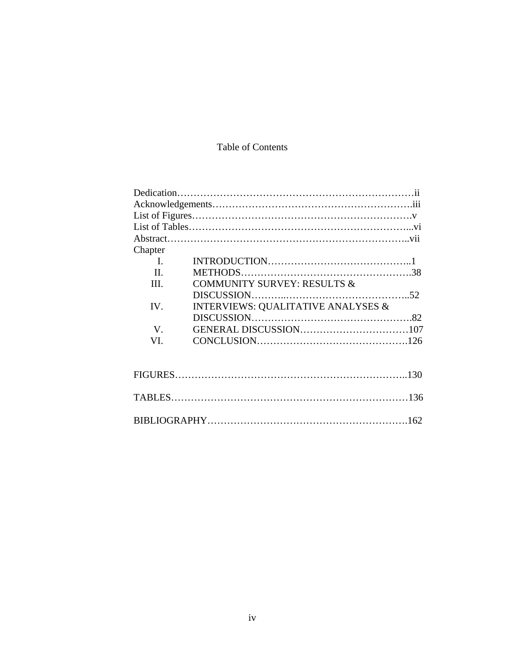### Table of Contents

| Chapter        |                                               |  |  |
|----------------|-----------------------------------------------|--|--|
| $\mathbf{I}$ . |                                               |  |  |
| $\Pi$ .        |                                               |  |  |
| III.           | <b>COMMUNITY SURVEY: RESULTS &amp;</b>        |  |  |
|                |                                               |  |  |
| IV.            | <b>INTERVIEWS: QUALITATIVE ANALYSES &amp;</b> |  |  |
|                |                                               |  |  |
| $V_{\cdot}$    |                                               |  |  |
| VI.            |                                               |  |  |
|                |                                               |  |  |
|                |                                               |  |  |
|                |                                               |  |  |
|                |                                               |  |  |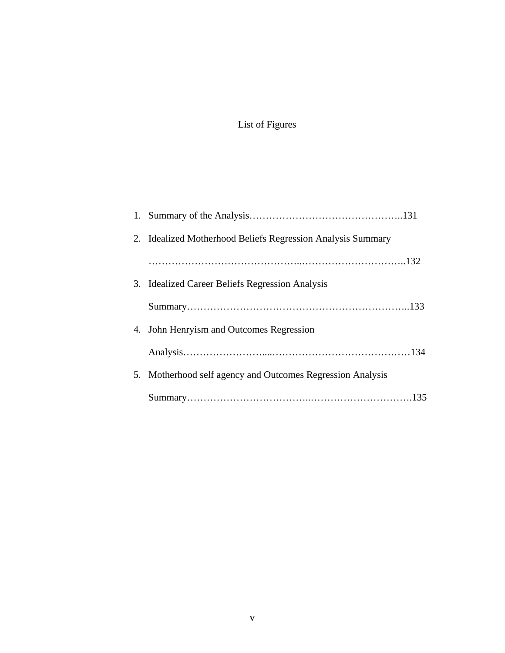## List of Figures

|    | 2. Idealized Motherhood Beliefs Regression Analysis Summary |
|----|-------------------------------------------------------------|
|    |                                                             |
|    | 3. Idealized Career Beliefs Regression Analysis             |
|    |                                                             |
| 4. | John Henryism and Outcomes Regression                       |
|    |                                                             |
|    | 5. Motherhood self agency and Outcomes Regression Analysis  |
|    |                                                             |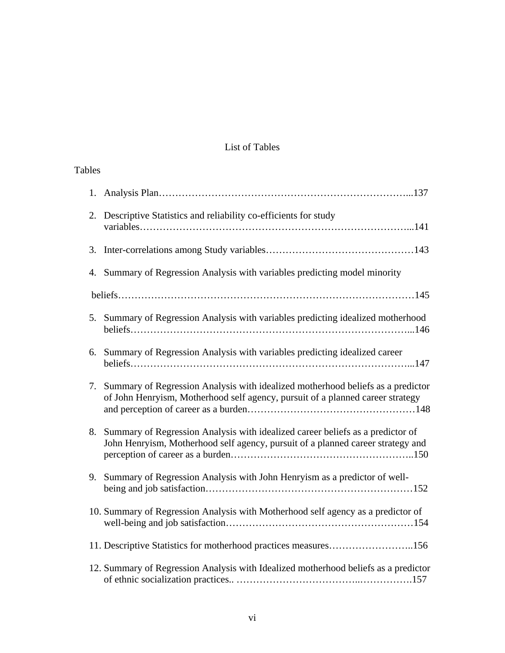### List of Tables

### Tables

|    | 2. Descriptive Statistics and reliability co-efficients for study                                                                                                 |  |  |  |
|----|-------------------------------------------------------------------------------------------------------------------------------------------------------------------|--|--|--|
|    |                                                                                                                                                                   |  |  |  |
|    | 4. Summary of Regression Analysis with variables predicting model minority                                                                                        |  |  |  |
|    |                                                                                                                                                                   |  |  |  |
|    | 5. Summary of Regression Analysis with variables predicting idealized motherhood                                                                                  |  |  |  |
| 6. | Summary of Regression Analysis with variables predicting idealized career                                                                                         |  |  |  |
| 7. | Summary of Regression Analysis with idealized motherhood beliefs as a predictor<br>of John Henryism, Motherhood self agency, pursuit of a planned career strategy |  |  |  |
| 8. | Summary of Regression Analysis with idealized career beliefs as a predictor of<br>John Henryism, Motherhood self agency, pursuit of a planned career strategy and |  |  |  |
| 9. | Summary of Regression Analysis with John Henryism as a predictor of well-                                                                                         |  |  |  |
|    | 10. Summary of Regression Analysis with Motherhood self agency as a predictor of                                                                                  |  |  |  |
|    | 11. Descriptive Statistics for motherhood practices measures156                                                                                                   |  |  |  |
|    | 12. Summary of Regression Analysis with Idealized motherhood beliefs as a predictor                                                                               |  |  |  |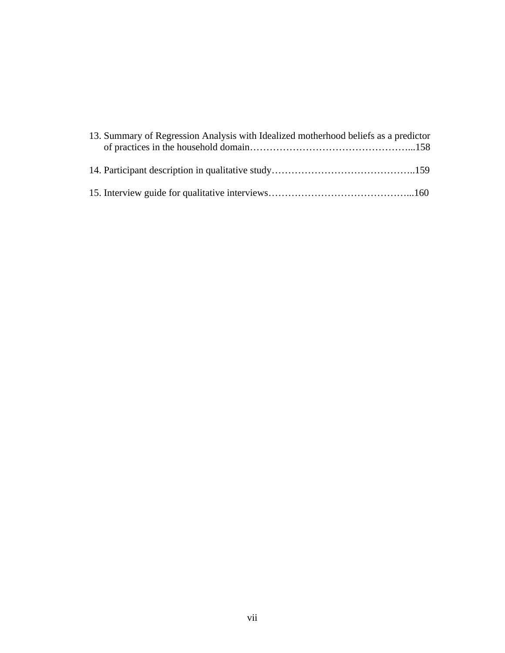| 13. Summary of Regression Analysis with Idealized motherhood beliefs as a predictor |  |  |
|-------------------------------------------------------------------------------------|--|--|
|                                                                                     |  |  |
|                                                                                     |  |  |
|                                                                                     |  |  |
|                                                                                     |  |  |
|                                                                                     |  |  |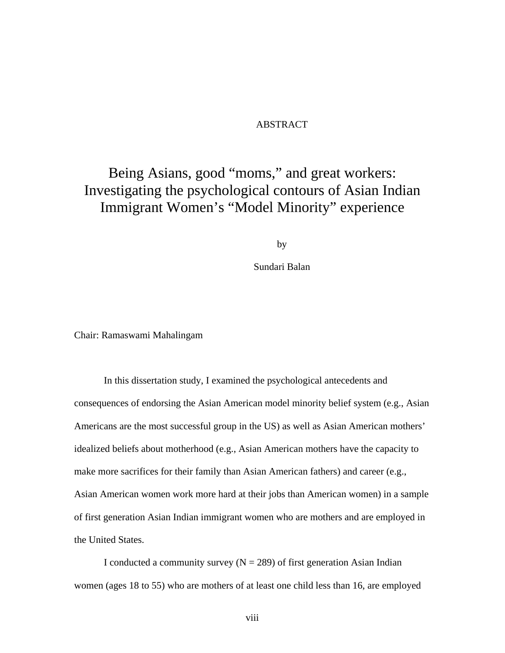#### ABSTRACT

## Being Asians, good "moms," and great workers: Investigating the psychological contours of Asian Indian Immigrant Women's "Model Minority" experience

by

Sundari Balan

Chair: Ramaswami Mahalingam

In this dissertation study, I examined the psychological antecedents and consequences of endorsing the Asian American model minority belief system (e.g., Asian Americans are the most successful group in the US) as well as Asian American mothers' idealized beliefs about motherhood (e.g., Asian American mothers have the capacity to make more sacrifices for their family than Asian American fathers) and career (e.g., Asian American women work more hard at their jobs than American women) in a sample of first generation Asian Indian immigrant women who are mothers and are employed in the United States.

I conducted a community survey  $(N = 289)$  of first generation Asian Indian women (ages 18 to 55) who are mothers of at least one child less than 16, are employed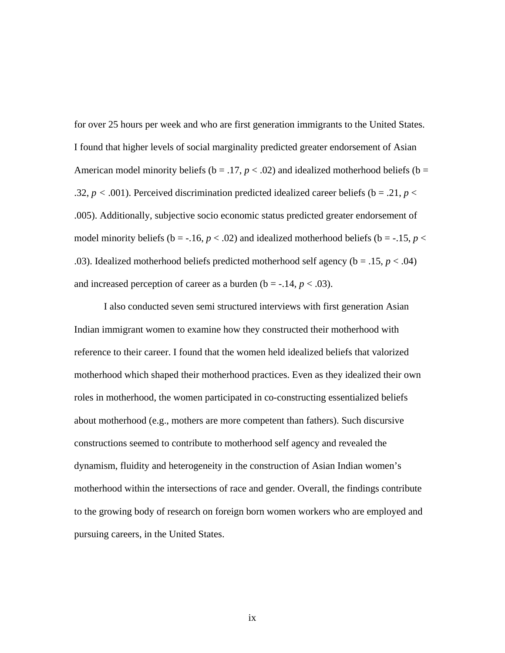for over 25 hours per week and who are first generation immigrants to the United States. I found that higher levels of social marginality predicted greater endorsement of Asian American model minority beliefs ( $b = .17$ ,  $p < .02$ ) and idealized motherhood beliefs ( $b =$ .32,  $p < .001$ ). Perceived discrimination predicted idealized career beliefs ( $b = .21$ ,  $p <$ .005). Additionally, subjective socio economic status predicted greater endorsement of model minority beliefs ( $b = -.16$ ,  $p < .02$ ) and idealized motherhood beliefs ( $b = -.15$ ,  $p <$ .03). Idealized motherhood beliefs predicted motherhood self agency ( $b = .15, p < .04$ ) and increased perception of career as a burden  $(b = -14, p < .03)$ .

I also conducted seven semi structured interviews with first generation Asian Indian immigrant women to examine how they constructed their motherhood with reference to their career. I found that the women held idealized beliefs that valorized motherhood which shaped their motherhood practices. Even as they idealized their own roles in motherhood, the women participated in co-constructing essentialized beliefs about motherhood (e.g., mothers are more competent than fathers). Such discursive constructions seemed to contribute to motherhood self agency and revealed the dynamism, fluidity and heterogeneity in the construction of Asian Indian women's motherhood within the intersections of race and gender. Overall, the findings contribute to the growing body of research on foreign born women workers who are employed and pursuing careers, in the United States.

ix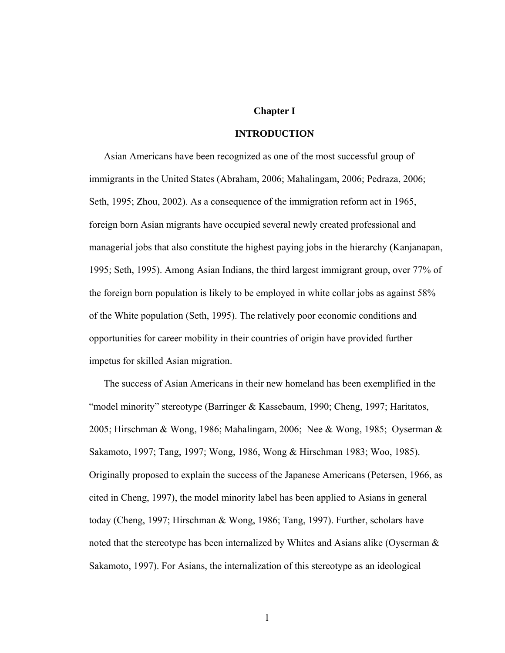#### **Chapter I**

#### **INTRODUCTION**

Asian Americans have been recognized as one of the most successful group of immigrants in the United States (Abraham, 2006; Mahalingam, 2006; Pedraza, 2006; Seth, 1995; Zhou, 2002). As a consequence of the immigration reform act in 1965, foreign born Asian migrants have occupied several newly created professional and managerial jobs that also constitute the highest paying jobs in the hierarchy (Kanjanapan, 1995; Seth, 1995). Among Asian Indians, the third largest immigrant group, over 77% of the foreign born population is likely to be employed in white collar jobs as against 58% of the White population (Seth, 1995). The relatively poor economic conditions and opportunities for career mobility in their countries of origin have provided further impetus for skilled Asian migration.

The success of Asian Americans in their new homeland has been exemplified in the "model minority" stereotype (Barringer & Kassebaum, 1990; Cheng, 1997; Haritatos, 2005; Hirschman & Wong, 1986; Mahalingam, 2006; Nee & Wong, 1985; Oyserman & Sakamoto, 1997; Tang, 1997; Wong, 1986, Wong & Hirschman 1983; Woo, 1985). Originally proposed to explain the success of the Japanese Americans (Petersen, 1966, as cited in Cheng, 1997), the model minority label has been applied to Asians in general today (Cheng, 1997; Hirschman & Wong, 1986; Tang, 1997). Further, scholars have noted that the stereotype has been internalized by Whites and Asians alike (Oyserman  $\&$ Sakamoto, 1997). For Asians, the internalization of this stereotype as an ideological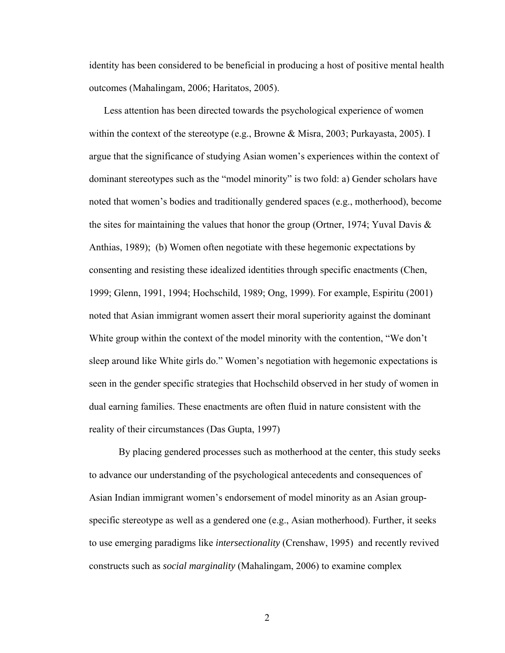identity has been considered to be beneficial in producing a host of positive mental health outcomes (Mahalingam, 2006; Haritatos, 2005).

Less attention has been directed towards the psychological experience of women within the context of the stereotype (e.g., Browne & Misra, 2003; Purkayasta, 2005). I argue that the significance of studying Asian women's experiences within the context of dominant stereotypes such as the "model minority" is two fold: a) Gender scholars have noted that women's bodies and traditionally gendered spaces (e.g., motherhood), become the sites for maintaining the values that honor the group (Ortner, 1974; Yuval Davis & Anthias, 1989); (b) Women often negotiate with these hegemonic expectations by consenting and resisting these idealized identities through specific enactments (Chen, 1999; Glenn, 1991, 1994; Hochschild, 1989; Ong, 1999). For example, Espiritu (2001) noted that Asian immigrant women assert their moral superiority against the dominant White group within the context of the model minority with the contention, "We don't sleep around like White girls do." Women's negotiation with hegemonic expectations is seen in the gender specific strategies that Hochschild observed in her study of women in dual earning families. These enactments are often fluid in nature consistent with the reality of their circumstances (Das Gupta, 1997)

By placing gendered processes such as motherhood at the center, this study seeks to advance our understanding of the psychological antecedents and consequences of Asian Indian immigrant women's endorsement of model minority as an Asian groupspecific stereotype as well as a gendered one (e.g., Asian motherhood). Further, it seeks to use emerging paradigms like *intersectionality* (Crenshaw, 1995) and recently revived constructs such as *social marginality* (Mahalingam, 2006) to examine complex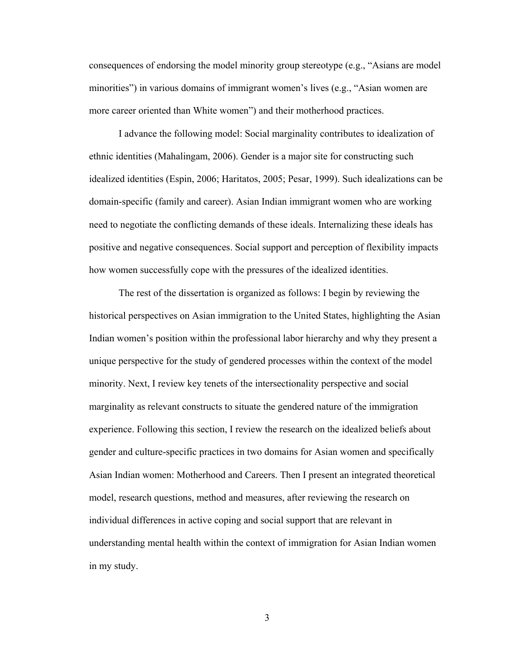consequences of endorsing the model minority group stereotype (e.g., "Asians are model minorities") in various domains of immigrant women's lives (e.g., "Asian women are more career oriented than White women") and their motherhood practices.

I advance the following model: Social marginality contributes to idealization of ethnic identities (Mahalingam, 2006). Gender is a major site for constructing such idealized identities (Espin, 2006; Haritatos, 2005; Pesar, 1999). Such idealizations can be domain-specific (family and career). Asian Indian immigrant women who are working need to negotiate the conflicting demands of these ideals. Internalizing these ideals has positive and negative consequences. Social support and perception of flexibility impacts how women successfully cope with the pressures of the idealized identities.

The rest of the dissertation is organized as follows: I begin by reviewing the historical perspectives on Asian immigration to the United States, highlighting the Asian Indian women's position within the professional labor hierarchy and why they present a unique perspective for the study of gendered processes within the context of the model minority. Next, I review key tenets of the intersectionality perspective and social marginality as relevant constructs to situate the gendered nature of the immigration experience. Following this section, I review the research on the idealized beliefs about gender and culture-specific practices in two domains for Asian women and specifically Asian Indian women: Motherhood and Careers. Then I present an integrated theoretical model, research questions, method and measures, after reviewing the research on individual differences in active coping and social support that are relevant in understanding mental health within the context of immigration for Asian Indian women in my study.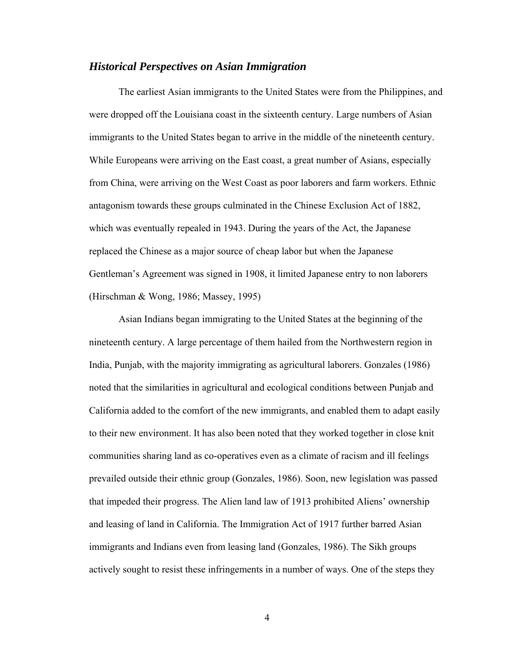#### *Historical Perspectives on Asian Immigration*

The earliest Asian immigrants to the United States were from the Philippines, and were dropped off the Louisiana coast in the sixteenth century. Large numbers of Asian immigrants to the United States began to arrive in the middle of the nineteenth century. While Europeans were arriving on the East coast, a great number of Asians, especially from China, were arriving on the West Coast as poor laborers and farm workers. Ethnic antagonism towards these groups culminated in the Chinese Exclusion Act of 1882, which was eventually repealed in 1943. During the years of the Act, the Japanese replaced the Chinese as a major source of cheap labor but when the Japanese Gentleman's Agreement was signed in 1908, it limited Japanese entry to non laborers (Hirschman & Wong, 1986; Massey, 1995)

Asian Indians began immigrating to the United States at the beginning of the nineteenth century. A large percentage of them hailed from the Northwestern region in India, Punjab, with the majority immigrating as agricultural laborers. Gonzales (1986) noted that the similarities in agricultural and ecological conditions between Punjab and California added to the comfort of the new immigrants, and enabled them to adapt easily to their new environment. It has also been noted that they worked together in close knit communities sharing land as co-operatives even as a climate of racism and ill feelings prevailed outside their ethnic group (Gonzales, 1986). Soon, new legislation was passed that impeded their progress. The Alien land law of 1913 prohibited Aliens' ownership and leasing of land in California. The Immigration Act of 1917 further barred Asian immigrants and Indians even from leasing land (Gonzales, 1986). The Sikh groups actively sought to resist these infringements in a number of ways. One of the steps they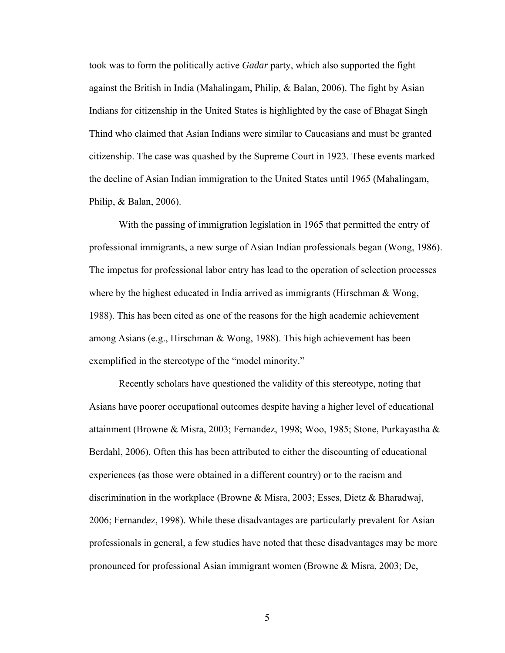took was to form the politically active *Gadar* party, which also supported the fight against the British in India (Mahalingam, Philip, & Balan, 2006). The fight by Asian Indians for citizenship in the United States is highlighted by the case of Bhagat Singh Thind who claimed that Asian Indians were similar to Caucasians and must be granted citizenship. The case was quashed by the Supreme Court in 1923. These events marked the decline of Asian Indian immigration to the United States until 1965 (Mahalingam, Philip, & Balan, 2006).

With the passing of immigration legislation in 1965 that permitted the entry of professional immigrants, a new surge of Asian Indian professionals began (Wong, 1986). The impetus for professional labor entry has lead to the operation of selection processes where by the highest educated in India arrived as immigrants (Hirschman & Wong, 1988). This has been cited as one of the reasons for the high academic achievement among Asians (e.g., Hirschman & Wong, 1988). This high achievement has been exemplified in the stereotype of the "model minority."

Recently scholars have questioned the validity of this stereotype, noting that Asians have poorer occupational outcomes despite having a higher level of educational attainment (Browne & Misra, 2003; Fernandez, 1998; Woo, 1985; Stone, Purkayastha & Berdahl, 2006). Often this has been attributed to either the discounting of educational experiences (as those were obtained in a different country) or to the racism and discrimination in the workplace (Browne & Misra, 2003; Esses, Dietz & Bharadwaj, 2006; Fernandez, 1998). While these disadvantages are particularly prevalent for Asian professionals in general, a few studies have noted that these disadvantages may be more pronounced for professional Asian immigrant women (Browne & Misra, 2003; De,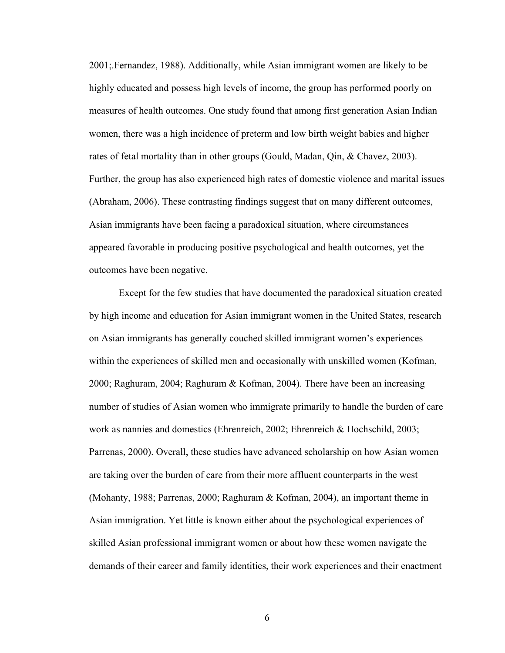2001;.Fernandez, 1988). Additionally, while Asian immigrant women are likely to be highly educated and possess high levels of income, the group has performed poorly on measures of health outcomes. One study found that among first generation Asian Indian women, there was a high incidence of preterm and low birth weight babies and higher rates of fetal mortality than in other groups (Gould, Madan, Qin, & Chavez, 2003). Further, the group has also experienced high rates of domestic violence and marital issues (Abraham, 2006). These contrasting findings suggest that on many different outcomes, Asian immigrants have been facing a paradoxical situation, where circumstances appeared favorable in producing positive psychological and health outcomes, yet the outcomes have been negative.

Except for the few studies that have documented the paradoxical situation created by high income and education for Asian immigrant women in the United States, research on Asian immigrants has generally couched skilled immigrant women's experiences within the experiences of skilled men and occasionally with unskilled women (Kofman, 2000; Raghuram, 2004; Raghuram & Kofman, 2004). There have been an increasing number of studies of Asian women who immigrate primarily to handle the burden of care work as nannies and domestics (Ehrenreich, 2002; Ehrenreich & Hochschild, 2003; Parrenas, 2000). Overall, these studies have advanced scholarship on how Asian women are taking over the burden of care from their more affluent counterparts in the west (Mohanty, 1988; Parrenas, 2000; Raghuram & Kofman, 2004), an important theme in Asian immigration. Yet little is known either about the psychological experiences of skilled Asian professional immigrant women or about how these women navigate the demands of their career and family identities, their work experiences and their enactment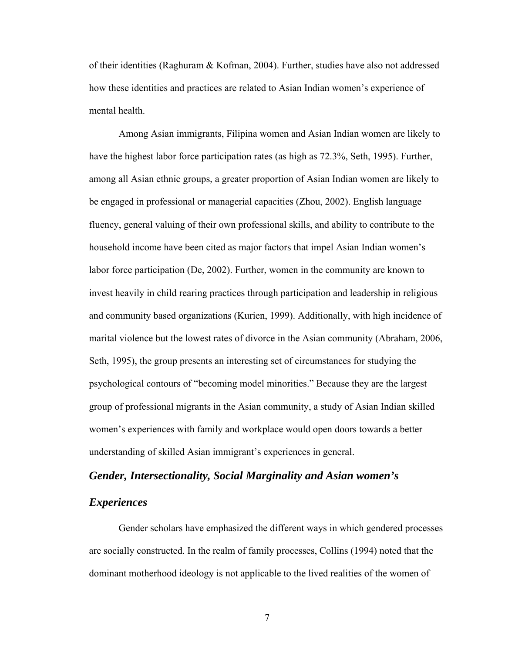of their identities (Raghuram & Kofman, 2004). Further, studies have also not addressed how these identities and practices are related to Asian Indian women's experience of mental health.

Among Asian immigrants, Filipina women and Asian Indian women are likely to have the highest labor force participation rates (as high as 72.3%, Seth, 1995). Further, among all Asian ethnic groups, a greater proportion of Asian Indian women are likely to be engaged in professional or managerial capacities (Zhou, 2002). English language fluency, general valuing of their own professional skills, and ability to contribute to the household income have been cited as major factors that impel Asian Indian women's labor force participation (De, 2002). Further, women in the community are known to invest heavily in child rearing practices through participation and leadership in religious and community based organizations (Kurien, 1999). Additionally, with high incidence of marital violence but the lowest rates of divorce in the Asian community (Abraham, 2006, Seth, 1995), the group presents an interesting set of circumstances for studying the psychological contours of "becoming model minorities." Because they are the largest group of professional migrants in the Asian community, a study of Asian Indian skilled women's experiences with family and workplace would open doors towards a better understanding of skilled Asian immigrant's experiences in general.

# *Gender, Intersectionality, Social Marginality and Asian women's Experiences*

Gender scholars have emphasized the different ways in which gendered processes are socially constructed. In the realm of family processes, Collins (1994) noted that the dominant motherhood ideology is not applicable to the lived realities of the women of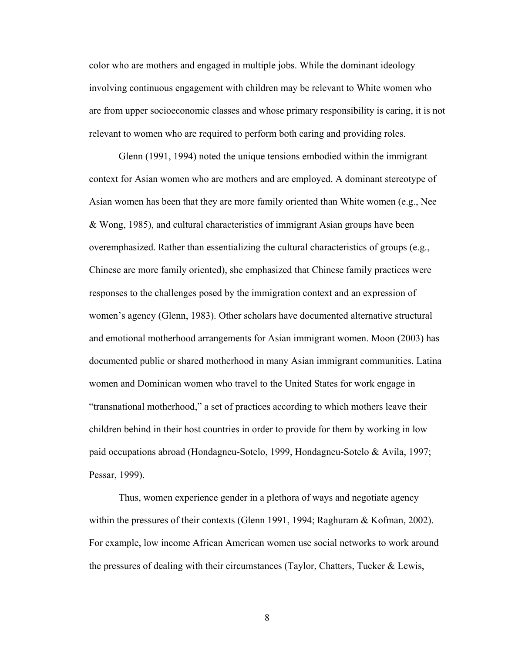color who are mothers and engaged in multiple jobs. While the dominant ideology involving continuous engagement with children may be relevant to White women who are from upper socioeconomic classes and whose primary responsibility is caring, it is not relevant to women who are required to perform both caring and providing roles.

Glenn (1991, 1994) noted the unique tensions embodied within the immigrant context for Asian women who are mothers and are employed. A dominant stereotype of Asian women has been that they are more family oriented than White women (e.g., Nee & Wong, 1985), and cultural characteristics of immigrant Asian groups have been overemphasized. Rather than essentializing the cultural characteristics of groups (e.g., Chinese are more family oriented), she emphasized that Chinese family practices were responses to the challenges posed by the immigration context and an expression of women's agency (Glenn, 1983). Other scholars have documented alternative structural and emotional motherhood arrangements for Asian immigrant women. Moon (2003) has documented public or shared motherhood in many Asian immigrant communities. Latina women and Dominican women who travel to the United States for work engage in "transnational motherhood," a set of practices according to which mothers leave their children behind in their host countries in order to provide for them by working in low paid occupations abroad (Hondagneu-Sotelo, 1999, Hondagneu-Sotelo & Avila, 1997; Pessar, 1999).

Thus, women experience gender in a plethora of ways and negotiate agency within the pressures of their contexts (Glenn 1991, 1994; Raghuram & Kofman, 2002). For example, low income African American women use social networks to work around the pressures of dealing with their circumstances (Taylor, Chatters, Tucker & Lewis,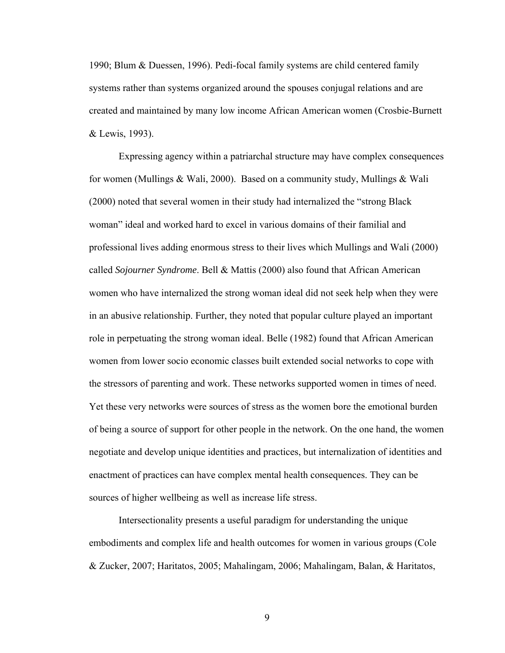1990; Blum & Duessen, 1996). Pedi-focal family systems are child centered family systems rather than systems organized around the spouses conjugal relations and are created and maintained by many low income African American women (Crosbie-Burnett & Lewis, 1993).

Expressing agency within a patriarchal structure may have complex consequences for women (Mullings & Wali, 2000). Based on a community study, Mullings & Wali (2000) noted that several women in their study had internalized the "strong Black woman" ideal and worked hard to excel in various domains of their familial and professional lives adding enormous stress to their lives which Mullings and Wali (2000) called *Sojourner Syndrome*. Bell & Mattis (2000) also found that African American women who have internalized the strong woman ideal did not seek help when they were in an abusive relationship. Further, they noted that popular culture played an important role in perpetuating the strong woman ideal. Belle (1982) found that African American women from lower socio economic classes built extended social networks to cope with the stressors of parenting and work. These networks supported women in times of need. Yet these very networks were sources of stress as the women bore the emotional burden of being a source of support for other people in the network. On the one hand, the women negotiate and develop unique identities and practices, but internalization of identities and enactment of practices can have complex mental health consequences. They can be sources of higher wellbeing as well as increase life stress.

Intersectionality presents a useful paradigm for understanding the unique embodiments and complex life and health outcomes for women in various groups (Cole & Zucker, 2007; Haritatos, 2005; Mahalingam, 2006; Mahalingam, Balan, & Haritatos,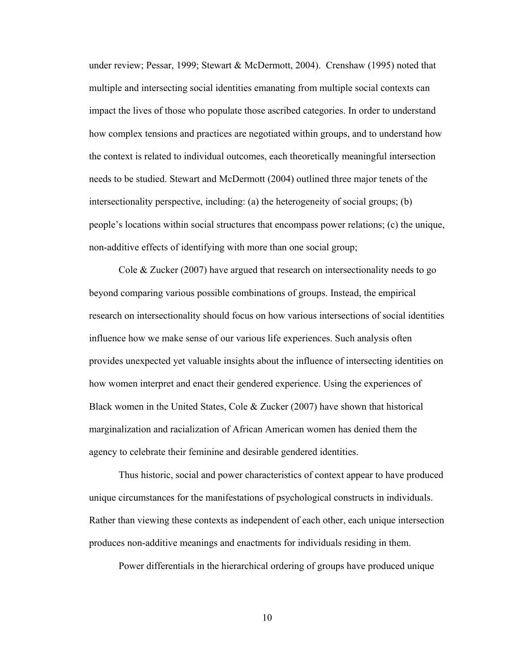under review; Pessar, 1999; Stewart & McDermott, 2004). Crenshaw (1995) noted that multiple and intersecting social identities emanating from multiple social contexts can impact the lives of those who populate those ascribed categories. In order to understand how complex tensions and practices are negotiated within groups, and to understand how the context is related to individual outcomes, each theoretically meaningful intersection needs to be studied. Stewart and McDermott (2004) outlined three major tenets of the intersectionality perspective, including: (a) the heterogeneity of social groups; (b) people's locations within social structures that encompass power relations; (c) the unique, non-additive effects of identifying with more than one social group;

Cole & Zucker (2007) have argued that research on intersectionality needs to go beyond comparing various possible combinations of groups. Instead, the empirical research on intersectionality should focus on how various intersections of social identities influence how we make sense of our various life experiences. Such analysis often provides unexpected yet valuable insights about the influence of intersecting identities on how women interpret and enact their gendered experience. Using the experiences of Black women in the United States, Cole & Zucker (2007) have shown that historical marginalization and racialization of African American women has denied them the agency to celebrate their feminine and desirable gendered identities.

Thus historic, social and power characteristics of context appear to have produced unique circumstances for the manifestations of psychological constructs in individuals. Rather than viewing these contexts as independent of each other, each unique intersection produces non-additive meanings and enactments for individuals residing in them.

Power differentials in the hierarchical ordering of groups have produced unique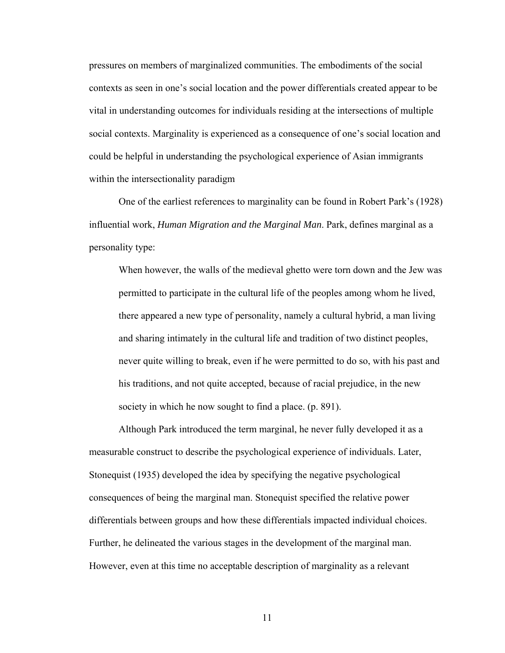pressures on members of marginalized communities. The embodiments of the social contexts as seen in one's social location and the power differentials created appear to be vital in understanding outcomes for individuals residing at the intersections of multiple social contexts. Marginality is experienced as a consequence of one's social location and could be helpful in understanding the psychological experience of Asian immigrants within the intersectionality paradigm

One of the earliest references to marginality can be found in Robert Park's (1928) influential work, *Human Migration and the Marginal Man*. Park, defines marginal as a personality type:

When however, the walls of the medieval ghetto were torn down and the Jew was permitted to participate in the cultural life of the peoples among whom he lived, there appeared a new type of personality, namely a cultural hybrid, a man living and sharing intimately in the cultural life and tradition of two distinct peoples, never quite willing to break, even if he were permitted to do so, with his past and his traditions, and not quite accepted, because of racial prejudice, in the new society in which he now sought to find a place. (p. 891).

Although Park introduced the term marginal, he never fully developed it as a measurable construct to describe the psychological experience of individuals. Later, Stonequist (1935) developed the idea by specifying the negative psychological consequences of being the marginal man. Stonequist specified the relative power differentials between groups and how these differentials impacted individual choices. Further, he delineated the various stages in the development of the marginal man. However, even at this time no acceptable description of marginality as a relevant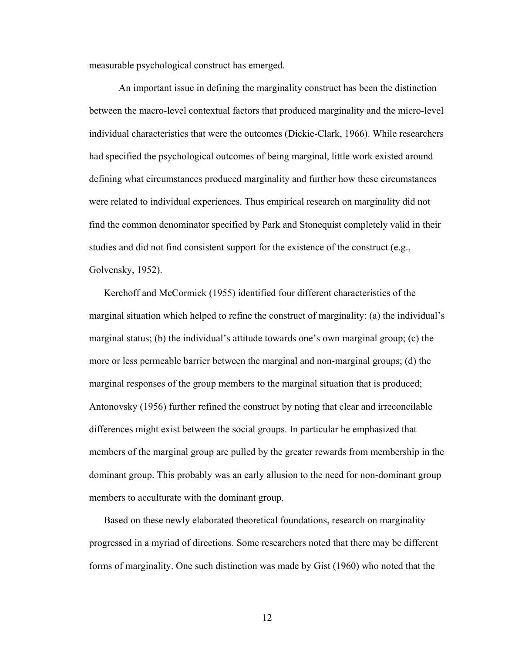measurable psychological construct has emerged.

An important issue in defining the marginality construct has been the distinction between the macro-level contextual factors that produced marginality and the micro-level individual characteristics that were the outcomes (Dickie-Clark, 1966). While researchers had specified the psychological outcomes of being marginal, little work existed around defining what circumstances produced marginality and further how these circumstances were related to individual experiences. Thus empirical research on marginality did not find the common denominator specified by Park and Stonequist completely valid in their studies and did not find consistent support for the existence of the construct (e.g., Golvensky, 1952).

Kerchoff and McCormick (1955) identified four different characteristics of the marginal situation which helped to refine the construct of marginality: (a) the individual's marginal status; (b) the individual's attitude towards one's own marginal group; (c) the more or less permeable barrier between the marginal and non-marginal groups; (d) the marginal responses of the group members to the marginal situation that is produced; Antonovsky (1956) further refined the construct by noting that clear and irreconcilable differences might exist between the social groups. In particular he emphasized that members of the marginal group are pulled by the greater rewards from membership in the dominant group. This probably was an early allusion to the need for non-dominant group members to acculturate with the dominant group.

Based on these newly elaborated theoretical foundations, research on marginality progressed in a myriad of directions. Some researchers noted that there may be different forms of marginality. One such distinction was made by Gist (1960) who noted that the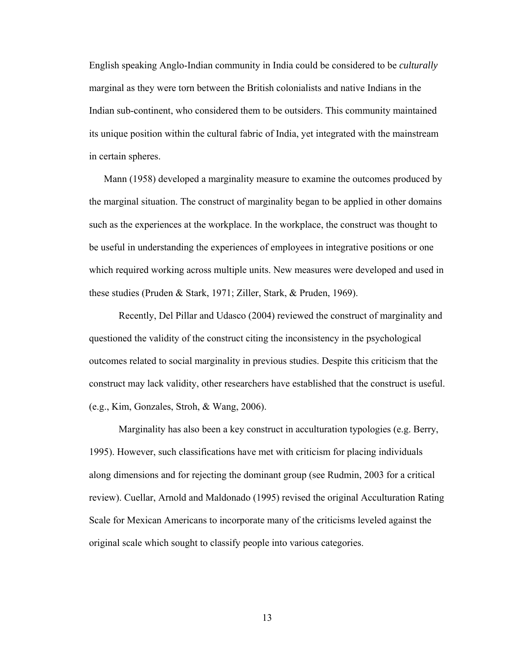English speaking Anglo-Indian community in India could be considered to be *culturally* marginal as they were torn between the British colonialists and native Indians in the Indian sub-continent, who considered them to be outsiders. This community maintained its unique position within the cultural fabric of India, yet integrated with the mainstream in certain spheres.

Mann (1958) developed a marginality measure to examine the outcomes produced by the marginal situation. The construct of marginality began to be applied in other domains such as the experiences at the workplace. In the workplace, the construct was thought to be useful in understanding the experiences of employees in integrative positions or one which required working across multiple units. New measures were developed and used in these studies (Pruden & Stark, 1971; Ziller, Stark, & Pruden, 1969).

Recently, Del Pillar and Udasco (2004) reviewed the construct of marginality and questioned the validity of the construct citing the inconsistency in the psychological outcomes related to social marginality in previous studies. Despite this criticism that the construct may lack validity, other researchers have established that the construct is useful. (e.g., Kim, Gonzales, Stroh, & Wang, 2006).

Marginality has also been a key construct in acculturation typologies (e.g. Berry, 1995). However, such classifications have met with criticism for placing individuals along dimensions and for rejecting the dominant group (see Rudmin, 2003 for a critical review). Cuellar, Arnold and Maldonado (1995) revised the original Acculturation Rating Scale for Mexican Americans to incorporate many of the criticisms leveled against the original scale which sought to classify people into various categories.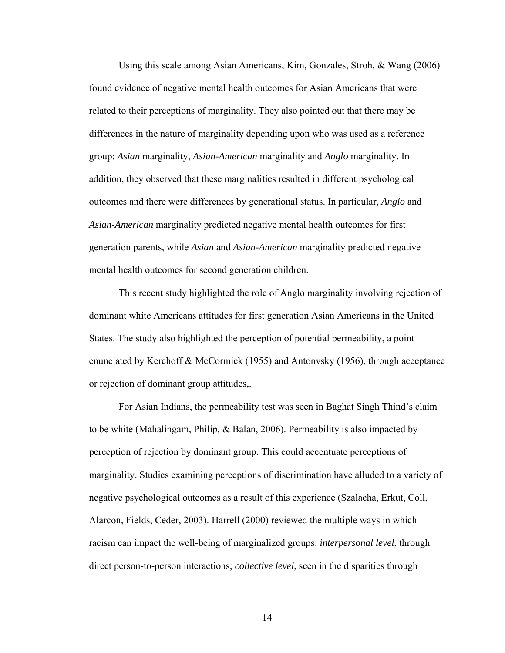Using this scale among Asian Americans, Kim, Gonzales, Stroh, & Wang (2006) found evidence of negative mental health outcomes for Asian Americans that were related to their perceptions of marginality. They also pointed out that there may be differences in the nature of marginality depending upon who was used as a reference group: *Asian* marginality, *Asian-American* marginality and *Anglo* marginality. In addition, they observed that these marginalities resulted in different psychological outcomes and there were differences by generational status. In particular, *Anglo* and *Asian-American* marginality predicted negative mental health outcomes for first generation parents, while *Asian* and *Asian-American* marginality predicted negative mental health outcomes for second generation children.

This recent study highlighted the role of Anglo marginality involving rejection of dominant white Americans attitudes for first generation Asian Americans in the United States. The study also highlighted the perception of potential permeability, a point enunciated by Kerchoff & McCormick (1955) and Antonvsky (1956), through acceptance or rejection of dominant group attitudes,.

For Asian Indians, the permeability test was seen in Baghat Singh Thind's claim to be white (Mahalingam, Philip, & Balan, 2006). Permeability is also impacted by perception of rejection by dominant group. This could accentuate perceptions of marginality. Studies examining perceptions of discrimination have alluded to a variety of negative psychological outcomes as a result of this experience (Szalacha, Erkut, Coll, Alarcon, Fields, Ceder, 2003). Harrell (2000) reviewed the multiple ways in which racism can impact the well-being of marginalized groups: *interpersonal level*, through direct person-to-person interactions; *collective level*, seen in the disparities through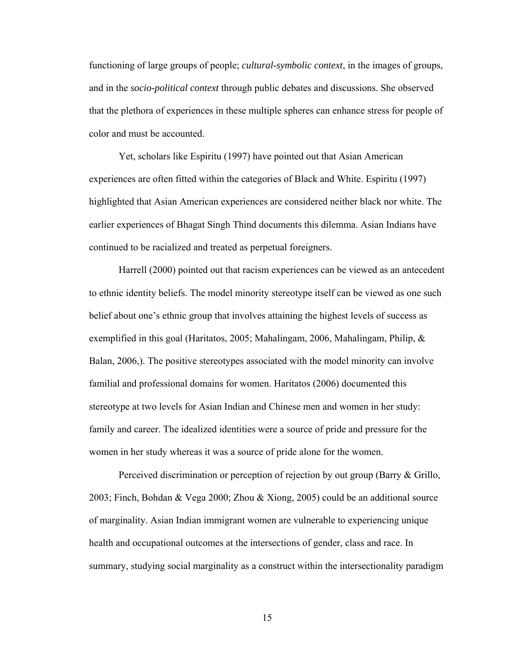functioning of large groups of people; *cultural-symbolic context*, in the images of groups, and in the *socio-political context* through public debates and discussions. She observed that the plethora of experiences in these multiple spheres can enhance stress for people of color and must be accounted.

Yet, scholars like Espiritu (1997) have pointed out that Asian American experiences are often fitted within the categories of Black and White. Espiritu (1997) highlighted that Asian American experiences are considered neither black nor white. The earlier experiences of Bhagat Singh Thind documents this dilemma. Asian Indians have continued to be racialized and treated as perpetual foreigners.

Harrell (2000) pointed out that racism experiences can be viewed as an antecedent to ethnic identity beliefs. The model minority stereotype itself can be viewed as one such belief about one's ethnic group that involves attaining the highest levels of success as exemplified in this goal (Haritatos, 2005; Mahalingam, 2006, Mahalingam, Philip, & Balan, 2006,). The positive stereotypes associated with the model minority can involve familial and professional domains for women. Haritatos (2006) documented this stereotype at two levels for Asian Indian and Chinese men and women in her study: family and career. The idealized identities were a source of pride and pressure for the women in her study whereas it was a source of pride alone for the women.

Perceived discrimination or perception of rejection by out group (Barry & Grillo, 2003; Finch, Bohdan & Vega 2000; Zhou & Xiong, 2005) could be an additional source of marginality. Asian Indian immigrant women are vulnerable to experiencing unique health and occupational outcomes at the intersections of gender, class and race. In summary, studying social marginality as a construct within the intersectionality paradigm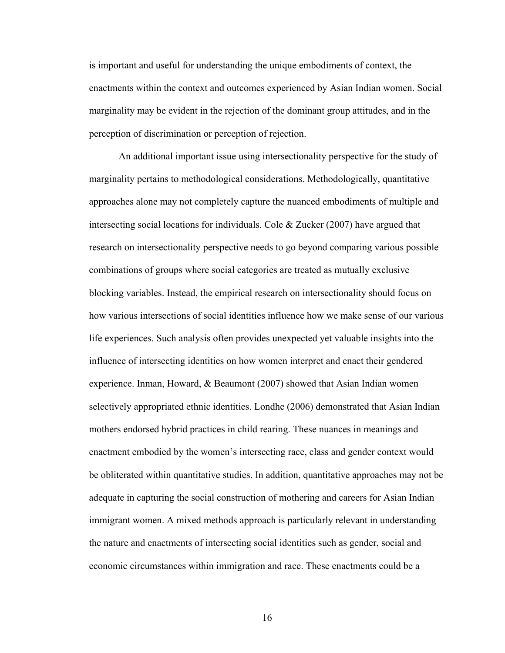is important and useful for understanding the unique embodiments of context, the enactments within the context and outcomes experienced by Asian Indian women. Social marginality may be evident in the rejection of the dominant group attitudes, and in the perception of discrimination or perception of rejection.

An additional important issue using intersectionality perspective for the study of marginality pertains to methodological considerations. Methodologically, quantitative approaches alone may not completely capture the nuanced embodiments of multiple and intersecting social locations for individuals. Cole & Zucker (2007) have argued that research on intersectionality perspective needs to go beyond comparing various possible combinations of groups where social categories are treated as mutually exclusive blocking variables. Instead, the empirical research on intersectionality should focus on how various intersections of social identities influence how we make sense of our various life experiences. Such analysis often provides unexpected yet valuable insights into the influence of intersecting identities on how women interpret and enact their gendered experience. Inman, Howard, & Beaumont (2007) showed that Asian Indian women selectively appropriated ethnic identities. Londhe (2006) demonstrated that Asian Indian mothers endorsed hybrid practices in child rearing. These nuances in meanings and enactment embodied by the women's intersecting race, class and gender context would be obliterated within quantitative studies. In addition, quantitative approaches may not be adequate in capturing the social construction of mothering and careers for Asian Indian immigrant women. A mixed methods approach is particularly relevant in understanding the nature and enactments of intersecting social identities such as gender, social and economic circumstances within immigration and race. These enactments could be a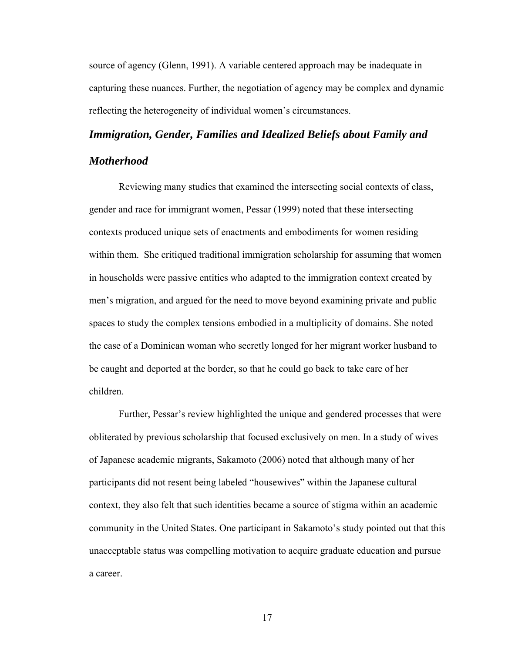source of agency (Glenn, 1991). A variable centered approach may be inadequate in capturing these nuances. Further, the negotiation of agency may be complex and dynamic reflecting the heterogeneity of individual women's circumstances.

# *Immigration, Gender, Families and Idealized Beliefs about Family and Motherhood*

Reviewing many studies that examined the intersecting social contexts of class, gender and race for immigrant women, Pessar (1999) noted that these intersecting contexts produced unique sets of enactments and embodiments for women residing within them. She critiqued traditional immigration scholarship for assuming that women in households were passive entities who adapted to the immigration context created by men's migration, and argued for the need to move beyond examining private and public spaces to study the complex tensions embodied in a multiplicity of domains. She noted the case of a Dominican woman who secretly longed for her migrant worker husband to be caught and deported at the border, so that he could go back to take care of her children.

Further, Pessar's review highlighted the unique and gendered processes that were obliterated by previous scholarship that focused exclusively on men. In a study of wives of Japanese academic migrants, Sakamoto (2006) noted that although many of her participants did not resent being labeled "housewives" within the Japanese cultural context, they also felt that such identities became a source of stigma within an academic community in the United States. One participant in Sakamoto's study pointed out that this unacceptable status was compelling motivation to acquire graduate education and pursue a career.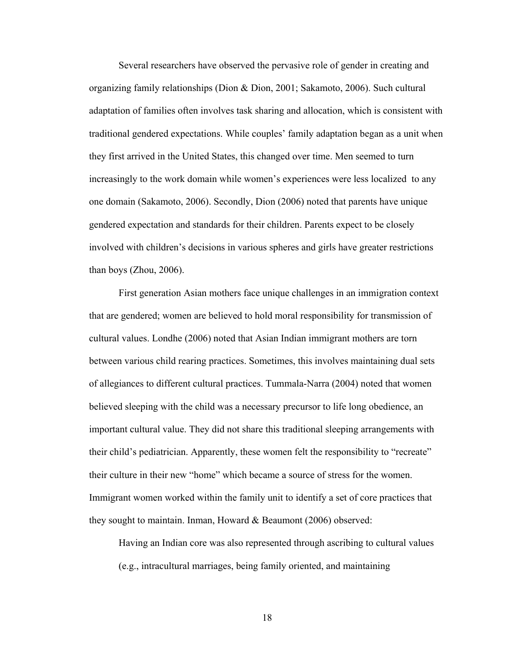Several researchers have observed the pervasive role of gender in creating and organizing family relationships (Dion & Dion, 2001; Sakamoto, 2006). Such cultural adaptation of families often involves task sharing and allocation, which is consistent with traditional gendered expectations. While couples' family adaptation began as a unit when they first arrived in the United States, this changed over time. Men seemed to turn increasingly to the work domain while women's experiences were less localized to any one domain (Sakamoto, 2006). Secondly, Dion (2006) noted that parents have unique gendered expectation and standards for their children. Parents expect to be closely involved with children's decisions in various spheres and girls have greater restrictions than boys (Zhou, 2006).

First generation Asian mothers face unique challenges in an immigration context that are gendered; women are believed to hold moral responsibility for transmission of cultural values. Londhe (2006) noted that Asian Indian immigrant mothers are torn between various child rearing practices. Sometimes, this involves maintaining dual sets of allegiances to different cultural practices. Tummala-Narra (2004) noted that women believed sleeping with the child was a necessary precursor to life long obedience, an important cultural value. They did not share this traditional sleeping arrangements with their child's pediatrician. Apparently, these women felt the responsibility to "recreate" their culture in their new "home" which became a source of stress for the women. Immigrant women worked within the family unit to identify a set of core practices that they sought to maintain. Inman, Howard & Beaumont (2006) observed:

Having an Indian core was also represented through ascribing to cultural values (e.g., intracultural marriages, being family oriented, and maintaining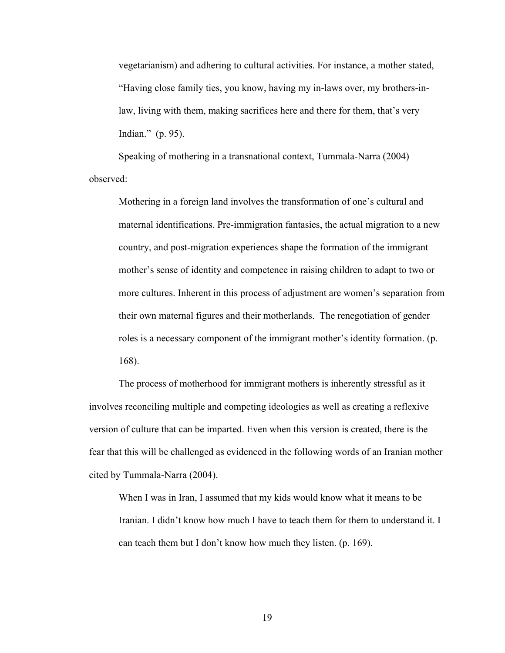vegetarianism) and adhering to cultural activities. For instance, a mother stated, "Having close family ties, you know, having my in-laws over, my brothers-inlaw, living with them, making sacrifices here and there for them, that's very Indian." (p. 95).

Speaking of mothering in a transnational context, Tummala-Narra (2004) observed:

Mothering in a foreign land involves the transformation of one's cultural and maternal identifications. Pre-immigration fantasies, the actual migration to a new country, and post-migration experiences shape the formation of the immigrant mother's sense of identity and competence in raising children to adapt to two or more cultures. Inherent in this process of adjustment are women's separation from their own maternal figures and their motherlands. The renegotiation of gender roles is a necessary component of the immigrant mother's identity formation. (p. 168).

The process of motherhood for immigrant mothers is inherently stressful as it involves reconciling multiple and competing ideologies as well as creating a reflexive version of culture that can be imparted. Even when this version is created, there is the fear that this will be challenged as evidenced in the following words of an Iranian mother cited by Tummala-Narra (2004).

When I was in Iran, I assumed that my kids would know what it means to be Iranian. I didn't know how much I have to teach them for them to understand it. I can teach them but I don't know how much they listen. (p. 169).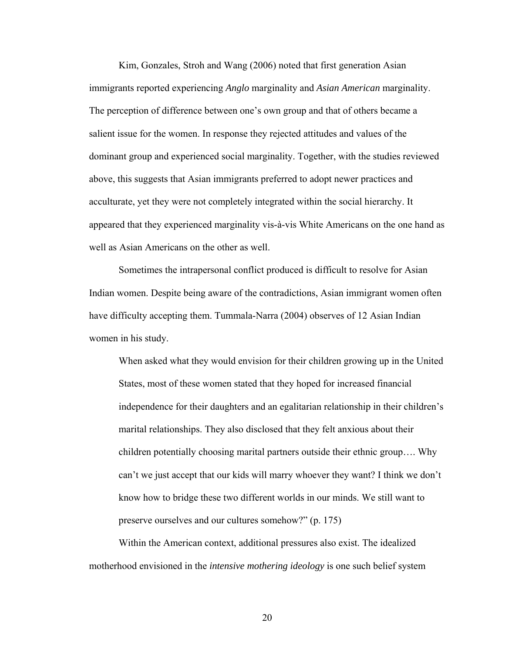Kim, Gonzales, Stroh and Wang (2006) noted that first generation Asian immigrants reported experiencing *Anglo* marginality and *Asian American* marginality. The perception of difference between one's own group and that of others became a salient issue for the women. In response they rejected attitudes and values of the dominant group and experienced social marginality. Together, with the studies reviewed above, this suggests that Asian immigrants preferred to adopt newer practices and acculturate, yet they were not completely integrated within the social hierarchy. It appeared that they experienced marginality vis-à-vis White Americans on the one hand as well as Asian Americans on the other as well.

Sometimes the intrapersonal conflict produced is difficult to resolve for Asian Indian women. Despite being aware of the contradictions, Asian immigrant women often have difficulty accepting them. Tummala-Narra (2004) observes of 12 Asian Indian women in his study.

When asked what they would envision for their children growing up in the United States, most of these women stated that they hoped for increased financial independence for their daughters and an egalitarian relationship in their children's marital relationships. They also disclosed that they felt anxious about their children potentially choosing marital partners outside their ethnic group…. Why can't we just accept that our kids will marry whoever they want? I think we don't know how to bridge these two different worlds in our minds. We still want to preserve ourselves and our cultures somehow?" (p. 175)

Within the American context, additional pressures also exist. The idealized motherhood envisioned in the *intensive mothering ideology* is one such belief system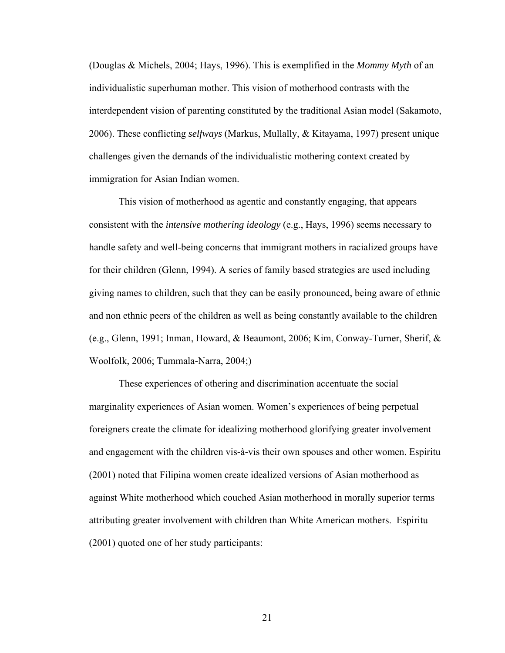(Douglas & Michels, 2004; Hays, 1996). This is exemplified in the *Mommy Myth* of an individualistic superhuman mother. This vision of motherhood contrasts with the interdependent vision of parenting constituted by the traditional Asian model (Sakamoto, 2006). These conflicting *selfways* (Markus, Mullally, & Kitayama, 1997) present unique challenges given the demands of the individualistic mothering context created by immigration for Asian Indian women.

This vision of motherhood as agentic and constantly engaging, that appears consistent with the *intensive mothering ideology* (e.g., Hays, 1996) seems necessary to handle safety and well-being concerns that immigrant mothers in racialized groups have for their children (Glenn, 1994). A series of family based strategies are used including giving names to children, such that they can be easily pronounced, being aware of ethnic and non ethnic peers of the children as well as being constantly available to the children (e.g., Glenn, 1991; Inman, Howard, & Beaumont, 2006; Kim, Conway-Turner, Sherif, & Woolfolk, 2006; Tummala-Narra, 2004;)

These experiences of othering and discrimination accentuate the social marginality experiences of Asian women. Women's experiences of being perpetual foreigners create the climate for idealizing motherhood glorifying greater involvement and engagement with the children vis-à-vis their own spouses and other women. Espiritu (2001) noted that Filipina women create idealized versions of Asian motherhood as against White motherhood which couched Asian motherhood in morally superior terms attributing greater involvement with children than White American mothers. Espiritu (2001) quoted one of her study participants: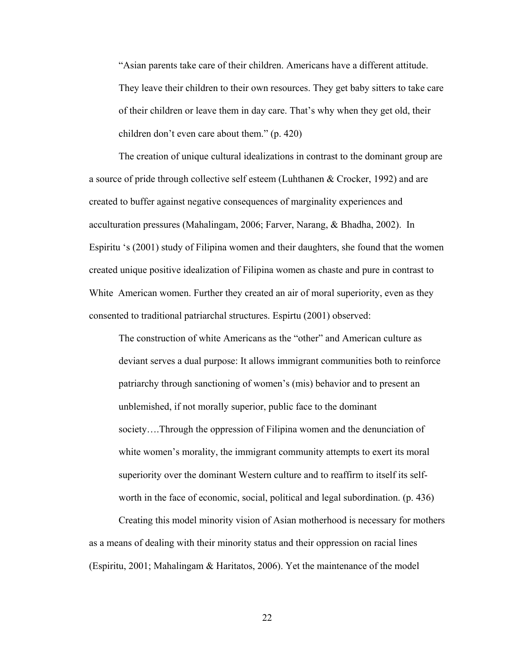"Asian parents take care of their children. Americans have a different attitude. They leave their children to their own resources. They get baby sitters to take care of their children or leave them in day care. That's why when they get old, their children don't even care about them." (p. 420)

The creation of unique cultural idealizations in contrast to the dominant group are a source of pride through collective self esteem (Luhthanen & Crocker, 1992) and are created to buffer against negative consequences of marginality experiences and acculturation pressures (Mahalingam, 2006; Farver, Narang, & Bhadha, 2002). In Espiritu 's (2001) study of Filipina women and their daughters, she found that the women created unique positive idealization of Filipina women as chaste and pure in contrast to White American women. Further they created an air of moral superiority, even as they consented to traditional patriarchal structures. Espirtu (2001) observed:

The construction of white Americans as the "other" and American culture as deviant serves a dual purpose: It allows immigrant communities both to reinforce patriarchy through sanctioning of women's (mis) behavior and to present an unblemished, if not morally superior, public face to the dominant society….Through the oppression of Filipina women and the denunciation of white women's morality, the immigrant community attempts to exert its moral superiority over the dominant Western culture and to reaffirm to itself its selfworth in the face of economic, social, political and legal subordination. (p. 436)

Creating this model minority vision of Asian motherhood is necessary for mothers as a means of dealing with their minority status and their oppression on racial lines (Espiritu, 2001; Mahalingam & Haritatos, 2006). Yet the maintenance of the model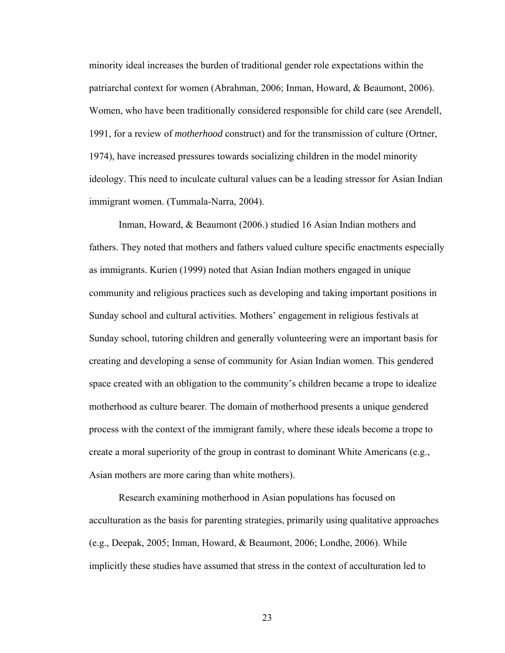minority ideal increases the burden of traditional gender role expectations within the patriarchal context for women (Abrahman, 2006; Inman, Howard, & Beaumont, 2006). Women, who have been traditionally considered responsible for child care (see Arendell, 1991, for a review of *motherhood* construct) and for the transmission of culture (Ortner, 1974), have increased pressures towards socializing children in the model minority ideology. This need to inculcate cultural values can be a leading stressor for Asian Indian immigrant women. (Tummala-Narra, 2004).

Inman, Howard, & Beaumont (2006.) studied 16 Asian Indian mothers and fathers. They noted that mothers and fathers valued culture specific enactments especially as immigrants. Kurien (1999) noted that Asian Indian mothers engaged in unique community and religious practices such as developing and taking important positions in Sunday school and cultural activities. Mothers' engagement in religious festivals at Sunday school, tutoring children and generally volunteering were an important basis for creating and developing a sense of community for Asian Indian women. This gendered space created with an obligation to the community's children became a trope to idealize motherhood as culture bearer. The domain of motherhood presents a unique gendered process with the context of the immigrant family, where these ideals become a trope to create a moral superiority of the group in contrast to dominant White Americans (e.g., Asian mothers are more caring than white mothers).

Research examining motherhood in Asian populations has focused on acculturation as the basis for parenting strategies, primarily using qualitative approaches (e.g., Deepak, 2005; Inman, Howard, & Beaumont, 2006; Londhe, 2006). While implicitly these studies have assumed that stress in the context of acculturation led to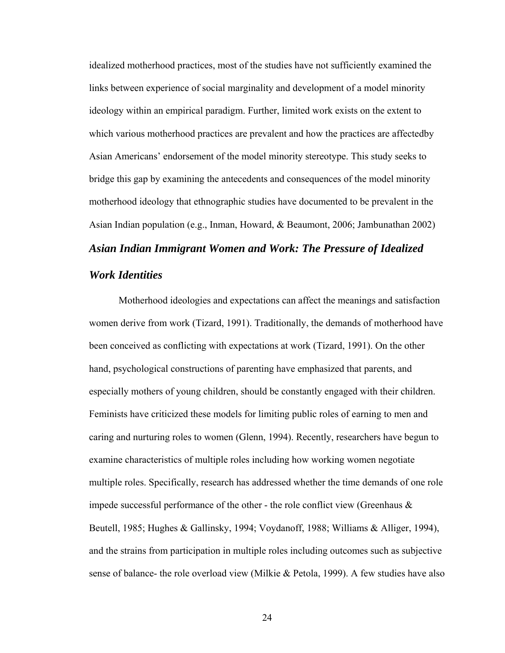idealized motherhood practices, most of the studies have not sufficiently examined the links between experience of social marginality and development of a model minority ideology within an empirical paradigm. Further, limited work exists on the extent to which various motherhood practices are prevalent and how the practices are affectedby Asian Americans' endorsement of the model minority stereotype. This study seeks to bridge this gap by examining the antecedents and consequences of the model minority motherhood ideology that ethnographic studies have documented to be prevalent in the Asian Indian population (e.g., Inman, Howard, & Beaumont, 2006; Jambunathan 2002)

# *Asian Indian Immigrant Women and Work: The Pressure of Idealized*

#### *Work Identities*

Motherhood ideologies and expectations can affect the meanings and satisfaction women derive from work (Tizard, 1991). Traditionally, the demands of motherhood have been conceived as conflicting with expectations at work (Tizard, 1991). On the other hand, psychological constructions of parenting have emphasized that parents, and especially mothers of young children, should be constantly engaged with their children. Feminists have criticized these models for limiting public roles of earning to men and caring and nurturing roles to women (Glenn, 1994). Recently, researchers have begun to examine characteristics of multiple roles including how working women negotiate multiple roles. Specifically, research has addressed whether the time demands of one role impede successful performance of the other - the role conflict view (Greenhaus & Beutell, 1985; Hughes & Gallinsky, 1994; Voydanoff, 1988; Williams & Alliger, 1994), and the strains from participation in multiple roles including outcomes such as subjective sense of balance- the role overload view (Milkie & Petola, 1999). A few studies have also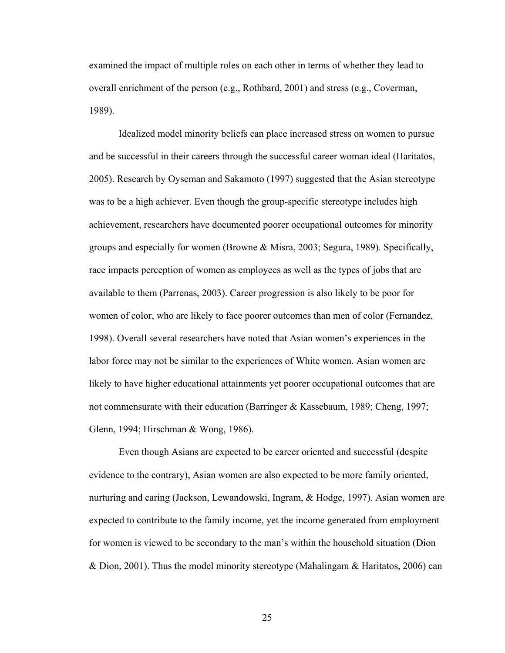examined the impact of multiple roles on each other in terms of whether they lead to overall enrichment of the person (e.g., Rothbard, 2001) and stress (e.g., Coverman, 1989).

Idealized model minority beliefs can place increased stress on women to pursue and be successful in their careers through the successful career woman ideal (Haritatos, 2005). Research by Oyseman and Sakamoto (1997) suggested that the Asian stereotype was to be a high achiever. Even though the group-specific stereotype includes high achievement, researchers have documented poorer occupational outcomes for minority groups and especially for women (Browne & Misra, 2003; Segura, 1989). Specifically, race impacts perception of women as employees as well as the types of jobs that are available to them (Parrenas, 2003). Career progression is also likely to be poor for women of color, who are likely to face poorer outcomes than men of color (Fernandez, 1998). Overall several researchers have noted that Asian women's experiences in the labor force may not be similar to the experiences of White women. Asian women are likely to have higher educational attainments yet poorer occupational outcomes that are not commensurate with their education (Barringer & Kassebaum, 1989; Cheng, 1997; Glenn, 1994; Hirschman & Wong, 1986).

Even though Asians are expected to be career oriented and successful (despite evidence to the contrary), Asian women are also expected to be more family oriented, nurturing and caring (Jackson, Lewandowski, Ingram, & Hodge, 1997). Asian women are expected to contribute to the family income, yet the income generated from employment for women is viewed to be secondary to the man's within the household situation (Dion & Dion, 2001). Thus the model minority stereotype (Mahalingam & Haritatos, 2006) can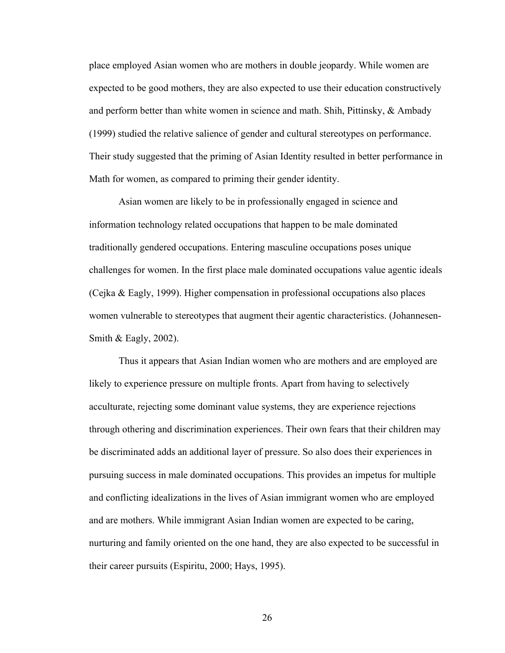place employed Asian women who are mothers in double jeopardy. While women are expected to be good mothers, they are also expected to use their education constructively and perform better than white women in science and math. Shih, Pittinsky, & Ambady (1999) studied the relative salience of gender and cultural stereotypes on performance. Their study suggested that the priming of Asian Identity resulted in better performance in Math for women, as compared to priming their gender identity.

Asian women are likely to be in professionally engaged in science and information technology related occupations that happen to be male dominated traditionally gendered occupations. Entering masculine occupations poses unique challenges for women. In the first place male dominated occupations value agentic ideals (Cejka & Eagly, 1999). Higher compensation in professional occupations also places women vulnerable to stereotypes that augment their agentic characteristics. (Johannesen-Smith & Eagly, 2002).

Thus it appears that Asian Indian women who are mothers and are employed are likely to experience pressure on multiple fronts. Apart from having to selectively acculturate, rejecting some dominant value systems, they are experience rejections through othering and discrimination experiences. Their own fears that their children may be discriminated adds an additional layer of pressure. So also does their experiences in pursuing success in male dominated occupations. This provides an impetus for multiple and conflicting idealizations in the lives of Asian immigrant women who are employed and are mothers. While immigrant Asian Indian women are expected to be caring, nurturing and family oriented on the one hand, they are also expected to be successful in their career pursuits (Espiritu, 2000; Hays, 1995).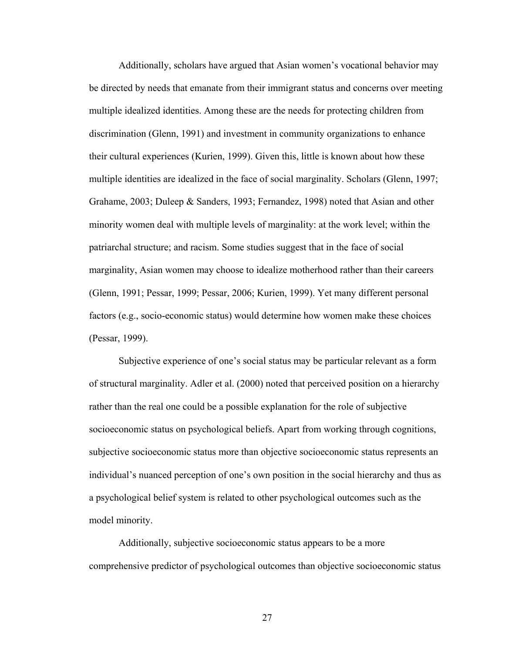Additionally, scholars have argued that Asian women's vocational behavior may be directed by needs that emanate from their immigrant status and concerns over meeting multiple idealized identities. Among these are the needs for protecting children from discrimination (Glenn, 1991) and investment in community organizations to enhance their cultural experiences (Kurien, 1999). Given this, little is known about how these multiple identities are idealized in the face of social marginality. Scholars (Glenn, 1997; Grahame, 2003; Duleep & Sanders, 1993; Fernandez, 1998) noted that Asian and other minority women deal with multiple levels of marginality: at the work level; within the patriarchal structure; and racism. Some studies suggest that in the face of social marginality, Asian women may choose to idealize motherhood rather than their careers (Glenn, 1991; Pessar, 1999; Pessar, 2006; Kurien, 1999). Yet many different personal factors (e.g., socio-economic status) would determine how women make these choices (Pessar, 1999).

Subjective experience of one's social status may be particular relevant as a form of structural marginality. Adler et al. (2000) noted that perceived position on a hierarchy rather than the real one could be a possible explanation for the role of subjective socioeconomic status on psychological beliefs. Apart from working through cognitions, subjective socioeconomic status more than objective socioeconomic status represents an individual's nuanced perception of one's own position in the social hierarchy and thus as a psychological belief system is related to other psychological outcomes such as the model minority.

Additionally, subjective socioeconomic status appears to be a more comprehensive predictor of psychological outcomes than objective socioeconomic status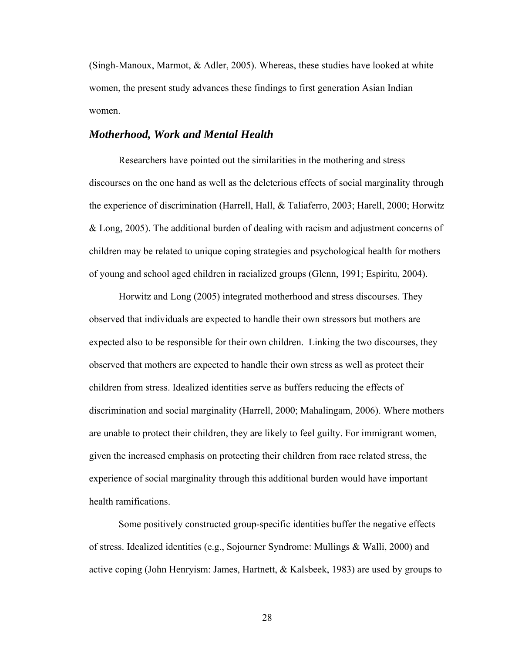(Singh-Manoux, Marmot, & Adler, 2005). Whereas, these studies have looked at white women, the present study advances these findings to first generation Asian Indian women.

# *Motherhood, Work and Mental Health*

 Researchers have pointed out the similarities in the mothering and stress discourses on the one hand as well as the deleterious effects of social marginality through the experience of discrimination (Harrell, Hall, & Taliaferro, 2003; Harell, 2000; Horwitz & Long, 2005). The additional burden of dealing with racism and adjustment concerns of children may be related to unique coping strategies and psychological health for mothers of young and school aged children in racialized groups (Glenn, 1991; Espiritu, 2004).

Horwitz and Long (2005) integrated motherhood and stress discourses. They observed that individuals are expected to handle their own stressors but mothers are expected also to be responsible for their own children. Linking the two discourses, they observed that mothers are expected to handle their own stress as well as protect their children from stress. Idealized identities serve as buffers reducing the effects of discrimination and social marginality (Harrell, 2000; Mahalingam, 2006). Where mothers are unable to protect their children, they are likely to feel guilty. For immigrant women, given the increased emphasis on protecting their children from race related stress, the experience of social marginality through this additional burden would have important health ramifications.

 Some positively constructed group-specific identities buffer the negative effects of stress. Idealized identities (e.g., Sojourner Syndrome: Mullings & Walli, 2000) and active coping (John Henryism: James, Hartnett, & Kalsbeek, 1983) are used by groups to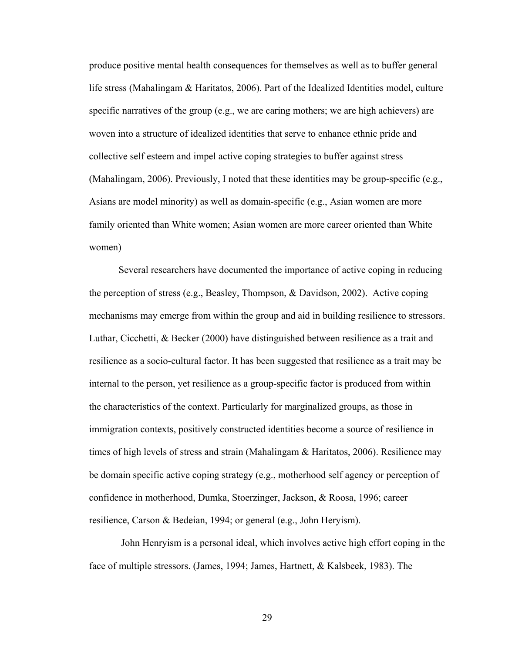produce positive mental health consequences for themselves as well as to buffer general life stress (Mahalingam & Haritatos, 2006). Part of the Idealized Identities model, culture specific narratives of the group (e.g., we are caring mothers; we are high achievers) are woven into a structure of idealized identities that serve to enhance ethnic pride and collective self esteem and impel active coping strategies to buffer against stress (Mahalingam, 2006). Previously, I noted that these identities may be group-specific (e.g., Asians are model minority) as well as domain-specific (e.g., Asian women are more family oriented than White women; Asian women are more career oriented than White women)

Several researchers have documented the importance of active coping in reducing the perception of stress (e.g., Beasley, Thompson, & Davidson, 2002). Active coping mechanisms may emerge from within the group and aid in building resilience to stressors. Luthar, Cicchetti, & Becker (2000) have distinguished between resilience as a trait and resilience as a socio-cultural factor. It has been suggested that resilience as a trait may be internal to the person, yet resilience as a group-specific factor is produced from within the characteristics of the context. Particularly for marginalized groups, as those in immigration contexts, positively constructed identities become a source of resilience in times of high levels of stress and strain (Mahalingam & Haritatos, 2006). Resilience may be domain specific active coping strategy (e.g., motherhood self agency or perception of confidence in motherhood, Dumka, Stoerzinger, Jackson, & Roosa, 1996; career resilience, Carson & Bedeian, 1994; or general (e.g., John Heryism).

 John Henryism is a personal ideal, which involves active high effort coping in the face of multiple stressors. (James, 1994; James, Hartnett, & Kalsbeek, 1983). The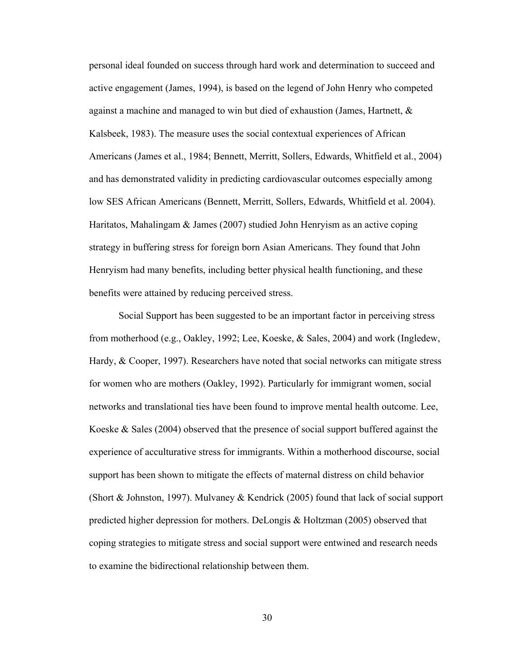personal ideal founded on success through hard work and determination to succeed and active engagement (James, 1994), is based on the legend of John Henry who competed against a machine and managed to win but died of exhaustion (James, Hartnett, & Kalsbeek, 1983). The measure uses the social contextual experiences of African Americans (James et al., 1984; Bennett, Merritt, Sollers, Edwards, Whitfield et al., 2004) and has demonstrated validity in predicting cardiovascular outcomes especially among low SES African Americans (Bennett, Merritt, Sollers, Edwards, Whitfield et al. 2004). Haritatos, Mahalingam & James (2007) studied John Henryism as an active coping strategy in buffering stress for foreign born Asian Americans. They found that John Henryism had many benefits, including better physical health functioning, and these benefits were attained by reducing perceived stress.

Social Support has been suggested to be an important factor in perceiving stress from motherhood (e.g., Oakley, 1992; Lee, Koeske, & Sales, 2004) and work (Ingledew, Hardy, & Cooper, 1997). Researchers have noted that social networks can mitigate stress for women who are mothers (Oakley, 1992). Particularly for immigrant women, social networks and translational ties have been found to improve mental health outcome. Lee, Koeske  $\&$  Sales (2004) observed that the presence of social support buffered against the experience of acculturative stress for immigrants. Within a motherhood discourse, social support has been shown to mitigate the effects of maternal distress on child behavior (Short & Johnston, 1997). Mulvaney & Kendrick (2005) found that lack of social support predicted higher depression for mothers. DeLongis & Holtzman (2005) observed that coping strategies to mitigate stress and social support were entwined and research needs to examine the bidirectional relationship between them.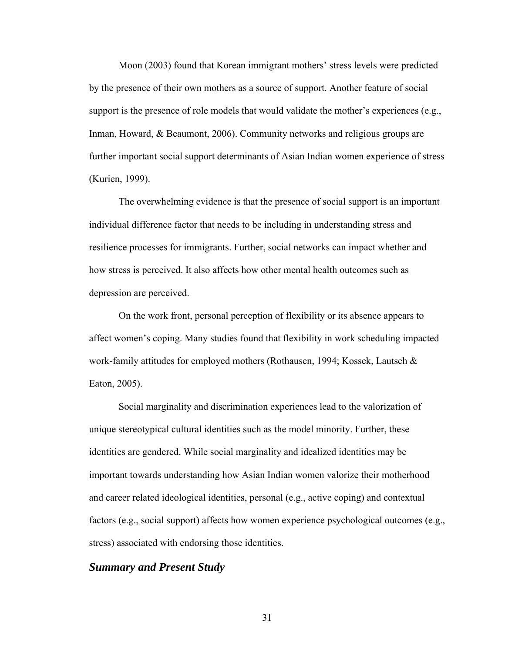Moon (2003) found that Korean immigrant mothers' stress levels were predicted by the presence of their own mothers as a source of support. Another feature of social support is the presence of role models that would validate the mother's experiences (e.g., Inman, Howard, & Beaumont, 2006). Community networks and religious groups are further important social support determinants of Asian Indian women experience of stress (Kurien, 1999).

The overwhelming evidence is that the presence of social support is an important individual difference factor that needs to be including in understanding stress and resilience processes for immigrants. Further, social networks can impact whether and how stress is perceived. It also affects how other mental health outcomes such as depression are perceived.

On the work front, personal perception of flexibility or its absence appears to affect women's coping. Many studies found that flexibility in work scheduling impacted work-family attitudes for employed mothers (Rothausen, 1994; Kossek, Lautsch  $\&$ Eaton, 2005).

Social marginality and discrimination experiences lead to the valorization of unique stereotypical cultural identities such as the model minority. Further, these identities are gendered. While social marginality and idealized identities may be important towards understanding how Asian Indian women valorize their motherhood and career related ideological identities, personal (e.g., active coping) and contextual factors (e.g., social support) affects how women experience psychological outcomes (e.g., stress) associated with endorsing those identities.

# *Summary and Present Study*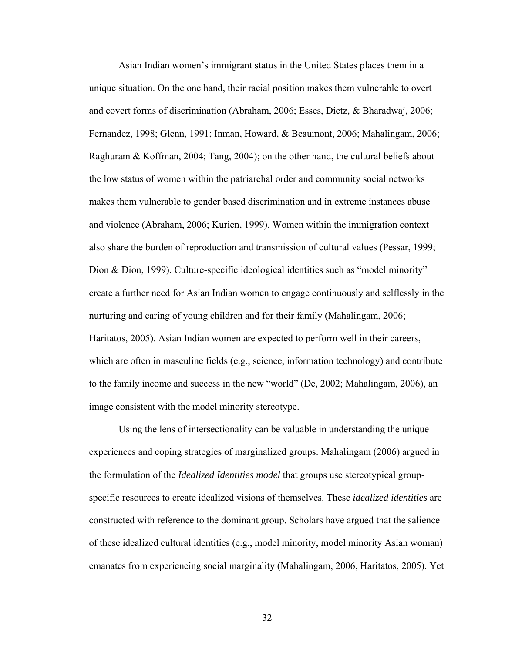Asian Indian women's immigrant status in the United States places them in a unique situation. On the one hand, their racial position makes them vulnerable to overt and covert forms of discrimination (Abraham, 2006; Esses, Dietz, & Bharadwaj, 2006; Fernandez, 1998; Glenn, 1991; Inman, Howard, & Beaumont, 2006; Mahalingam, 2006; Raghuram & Koffman, 2004; Tang, 2004); on the other hand, the cultural beliefs about the low status of women within the patriarchal order and community social networks makes them vulnerable to gender based discrimination and in extreme instances abuse and violence (Abraham, 2006; Kurien, 1999). Women within the immigration context also share the burden of reproduction and transmission of cultural values (Pessar, 1999; Dion & Dion, 1999). Culture-specific ideological identities such as "model minority" create a further need for Asian Indian women to engage continuously and selflessly in the nurturing and caring of young children and for their family (Mahalingam, 2006; Haritatos, 2005). Asian Indian women are expected to perform well in their careers, which are often in masculine fields (e.g., science, information technology) and contribute to the family income and success in the new "world" (De, 2002; Mahalingam, 2006), an image consistent with the model minority stereotype.

Using the lens of intersectionality can be valuable in understanding the unique experiences and coping strategies of marginalized groups. Mahalingam (2006) argued in the formulation of the *Idealized Identities model* that groups use stereotypical groupspecific resources to create idealized visions of themselves. These *idealized identities* are constructed with reference to the dominant group. Scholars have argued that the salience of these idealized cultural identities (e.g., model minority, model minority Asian woman) emanates from experiencing social marginality (Mahalingam, 2006, Haritatos, 2005). Yet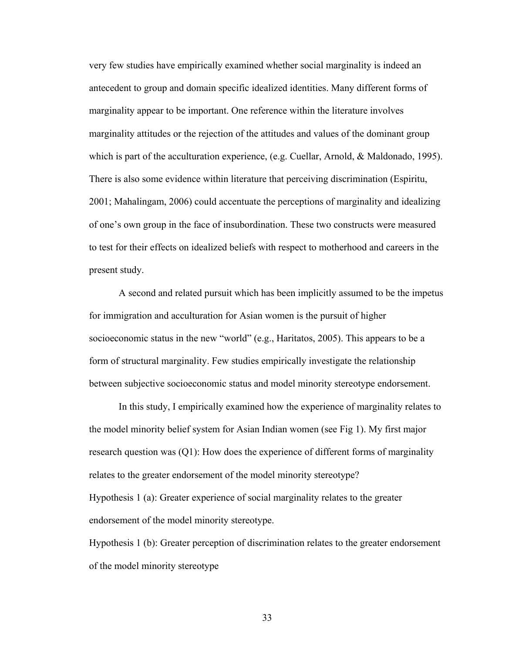very few studies have empirically examined whether social marginality is indeed an antecedent to group and domain specific idealized identities. Many different forms of marginality appear to be important. One reference within the literature involves marginality attitudes or the rejection of the attitudes and values of the dominant group which is part of the acculturation experience, (e.g. Cuellar, Arnold, & Maldonado, 1995). There is also some evidence within literature that perceiving discrimination (Espiritu, 2001; Mahalingam, 2006) could accentuate the perceptions of marginality and idealizing of one's own group in the face of insubordination. These two constructs were measured to test for their effects on idealized beliefs with respect to motherhood and careers in the present study.

A second and related pursuit which has been implicitly assumed to be the impetus for immigration and acculturation for Asian women is the pursuit of higher socioeconomic status in the new "world" (e.g., Haritatos, 2005). This appears to be a form of structural marginality. Few studies empirically investigate the relationship between subjective socioeconomic status and model minority stereotype endorsement.

In this study, I empirically examined how the experience of marginality relates to the model minority belief system for Asian Indian women (see Fig 1). My first major research question was (Q1): How does the experience of different forms of marginality relates to the greater endorsement of the model minority stereotype? Hypothesis 1 (a): Greater experience of social marginality relates to the greater endorsement of the model minority stereotype.

Hypothesis 1 (b): Greater perception of discrimination relates to the greater endorsement of the model minority stereotype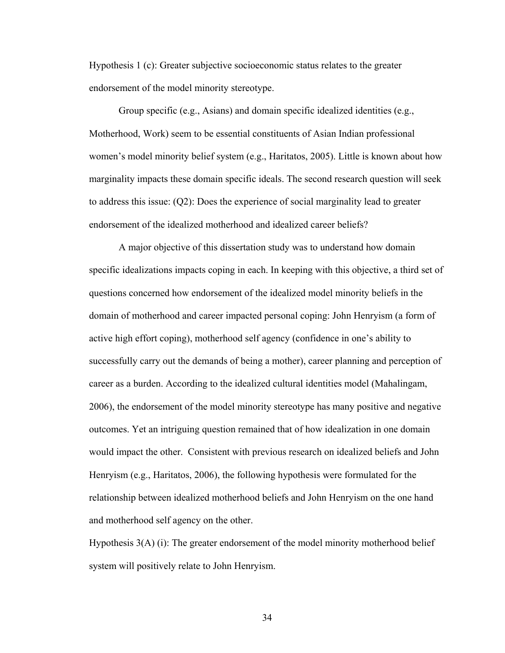Hypothesis 1 (c): Greater subjective socioeconomic status relates to the greater endorsement of the model minority stereotype.

Group specific (e.g., Asians) and domain specific idealized identities (e.g., Motherhood, Work) seem to be essential constituents of Asian Indian professional women's model minority belief system (e.g., Haritatos, 2005). Little is known about how marginality impacts these domain specific ideals. The second research question will seek to address this issue: (Q2): Does the experience of social marginality lead to greater endorsement of the idealized motherhood and idealized career beliefs?

A major objective of this dissertation study was to understand how domain specific idealizations impacts coping in each. In keeping with this objective, a third set of questions concerned how endorsement of the idealized model minority beliefs in the domain of motherhood and career impacted personal coping: John Henryism (a form of active high effort coping), motherhood self agency (confidence in one's ability to successfully carry out the demands of being a mother), career planning and perception of career as a burden. According to the idealized cultural identities model (Mahalingam, 2006), the endorsement of the model minority stereotype has many positive and negative outcomes. Yet an intriguing question remained that of how idealization in one domain would impact the other. Consistent with previous research on idealized beliefs and John Henryism (e.g., Haritatos, 2006), the following hypothesis were formulated for the relationship between idealized motherhood beliefs and John Henryism on the one hand and motherhood self agency on the other.

Hypothesis 3(A) (i): The greater endorsement of the model minority motherhood belief system will positively relate to John Henryism.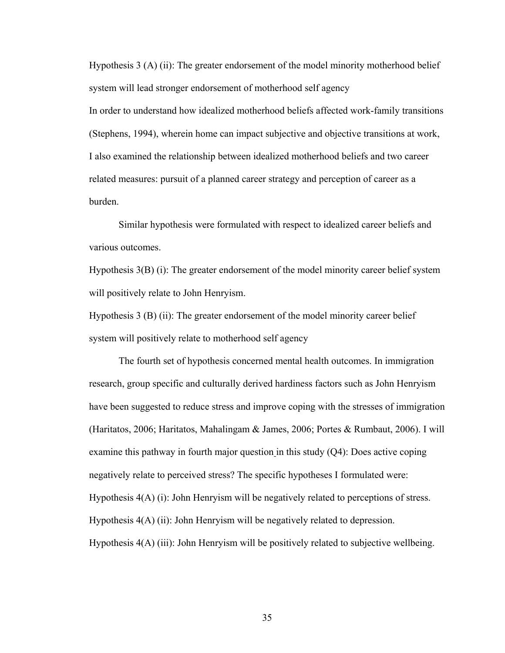Hypothesis 3 (A) (ii): The greater endorsement of the model minority motherhood belief system will lead stronger endorsement of motherhood self agency In order to understand how idealized motherhood beliefs affected work-family transitions (Stephens, 1994), wherein home can impact subjective and objective transitions at work, I also examined the relationship between idealized motherhood beliefs and two career related measures: pursuit of a planned career strategy and perception of career as a burden.

Similar hypothesis were formulated with respect to idealized career beliefs and various outcomes.

Hypothesis 3(B) (i): The greater endorsement of the model minority career belief system will positively relate to John Henryism.

Hypothesis 3 (B) (ii): The greater endorsement of the model minority career belief system will positively relate to motherhood self agency

 The fourth set of hypothesis concerned mental health outcomes. In immigration research, group specific and culturally derived hardiness factors such as John Henryism have been suggested to reduce stress and improve coping with the stresses of immigration (Haritatos, 2006; Haritatos, Mahalingam & James, 2006; Portes & Rumbaut, 2006). I will examine this pathway in fourth major question in this study (Q4): Does active coping negatively relate to perceived stress? The specific hypotheses I formulated were: Hypothesis 4(A) (i): John Henryism will be negatively related to perceptions of stress. Hypothesis 4(A) (ii): John Henryism will be negatively related to depression. Hypothesis  $4(A)$  (iii): John Henryism will be positively related to subjective wellbeing.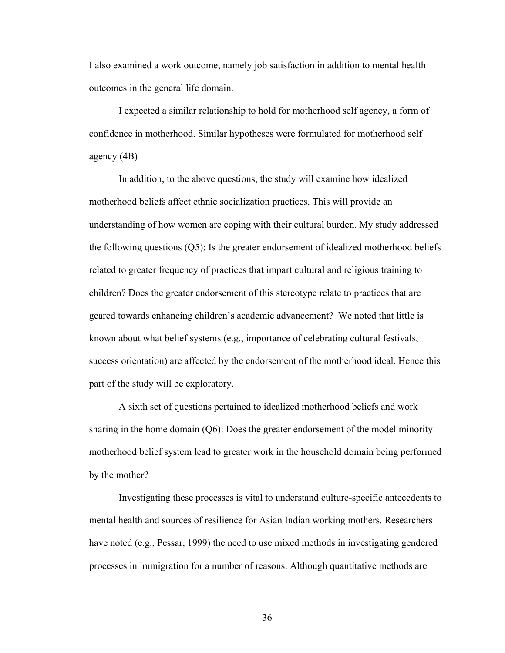I also examined a work outcome, namely job satisfaction in addition to mental health outcomes in the general life domain.

I expected a similar relationship to hold for motherhood self agency, a form of confidence in motherhood. Similar hypotheses were formulated for motherhood self agency (4B)

 In addition, to the above questions, the study will examine how idealized motherhood beliefs affect ethnic socialization practices. This will provide an understanding of how women are coping with their cultural burden. My study addressed the following questions (Q5): Is the greater endorsement of idealized motherhood beliefs related to greater frequency of practices that impart cultural and religious training to children? Does the greater endorsement of this stereotype relate to practices that are geared towards enhancing children's academic advancement? We noted that little is known about what belief systems (e.g., importance of celebrating cultural festivals, success orientation) are affected by the endorsement of the motherhood ideal. Hence this part of the study will be exploratory.

A sixth set of questions pertained to idealized motherhood beliefs and work sharing in the home domain (Q6): Does the greater endorsement of the model minority motherhood belief system lead to greater work in the household domain being performed by the mother?

Investigating these processes is vital to understand culture-specific antecedents to mental health and sources of resilience for Asian Indian working mothers. Researchers have noted (e.g., Pessar, 1999) the need to use mixed methods in investigating gendered processes in immigration for a number of reasons. Although quantitative methods are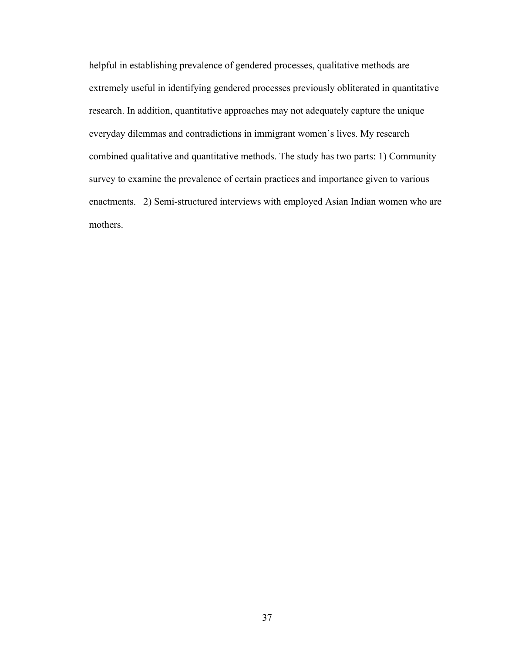helpful in establishing prevalence of gendered processes, qualitative methods are extremely useful in identifying gendered processes previously obliterated in quantitative research. In addition, quantitative approaches may not adequately capture the unique everyday dilemmas and contradictions in immigrant women's lives. My research combined qualitative and quantitative methods. The study has two parts: 1) Community survey to examine the prevalence of certain practices and importance given to various enactments. 2) Semi-structured interviews with employed Asian Indian women who are mothers.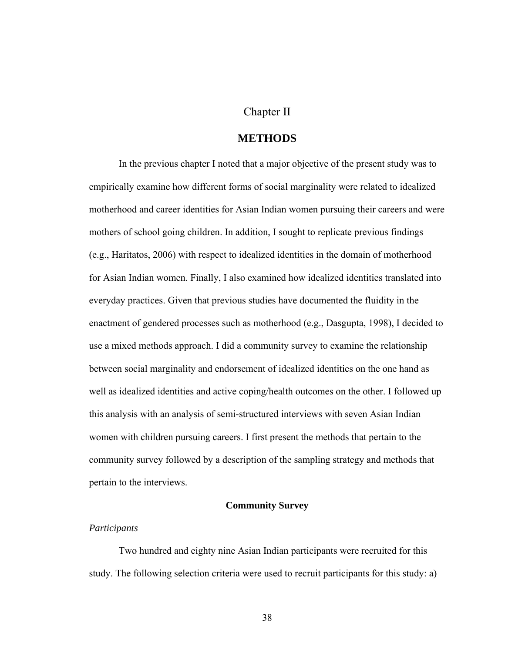Chapter II

# **METHODS**

In the previous chapter I noted that a major objective of the present study was to empirically examine how different forms of social marginality were related to idealized motherhood and career identities for Asian Indian women pursuing their careers and were mothers of school going children. In addition, I sought to replicate previous findings (e.g., Haritatos, 2006) with respect to idealized identities in the domain of motherhood for Asian Indian women. Finally, I also examined how idealized identities translated into everyday practices. Given that previous studies have documented the fluidity in the enactment of gendered processes such as motherhood (e.g., Dasgupta, 1998), I decided to use a mixed methods approach. I did a community survey to examine the relationship between social marginality and endorsement of idealized identities on the one hand as well as idealized identities and active coping/health outcomes on the other. I followed up this analysis with an analysis of semi-structured interviews with seven Asian Indian women with children pursuing careers. I first present the methods that pertain to the community survey followed by a description of the sampling strategy and methods that pertain to the interviews.

## **Community Survey**

## *Participants*

Two hundred and eighty nine Asian Indian participants were recruited for this study. The following selection criteria were used to recruit participants for this study: a)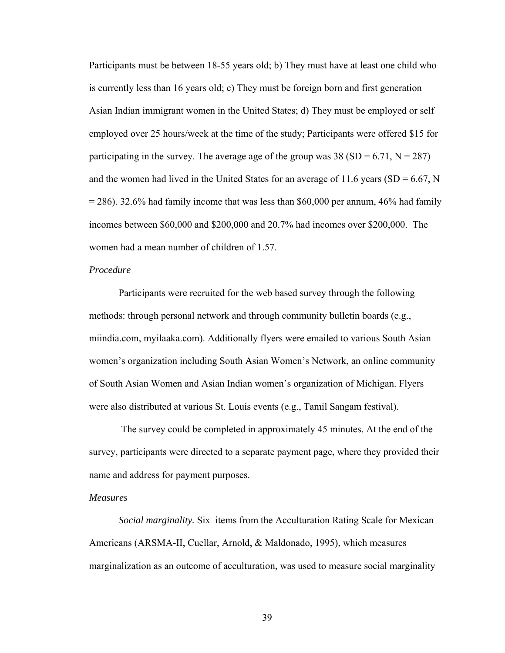Participants must be between 18-55 years old; b) They must have at least one child who is currently less than 16 years old; c) They must be foreign born and first generation Asian Indian immigrant women in the United States; d) They must be employed or self employed over 25 hours/week at the time of the study; Participants were offered \$15 for participating in the survey. The average age of the group was  $38 \text{ (SD} = 6.71, N = 287)$ and the women had lived in the United States for an average of 11.6 years (SD =  $6.67$ , N  $= 286$ ). 32.6% had family income that was less than \$60,000 per annum, 46% had family incomes between \$60,000 and \$200,000 and 20.7% had incomes over \$200,000. The women had a mean number of children of 1.57.

## *Procedure*

Participants were recruited for the web based survey through the following methods: through personal network and through community bulletin boards (e.g., miindia.com, myilaaka.com). Additionally flyers were emailed to various South Asian women's organization including South Asian Women's Network, an online community of South Asian Women and Asian Indian women's organization of Michigan. Flyers were also distributed at various St. Louis events (e.g., Tamil Sangam festival).

 The survey could be completed in approximately 45 minutes. At the end of the survey, participants were directed to a separate payment page, where they provided their name and address for payment purposes.

## *Measures*

*Social marginality.* Six items from the Acculturation Rating Scale for Mexican Americans (ARSMA-II, Cuellar, Arnold, & Maldonado, 1995), which measures marginalization as an outcome of acculturation, was used to measure social marginality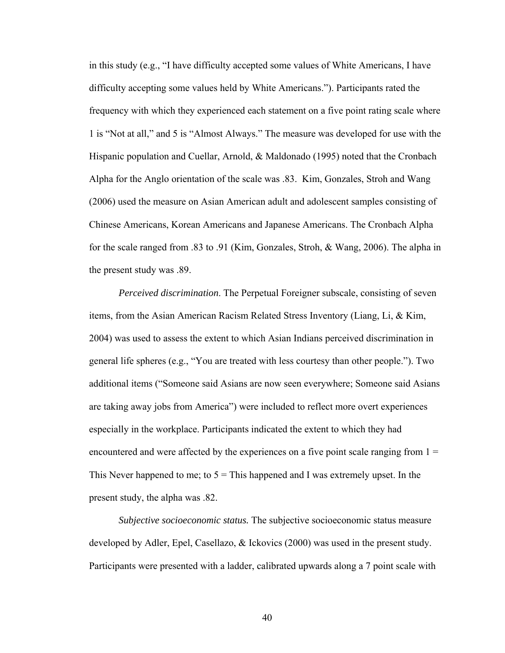in this study (e.g., "I have difficulty accepted some values of White Americans, I have difficulty accepting some values held by White Americans."). Participants rated the frequency with which they experienced each statement on a five point rating scale where 1 is "Not at all," and 5 is "Almost Always." The measure was developed for use with the Hispanic population and Cuellar, Arnold, & Maldonado (1995) noted that the Cronbach Alpha for the Anglo orientation of the scale was .83. Kim, Gonzales, Stroh and Wang (2006) used the measure on Asian American adult and adolescent samples consisting of Chinese Americans, Korean Americans and Japanese Americans. The Cronbach Alpha for the scale ranged from .83 to .91 (Kim, Gonzales, Stroh, & Wang, 2006). The alpha in the present study was .89.

*Perceived discrimination*. The Perpetual Foreigner subscale, consisting of seven items, from the Asian American Racism Related Stress Inventory (Liang, Li, & Kim, 2004) was used to assess the extent to which Asian Indians perceived discrimination in general life spheres (e.g., "You are treated with less courtesy than other people."). Two additional items ("Someone said Asians are now seen everywhere; Someone said Asians are taking away jobs from America") were included to reflect more overt experiences especially in the workplace. Participants indicated the extent to which they had encountered and were affected by the experiences on a five point scale ranging from  $1 =$ This Never happened to me; to  $5 =$  This happened and I was extremely upset. In the present study, the alpha was .82.

*Subjective socioeconomic status.* The subjective socioeconomic status measure developed by Adler, Epel, Casellazo, & Ickovics (2000) was used in the present study. Participants were presented with a ladder, calibrated upwards along a 7 point scale with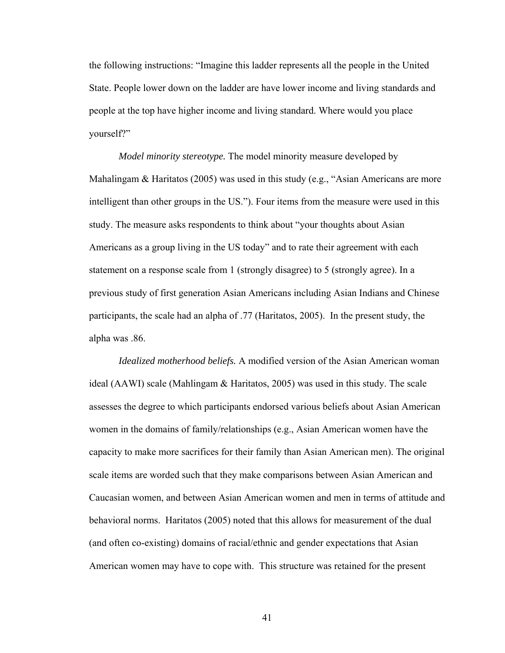the following instructions: "Imagine this ladder represents all the people in the United State. People lower down on the ladder are have lower income and living standards and people at the top have higher income and living standard. Where would you place yourself?"

*Model minority stereotype.* The model minority measure developed by Mahalingam & Haritatos (2005) was used in this study (e.g., "Asian Americans are more intelligent than other groups in the US."). Four items from the measure were used in this study. The measure asks respondents to think about "your thoughts about Asian Americans as a group living in the US today" and to rate their agreement with each statement on a response scale from 1 (strongly disagree) to 5 (strongly agree). In a previous study of first generation Asian Americans including Asian Indians and Chinese participants, the scale had an alpha of .77 (Haritatos, 2005). In the present study, the alpha was .86.

*Idealized motherhood beliefs.* A modified version of the Asian American woman ideal (AAWI) scale (Mahlingam & Haritatos, 2005) was used in this study. The scale assesses the degree to which participants endorsed various beliefs about Asian American women in the domains of family/relationships (e.g., Asian American women have the capacity to make more sacrifices for their family than Asian American men). The original scale items are worded such that they make comparisons between Asian American and Caucasian women, and between Asian American women and men in terms of attitude and behavioral norms. Haritatos (2005) noted that this allows for measurement of the dual (and often co-existing) domains of racial/ethnic and gender expectations that Asian American women may have to cope with. This structure was retained for the present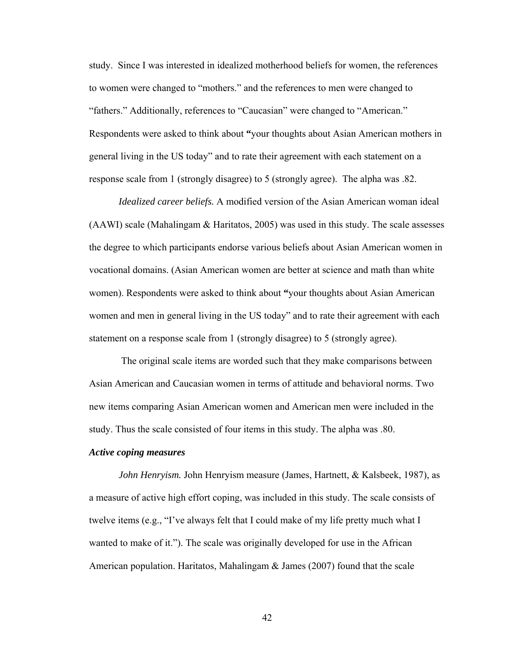study. Since I was interested in idealized motherhood beliefs for women, the references to women were changed to "mothers." and the references to men were changed to "fathers." Additionally, references to "Caucasian" were changed to "American." Respondents were asked to think about **"**your thoughts about Asian American mothers in general living in the US today" and to rate their agreement with each statement on a response scale from 1 (strongly disagree) to 5 (strongly agree). The alpha was .82.

*Idealized career beliefs.* A modified version of the Asian American woman ideal (AAWI) scale (Mahalingam & Haritatos, 2005) was used in this study. The scale assesses the degree to which participants endorse various beliefs about Asian American women in vocational domains. (Asian American women are better at science and math than white women). Respondents were asked to think about **"**your thoughts about Asian American women and men in general living in the US today" and to rate their agreement with each statement on a response scale from 1 (strongly disagree) to 5 (strongly agree).

 The original scale items are worded such that they make comparisons between Asian American and Caucasian women in terms of attitude and behavioral norms. Two new items comparing Asian American women and American men were included in the study. Thus the scale consisted of four items in this study. The alpha was .80.

#### *Active coping measures*

*John Henryism.* John Henryism measure (James, Hartnett, & Kalsbeek, 1987), as a measure of active high effort coping, was included in this study. The scale consists of twelve items (e.g., "I've always felt that I could make of my life pretty much what I wanted to make of it."). The scale was originally developed for use in the African American population. Haritatos, Mahalingam & James (2007) found that the scale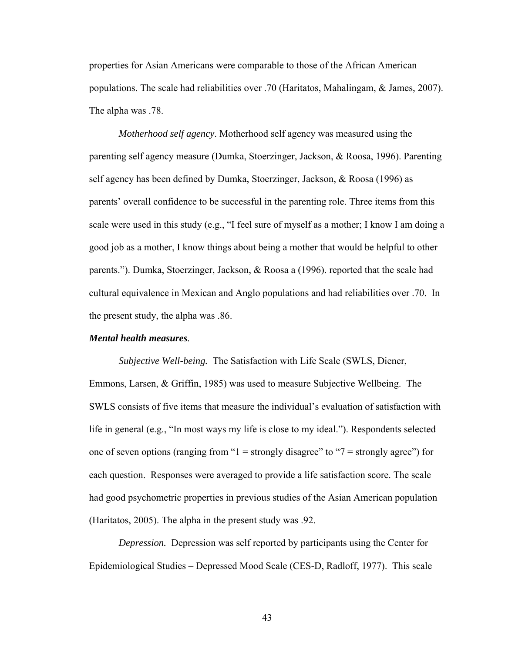properties for Asian Americans were comparable to those of the African American populations. The scale had reliabilities over .70 (Haritatos, Mahalingam, & James, 2007). The alpha was .78.

*Motherhood self agency*. Motherhood self agency was measured using the parenting self agency measure (Dumka, Stoerzinger, Jackson, & Roosa, 1996). Parenting self agency has been defined by Dumka, Stoerzinger, Jackson, & Roosa (1996) as parents' overall confidence to be successful in the parenting role. Three items from this scale were used in this study (e.g., "I feel sure of myself as a mother; I know I am doing a good job as a mother, I know things about being a mother that would be helpful to other parents."). Dumka, Stoerzinger, Jackson, & Roosa a (1996). reported that the scale had cultural equivalence in Mexican and Anglo populations and had reliabilities over .70. In the present study, the alpha was .86.

#### *Mental health measures.*

*Subjective Well-being.* The Satisfaction with Life Scale (SWLS, Diener, Emmons, Larsen, & Griffin, 1985) was used to measure Subjective Wellbeing. The SWLS consists of five items that measure the individual's evaluation of satisfaction with life in general (e.g., "In most ways my life is close to my ideal."). Respondents selected one of seven options (ranging from " $1 =$  strongly disagree" to " $7 =$  strongly agree") for each question. Responses were averaged to provide a life satisfaction score. The scale had good psychometric properties in previous studies of the Asian American population (Haritatos, 2005). The alpha in the present study was .92.

*Depression.* Depression was self reported by participants using the Center for Epidemiological Studies – Depressed Mood Scale (CES-D, Radloff, 1977). This scale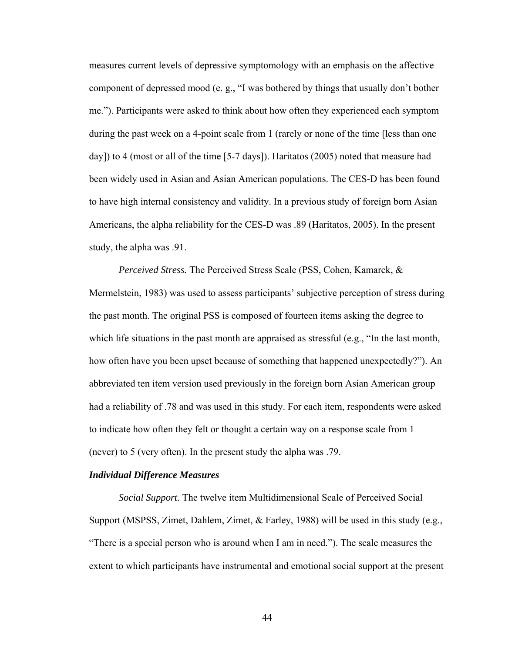measures current levels of depressive symptomology with an emphasis on the affective component of depressed mood (e. g., "I was bothered by things that usually don't bother me."). Participants were asked to think about how often they experienced each symptom during the past week on a 4-point scale from 1 (rarely or none of the time [less than one day]) to 4 (most or all of the time [5-7 days]). Haritatos (2005) noted that measure had been widely used in Asian and Asian American populations. The CES-D has been found to have high internal consistency and validity. In a previous study of foreign born Asian Americans, the alpha reliability for the CES-D was .89 (Haritatos, 2005). In the present study, the alpha was .91.

*Perceived Stress.* The Perceived Stress Scale (PSS, Cohen, Kamarck, & Mermelstein, 1983) was used to assess participants' subjective perception of stress during the past month. The original PSS is composed of fourteen items asking the degree to which life situations in the past month are appraised as stressful (e.g., "In the last month, how often have you been upset because of something that happened unexpectedly?"). An abbreviated ten item version used previously in the foreign born Asian American group had a reliability of .78 and was used in this study. For each item, respondents were asked to indicate how often they felt or thought a certain way on a response scale from 1 (never) to 5 (very often). In the present study the alpha was .79.

## *Individual Difference Measures*

*Social Support.* The twelve item Multidimensional Scale of Perceived Social Support (MSPSS, Zimet, Dahlem, Zimet, & Farley, 1988) will be used in this study (e.g., "There is a special person who is around when I am in need."). The scale measures the extent to which participants have instrumental and emotional social support at the present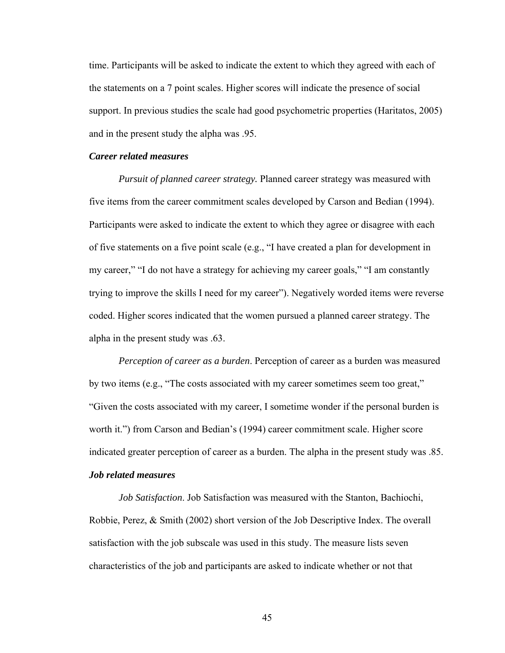time. Participants will be asked to indicate the extent to which they agreed with each of the statements on a 7 point scales. Higher scores will indicate the presence of social support. In previous studies the scale had good psychometric properties (Haritatos, 2005) and in the present study the alpha was .95.

## *Career related measures*

*Pursuit of planned career strategy.* Planned career strategy was measured with five items from the career commitment scales developed by Carson and Bedian (1994). Participants were asked to indicate the extent to which they agree or disagree with each of five statements on a five point scale (e.g., "I have created a plan for development in my career," "I do not have a strategy for achieving my career goals," "I am constantly trying to improve the skills I need for my career"). Negatively worded items were reverse coded. Higher scores indicated that the women pursued a planned career strategy. The alpha in the present study was .63.

*Perception of career as a burden*. Perception of career as a burden was measured by two items (e.g., "The costs associated with my career sometimes seem too great," "Given the costs associated with my career, I sometime wonder if the personal burden is worth it.") from Carson and Bedian's (1994) career commitment scale. Higher score indicated greater perception of career as a burden. The alpha in the present study was .85.

# *Job related measures*

*Job Satisfaction*. Job Satisfaction was measured with the Stanton, Bachiochi, Robbie, Perez, & Smith (2002) short version of the Job Descriptive Index. The overall satisfaction with the job subscale was used in this study. The measure lists seven characteristics of the job and participants are asked to indicate whether or not that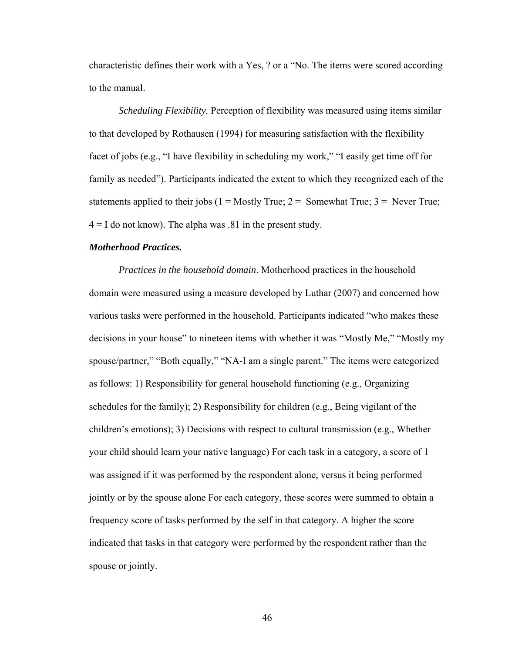characteristic defines their work with a Yes, ? or a "No. The items were scored according to the manual.

*Scheduling Flexibility.* Perception of flexibility was measured using items similar to that developed by Rothausen (1994) for measuring satisfaction with the flexibility facet of jobs (e.g., "I have flexibility in scheduling my work," "I easily get time off for family as needed"). Participants indicated the extent to which they recognized each of the statements applied to their jobs ( $1 =$ Mostly True;  $2 =$  Somewhat True;  $3 =$  Never True;  $4 = I$  do not know). The alpha was  $.81$  in the present study.

## *Motherhood Practices.*

*Practices in the household domain*. Motherhood practices in the household domain were measured using a measure developed by Luthar (2007) and concerned how various tasks were performed in the household. Participants indicated "who makes these decisions in your house" to nineteen items with whether it was "Mostly Me," "Mostly my spouse/partner," "Both equally," "NA-I am a single parent." The items were categorized as follows: 1) Responsibility for general household functioning (e.g., Organizing schedules for the family); 2) Responsibility for children (e.g., Being vigilant of the children's emotions); 3) Decisions with respect to cultural transmission (e.g., Whether your child should learn your native language) For each task in a category, a score of 1 was assigned if it was performed by the respondent alone, versus it being performed jointly or by the spouse alone For each category, these scores were summed to obtain a frequency score of tasks performed by the self in that category. A higher the score indicated that tasks in that category were performed by the respondent rather than the spouse or jointly.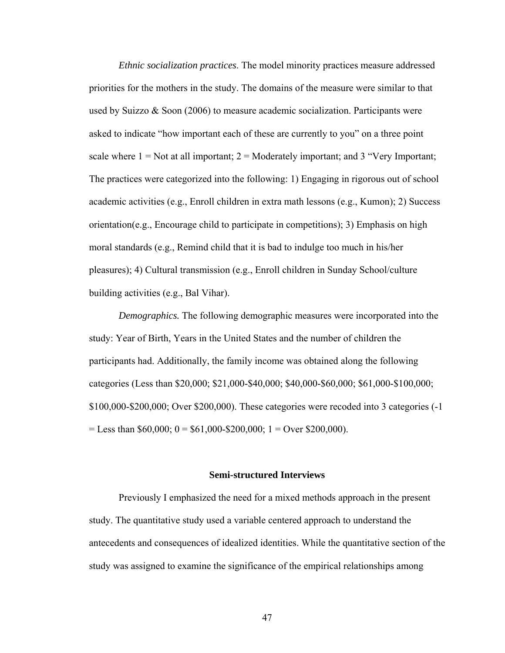*Ethnic socialization practices*. The model minority practices measure addressed priorities for the mothers in the study. The domains of the measure were similar to that used by Suizzo  $\&$  Soon (2006) to measure academic socialization. Participants were asked to indicate "how important each of these are currently to you" on a three point scale where  $1 = Not$  at all important;  $2 = Moderned$  important; and 3 "Very Important; The practices were categorized into the following: 1) Engaging in rigorous out of school academic activities (e.g., Enroll children in extra math lessons (e.g., Kumon); 2) Success orientation(e.g., Encourage child to participate in competitions); 3) Emphasis on high moral standards (e.g., Remind child that it is bad to indulge too much in his/her pleasures); 4) Cultural transmission (e.g., Enroll children in Sunday School/culture building activities (e.g., Bal Vihar).

*Demographics.* The following demographic measures were incorporated into the study: Year of Birth, Years in the United States and the number of children the participants had. Additionally, the family income was obtained along the following categories (Less than \$20,000; \$21,000-\$40,000; \$40,000-\$60,000; \$61,000-\$100,000; \$100,000-\$200,000; Over \$200,000). These categories were recoded into 3 categories (-1  $=$  Less than \$60,000; 0 = \$61,000-\$200,000; 1 = Over \$200,000).

#### **Semi-structured Interviews**

Previously I emphasized the need for a mixed methods approach in the present study. The quantitative study used a variable centered approach to understand the antecedents and consequences of idealized identities. While the quantitative section of the study was assigned to examine the significance of the empirical relationships among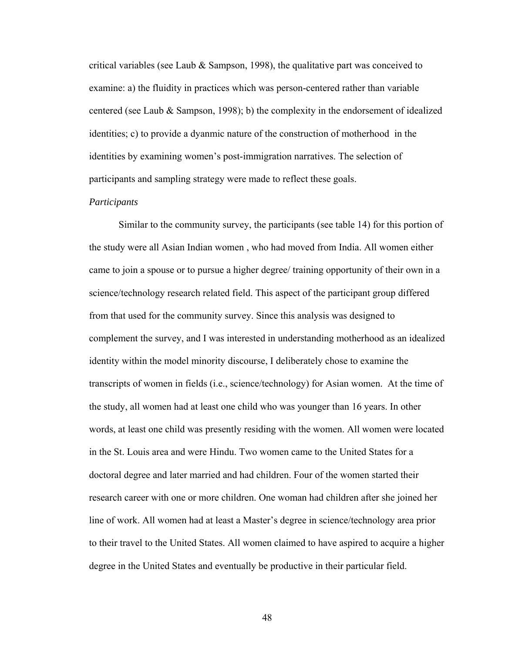critical variables (see Laub  $\&$  Sampson, 1998), the qualitative part was conceived to examine: a) the fluidity in practices which was person-centered rather than variable centered (see Laub & Sampson, 1998); b) the complexity in the endorsement of idealized identities; c) to provide a dyanmic nature of the construction of motherhood in the identities by examining women's post-immigration narratives. The selection of participants and sampling strategy were made to reflect these goals.

## *Participants*

 Similar to the community survey, the participants (see table 14) for this portion of the study were all Asian Indian women , who had moved from India. All women either came to join a spouse or to pursue a higher degree/ training opportunity of their own in a science/technology research related field. This aspect of the participant group differed from that used for the community survey. Since this analysis was designed to complement the survey, and I was interested in understanding motherhood as an idealized identity within the model minority discourse, I deliberately chose to examine the transcripts of women in fields (i.e., science/technology) for Asian women. At the time of the study, all women had at least one child who was younger than 16 years. In other words, at least one child was presently residing with the women. All women were located in the St. Louis area and were Hindu. Two women came to the United States for a doctoral degree and later married and had children. Four of the women started their research career with one or more children. One woman had children after she joined her line of work. All women had at least a Master's degree in science/technology area prior to their travel to the United States. All women claimed to have aspired to acquire a higher degree in the United States and eventually be productive in their particular field.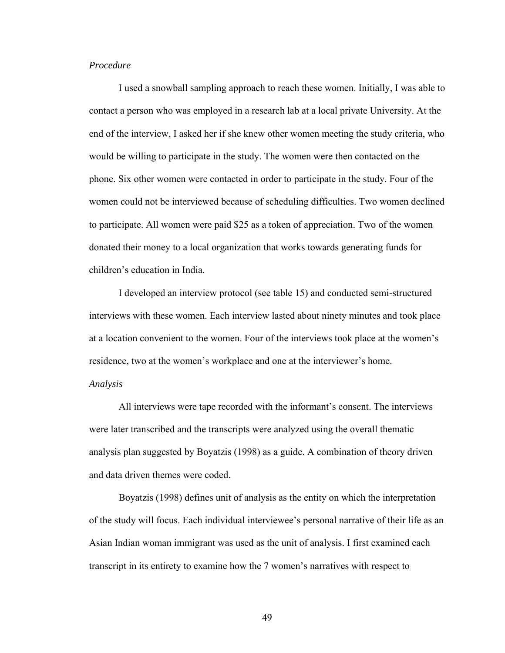# *Procedure*

I used a snowball sampling approach to reach these women. Initially, I was able to contact a person who was employed in a research lab at a local private University. At the end of the interview, I asked her if she knew other women meeting the study criteria, who would be willing to participate in the study. The women were then contacted on the phone. Six other women were contacted in order to participate in the study. Four of the women could not be interviewed because of scheduling difficulties. Two women declined to participate. All women were paid \$25 as a token of appreciation. Two of the women donated their money to a local organization that works towards generating funds for children's education in India.

I developed an interview protocol (see table 15) and conducted semi-structured interviews with these women. Each interview lasted about ninety minutes and took place at a location convenient to the women. Four of the interviews took place at the women's residence, two at the women's workplace and one at the interviewer's home. *Analysis* 

All interviews were tape recorded with the informant's consent. The interviews were later transcribed and the transcripts were analyzed using the overall thematic analysis plan suggested by Boyatzis (1998) as a guide. A combination of theory driven and data driven themes were coded.

Boyatzis (1998) defines unit of analysis as the entity on which the interpretation of the study will focus. Each individual interviewee's personal narrative of their life as an Asian Indian woman immigrant was used as the unit of analysis. I first examined each transcript in its entirety to examine how the 7 women's narratives with respect to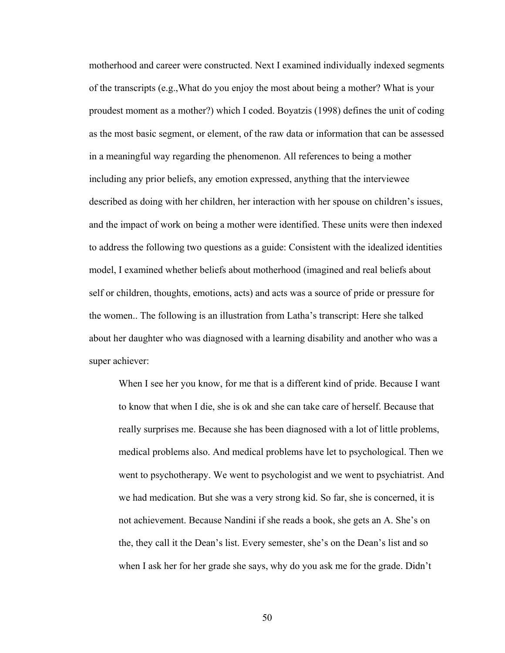motherhood and career were constructed. Next I examined individually indexed segments of the transcripts (e.g.,What do you enjoy the most about being a mother? What is your proudest moment as a mother?) which I coded. Boyatzis (1998) defines the unit of coding as the most basic segment, or element, of the raw data or information that can be assessed in a meaningful way regarding the phenomenon. All references to being a mother including any prior beliefs, any emotion expressed, anything that the interviewee described as doing with her children, her interaction with her spouse on children's issues, and the impact of work on being a mother were identified. These units were then indexed to address the following two questions as a guide: Consistent with the idealized identities model, I examined whether beliefs about motherhood (imagined and real beliefs about self or children, thoughts, emotions, acts) and acts was a source of pride or pressure for the women.. The following is an illustration from Latha's transcript: Here she talked about her daughter who was diagnosed with a learning disability and another who was a super achiever:

When I see her you know, for me that is a different kind of pride. Because I want to know that when I die, she is ok and she can take care of herself. Because that really surprises me. Because she has been diagnosed with a lot of little problems, medical problems also. And medical problems have let to psychological. Then we went to psychotherapy. We went to psychologist and we went to psychiatrist. And we had medication. But she was a very strong kid. So far, she is concerned, it is not achievement. Because Nandini if she reads a book, she gets an A. She's on the, they call it the Dean's list. Every semester, she's on the Dean's list and so when I ask her for her grade she says, why do you ask me for the grade. Didn't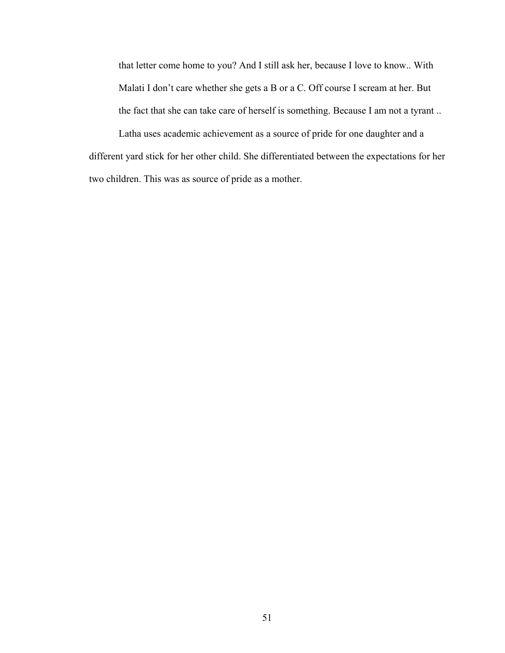that letter come home to you? And I still ask her, because I love to know.. With Malati I don't care whether she gets a B or a C. Off course I scream at her. But the fact that she can take care of herself is something. Because I am not a tyrant ..

Latha uses academic achievement as a source of pride for one daughter and a different yard stick for her other child. She differentiated between the expectations for her two children. This was as source of pride as a mother.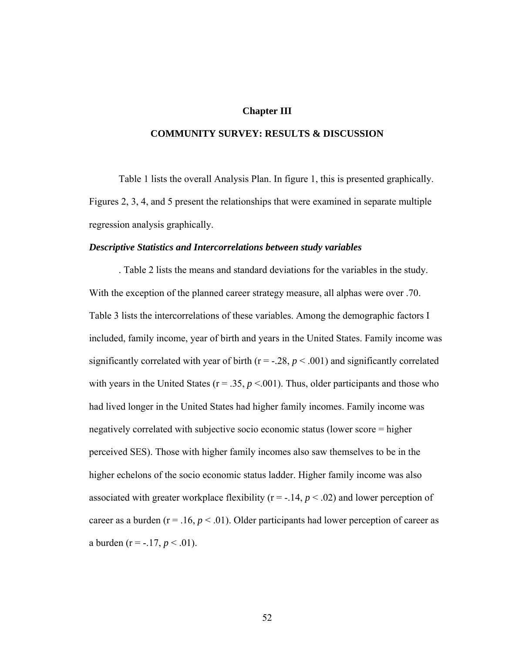## **Chapter III**

## **COMMUNITY SURVEY: RESULTS & DISCUSSION**

Table 1 lists the overall Analysis Plan. In figure 1, this is presented graphically. Figures 2, 3, 4, and 5 present the relationships that were examined in separate multiple regression analysis graphically.

## *Descriptive Statistics and Intercorrelations between study variables*

 . Table 2 lists the means and standard deviations for the variables in the study. With the exception of the planned career strategy measure, all alphas were over .70. Table 3 lists the intercorrelations of these variables. Among the demographic factors I included, family income, year of birth and years in the United States. Family income was significantly correlated with year of birth ( $r = -0.28$ ,  $p < 0.001$ ) and significantly correlated with years in the United States ( $r = .35$ ,  $p < .001$ ). Thus, older participants and those who had lived longer in the United States had higher family incomes. Family income was negatively correlated with subjective socio economic status (lower score = higher perceived SES). Those with higher family incomes also saw themselves to be in the higher echelons of the socio economic status ladder. Higher family income was also associated with greater workplace flexibility ( $r = -14$ ,  $p < 0.02$ ) and lower perception of career as a burden ( $r = .16$ ,  $p < .01$ ). Older participants had lower perception of career as a burden ( $r = -17$ ,  $p < .01$ ).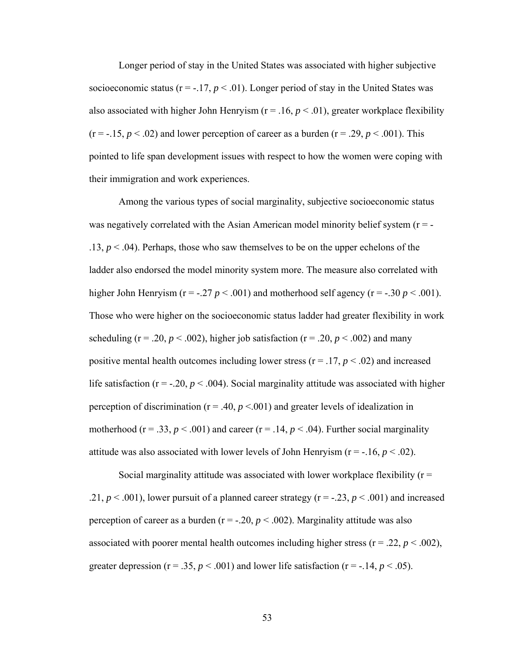Longer period of stay in the United States was associated with higher subjective socioeconomic status  $(r = -17, p < 0.01)$ . Longer period of stay in the United States was also associated with higher John Henryism ( $r = .16$ ,  $p < .01$ ), greater workplace flexibility  $(r = -.15, p < .02)$  and lower perception of career as a burden  $(r = .29, p < .001)$ . This pointed to life span development issues with respect to how the women were coping with their immigration and work experiences.

 Among the various types of social marginality, subjective socioeconomic status was negatively correlated with the Asian American model minority belief system  $(r = -1)$ .13,  $p < 0.04$ ). Perhaps, those who saw themselves to be on the upper echelons of the ladder also endorsed the model minority system more. The measure also correlated with higher John Henryism ( $r = -0.27 p < 0.001$ ) and motherhood self agency ( $r = -0.30 p < 0.001$ ). Those who were higher on the socioeconomic status ladder had greater flexibility in work scheduling ( $r = .20$ ,  $p < .002$ ), higher job satisfaction ( $r = .20$ ,  $p < .002$ ) and many positive mental health outcomes including lower stress ( $r = .17$ ,  $p < .02$ ) and increased life satisfaction ( $r = -20$ ,  $p < .004$ ). Social marginality attitude was associated with higher perception of discrimination ( $r = .40$ ,  $p < .001$ ) and greater levels of idealization in motherhood ( $r = .33$ ,  $p < .001$ ) and career ( $r = .14$ ,  $p < .04$ ). Further social marginality attitude was also associated with lower levels of John Henryism ( $r = -16$ ,  $p < .02$ ).

Social marginality attitude was associated with lower workplace flexibility ( $r =$ .21,  $p < .001$ ), lower pursuit of a planned career strategy ( $r = -.23$ ,  $p < .001$ ) and increased perception of career as a burden ( $r = -.20$ ,  $p < .002$ ). Marginality attitude was also associated with poorer mental health outcomes including higher stress ( $r = .22$ ,  $p < .002$ ), greater depression ( $r = .35$ ,  $p < .001$ ) and lower life satisfaction ( $r = .14$ ,  $p < .05$ ).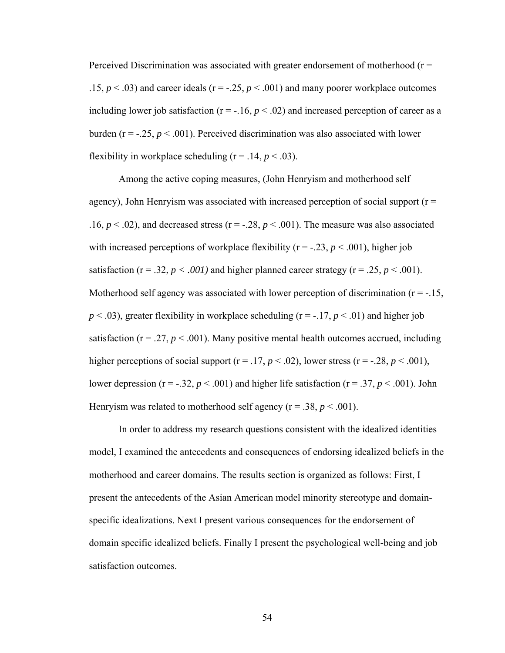Perceived Discrimination was associated with greater endorsement of motherhood ( $r =$ .15,  $p < .03$ ) and career ideals ( $r = -.25$ ,  $p < .001$ ) and many poorer workplace outcomes including lower job satisfaction ( $r = -.16$ ,  $p < .02$ ) and increased perception of career as a burden ( $r = -0.25$ ,  $p < 0.001$ ). Perceived discrimination was also associated with lower flexibility in workplace scheduling  $(r = .14, p < .03)$ .

 Among the active coping measures, (John Henryism and motherhood self agency), John Henryism was associated with increased perception of social support ( $r =$ .16,  $p < .02$ ), and decreased stress ( $r = -.28$ ,  $p < .001$ ). The measure was also associated with increased perceptions of workplace flexibility  $(r = -.23, p < .001)$ , higher job satisfaction ( $r = .32$ ,  $p < .001$ ) and higher planned career strategy ( $r = .25$ ,  $p < .001$ ). Motherhood self agency was associated with lower perception of discrimination  $(r = -15)$ ,  $p < .03$ ), greater flexibility in workplace scheduling ( $r = -.17, p < .01$ ) and higher job satisfaction ( $r = .27$ ,  $p < .001$ ). Many positive mental health outcomes accrued, including higher perceptions of social support ( $r = .17$ ,  $p < .02$ ), lower stress ( $r = .28$ ,  $p < .001$ ), lower depression ( $r = -0.32$ ,  $p < 0.001$ ) and higher life satisfaction ( $r = 0.37$ ,  $p < 0.001$ ). John Henryism was related to motherhood self agency  $(r = .38, p < .001)$ .

 In order to address my research questions consistent with the idealized identities model, I examined the antecedents and consequences of endorsing idealized beliefs in the motherhood and career domains. The results section is organized as follows: First, I present the antecedents of the Asian American model minority stereotype and domainspecific idealizations. Next I present various consequences for the endorsement of domain specific idealized beliefs. Finally I present the psychological well-being and job satisfaction outcomes.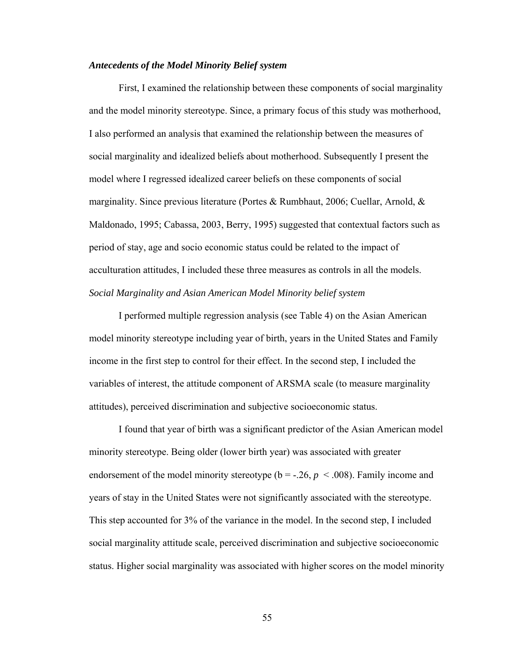## *Antecedents of the Model Minority Belief system*

First, I examined the relationship between these components of social marginality and the model minority stereotype. Since, a primary focus of this study was motherhood, I also performed an analysis that examined the relationship between the measures of social marginality and idealized beliefs about motherhood. Subsequently I present the model where I regressed idealized career beliefs on these components of social marginality. Since previous literature (Portes & Rumbhaut, 2006; Cuellar, Arnold, & Maldonado, 1995; Cabassa, 2003, Berry, 1995) suggested that contextual factors such as period of stay, age and socio economic status could be related to the impact of acculturation attitudes, I included these three measures as controls in all the models. *Social Marginality and Asian American Model Minority belief system* 

I performed multiple regression analysis (see Table 4) on the Asian American model minority stereotype including year of birth, years in the United States and Family income in the first step to control for their effect. In the second step, I included the variables of interest, the attitude component of ARSMA scale (to measure marginality attitudes), perceived discrimination and subjective socioeconomic status.

 I found that year of birth was a significant predictor of the Asian American model minority stereotype. Being older (lower birth year) was associated with greater endorsement of the model minority stereotype ( $b = -.26$ ,  $p < .008$ ). Family income and years of stay in the United States were not significantly associated with the stereotype. This step accounted for 3% of the variance in the model. In the second step, I included social marginality attitude scale, perceived discrimination and subjective socioeconomic status. Higher social marginality was associated with higher scores on the model minority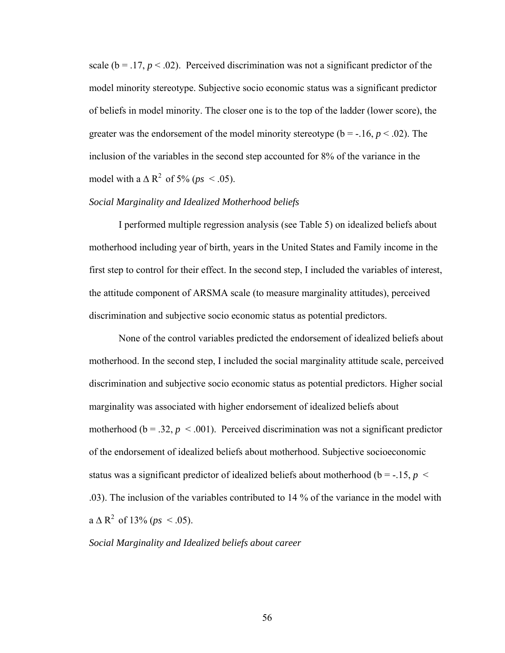scale ( $b = .17$ ,  $p < .02$ ). Perceived discrimination was not a significant predictor of the model minority stereotype. Subjective socio economic status was a significant predictor of beliefs in model minority. The closer one is to the top of the ladder (lower score), the greater was the endorsement of the model minority stereotype ( $b = -16$ ,  $p < .02$ ). The inclusion of the variables in the second step accounted for 8% of the variance in the model with a  $\Delta R^2$  of 5% ( $ps < .05$ ).

# *Social Marginality and Idealized Motherhood beliefs*

I performed multiple regression analysis (see Table 5) on idealized beliefs about motherhood including year of birth, years in the United States and Family income in the first step to control for their effect. In the second step, I included the variables of interest, the attitude component of ARSMA scale (to measure marginality attitudes), perceived discrimination and subjective socio economic status as potential predictors.

 None of the control variables predicted the endorsement of idealized beliefs about motherhood. In the second step, I included the social marginality attitude scale, perceived discrimination and subjective socio economic status as potential predictors. Higher social marginality was associated with higher endorsement of idealized beliefs about motherhood ( $b = 0.32$ ,  $p < 0.001$ ). Perceived discrimination was not a significant predictor of the endorsement of idealized beliefs about motherhood. Subjective socioeconomic status was a significant predictor of idealized beliefs about motherhood ( $b = -15$ ,  $p <$ .03). The inclusion of the variables contributed to 14 % of the variance in the model with  $a \Delta R^2$  of 13% (*ps* < .05).

*Social Marginality and Idealized beliefs about career*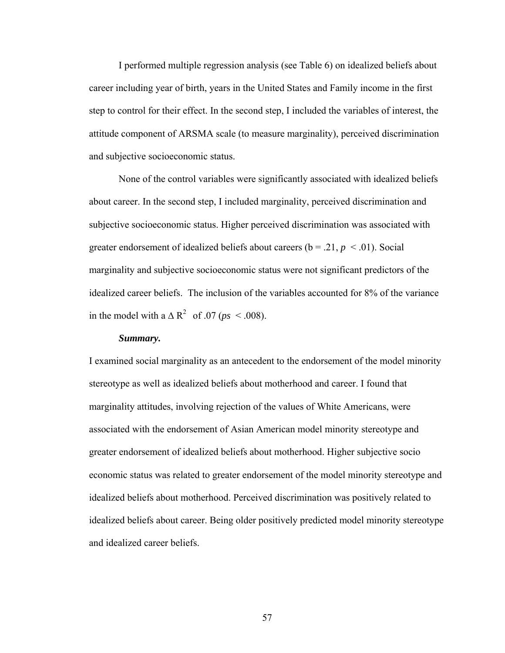I performed multiple regression analysis (see Table 6) on idealized beliefs about career including year of birth, years in the United States and Family income in the first step to control for their effect. In the second step, I included the variables of interest, the attitude component of ARSMA scale (to measure marginality), perceived discrimination and subjective socioeconomic status.

 None of the control variables were significantly associated with idealized beliefs about career. In the second step, I included marginality, perceived discrimination and subjective socioeconomic status. Higher perceived discrimination was associated with greater endorsement of idealized beliefs about careers ( $b = .21$ ,  $p < .01$ ). Social marginality and subjective socioeconomic status were not significant predictors of the idealized career beliefs. The inclusion of the variables accounted for 8% of the variance in the model with a  $\Delta R^2$  of .07 ( $ps < .008$ ).

#### *Summary.*

I examined social marginality as an antecedent to the endorsement of the model minority stereotype as well as idealized beliefs about motherhood and career. I found that marginality attitudes, involving rejection of the values of White Americans, were associated with the endorsement of Asian American model minority stereotype and greater endorsement of idealized beliefs about motherhood. Higher subjective socio economic status was related to greater endorsement of the model minority stereotype and idealized beliefs about motherhood. Perceived discrimination was positively related to idealized beliefs about career. Being older positively predicted model minority stereotype and idealized career beliefs.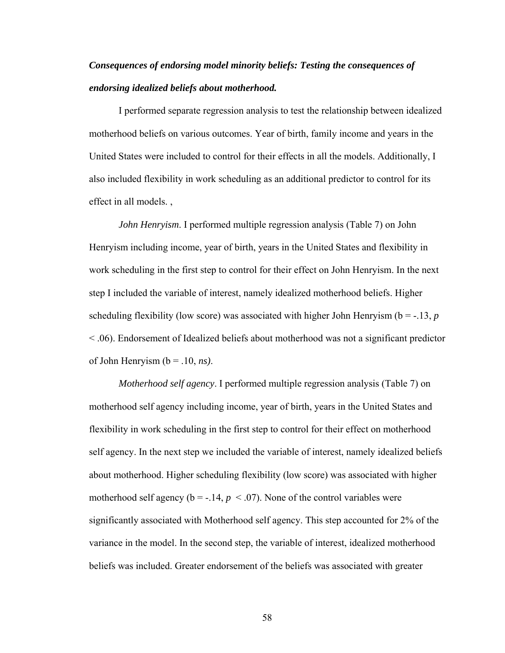# *Consequences of endorsing model minority beliefs: Testing the consequences of endorsing idealized beliefs about motherhood.*

 I performed separate regression analysis to test the relationship between idealized motherhood beliefs on various outcomes. Year of birth, family income and years in the United States were included to control for their effects in all the models. Additionally, I also included flexibility in work scheduling as an additional predictor to control for its effect in all models. ,

*John Henryism*. I performed multiple regression analysis (Table 7) on John Henryism including income, year of birth, years in the United States and flexibility in work scheduling in the first step to control for their effect on John Henryism. In the next step I included the variable of interest, namely idealized motherhood beliefs. Higher scheduling flexibility (low score) was associated with higher John Henryism ( $b = -13$ ,  $p$ < .06). Endorsement of Idealized beliefs about motherhood was not a significant predictor of John Henryism (b = .10, *ns)*.

*Motherhood self agency*. I performed multiple regression analysis (Table 7) on motherhood self agency including income, year of birth, years in the United States and flexibility in work scheduling in the first step to control for their effect on motherhood self agency. In the next step we included the variable of interest, namely idealized beliefs about motherhood. Higher scheduling flexibility (low score) was associated with higher motherhood self agency ( $b = -14$ ,  $p < 07$ ). None of the control variables were significantly associated with Motherhood self agency. This step accounted for 2% of the variance in the model. In the second step, the variable of interest, idealized motherhood beliefs was included. Greater endorsement of the beliefs was associated with greater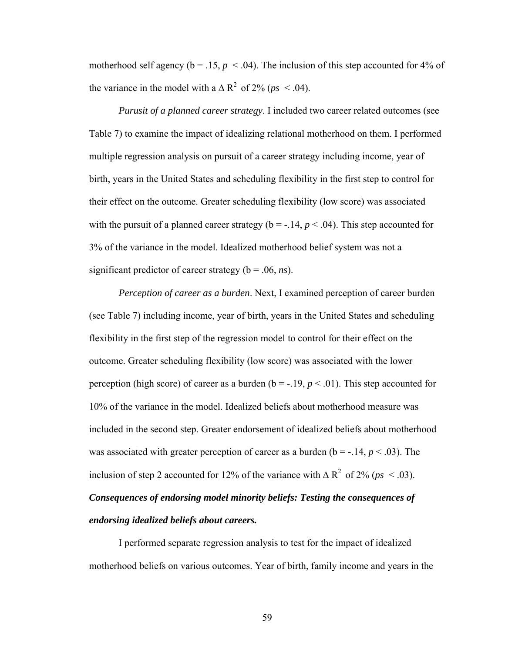motherhood self agency ( $b = .15$ ,  $p < .04$ ). The inclusion of this step accounted for 4% of the variance in the model with a  $\Delta R^2$  of 2% ( $ps < .04$ ).

*Purusit of a planned career strategy*. I included two career related outcomes (see Table 7) to examine the impact of idealizing relational motherhood on them. I performed multiple regression analysis on pursuit of a career strategy including income, year of birth, years in the United States and scheduling flexibility in the first step to control for their effect on the outcome. Greater scheduling flexibility (low score) was associated with the pursuit of a planned career strategy ( $b = -14$ ,  $p < 0.04$ ). This step accounted for 3% of the variance in the model. Idealized motherhood belief system was not a significant predictor of career strategy (b = .06, *ns*).

*Perception of career as a burden*. Next, I examined perception of career burden (see Table 7) including income, year of birth, years in the United States and scheduling flexibility in the first step of the regression model to control for their effect on the outcome. Greater scheduling flexibility (low score) was associated with the lower perception (high score) of career as a burden ( $b = -19$ ,  $p < 0.01$ ). This step accounted for 10% of the variance in the model. Idealized beliefs about motherhood measure was included in the second step. Greater endorsement of idealized beliefs about motherhood was associated with greater perception of career as a burden ( $b = -14$ ,  $p < .03$ ). The inclusion of step 2 accounted for 12% of the variance with  $\Delta R^2$  of 2% ( $ps < .03$ ). *Consequences of endorsing model minority beliefs: Testing the consequences of endorsing idealized beliefs about careers.* 

 I performed separate regression analysis to test for the impact of idealized motherhood beliefs on various outcomes. Year of birth, family income and years in the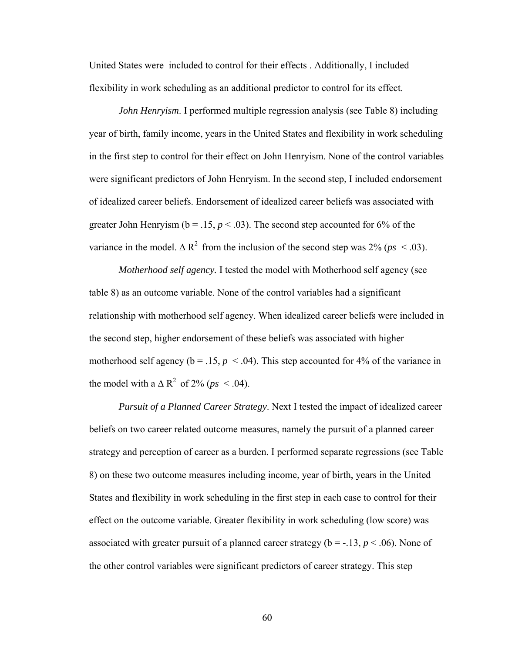United States were included to control for their effects . Additionally, I included flexibility in work scheduling as an additional predictor to control for its effect.

*John Henryism*. I performed multiple regression analysis (see Table 8) including year of birth, family income, years in the United States and flexibility in work scheduling in the first step to control for their effect on John Henryism. None of the control variables were significant predictors of John Henryism. In the second step, I included endorsement of idealized career beliefs. Endorsement of idealized career beliefs was associated with greater John Henryism ( $b = 0.15$ ,  $p < 0.03$ ). The second step accounted for 6% of the variance in the model.  $\Delta R^2$  from the inclusion of the second step was 2% ( $ps < .03$ ).

*Motherhood self agency.* I tested the model with Motherhood self agency (see table 8) as an outcome variable. None of the control variables had a significant relationship with motherhood self agency. When idealized career beliefs were included in the second step, higher endorsement of these beliefs was associated with higher motherhood self agency ( $b = 0.15$ ,  $p < 0.04$ ). This step accounted for 4% of the variance in the model with a  $\Delta R^2$  of 2% ( $ps < .04$ ).

*Pursuit of a Planned Career Strategy*. Next I tested the impact of idealized career beliefs on two career related outcome measures, namely the pursuit of a planned career strategy and perception of career as a burden. I performed separate regressions (see Table 8) on these two outcome measures including income, year of birth, years in the United States and flexibility in work scheduling in the first step in each case to control for their effect on the outcome variable. Greater flexibility in work scheduling (low score) was associated with greater pursuit of a planned career strategy ( $b = -13$ ,  $p < .06$ ). None of the other control variables were significant predictors of career strategy. This step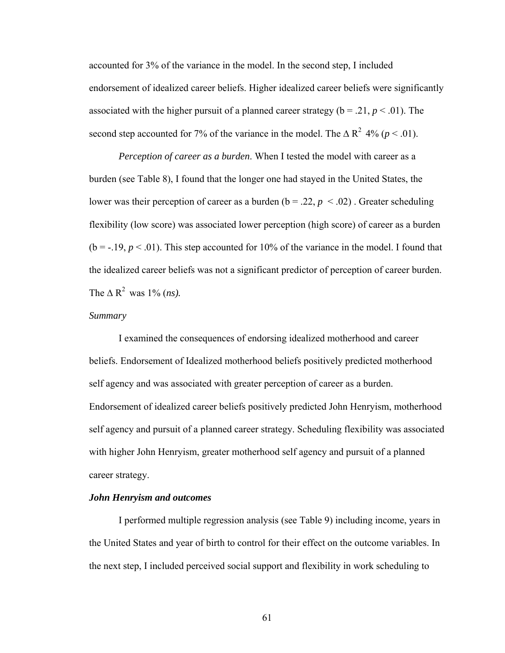accounted for 3% of the variance in the model. In the second step, I included endorsement of idealized career beliefs. Higher idealized career beliefs were significantly associated with the higher pursuit of a planned career strategy ( $b = .21$ ,  $p < .01$ ). The second step accounted for 7% of the variance in the model. The  $\Delta R^2$  4% ( $p < .01$ ).

*Perception of career as a burden*. When I tested the model with career as a burden (see Table 8), I found that the longer one had stayed in the United States, the lower was their perception of career as a burden ( $b = .22$ ,  $p < .02$ ). Greater scheduling flexibility (low score) was associated lower perception (high score) of career as a burden ( $b = -19$ ,  $p < 0.01$ ). This step accounted for 10% of the variance in the model. I found that the idealized career beliefs was not a significant predictor of perception of career burden. The  $\triangle R^2$  was 1% (*ns*).

## *Summary*

I examined the consequences of endorsing idealized motherhood and career beliefs. Endorsement of Idealized motherhood beliefs positively predicted motherhood self agency and was associated with greater perception of career as a burden. Endorsement of idealized career beliefs positively predicted John Henryism, motherhood self agency and pursuit of a planned career strategy. Scheduling flexibility was associated with higher John Henryism, greater motherhood self agency and pursuit of a planned career strategy.

## *John Henryism and outcomes*

 I performed multiple regression analysis (see Table 9) including income, years in the United States and year of birth to control for their effect on the outcome variables. In the next step, I included perceived social support and flexibility in work scheduling to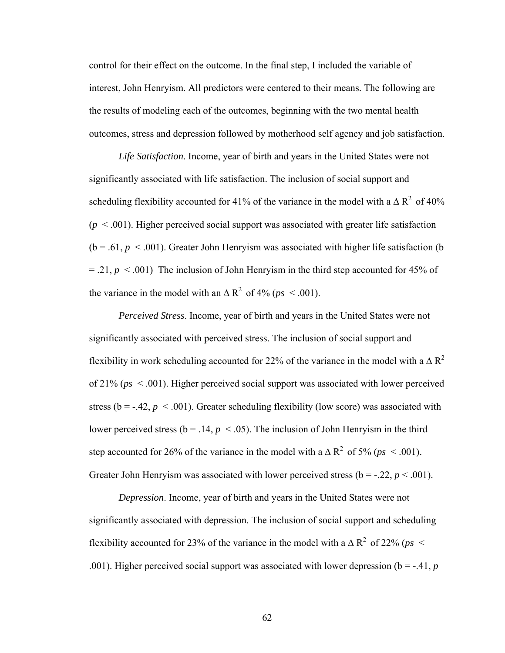control for their effect on the outcome. In the final step, I included the variable of interest, John Henryism. All predictors were centered to their means. The following are the results of modeling each of the outcomes, beginning with the two mental health outcomes, stress and depression followed by motherhood self agency and job satisfaction.

*Life Satisfaction*. Income, year of birth and years in the United States were not significantly associated with life satisfaction. The inclusion of social support and scheduling flexibility accounted for 41% of the variance in the model with a  $\Delta R^2$  of 40%  $(p \le 0.001)$ . Higher perceived social support was associated with greater life satisfaction  $(b = .61, p < .001)$ . Greater John Henryism was associated with higher life satisfaction (b)  $=$  .21,  $p \le 0.001$ ) The inclusion of John Henryism in the third step accounted for 45% of the variance in the model with an  $\Delta R^2$  of 4% ( $ps < .001$ ).

*Perceived Stress*. Income, year of birth and years in the United States were not significantly associated with perceived stress. The inclusion of social support and flexibility in work scheduling accounted for 22% of the variance in the model with a  $\Delta R^2$ of 21% (*ps* < .001). Higher perceived social support was associated with lower perceived stress ( $b = -.42$ ,  $p < .001$ ). Greater scheduling flexibility (low score) was associated with lower perceived stress ( $b = 0.14$ ,  $p < 0.05$ ). The inclusion of John Henryism in the third step accounted for 26% of the variance in the model with a  $\Delta R^2$  of 5% ( $ps < .001$ ). Greater John Henryism was associated with lower perceived stress ( $b = -0.22$ ,  $p < 0.001$ ).

*Depression*. Income, year of birth and years in the United States were not significantly associated with depression. The inclusion of social support and scheduling flexibility accounted for 23% of the variance in the model with a  $\Delta R^2$  of 22% (*ps* < .001). Higher perceived social support was associated with lower depression (b = -.41, *p*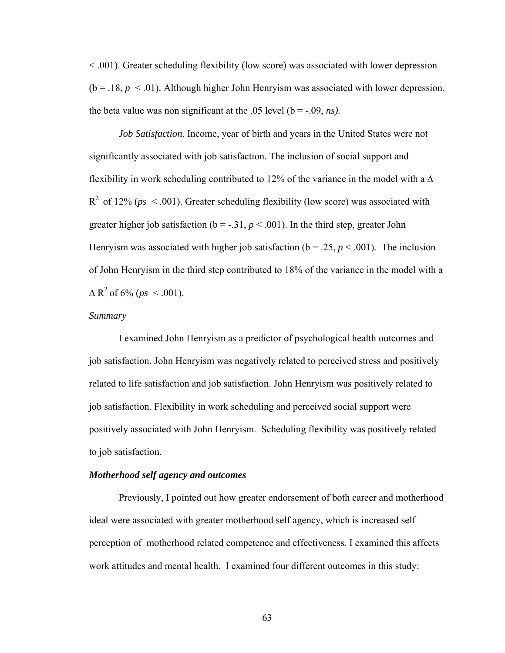< .001). Greater scheduling flexibility (low score) was associated with lower depression  $(b = .18, p < .01)$ . Although higher John Henryism was associated with lower depression, the beta value was non significant at the .05 level  $(b = -0.09, ns)$ .

 *Job Satisfaction*. Income, year of birth and years in the United States were not significantly associated with job satisfaction. The inclusion of social support and flexibility in work scheduling contributed to 12% of the variance in the model with a  $\Delta$  $R^2$  of 12% ( $ps < .001$ ). Greater scheduling flexibility (low score) was associated with greater higher job satisfaction ( $b = -.31$ ,  $p < .001$ ). In the third step, greater John Henryism was associated with higher job satisfaction ( $b = .25$ ,  $p < .001$ ). The inclusion of John Henryism in the third step contributed to 18% of the variance in the model with a  $\Delta R^2$  of 6% (*ps* < .001).

# *Summary*

I examined John Henryism as a predictor of psychological health outcomes and job satisfaction. John Henryism was negatively related to perceived stress and positively related to life satisfaction and job satisfaction. John Henryism was positively related to job satisfaction. Flexibility in work scheduling and perceived social support were positively associated with John Henryism. Scheduling flexibility was positively related to job satisfaction.

#### *Motherhood self agency and outcomes*

 Previously, I pointed out how greater endorsement of both career and motherhood ideal were associated with greater motherhood self agency, which is increased self perception of motherhood related competence and effectiveness. I examined this affects work attitudes and mental health. I examined four different outcomes in this study: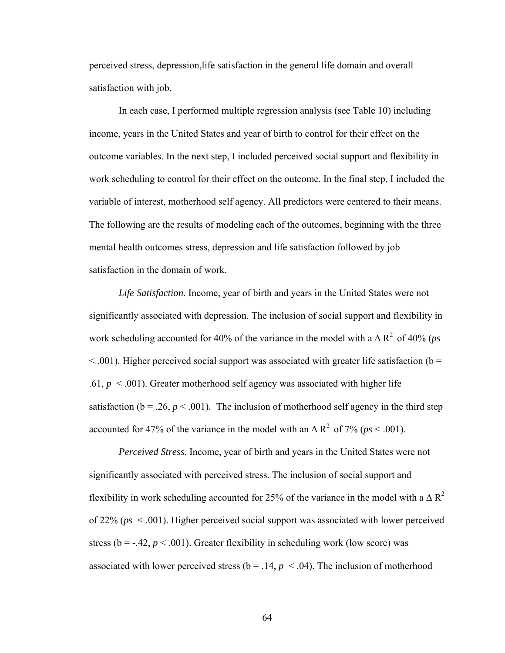perceived stress, depression,life satisfaction in the general life domain and overall satisfaction with job.

In each case, I performed multiple regression analysis (see Table 10) including income, years in the United States and year of birth to control for their effect on the outcome variables. In the next step, I included perceived social support and flexibility in work scheduling to control for their effect on the outcome. In the final step, I included the variable of interest, motherhood self agency. All predictors were centered to their means. The following are the results of modeling each of the outcomes, beginning with the three mental health outcomes stress, depression and life satisfaction followed by job satisfaction in the domain of work.

*Life Satisfaction*. Income, year of birth and years in the United States were not significantly associated with depression. The inclusion of social support and flexibility in work scheduling accounted for 40% of the variance in the model with a  $\Delta R^2$  of 40% (*ps*  $<$  001). Higher perceived social support was associated with greater life satisfaction (b = .61,  $p < .001$ ). Greater motherhood self agency was associated with higher life satisfaction ( $b = 0.26$ ,  $p < 0.01$ ). The inclusion of motherhood self agency in the third step accounted for 47% of the variance in the model with an  $\Delta R^2$  of 7% ( $ps < .001$ ).

*Perceived Stress*. Income, year of birth and years in the United States were not significantly associated with perceived stress. The inclusion of social support and flexibility in work scheduling accounted for 25% of the variance in the model with a  $\Delta R^2$ of 22% (*ps* < .001). Higher perceived social support was associated with lower perceived stress ( $b = -.42$ ,  $p < .001$ ). Greater flexibility in scheduling work (low score) was associated with lower perceived stress ( $b = .14$ ,  $p < .04$ ). The inclusion of motherhood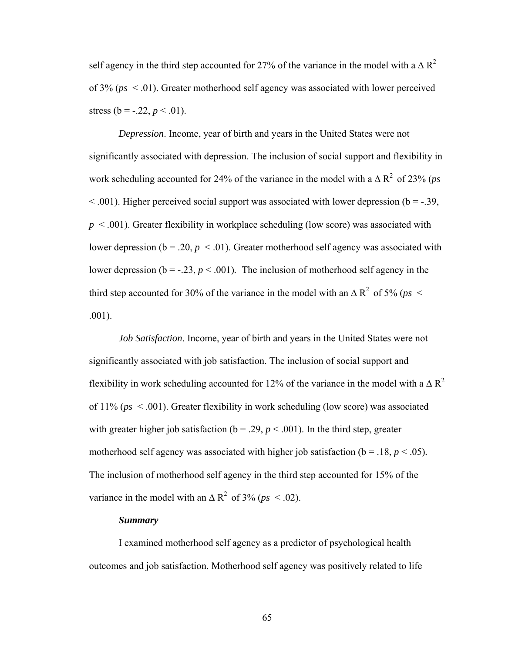self agency in the third step accounted for 27% of the variance in the model with a  $\Delta R^2$ of 3% (*ps* < .01). Greater motherhood self agency was associated with lower perceived stress ( $b = -0.22$ ,  $p < 0.01$ ).

*Depression*. Income, year of birth and years in the United States were not significantly associated with depression. The inclusion of social support and flexibility in work scheduling accounted for 24% of the variance in the model with a  $\Delta R^2$  of 23% (*ps*  $< .001$ ). Higher perceived social support was associated with lower depression (b = -.39,  $p \leq 0.001$ ). Greater flexibility in workplace scheduling (low score) was associated with lower depression ( $b = 0.20$ ,  $p < 0.01$ ). Greater motherhood self agency was associated with lower depression ( $b = -0.23$ ,  $p < 0.001$ ). The inclusion of motherhood self agency in the third step accounted for 30% of the variance in the model with an  $\Delta R^2$  of 5% (*ps* < .001).

 *Job Satisfaction*. Income, year of birth and years in the United States were not significantly associated with job satisfaction. The inclusion of social support and flexibility in work scheduling accounted for 12% of the variance in the model with a  $\Delta R^2$ of 11% (*ps* < .001). Greater flexibility in work scheduling (low score) was associated with greater higher job satisfaction ( $b = .29$ ,  $p < .001$ ). In the third step, greater motherhood self agency was associated with higher job satisfaction ( $b = .18$ ,  $p < .05$ ). The inclusion of motherhood self agency in the third step accounted for 15% of the variance in the model with an  $\Delta R^2$  of 3% ( $ps < .02$ ).

# *Summary*

I examined motherhood self agency as a predictor of psychological health outcomes and job satisfaction. Motherhood self agency was positively related to life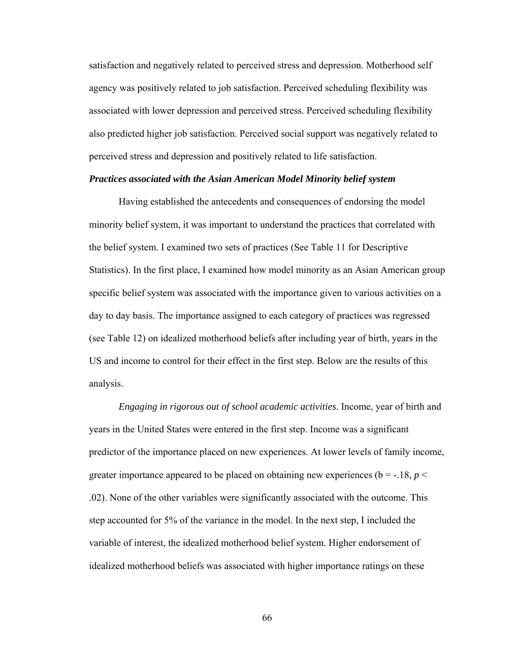satisfaction and negatively related to perceived stress and depression. Motherhood self agency was positively related to job satisfaction. Perceived scheduling flexibility was associated with lower depression and perceived stress. Perceived scheduling flexibility also predicted higher job satisfaction. Perceived social support was negatively related to perceived stress and depression and positively related to life satisfaction.

#### *Practices associated with the Asian American Model Minority belief system*

 Having established the antecedents and consequences of endorsing the model minority belief system, it was important to understand the practices that correlated with the belief system. I examined two sets of practices (See Table 11 for Descriptive Statistics). In the first place, I examined how model minority as an Asian American group specific belief system was associated with the importance given to various activities on a day to day basis. The importance assigned to each category of practices was regressed (see Table 12) on idealized motherhood beliefs after including year of birth, years in the US and income to control for their effect in the first step. Below are the results of this analysis.

*Engaging in rigorous out of school academic activities*. Income, year of birth and years in the United States were entered in the first step. Income was a significant predictor of the importance placed on new experiences. At lower levels of family income, greater importance appeared to be placed on obtaining new experiences ( $b = -18$ ,  $p <$ .02). None of the other variables were significantly associated with the outcome. This step accounted for 5% of the variance in the model. In the next step, I included the variable of interest, the idealized motherhood belief system. Higher endorsement of idealized motherhood beliefs was associated with higher importance ratings on these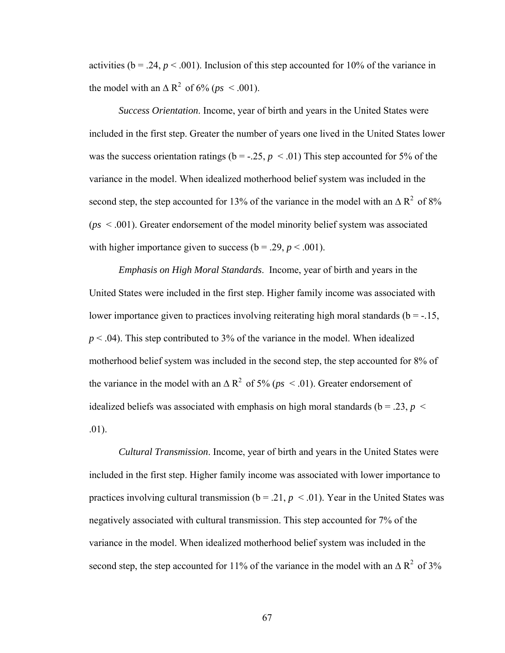activities ( $b = .24$ ,  $p < .001$ ). Inclusion of this step accounted for 10% of the variance in the model with an  $\Delta R^2$  of 6% ( $ps < .001$ ).

*Success Orientation*. Income, year of birth and years in the United States were included in the first step. Greater the number of years one lived in the United States lower was the success orientation ratings ( $b = -0.25$ ,  $p < 0.01$ ) This step accounted for 5% of the variance in the model. When idealized motherhood belief system was included in the second step, the step accounted for 13% of the variance in the model with an  $\Delta R^2$  of 8% (*ps* < .001). Greater endorsement of the model minority belief system was associated with higher importance given to success ( $b = .29$ ,  $p < .001$ ).

*Emphasis on High Moral Standards*. Income, year of birth and years in the United States were included in the first step. Higher family income was associated with lower importance given to practices involving reiterating high moral standards ( $b = -15$ ,  $p < .04$ ). This step contributed to 3% of the variance in the model. When idealized motherhood belief system was included in the second step, the step accounted for 8% of the variance in the model with an  $\Delta R^2$  of 5% ( $ps < .01$ ). Greater endorsement of idealized beliefs was associated with emphasis on high moral standards ( $b = 0.23$ ,  $p <$ .01).

*Cultural Transmission*. Income, year of birth and years in the United States were included in the first step. Higher family income was associated with lower importance to practices involving cultural transmission ( $b = .21$ ,  $p < .01$ ). Year in the United States was negatively associated with cultural transmission. This step accounted for 7% of the variance in the model. When idealized motherhood belief system was included in the second step, the step accounted for 11% of the variance in the model with an  $\Delta R^2$  of 3%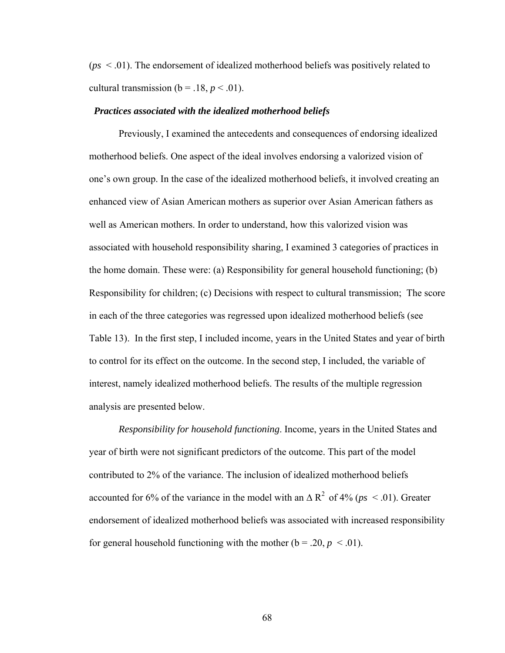(*ps* < .01). The endorsement of idealized motherhood beliefs was positively related to cultural transmission ( $b = .18$ ,  $p < .01$ ).

#### *Practices associated with the idealized motherhood beliefs*

Previously, I examined the antecedents and consequences of endorsing idealized motherhood beliefs. One aspect of the ideal involves endorsing a valorized vision of one's own group. In the case of the idealized motherhood beliefs, it involved creating an enhanced view of Asian American mothers as superior over Asian American fathers as well as American mothers. In order to understand, how this valorized vision was associated with household responsibility sharing, I examined 3 categories of practices in the home domain. These were: (a) Responsibility for general household functioning; (b) Responsibility for children; (c) Decisions with respect to cultural transmission; The score in each of the three categories was regressed upon idealized motherhood beliefs (see Table 13). In the first step, I included income, years in the United States and year of birth to control for its effect on the outcome. In the second step, I included, the variable of interest, namely idealized motherhood beliefs. The results of the multiple regression analysis are presented below.

*Responsibility for household functioning*. Income, years in the United States and year of birth were not significant predictors of the outcome. This part of the model contributed to 2% of the variance. The inclusion of idealized motherhood beliefs accounted for 6% of the variance in the model with an  $\Delta R^2$  of 4% ( $ps \le 0.01$ ). Greater endorsement of idealized motherhood beliefs was associated with increased responsibility for general household functioning with the mother  $(b = .20, p < .01)$ .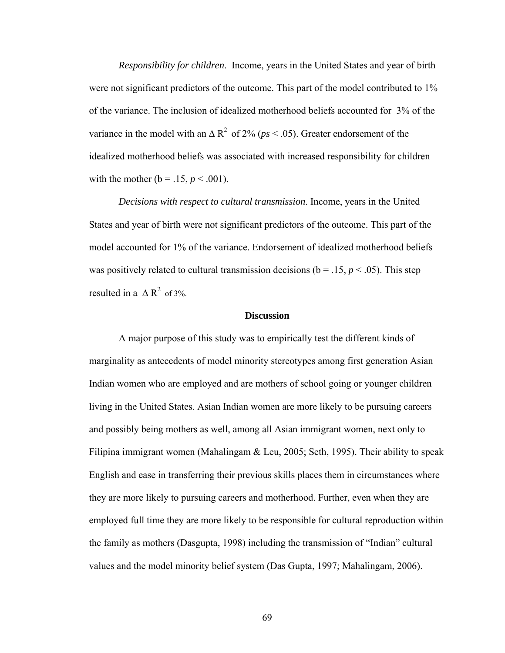*Responsibility for children*. Income, years in the United States and year of birth were not significant predictors of the outcome. This part of the model contributed to 1% of the variance. The inclusion of idealized motherhood beliefs accounted for 3% of the variance in the model with an  $\Delta R^2$  of 2% ( $ps < .05$ ). Greater endorsement of the idealized motherhood beliefs was associated with increased responsibility for children with the mother ( $b = .15$ ,  $p < .001$ ).

*Decisions with respect to cultural transmission*. Income, years in the United States and year of birth were not significant predictors of the outcome. This part of the model accounted for 1% of the variance. Endorsement of idealized motherhood beliefs was positively related to cultural transmission decisions ( $b = 0.15$ ,  $p < 0.05$ ). This step resulted in a  $\triangle R^2$  of 3%.

#### **Discussion**

A major purpose of this study was to empirically test the different kinds of marginality as antecedents of model minority stereotypes among first generation Asian Indian women who are employed and are mothers of school going or younger children living in the United States. Asian Indian women are more likely to be pursuing careers and possibly being mothers as well, among all Asian immigrant women, next only to Filipina immigrant women (Mahalingam & Leu, 2005; Seth, 1995). Their ability to speak English and ease in transferring their previous skills places them in circumstances where they are more likely to pursuing careers and motherhood. Further, even when they are employed full time they are more likely to be responsible for cultural reproduction within the family as mothers (Dasgupta, 1998) including the transmission of "Indian" cultural values and the model minority belief system (Das Gupta, 1997; Mahalingam, 2006).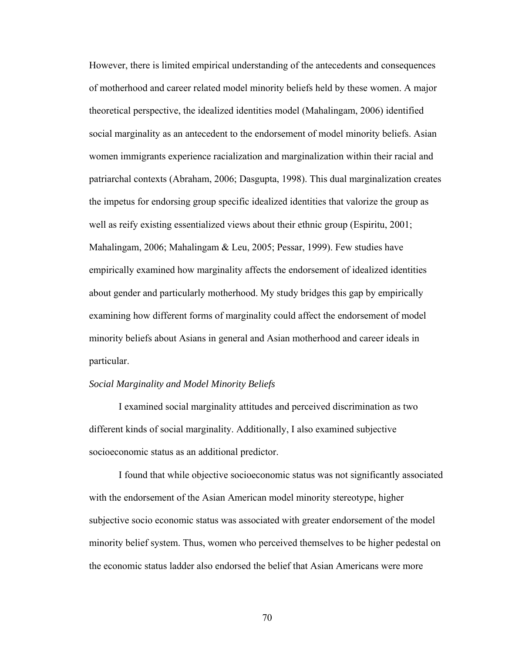However, there is limited empirical understanding of the antecedents and consequences of motherhood and career related model minority beliefs held by these women. A major theoretical perspective, the idealized identities model (Mahalingam, 2006) identified social marginality as an antecedent to the endorsement of model minority beliefs. Asian women immigrants experience racialization and marginalization within their racial and patriarchal contexts (Abraham, 2006; Dasgupta, 1998). This dual marginalization creates the impetus for endorsing group specific idealized identities that valorize the group as well as reify existing essentialized views about their ethnic group (Espiritu, 2001; Mahalingam, 2006; Mahalingam & Leu, 2005; Pessar, 1999). Few studies have empirically examined how marginality affects the endorsement of idealized identities about gender and particularly motherhood. My study bridges this gap by empirically examining how different forms of marginality could affect the endorsement of model minority beliefs about Asians in general and Asian motherhood and career ideals in particular.

### *Social Marginality and Model Minority Beliefs*

I examined social marginality attitudes and perceived discrimination as two different kinds of social marginality. Additionally, I also examined subjective socioeconomic status as an additional predictor.

I found that while objective socioeconomic status was not significantly associated with the endorsement of the Asian American model minority stereotype, higher subjective socio economic status was associated with greater endorsement of the model minority belief system. Thus, women who perceived themselves to be higher pedestal on the economic status ladder also endorsed the belief that Asian Americans were more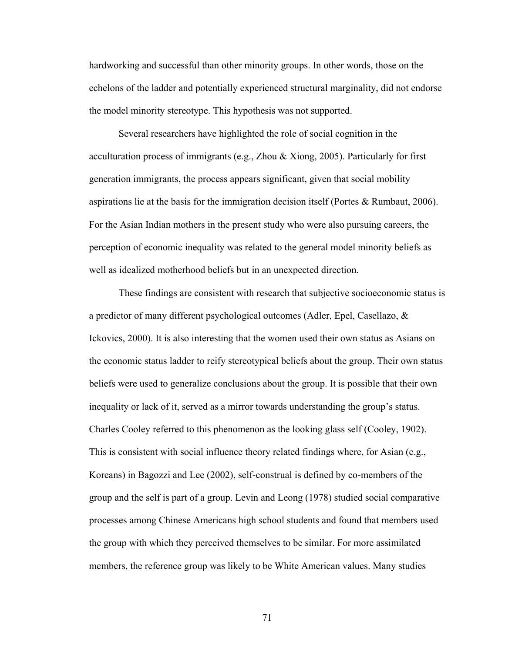hardworking and successful than other minority groups. In other words, those on the echelons of the ladder and potentially experienced structural marginality, did not endorse the model minority stereotype. This hypothesis was not supported.

Several researchers have highlighted the role of social cognition in the acculturation process of immigrants (e.g., Zhou & Xiong, 2005). Particularly for first generation immigrants, the process appears significant, given that social mobility aspirations lie at the basis for the immigration decision itself (Portes & Rumbaut, 2006). For the Asian Indian mothers in the present study who were also pursuing careers, the perception of economic inequality was related to the general model minority beliefs as well as idealized motherhood beliefs but in an unexpected direction.

These findings are consistent with research that subjective socioeconomic status is a predictor of many different psychological outcomes (Adler, Epel, Casellazo, & Ickovics, 2000). It is also interesting that the women used their own status as Asians on the economic status ladder to reify stereotypical beliefs about the group. Their own status beliefs were used to generalize conclusions about the group. It is possible that their own inequality or lack of it, served as a mirror towards understanding the group's status. Charles Cooley referred to this phenomenon as the looking glass self (Cooley, 1902). This is consistent with social influence theory related findings where, for Asian (e.g., Koreans) in Bagozzi and Lee (2002), self-construal is defined by co-members of the group and the self is part of a group. Levin and Leong (1978) studied social comparative processes among Chinese Americans high school students and found that members used the group with which they perceived themselves to be similar. For more assimilated members, the reference group was likely to be White American values. Many studies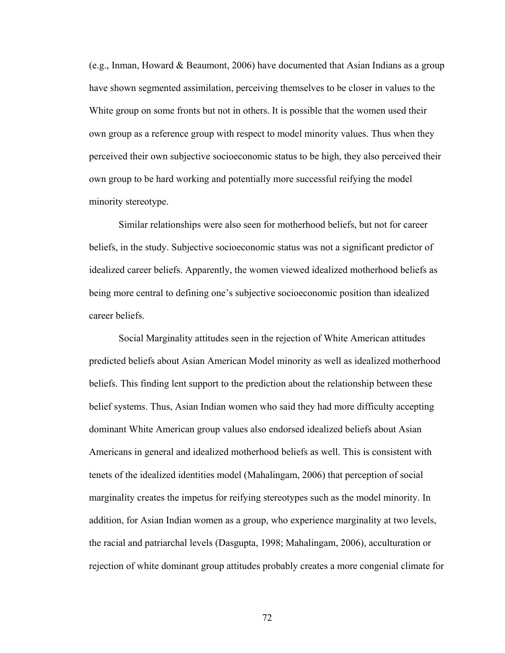(e.g., Inman, Howard & Beaumont, 2006) have documented that Asian Indians as a group have shown segmented assimilation, perceiving themselves to be closer in values to the White group on some fronts but not in others. It is possible that the women used their own group as a reference group with respect to model minority values. Thus when they perceived their own subjective socioeconomic status to be high, they also perceived their own group to be hard working and potentially more successful reifying the model minority stereotype.

Similar relationships were also seen for motherhood beliefs, but not for career beliefs, in the study. Subjective socioeconomic status was not a significant predictor of idealized career beliefs. Apparently, the women viewed idealized motherhood beliefs as being more central to defining one's subjective socioeconomic position than idealized career beliefs.

Social Marginality attitudes seen in the rejection of White American attitudes predicted beliefs about Asian American Model minority as well as idealized motherhood beliefs. This finding lent support to the prediction about the relationship between these belief systems. Thus, Asian Indian women who said they had more difficulty accepting dominant White American group values also endorsed idealized beliefs about Asian Americans in general and idealized motherhood beliefs as well. This is consistent with tenets of the idealized identities model (Mahalingam, 2006) that perception of social marginality creates the impetus for reifying stereotypes such as the model minority. In addition, for Asian Indian women as a group, who experience marginality at two levels, the racial and patriarchal levels (Dasgupta, 1998; Mahalingam, 2006), acculturation or rejection of white dominant group attitudes probably creates a more congenial climate for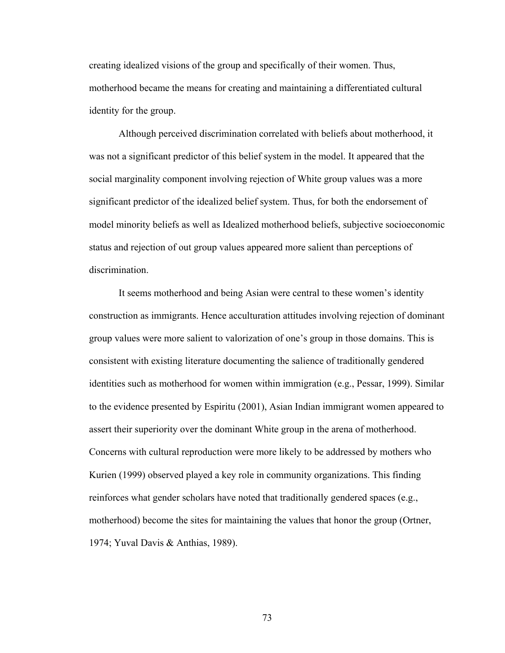creating idealized visions of the group and specifically of their women. Thus, motherhood became the means for creating and maintaining a differentiated cultural identity for the group.

Although perceived discrimination correlated with beliefs about motherhood, it was not a significant predictor of this belief system in the model. It appeared that the social marginality component involving rejection of White group values was a more significant predictor of the idealized belief system. Thus, for both the endorsement of model minority beliefs as well as Idealized motherhood beliefs, subjective socioeconomic status and rejection of out group values appeared more salient than perceptions of discrimination.

It seems motherhood and being Asian were central to these women's identity construction as immigrants. Hence acculturation attitudes involving rejection of dominant group values were more salient to valorization of one's group in those domains. This is consistent with existing literature documenting the salience of traditionally gendered identities such as motherhood for women within immigration (e.g., Pessar, 1999). Similar to the evidence presented by Espiritu (2001), Asian Indian immigrant women appeared to assert their superiority over the dominant White group in the arena of motherhood. Concerns with cultural reproduction were more likely to be addressed by mothers who Kurien (1999) observed played a key role in community organizations. This finding reinforces what gender scholars have noted that traditionally gendered spaces (e.g., motherhood) become the sites for maintaining the values that honor the group (Ortner, 1974; Yuval Davis & Anthias, 1989).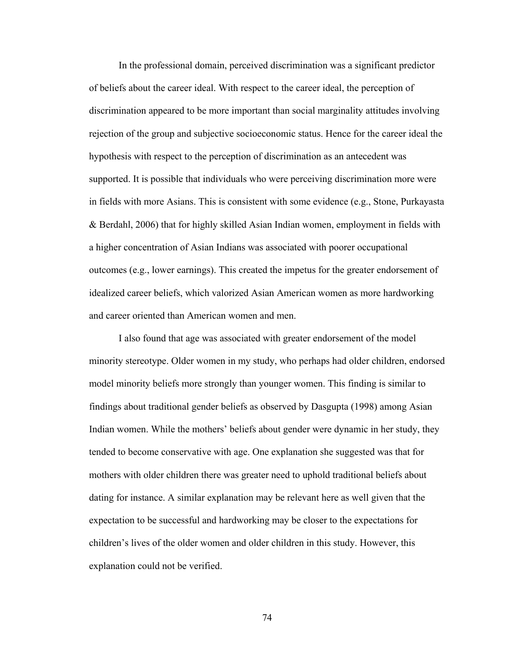In the professional domain, perceived discrimination was a significant predictor of beliefs about the career ideal. With respect to the career ideal, the perception of discrimination appeared to be more important than social marginality attitudes involving rejection of the group and subjective socioeconomic status. Hence for the career ideal the hypothesis with respect to the perception of discrimination as an antecedent was supported. It is possible that individuals who were perceiving discrimination more were in fields with more Asians. This is consistent with some evidence (e.g., Stone, Purkayasta & Berdahl, 2006) that for highly skilled Asian Indian women, employment in fields with a higher concentration of Asian Indians was associated with poorer occupational outcomes (e.g., lower earnings). This created the impetus for the greater endorsement of idealized career beliefs, which valorized Asian American women as more hardworking and career oriented than American women and men.

I also found that age was associated with greater endorsement of the model minority stereotype. Older women in my study, who perhaps had older children, endorsed model minority beliefs more strongly than younger women. This finding is similar to findings about traditional gender beliefs as observed by Dasgupta (1998) among Asian Indian women. While the mothers' beliefs about gender were dynamic in her study, they tended to become conservative with age. One explanation she suggested was that for mothers with older children there was greater need to uphold traditional beliefs about dating for instance. A similar explanation may be relevant here as well given that the expectation to be successful and hardworking may be closer to the expectations for children's lives of the older women and older children in this study. However, this explanation could not be verified.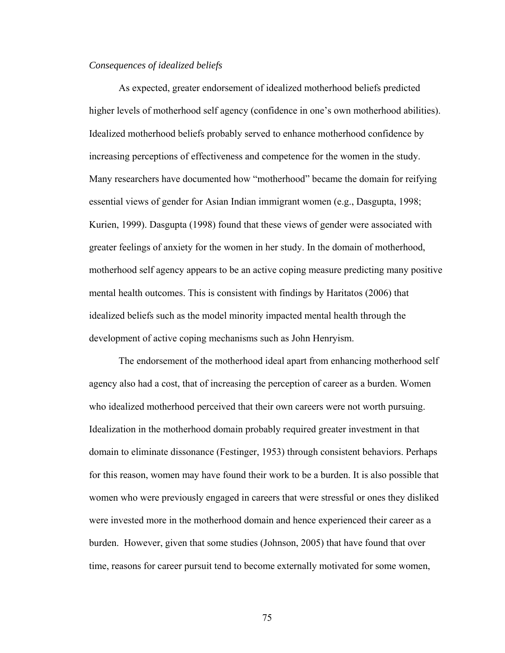### *Consequences of idealized beliefs*

As expected, greater endorsement of idealized motherhood beliefs predicted higher levels of motherhood self agency (confidence in one's own motherhood abilities). Idealized motherhood beliefs probably served to enhance motherhood confidence by increasing perceptions of effectiveness and competence for the women in the study. Many researchers have documented how "motherhood" became the domain for reifying essential views of gender for Asian Indian immigrant women (e.g., Dasgupta, 1998; Kurien, 1999). Dasgupta (1998) found that these views of gender were associated with greater feelings of anxiety for the women in her study. In the domain of motherhood, motherhood self agency appears to be an active coping measure predicting many positive mental health outcomes. This is consistent with findings by Haritatos (2006) that idealized beliefs such as the model minority impacted mental health through the development of active coping mechanisms such as John Henryism.

The endorsement of the motherhood ideal apart from enhancing motherhood self agency also had a cost, that of increasing the perception of career as a burden. Women who idealized motherhood perceived that their own careers were not worth pursuing. Idealization in the motherhood domain probably required greater investment in that domain to eliminate dissonance (Festinger, 1953) through consistent behaviors. Perhaps for this reason, women may have found their work to be a burden. It is also possible that women who were previously engaged in careers that were stressful or ones they disliked were invested more in the motherhood domain and hence experienced their career as a burden. However, given that some studies (Johnson, 2005) that have found that over time, reasons for career pursuit tend to become externally motivated for some women,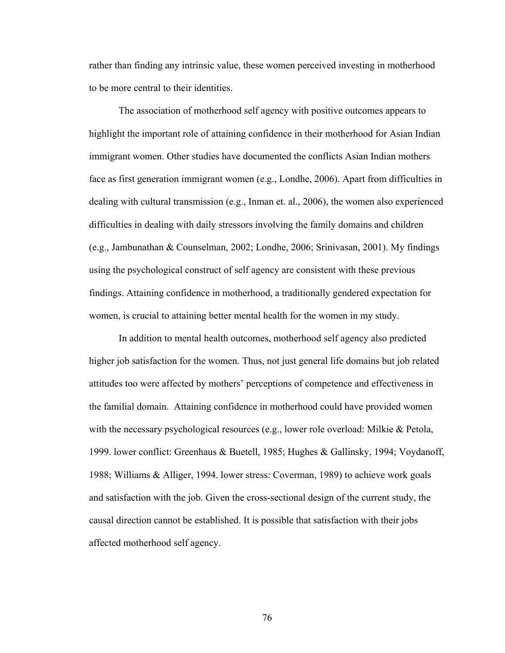rather than finding any intrinsic value, these women perceived investing in motherhood to be more central to their identities.

The association of motherhood self agency with positive outcomes appears to highlight the important role of attaining confidence in their motherhood for Asian Indian immigrant women. Other studies have documented the conflicts Asian Indian mothers face as first generation immigrant women (e.g., Londhe, 2006). Apart from difficulties in dealing with cultural transmission (e.g., Inman et. al., 2006), the women also experienced difficulties in dealing with daily stressors involving the family domains and children (e.g., Jambunathan & Counselman, 2002; Londhe, 2006; Srinivasan, 2001). My findings using the psychological construct of self agency are consistent with these previous findings. Attaining confidence in motherhood, a traditionally gendered expectation for women, is crucial to attaining better mental health for the women in my study.

In addition to mental health outcomes, motherhood self agency also predicted higher job satisfaction for the women. Thus, not just general life domains but job related attitudes too were affected by mothers' perceptions of competence and effectiveness in the familial domain. Attaining confidence in motherhood could have provided women with the necessary psychological resources (e.g., lower role overload: Milkie & Petola, 1999. lower conflict: Greenhaus & Buetell, 1985; Hughes & Gallinsky, 1994; Voydanoff, 1988; Williams & Alliger, 1994. lower stress: Coverman, 1989) to achieve work goals and satisfaction with the job. Given the cross-sectional design of the current study, the causal direction cannot be established. It is possible that satisfaction with their jobs affected motherhood self agency.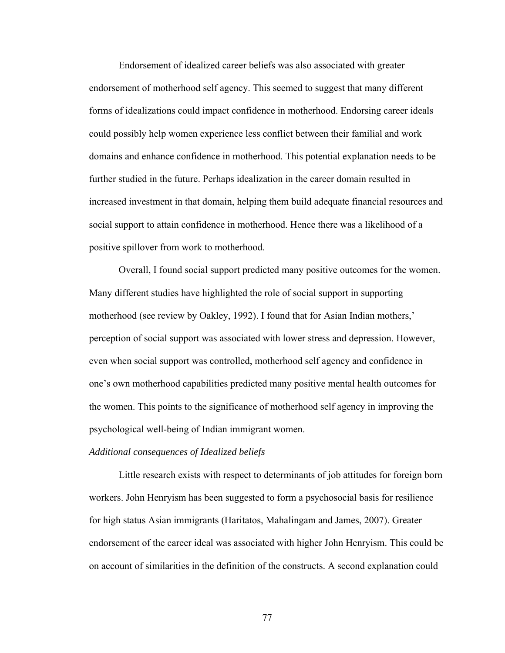Endorsement of idealized career beliefs was also associated with greater endorsement of motherhood self agency. This seemed to suggest that many different forms of idealizations could impact confidence in motherhood. Endorsing career ideals could possibly help women experience less conflict between their familial and work domains and enhance confidence in motherhood. This potential explanation needs to be further studied in the future. Perhaps idealization in the career domain resulted in increased investment in that domain, helping them build adequate financial resources and social support to attain confidence in motherhood. Hence there was a likelihood of a positive spillover from work to motherhood.

Overall, I found social support predicted many positive outcomes for the women. Many different studies have highlighted the role of social support in supporting motherhood (see review by Oakley, 1992). I found that for Asian Indian mothers,' perception of social support was associated with lower stress and depression. However, even when social support was controlled, motherhood self agency and confidence in one's own motherhood capabilities predicted many positive mental health outcomes for the women. This points to the significance of motherhood self agency in improving the psychological well-being of Indian immigrant women.

#### *Additional consequences of Idealized beliefs*

Little research exists with respect to determinants of job attitudes for foreign born workers. John Henryism has been suggested to form a psychosocial basis for resilience for high status Asian immigrants (Haritatos, Mahalingam and James, 2007). Greater endorsement of the career ideal was associated with higher John Henryism. This could be on account of similarities in the definition of the constructs. A second explanation could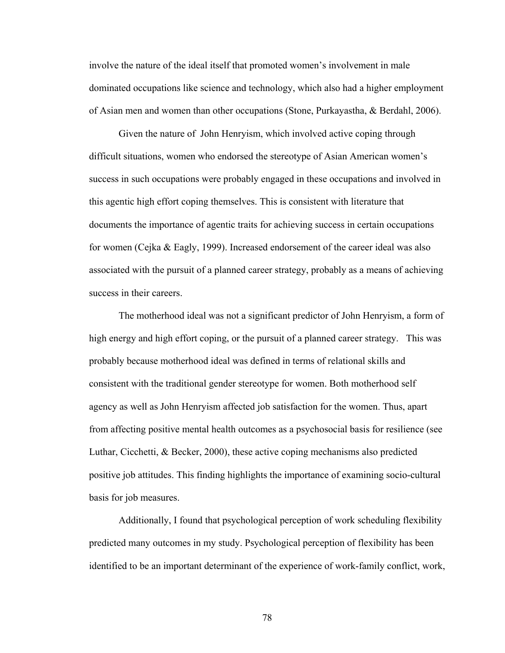involve the nature of the ideal itself that promoted women's involvement in male dominated occupations like science and technology, which also had a higher employment of Asian men and women than other occupations (Stone, Purkayastha, & Berdahl, 2006).

Given the nature of John Henryism, which involved active coping through difficult situations, women who endorsed the stereotype of Asian American women's success in such occupations were probably engaged in these occupations and involved in this agentic high effort coping themselves. This is consistent with literature that documents the importance of agentic traits for achieving success in certain occupations for women (Cejka & Eagly, 1999). Increased endorsement of the career ideal was also associated with the pursuit of a planned career strategy, probably as a means of achieving success in their careers.

The motherhood ideal was not a significant predictor of John Henryism, a form of high energy and high effort coping, or the pursuit of a planned career strategy. This was probably because motherhood ideal was defined in terms of relational skills and consistent with the traditional gender stereotype for women. Both motherhood self agency as well as John Henryism affected job satisfaction for the women. Thus, apart from affecting positive mental health outcomes as a psychosocial basis for resilience (see Luthar, Cicchetti, & Becker, 2000), these active coping mechanisms also predicted positive job attitudes. This finding highlights the importance of examining socio-cultural basis for job measures.

Additionally, I found that psychological perception of work scheduling flexibility predicted many outcomes in my study. Psychological perception of flexibility has been identified to be an important determinant of the experience of work-family conflict, work,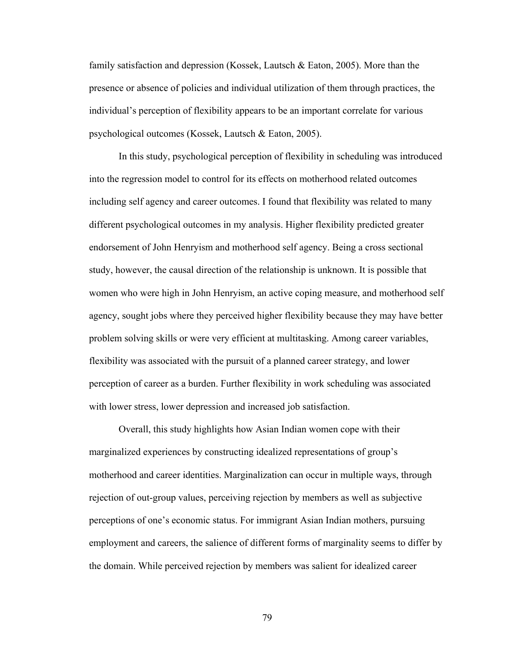family satisfaction and depression (Kossek, Lautsch & Eaton, 2005). More than the presence or absence of policies and individual utilization of them through practices, the individual's perception of flexibility appears to be an important correlate for various psychological outcomes (Kossek, Lautsch & Eaton, 2005).

In this study, psychological perception of flexibility in scheduling was introduced into the regression model to control for its effects on motherhood related outcomes including self agency and career outcomes. I found that flexibility was related to many different psychological outcomes in my analysis. Higher flexibility predicted greater endorsement of John Henryism and motherhood self agency. Being a cross sectional study, however, the causal direction of the relationship is unknown. It is possible that women who were high in John Henryism, an active coping measure, and motherhood self agency, sought jobs where they perceived higher flexibility because they may have better problem solving skills or were very efficient at multitasking. Among career variables, flexibility was associated with the pursuit of a planned career strategy, and lower perception of career as a burden. Further flexibility in work scheduling was associated with lower stress, lower depression and increased job satisfaction.

Overall, this study highlights how Asian Indian women cope with their marginalized experiences by constructing idealized representations of group's motherhood and career identities. Marginalization can occur in multiple ways, through rejection of out-group values, perceiving rejection by members as well as subjective perceptions of one's economic status. For immigrant Asian Indian mothers, pursuing employment and careers, the salience of different forms of marginality seems to differ by the domain. While perceived rejection by members was salient for idealized career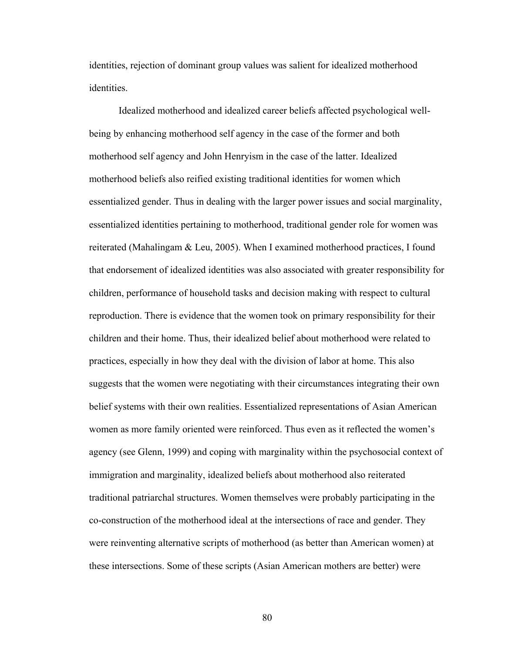identities, rejection of dominant group values was salient for idealized motherhood identities.

Idealized motherhood and idealized career beliefs affected psychological wellbeing by enhancing motherhood self agency in the case of the former and both motherhood self agency and John Henryism in the case of the latter. Idealized motherhood beliefs also reified existing traditional identities for women which essentialized gender. Thus in dealing with the larger power issues and social marginality, essentialized identities pertaining to motherhood, traditional gender role for women was reiterated (Mahalingam & Leu, 2005). When I examined motherhood practices, I found that endorsement of idealized identities was also associated with greater responsibility for children, performance of household tasks and decision making with respect to cultural reproduction. There is evidence that the women took on primary responsibility for their children and their home. Thus, their idealized belief about motherhood were related to practices, especially in how they deal with the division of labor at home. This also suggests that the women were negotiating with their circumstances integrating their own belief systems with their own realities. Essentialized representations of Asian American women as more family oriented were reinforced. Thus even as it reflected the women's agency (see Glenn, 1999) and coping with marginality within the psychosocial context of immigration and marginality, idealized beliefs about motherhood also reiterated traditional patriarchal structures. Women themselves were probably participating in the co-construction of the motherhood ideal at the intersections of race and gender. They were reinventing alternative scripts of motherhood (as better than American women) at these intersections. Some of these scripts (Asian American mothers are better) were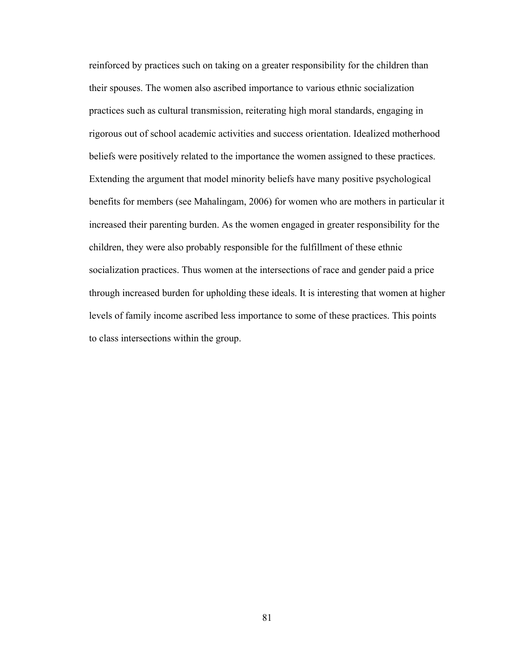reinforced by practices such on taking on a greater responsibility for the children than their spouses. The women also ascribed importance to various ethnic socialization practices such as cultural transmission, reiterating high moral standards, engaging in rigorous out of school academic activities and success orientation. Idealized motherhood beliefs were positively related to the importance the women assigned to these practices. Extending the argument that model minority beliefs have many positive psychological benefits for members (see Mahalingam, 2006) for women who are mothers in particular it increased their parenting burden. As the women engaged in greater responsibility for the children, they were also probably responsible for the fulfillment of these ethnic socialization practices. Thus women at the intersections of race and gender paid a price through increased burden for upholding these ideals. It is interesting that women at higher levels of family income ascribed less importance to some of these practices. This points to class intersections within the group.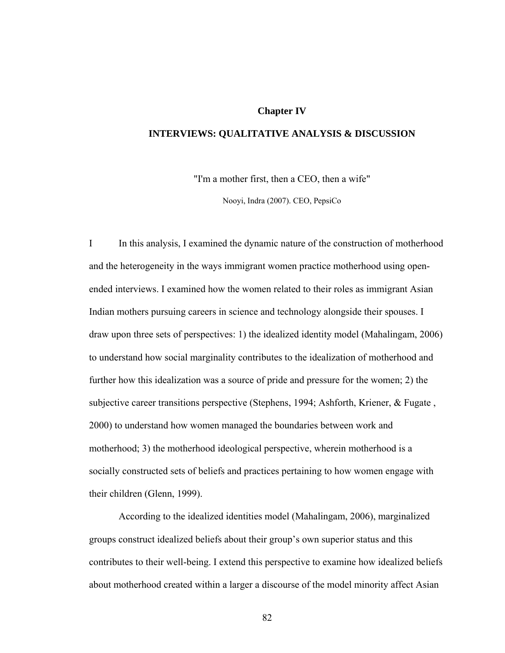# **Chapter IV**

## **INTERVIEWS: QUALITATIVE ANALYSIS & DISCUSSION**

"I'm a mother first, then a CEO, then a wife"

Nooyi, Indra (2007). CEO, PepsiCo

I In this analysis, I examined the dynamic nature of the construction of motherhood and the heterogeneity in the ways immigrant women practice motherhood using openended interviews. I examined how the women related to their roles as immigrant Asian Indian mothers pursuing careers in science and technology alongside their spouses. I draw upon three sets of perspectives: 1) the idealized identity model (Mahalingam, 2006) to understand how social marginality contributes to the idealization of motherhood and further how this idealization was a source of pride and pressure for the women; 2) the subjective career transitions perspective (Stephens, 1994; Ashforth, Kriener, & Fugate , 2000) to understand how women managed the boundaries between work and motherhood; 3) the motherhood ideological perspective, wherein motherhood is a socially constructed sets of beliefs and practices pertaining to how women engage with their children (Glenn, 1999).

According to the idealized identities model (Mahalingam, 2006), marginalized groups construct idealized beliefs about their group's own superior status and this contributes to their well-being. I extend this perspective to examine how idealized beliefs about motherhood created within a larger a discourse of the model minority affect Asian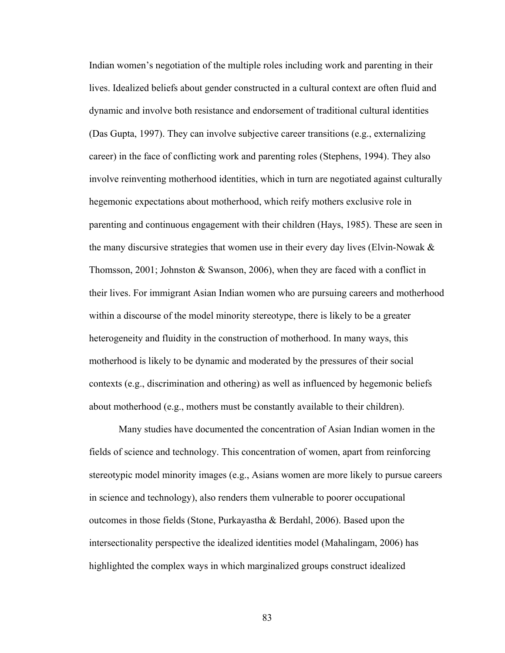Indian women's negotiation of the multiple roles including work and parenting in their lives. Idealized beliefs about gender constructed in a cultural context are often fluid and dynamic and involve both resistance and endorsement of traditional cultural identities (Das Gupta, 1997). They can involve subjective career transitions (e.g., externalizing career) in the face of conflicting work and parenting roles (Stephens, 1994). They also involve reinventing motherhood identities, which in turn are negotiated against culturally hegemonic expectations about motherhood, which reify mothers exclusive role in parenting and continuous engagement with their children (Hays, 1985). These are seen in the many discursive strategies that women use in their every day lives (Elvin-Nowak & Thomsson, 2001; Johnston & Swanson, 2006), when they are faced with a conflict in their lives. For immigrant Asian Indian women who are pursuing careers and motherhood within a discourse of the model minority stereotype, there is likely to be a greater heterogeneity and fluidity in the construction of motherhood. In many ways, this motherhood is likely to be dynamic and moderated by the pressures of their social contexts (e.g., discrimination and othering) as well as influenced by hegemonic beliefs about motherhood (e.g., mothers must be constantly available to their children).

Many studies have documented the concentration of Asian Indian women in the fields of science and technology. This concentration of women, apart from reinforcing stereotypic model minority images (e.g., Asians women are more likely to pursue careers in science and technology), also renders them vulnerable to poorer occupational outcomes in those fields (Stone, Purkayastha & Berdahl, 2006). Based upon the intersectionality perspective the idealized identities model (Mahalingam, 2006) has highlighted the complex ways in which marginalized groups construct idealized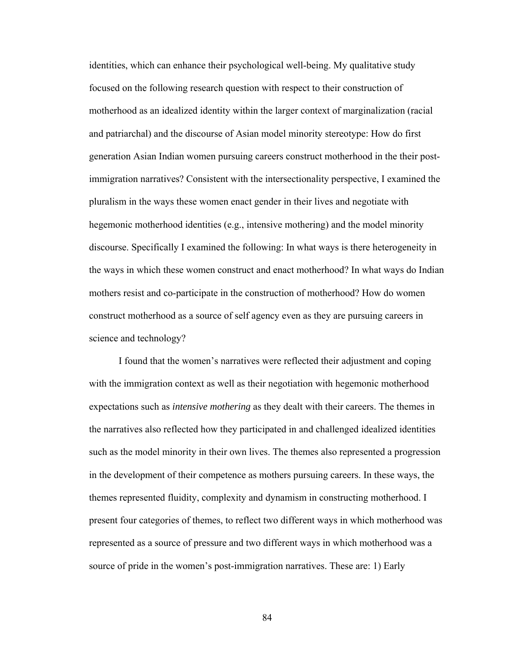identities, which can enhance their psychological well-being. My qualitative study focused on the following research question with respect to their construction of motherhood as an idealized identity within the larger context of marginalization (racial and patriarchal) and the discourse of Asian model minority stereotype: How do first generation Asian Indian women pursuing careers construct motherhood in the their postimmigration narratives? Consistent with the intersectionality perspective, I examined the pluralism in the ways these women enact gender in their lives and negotiate with hegemonic motherhood identities (e.g., intensive mothering) and the model minority discourse. Specifically I examined the following: In what ways is there heterogeneity in the ways in which these women construct and enact motherhood? In what ways do Indian mothers resist and co-participate in the construction of motherhood? How do women construct motherhood as a source of self agency even as they are pursuing careers in science and technology?

I found that the women's narratives were reflected their adjustment and coping with the immigration context as well as their negotiation with hegemonic motherhood expectations such as *intensive mothering* as they dealt with their careers. The themes in the narratives also reflected how they participated in and challenged idealized identities such as the model minority in their own lives. The themes also represented a progression in the development of their competence as mothers pursuing careers. In these ways, the themes represented fluidity, complexity and dynamism in constructing motherhood. I present four categories of themes, to reflect two different ways in which motherhood was represented as a source of pressure and two different ways in which motherhood was a source of pride in the women's post-immigration narratives. These are: 1) Early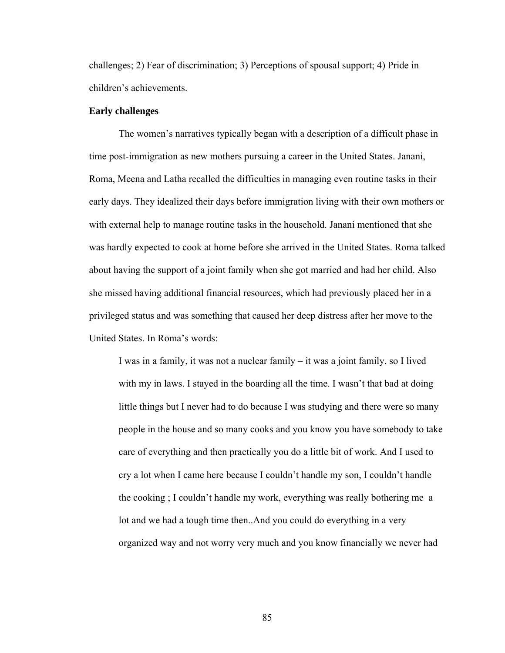challenges; 2) Fear of discrimination; 3) Perceptions of spousal support; 4) Pride in children's achievements.

# **Early challenges**

The women's narratives typically began with a description of a difficult phase in time post-immigration as new mothers pursuing a career in the United States. Janani, Roma, Meena and Latha recalled the difficulties in managing even routine tasks in their early days. They idealized their days before immigration living with their own mothers or with external help to manage routine tasks in the household. Janani mentioned that she was hardly expected to cook at home before she arrived in the United States. Roma talked about having the support of a joint family when she got married and had her child. Also she missed having additional financial resources, which had previously placed her in a privileged status and was something that caused her deep distress after her move to the United States. In Roma's words:

I was in a family, it was not a nuclear family – it was a joint family, so I lived with my in laws. I stayed in the boarding all the time. I wasn't that bad at doing little things but I never had to do because I was studying and there were so many people in the house and so many cooks and you know you have somebody to take care of everything and then practically you do a little bit of work. And I used to cry a lot when I came here because I couldn't handle my son, I couldn't handle the cooking ; I couldn't handle my work, everything was really bothering me a lot and we had a tough time then..And you could do everything in a very organized way and not worry very much and you know financially we never had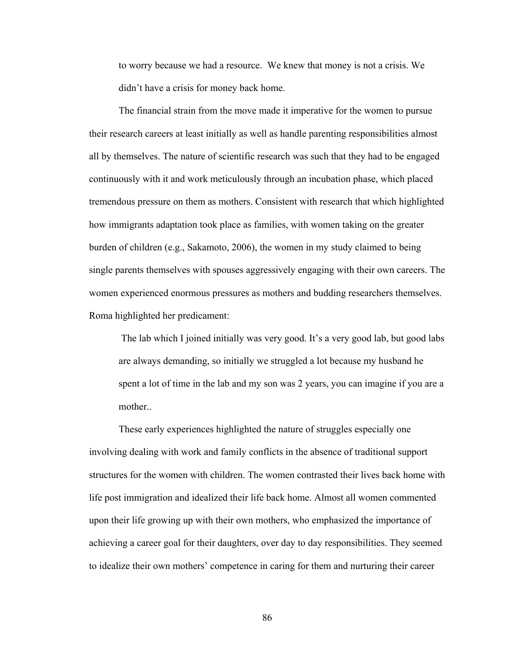to worry because we had a resource. We knew that money is not a crisis. We didn't have a crisis for money back home.

The financial strain from the move made it imperative for the women to pursue their research careers at least initially as well as handle parenting responsibilities almost all by themselves. The nature of scientific research was such that they had to be engaged continuously with it and work meticulously through an incubation phase, which placed tremendous pressure on them as mothers. Consistent with research that which highlighted how immigrants adaptation took place as families, with women taking on the greater burden of children (e.g., Sakamoto, 2006), the women in my study claimed to being single parents themselves with spouses aggressively engaging with their own careers. The women experienced enormous pressures as mothers and budding researchers themselves. Roma highlighted her predicament:

The lab which I joined initially was very good. It's a very good lab, but good labs are always demanding, so initially we struggled a lot because my husband he spent a lot of time in the lab and my son was 2 years, you can imagine if you are a mother..

These early experiences highlighted the nature of struggles especially one involving dealing with work and family conflicts in the absence of traditional support structures for the women with children. The women contrasted their lives back home with life post immigration and idealized their life back home. Almost all women commented upon their life growing up with their own mothers, who emphasized the importance of achieving a career goal for their daughters, over day to day responsibilities. They seemed to idealize their own mothers' competence in caring for them and nurturing their career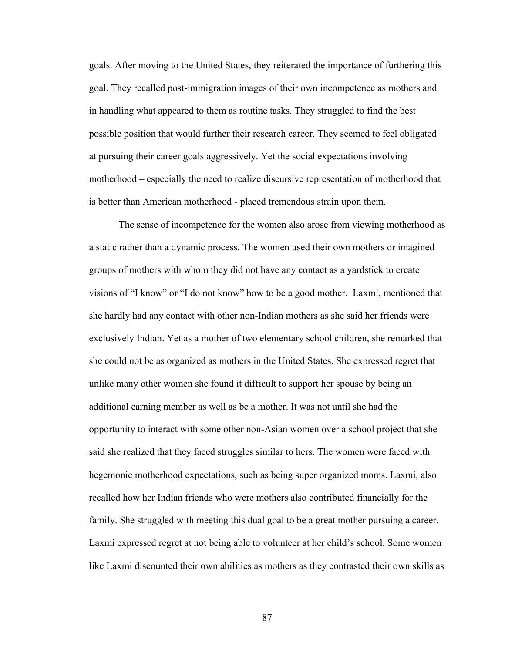goals. After moving to the United States, they reiterated the importance of furthering this goal. They recalled post-immigration images of their own incompetence as mothers and in handling what appeared to them as routine tasks. They struggled to find the best possible position that would further their research career. They seemed to feel obligated at pursuing their career goals aggressively. Yet the social expectations involving motherhood – especially the need to realize discursive representation of motherhood that is better than American motherhood - placed tremendous strain upon them.

The sense of incompetence for the women also arose from viewing motherhood as a static rather than a dynamic process. The women used their own mothers or imagined groups of mothers with whom they did not have any contact as a yardstick to create visions of "I know" or "I do not know" how to be a good mother. Laxmi, mentioned that she hardly had any contact with other non-Indian mothers as she said her friends were exclusively Indian. Yet as a mother of two elementary school children, she remarked that she could not be as organized as mothers in the United States. She expressed regret that unlike many other women she found it difficult to support her spouse by being an additional earning member as well as be a mother. It was not until she had the opportunity to interact with some other non-Asian women over a school project that she said she realized that they faced struggles similar to hers. The women were faced with hegemonic motherhood expectations, such as being super organized moms. Laxmi, also recalled how her Indian friends who were mothers also contributed financially for the family. She struggled with meeting this dual goal to be a great mother pursuing a career. Laxmi expressed regret at not being able to volunteer at her child's school. Some women like Laxmi discounted their own abilities as mothers as they contrasted their own skills as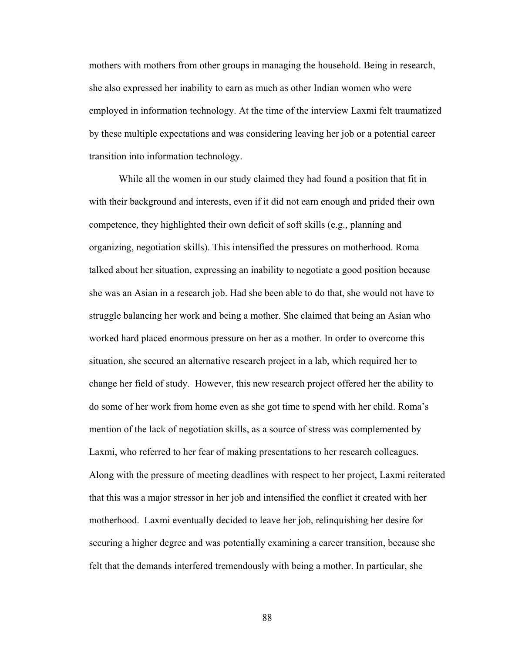mothers with mothers from other groups in managing the household. Being in research, she also expressed her inability to earn as much as other Indian women who were employed in information technology. At the time of the interview Laxmi felt traumatized by these multiple expectations and was considering leaving her job or a potential career transition into information technology.

While all the women in our study claimed they had found a position that fit in with their background and interests, even if it did not earn enough and prided their own competence, they highlighted their own deficit of soft skills (e.g., planning and organizing, negotiation skills). This intensified the pressures on motherhood. Roma talked about her situation, expressing an inability to negotiate a good position because she was an Asian in a research job. Had she been able to do that, she would not have to struggle balancing her work and being a mother. She claimed that being an Asian who worked hard placed enormous pressure on her as a mother. In order to overcome this situation, she secured an alternative research project in a lab, which required her to change her field of study. However, this new research project offered her the ability to do some of her work from home even as she got time to spend with her child. Roma's mention of the lack of negotiation skills, as a source of stress was complemented by Laxmi, who referred to her fear of making presentations to her research colleagues. Along with the pressure of meeting deadlines with respect to her project, Laxmi reiterated that this was a major stressor in her job and intensified the conflict it created with her motherhood. Laxmi eventually decided to leave her job, relinquishing her desire for securing a higher degree and was potentially examining a career transition, because she felt that the demands interfered tremendously with being a mother. In particular, she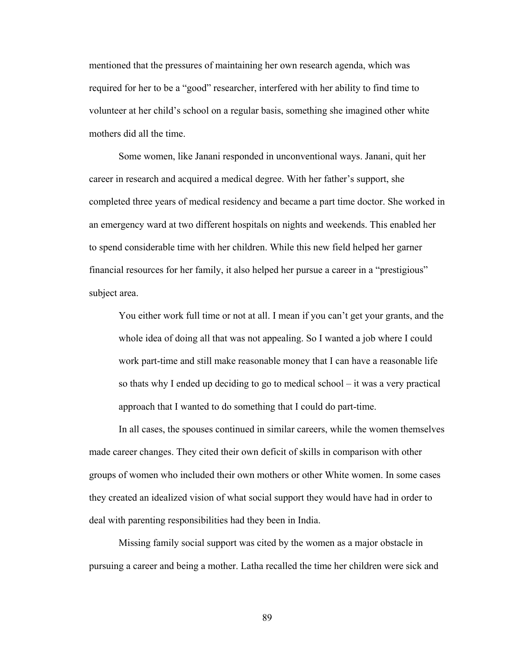mentioned that the pressures of maintaining her own research agenda, which was required for her to be a "good" researcher, interfered with her ability to find time to volunteer at her child's school on a regular basis, something she imagined other white mothers did all the time.

Some women, like Janani responded in unconventional ways. Janani, quit her career in research and acquired a medical degree. With her father's support, she completed three years of medical residency and became a part time doctor. She worked in an emergency ward at two different hospitals on nights and weekends. This enabled her to spend considerable time with her children. While this new field helped her garner financial resources for her family, it also helped her pursue a career in a "prestigious" subject area.

You either work full time or not at all. I mean if you can't get your grants, and the whole idea of doing all that was not appealing. So I wanted a job where I could work part-time and still make reasonable money that I can have a reasonable life so thats why I ended up deciding to go to medical school – it was a very practical approach that I wanted to do something that I could do part-time.

In all cases, the spouses continued in similar careers, while the women themselves made career changes. They cited their own deficit of skills in comparison with other groups of women who included their own mothers or other White women. In some cases they created an idealized vision of what social support they would have had in order to deal with parenting responsibilities had they been in India.

Missing family social support was cited by the women as a major obstacle in pursuing a career and being a mother. Latha recalled the time her children were sick and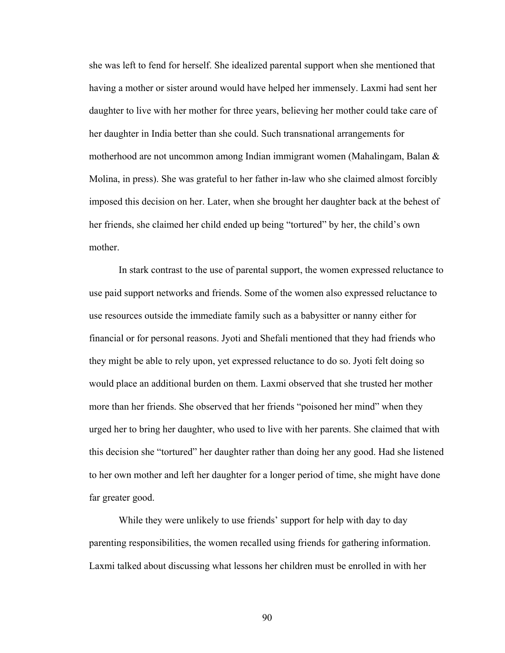she was left to fend for herself. She idealized parental support when she mentioned that having a mother or sister around would have helped her immensely. Laxmi had sent her daughter to live with her mother for three years, believing her mother could take care of her daughter in India better than she could. Such transnational arrangements for motherhood are not uncommon among Indian immigrant women (Mahalingam, Balan & Molina, in press). She was grateful to her father in-law who she claimed almost forcibly imposed this decision on her. Later, when she brought her daughter back at the behest of her friends, she claimed her child ended up being "tortured" by her, the child's own mother.

In stark contrast to the use of parental support, the women expressed reluctance to use paid support networks and friends. Some of the women also expressed reluctance to use resources outside the immediate family such as a babysitter or nanny either for financial or for personal reasons. Jyoti and Shefali mentioned that they had friends who they might be able to rely upon, yet expressed reluctance to do so. Jyoti felt doing so would place an additional burden on them. Laxmi observed that she trusted her mother more than her friends. She observed that her friends "poisoned her mind" when they urged her to bring her daughter, who used to live with her parents. She claimed that with this decision she "tortured" her daughter rather than doing her any good. Had she listened to her own mother and left her daughter for a longer period of time, she might have done far greater good.

While they were unlikely to use friends' support for help with day to day parenting responsibilities, the women recalled using friends for gathering information. Laxmi talked about discussing what lessons her children must be enrolled in with her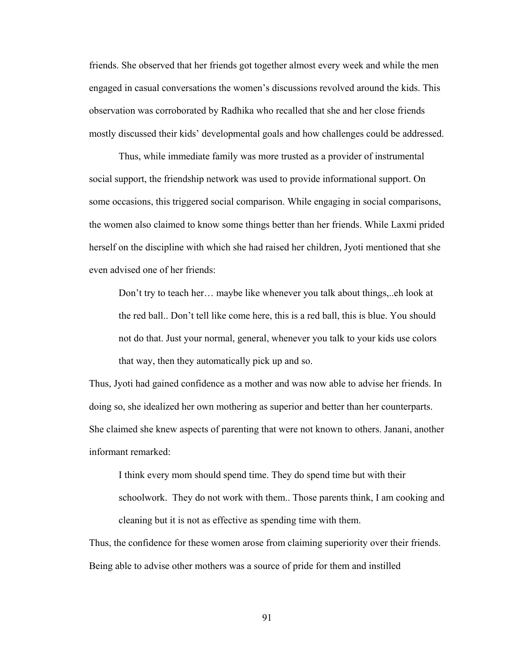friends. She observed that her friends got together almost every week and while the men engaged in casual conversations the women's discussions revolved around the kids. This observation was corroborated by Radhika who recalled that she and her close friends mostly discussed their kids' developmental goals and how challenges could be addressed.

Thus, while immediate family was more trusted as a provider of instrumental social support, the friendship network was used to provide informational support. On some occasions, this triggered social comparison. While engaging in social comparisons, the women also claimed to know some things better than her friends. While Laxmi prided herself on the discipline with which she had raised her children, Jyoti mentioned that she even advised one of her friends:

Don't try to teach her… maybe like whenever you talk about things,..eh look at the red ball.. Don't tell like come here, this is a red ball, this is blue. You should not do that. Just your normal, general, whenever you talk to your kids use colors that way, then they automatically pick up and so.

Thus, Jyoti had gained confidence as a mother and was now able to advise her friends. In doing so, she idealized her own mothering as superior and better than her counterparts. She claimed she knew aspects of parenting that were not known to others. Janani, another informant remarked:

I think every mom should spend time. They do spend time but with their schoolwork. They do not work with them.. Those parents think, I am cooking and cleaning but it is not as effective as spending time with them.

Thus, the confidence for these women arose from claiming superiority over their friends. Being able to advise other mothers was a source of pride for them and instilled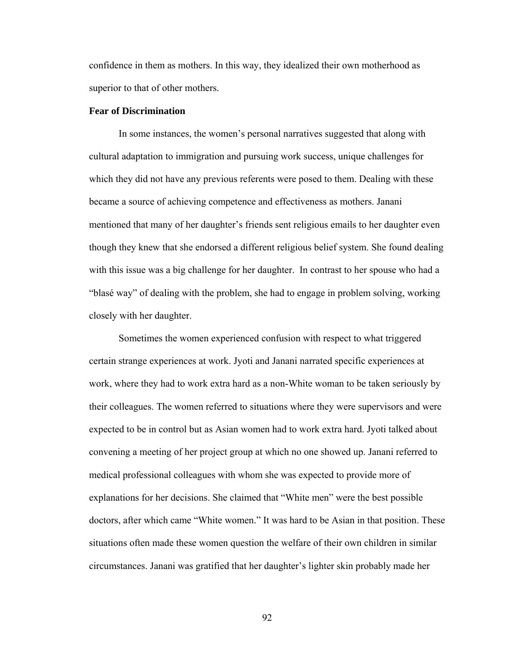confidence in them as mothers. In this way, they idealized their own motherhood as superior to that of other mothers.

# **Fear of Discrimination**

In some instances, the women's personal narratives suggested that along with cultural adaptation to immigration and pursuing work success, unique challenges for which they did not have any previous referents were posed to them. Dealing with these became a source of achieving competence and effectiveness as mothers. Janani mentioned that many of her daughter's friends sent religious emails to her daughter even though they knew that she endorsed a different religious belief system. She found dealing with this issue was a big challenge for her daughter. In contrast to her spouse who had a "blasé way" of dealing with the problem, she had to engage in problem solving, working closely with her daughter.

Sometimes the women experienced confusion with respect to what triggered certain strange experiences at work. Jyoti and Janani narrated specific experiences at work, where they had to work extra hard as a non-White woman to be taken seriously by their colleagues. The women referred to situations where they were supervisors and were expected to be in control but as Asian women had to work extra hard. Jyoti talked about convening a meeting of her project group at which no one showed up. Janani referred to medical professional colleagues with whom she was expected to provide more of explanations for her decisions. She claimed that "White men" were the best possible doctors, after which came "White women." It was hard to be Asian in that position. These situations often made these women question the welfare of their own children in similar circumstances. Janani was gratified that her daughter's lighter skin probably made her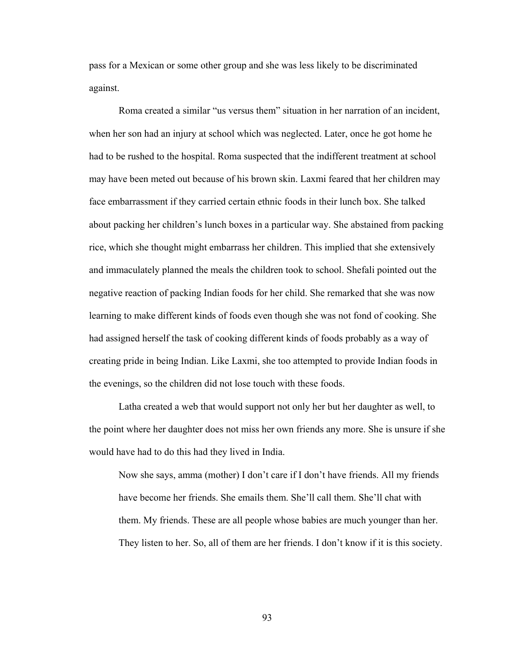pass for a Mexican or some other group and she was less likely to be discriminated against.

Roma created a similar "us versus them" situation in her narration of an incident, when her son had an injury at school which was neglected. Later, once he got home he had to be rushed to the hospital. Roma suspected that the indifferent treatment at school may have been meted out because of his brown skin. Laxmi feared that her children may face embarrassment if they carried certain ethnic foods in their lunch box. She talked about packing her children's lunch boxes in a particular way. She abstained from packing rice, which she thought might embarrass her children. This implied that she extensively and immaculately planned the meals the children took to school. Shefali pointed out the negative reaction of packing Indian foods for her child. She remarked that she was now learning to make different kinds of foods even though she was not fond of cooking. She had assigned herself the task of cooking different kinds of foods probably as a way of creating pride in being Indian. Like Laxmi, she too attempted to provide Indian foods in the evenings, so the children did not lose touch with these foods.

Latha created a web that would support not only her but her daughter as well, to the point where her daughter does not miss her own friends any more. She is unsure if she would have had to do this had they lived in India.

Now she says, amma (mother) I don't care if I don't have friends. All my friends have become her friends. She emails them. She'll call them. She'll chat with them. My friends. These are all people whose babies are much younger than her. They listen to her. So, all of them are her friends. I don't know if it is this society.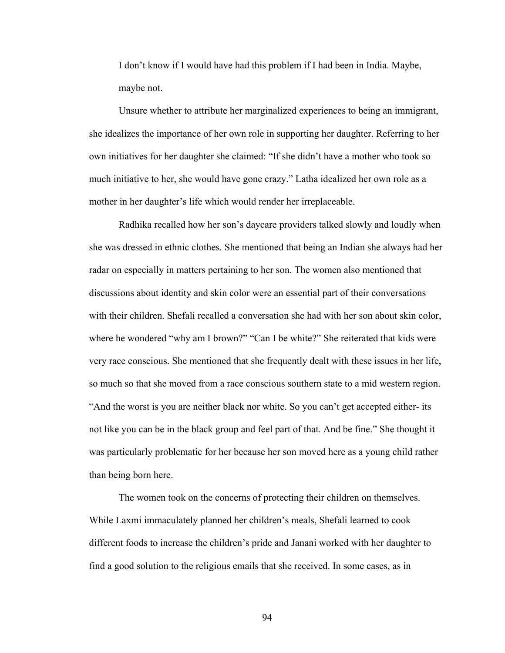I don't know if I would have had this problem if I had been in India. Maybe, maybe not.

Unsure whether to attribute her marginalized experiences to being an immigrant, she idealizes the importance of her own role in supporting her daughter. Referring to her own initiatives for her daughter she claimed: "If she didn't have a mother who took so much initiative to her, she would have gone crazy." Latha idealized her own role as a mother in her daughter's life which would render her irreplaceable.

Radhika recalled how her son's daycare providers talked slowly and loudly when she was dressed in ethnic clothes. She mentioned that being an Indian she always had her radar on especially in matters pertaining to her son. The women also mentioned that discussions about identity and skin color were an essential part of their conversations with their children. Shefali recalled a conversation she had with her son about skin color, where he wondered "why am I brown?" "Can I be white?" She reiterated that kids were very race conscious. She mentioned that she frequently dealt with these issues in her life, so much so that she moved from a race conscious southern state to a mid western region. "And the worst is you are neither black nor white. So you can't get accepted either- its not like you can be in the black group and feel part of that. And be fine." She thought it was particularly problematic for her because her son moved here as a young child rather than being born here.

The women took on the concerns of protecting their children on themselves. While Laxmi immaculately planned her children's meals, Shefali learned to cook different foods to increase the children's pride and Janani worked with her daughter to find a good solution to the religious emails that she received. In some cases, as in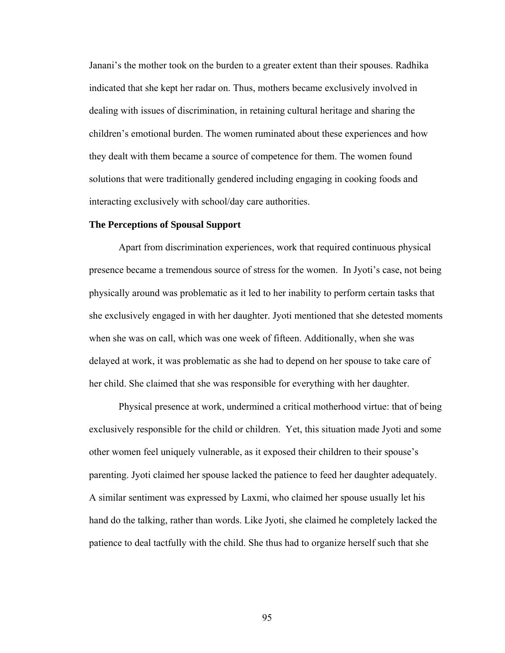Janani's the mother took on the burden to a greater extent than their spouses. Radhika indicated that she kept her radar on. Thus, mothers became exclusively involved in dealing with issues of discrimination, in retaining cultural heritage and sharing the children's emotional burden. The women ruminated about these experiences and how they dealt with them became a source of competence for them. The women found solutions that were traditionally gendered including engaging in cooking foods and interacting exclusively with school/day care authorities.

#### **The Perceptions of Spousal Support**

Apart from discrimination experiences, work that required continuous physical presence became a tremendous source of stress for the women. In Jyoti's case, not being physically around was problematic as it led to her inability to perform certain tasks that she exclusively engaged in with her daughter. Jyoti mentioned that she detested moments when she was on call, which was one week of fifteen. Additionally, when she was delayed at work, it was problematic as she had to depend on her spouse to take care of her child. She claimed that she was responsible for everything with her daughter.

Physical presence at work, undermined a critical motherhood virtue: that of being exclusively responsible for the child or children. Yet, this situation made Jyoti and some other women feel uniquely vulnerable, as it exposed their children to their spouse's parenting. Jyoti claimed her spouse lacked the patience to feed her daughter adequately. A similar sentiment was expressed by Laxmi, who claimed her spouse usually let his hand do the talking, rather than words. Like Jyoti, she claimed he completely lacked the patience to deal tactfully with the child. She thus had to organize herself such that she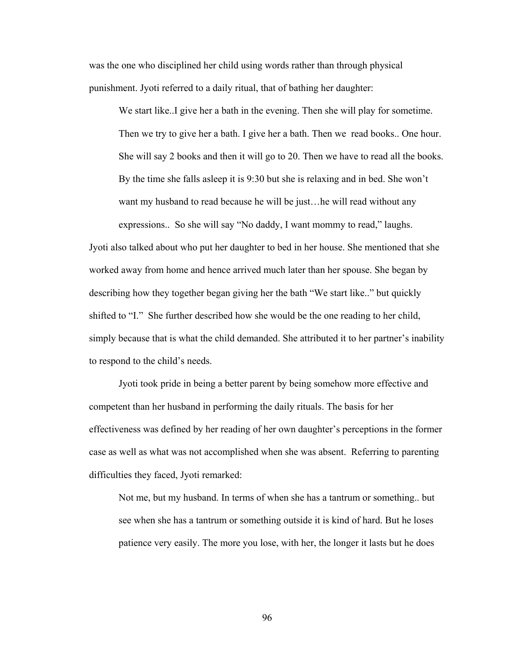was the one who disciplined her child using words rather than through physical punishment. Jyoti referred to a daily ritual, that of bathing her daughter:

We start like. I give her a bath in the evening. Then she will play for sometime. Then we try to give her a bath. I give her a bath. Then we read books.. One hour. She will say 2 books and then it will go to 20. Then we have to read all the books. By the time she falls asleep it is 9:30 but she is relaxing and in bed. She won't want my husband to read because he will be just…he will read without any expressions.. So she will say "No daddy, I want mommy to read," laughs.

Jyoti also talked about who put her daughter to bed in her house. She mentioned that she worked away from home and hence arrived much later than her spouse. She began by describing how they together began giving her the bath "We start like.." but quickly shifted to "I." She further described how she would be the one reading to her child, simply because that is what the child demanded. She attributed it to her partner's inability to respond to the child's needs.

Jyoti took pride in being a better parent by being somehow more effective and competent than her husband in performing the daily rituals. The basis for her effectiveness was defined by her reading of her own daughter's perceptions in the former case as well as what was not accomplished when she was absent. Referring to parenting difficulties they faced, Jyoti remarked:

Not me, but my husband. In terms of when she has a tantrum or something.. but see when she has a tantrum or something outside it is kind of hard. But he loses patience very easily. The more you lose, with her, the longer it lasts but he does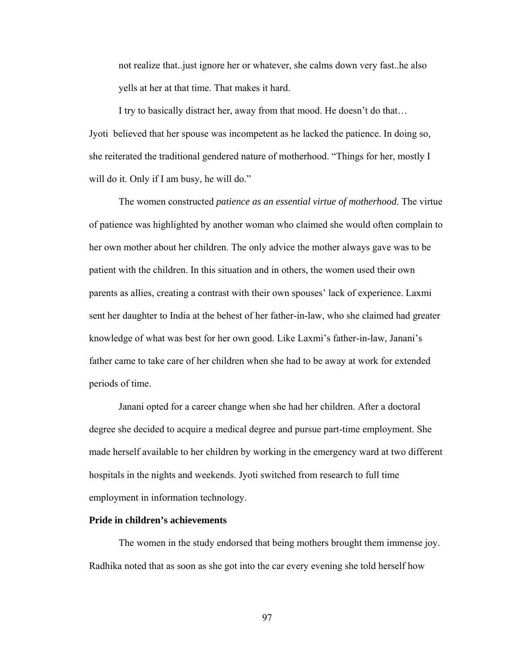not realize that..just ignore her or whatever, she calms down very fast..he also yells at her at that time. That makes it hard.

I try to basically distract her, away from that mood. He doesn't do that… Jyoti believed that her spouse was incompetent as he lacked the patience. In doing so, she reiterated the traditional gendered nature of motherhood. "Things for her, mostly I will do it. Only if I am busy, he will do."

The women constructed *patience as an essential virtue of motherhood*. The virtue of patience was highlighted by another woman who claimed she would often complain to her own mother about her children. The only advice the mother always gave was to be patient with the children. In this situation and in others, the women used their own parents as allies, creating a contrast with their own spouses' lack of experience. Laxmi sent her daughter to India at the behest of her father-in-law, who she claimed had greater knowledge of what was best for her own good. Like Laxmi's father-in-law, Janani's father came to take care of her children when she had to be away at work for extended periods of time.

 Janani opted for a career change when she had her children. After a doctoral degree she decided to acquire a medical degree and pursue part-time employment. She made herself available to her children by working in the emergency ward at two different hospitals in the nights and weekends. Jyoti switched from research to full time employment in information technology.

# **Pride in children's achievements**

The women in the study endorsed that being mothers brought them immense joy. Radhika noted that as soon as she got into the car every evening she told herself how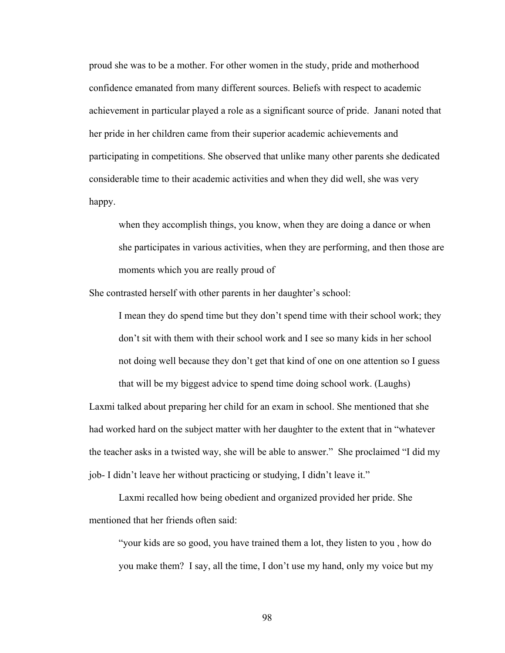proud she was to be a mother. For other women in the study, pride and motherhood confidence emanated from many different sources. Beliefs with respect to academic achievement in particular played a role as a significant source of pride. Janani noted that her pride in her children came from their superior academic achievements and participating in competitions. She observed that unlike many other parents she dedicated considerable time to their academic activities and when they did well, she was very happy.

when they accomplish things, you know, when they are doing a dance or when she participates in various activities, when they are performing, and then those are moments which you are really proud of

She contrasted herself with other parents in her daughter's school:

I mean they do spend time but they don't spend time with their school work; they don't sit with them with their school work and I see so many kids in her school not doing well because they don't get that kind of one on one attention so I guess that will be my biggest advice to spend time doing school work. (Laughs)

Laxmi talked about preparing her child for an exam in school. She mentioned that she had worked hard on the subject matter with her daughter to the extent that in "whatever the teacher asks in a twisted way, she will be able to answer." She proclaimed "I did my job- I didn't leave her without practicing or studying, I didn't leave it."

Laxmi recalled how being obedient and organized provided her pride. She mentioned that her friends often said:

"your kids are so good, you have trained them a lot, they listen to you , how do you make them? I say, all the time, I don't use my hand, only my voice but my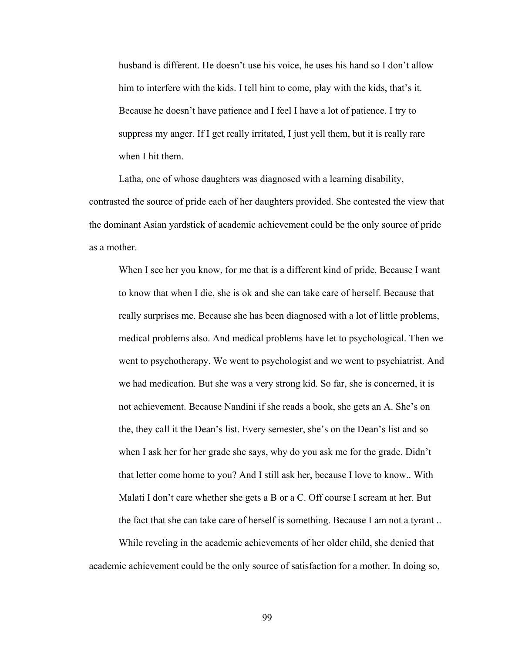husband is different. He doesn't use his voice, he uses his hand so I don't allow him to interfere with the kids. I tell him to come, play with the kids, that's it. Because he doesn't have patience and I feel I have a lot of patience. I try to suppress my anger. If I get really irritated, I just yell them, but it is really rare when I hit them.

Latha, one of whose daughters was diagnosed with a learning disability, contrasted the source of pride each of her daughters provided. She contested the view that the dominant Asian yardstick of academic achievement could be the only source of pride as a mother.

When I see her you know, for me that is a different kind of pride. Because I want to know that when I die, she is ok and she can take care of herself. Because that really surprises me. Because she has been diagnosed with a lot of little problems, medical problems also. And medical problems have let to psychological. Then we went to psychotherapy. We went to psychologist and we went to psychiatrist. And we had medication. But she was a very strong kid. So far, she is concerned, it is not achievement. Because Nandini if she reads a book, she gets an A. She's on the, they call it the Dean's list. Every semester, she's on the Dean's list and so when I ask her for her grade she says, why do you ask me for the grade. Didn't that letter come home to you? And I still ask her, because I love to know.. With Malati I don't care whether she gets a B or a C. Off course I scream at her. But the fact that she can take care of herself is something. Because I am not a tyrant ..

While reveling in the academic achievements of her older child, she denied that academic achievement could be the only source of satisfaction for a mother. In doing so,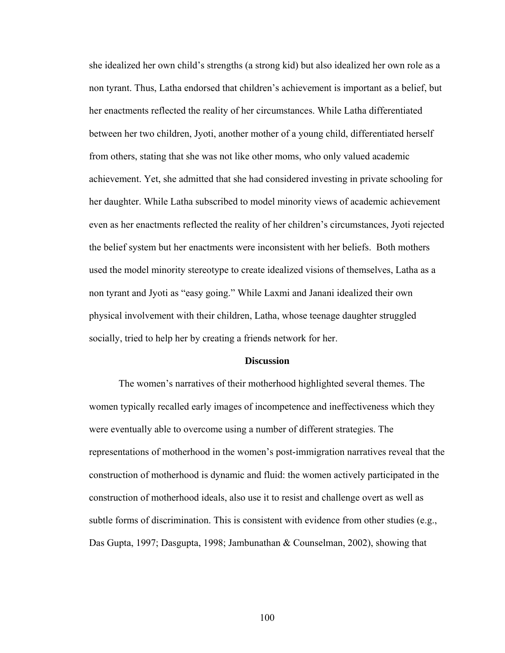she idealized her own child's strengths (a strong kid) but also idealized her own role as a non tyrant. Thus, Latha endorsed that children's achievement is important as a belief, but her enactments reflected the reality of her circumstances. While Latha differentiated between her two children, Jyoti, another mother of a young child, differentiated herself from others, stating that she was not like other moms, who only valued academic achievement. Yet, she admitted that she had considered investing in private schooling for her daughter. While Latha subscribed to model minority views of academic achievement even as her enactments reflected the reality of her children's circumstances, Jyoti rejected the belief system but her enactments were inconsistent with her beliefs. Both mothers used the model minority stereotype to create idealized visions of themselves, Latha as a non tyrant and Jyoti as "easy going." While Laxmi and Janani idealized their own physical involvement with their children, Latha, whose teenage daughter struggled socially, tried to help her by creating a friends network for her.

#### **Discussion**

The women's narratives of their motherhood highlighted several themes. The women typically recalled early images of incompetence and ineffectiveness which they were eventually able to overcome using a number of different strategies. The representations of motherhood in the women's post-immigration narratives reveal that the construction of motherhood is dynamic and fluid: the women actively participated in the construction of motherhood ideals, also use it to resist and challenge overt as well as subtle forms of discrimination. This is consistent with evidence from other studies (e.g., Das Gupta, 1997; Dasgupta, 1998; Jambunathan & Counselman, 2002), showing that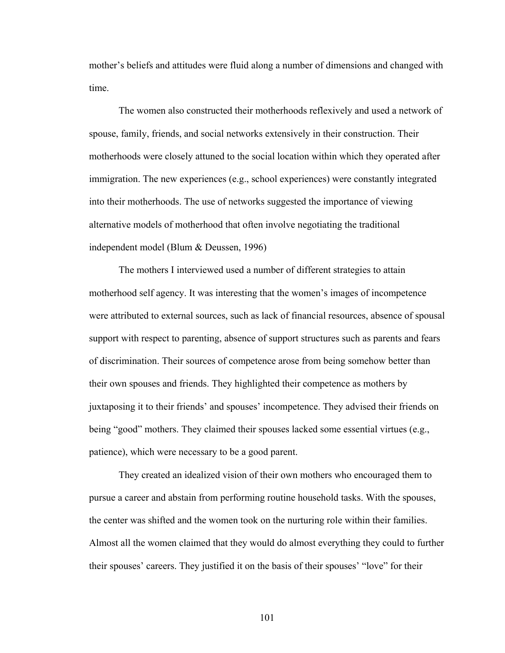mother's beliefs and attitudes were fluid along a number of dimensions and changed with time.

The women also constructed their motherhoods reflexively and used a network of spouse, family, friends, and social networks extensively in their construction. Their motherhoods were closely attuned to the social location within which they operated after immigration. The new experiences (e.g., school experiences) were constantly integrated into their motherhoods. The use of networks suggested the importance of viewing alternative models of motherhood that often involve negotiating the traditional independent model (Blum & Deussen, 1996)

The mothers I interviewed used a number of different strategies to attain motherhood self agency. It was interesting that the women's images of incompetence were attributed to external sources, such as lack of financial resources, absence of spousal support with respect to parenting, absence of support structures such as parents and fears of discrimination. Their sources of competence arose from being somehow better than their own spouses and friends. They highlighted their competence as mothers by juxtaposing it to their friends' and spouses' incompetence. They advised their friends on being "good" mothers. They claimed their spouses lacked some essential virtues (e.g., patience), which were necessary to be a good parent.

They created an idealized vision of their own mothers who encouraged them to pursue a career and abstain from performing routine household tasks. With the spouses, the center was shifted and the women took on the nurturing role within their families. Almost all the women claimed that they would do almost everything they could to further their spouses' careers. They justified it on the basis of their spouses' "love" for their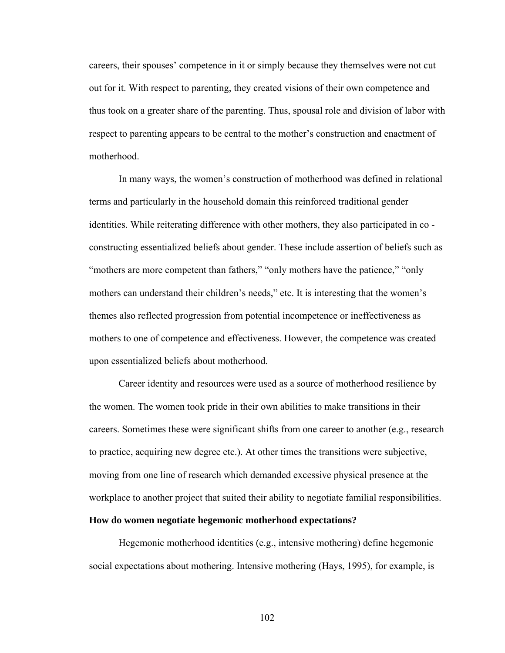careers, their spouses' competence in it or simply because they themselves were not cut out for it. With respect to parenting, they created visions of their own competence and thus took on a greater share of the parenting. Thus, spousal role and division of labor with respect to parenting appears to be central to the mother's construction and enactment of motherhood.

In many ways, the women's construction of motherhood was defined in relational terms and particularly in the household domain this reinforced traditional gender identities. While reiterating difference with other mothers, they also participated in co constructing essentialized beliefs about gender. These include assertion of beliefs such as "mothers are more competent than fathers," "only mothers have the patience," "only mothers can understand their children's needs," etc. It is interesting that the women's themes also reflected progression from potential incompetence or ineffectiveness as mothers to one of competence and effectiveness. However, the competence was created upon essentialized beliefs about motherhood.

Career identity and resources were used as a source of motherhood resilience by the women. The women took pride in their own abilities to make transitions in their careers. Sometimes these were significant shifts from one career to another (e.g., research to practice, acquiring new degree etc.). At other times the transitions were subjective, moving from one line of research which demanded excessive physical presence at the workplace to another project that suited their ability to negotiate familial responsibilities.

### **How do women negotiate hegemonic motherhood expectations?**

Hegemonic motherhood identities (e.g., intensive mothering) define hegemonic social expectations about mothering. Intensive mothering (Hays, 1995), for example, is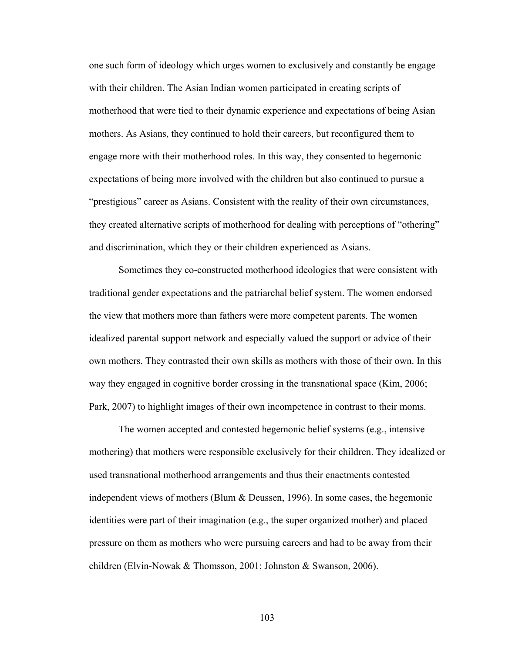one such form of ideology which urges women to exclusively and constantly be engage with their children. The Asian Indian women participated in creating scripts of motherhood that were tied to their dynamic experience and expectations of being Asian mothers. As Asians, they continued to hold their careers, but reconfigured them to engage more with their motherhood roles. In this way, they consented to hegemonic expectations of being more involved with the children but also continued to pursue a "prestigious" career as Asians. Consistent with the reality of their own circumstances, they created alternative scripts of motherhood for dealing with perceptions of "othering" and discrimination, which they or their children experienced as Asians.

Sometimes they co-constructed motherhood ideologies that were consistent with traditional gender expectations and the patriarchal belief system. The women endorsed the view that mothers more than fathers were more competent parents. The women idealized parental support network and especially valued the support or advice of their own mothers. They contrasted their own skills as mothers with those of their own. In this way they engaged in cognitive border crossing in the transnational space (Kim, 2006; Park, 2007) to highlight images of their own incompetence in contrast to their moms.

The women accepted and contested hegemonic belief systems (e.g., intensive mothering) that mothers were responsible exclusively for their children. They idealized or used transnational motherhood arrangements and thus their enactments contested independent views of mothers (Blum & Deussen, 1996). In some cases, the hegemonic identities were part of their imagination (e.g., the super organized mother) and placed pressure on them as mothers who were pursuing careers and had to be away from their children (Elvin-Nowak & Thomsson, 2001; Johnston & Swanson, 2006).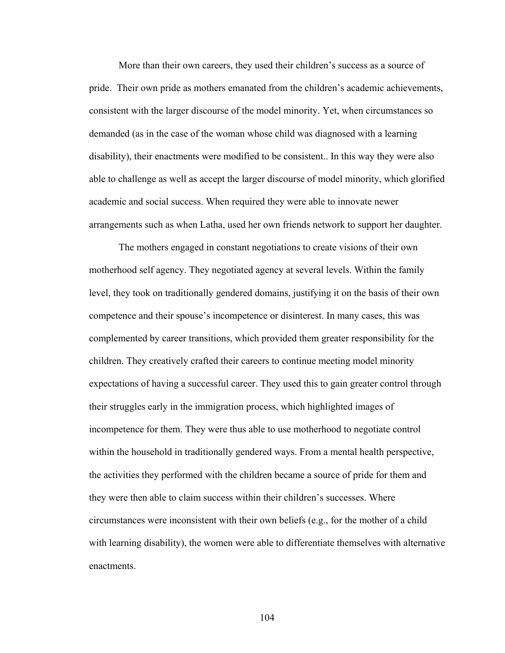More than their own careers, they used their children's success as a source of pride. Their own pride as mothers emanated from the children's academic achievements, consistent with the larger discourse of the model minority. Yet, when circumstances so demanded (as in the case of the woman whose child was diagnosed with a learning disability), their enactments were modified to be consistent.. In this way they were also able to challenge as well as accept the larger discourse of model minority, which glorified academic and social success. When required they were able to innovate newer arrangements such as when Latha, used her own friends network to support her daughter.

The mothers engaged in constant negotiations to create visions of their own motherhood self agency. They negotiated agency at several levels. Within the family level, they took on traditionally gendered domains, justifying it on the basis of their own competence and their spouse's incompetence or disinterest. In many cases, this was complemented by career transitions, which provided them greater responsibility for the children. They creatively crafted their careers to continue meeting model minority expectations of having a successful career. They used this to gain greater control through their struggles early in the immigration process, which highlighted images of incompetence for them. They were thus able to use motherhood to negotiate control within the household in traditionally gendered ways. From a mental health perspective, the activities they performed with the children became a source of pride for them and they were then able to claim success within their children's successes. Where circumstances were inconsistent with their own beliefs (e.g., for the mother of a child with learning disability), the women were able to differentiate themselves with alternative enactments.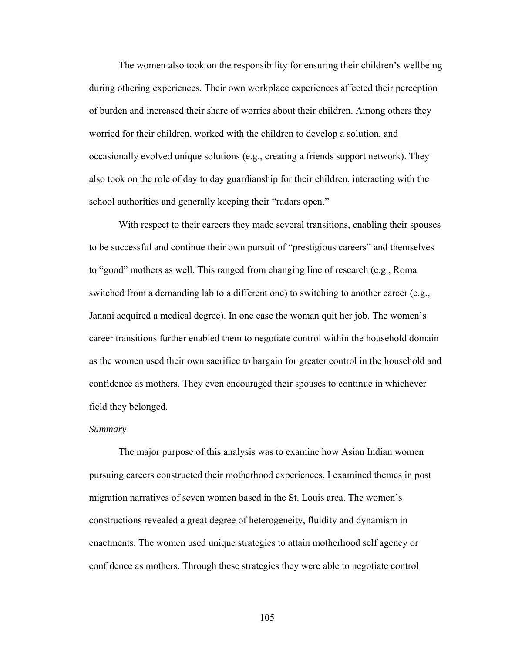The women also took on the responsibility for ensuring their children's wellbeing during othering experiences. Their own workplace experiences affected their perception of burden and increased their share of worries about their children. Among others they worried for their children, worked with the children to develop a solution, and occasionally evolved unique solutions (e.g., creating a friends support network). They also took on the role of day to day guardianship for their children, interacting with the school authorities and generally keeping their "radars open."

With respect to their careers they made several transitions, enabling their spouses to be successful and continue their own pursuit of "prestigious careers" and themselves to "good" mothers as well. This ranged from changing line of research (e.g., Roma switched from a demanding lab to a different one) to switching to another career (e.g., Janani acquired a medical degree). In one case the woman quit her job. The women's career transitions further enabled them to negotiate control within the household domain as the women used their own sacrifice to bargain for greater control in the household and confidence as mothers. They even encouraged their spouses to continue in whichever field they belonged.

### *Summary*

 The major purpose of this analysis was to examine how Asian Indian women pursuing careers constructed their motherhood experiences. I examined themes in post migration narratives of seven women based in the St. Louis area. The women's constructions revealed a great degree of heterogeneity, fluidity and dynamism in enactments. The women used unique strategies to attain motherhood self agency or confidence as mothers. Through these strategies they were able to negotiate control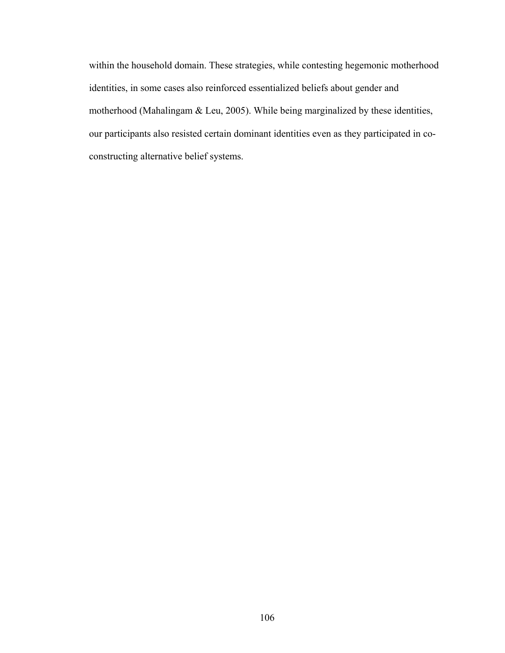within the household domain. These strategies, while contesting hegemonic motherhood identities, in some cases also reinforced essentialized beliefs about gender and motherhood (Mahalingam & Leu, 2005). While being marginalized by these identities, our participants also resisted certain dominant identities even as they participated in coconstructing alternative belief systems.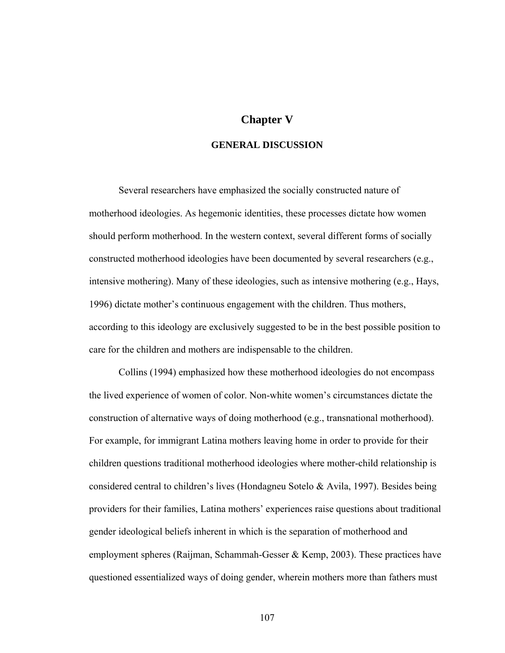# **Chapter V**

# **GENERAL DISCUSSION**

Several researchers have emphasized the socially constructed nature of motherhood ideologies. As hegemonic identities, these processes dictate how women should perform motherhood. In the western context, several different forms of socially constructed motherhood ideologies have been documented by several researchers (e.g., intensive mothering). Many of these ideologies, such as intensive mothering (e.g., Hays, 1996) dictate mother's continuous engagement with the children. Thus mothers, according to this ideology are exclusively suggested to be in the best possible position to care for the children and mothers are indispensable to the children.

Collins (1994) emphasized how these motherhood ideologies do not encompass the lived experience of women of color. Non-white women's circumstances dictate the construction of alternative ways of doing motherhood (e.g., transnational motherhood). For example, for immigrant Latina mothers leaving home in order to provide for their children questions traditional motherhood ideologies where mother-child relationship is considered central to children's lives (Hondagneu Sotelo & Avila, 1997). Besides being providers for their families, Latina mothers' experiences raise questions about traditional gender ideological beliefs inherent in which is the separation of motherhood and employment spheres (Raijman, Schammah-Gesser  $\&$  Kemp, 2003). These practices have questioned essentialized ways of doing gender, wherein mothers more than fathers must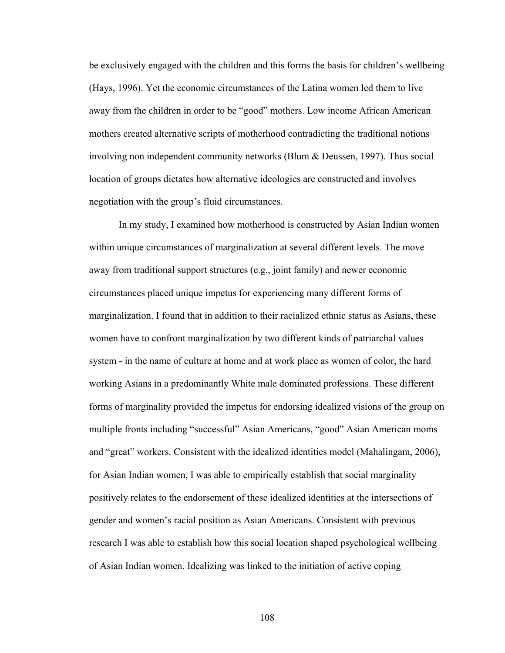be exclusively engaged with the children and this forms the basis for children's wellbeing (Hays, 1996). Yet the economic circumstances of the Latina women led them to live away from the children in order to be "good" mothers. Low income African American mothers created alternative scripts of motherhood contradicting the traditional notions involving non independent community networks (Blum & Deussen, 1997). Thus social location of groups dictates how alternative ideologies are constructed and involves negotiation with the group's fluid circumstances.

In my study, I examined how motherhood is constructed by Asian Indian women within unique circumstances of marginalization at several different levels. The move away from traditional support structures (e.g., joint family) and newer economic circumstances placed unique impetus for experiencing many different forms of marginalization. I found that in addition to their racialized ethnic status as Asians, these women have to confront marginalization by two different kinds of patriarchal values system - in the name of culture at home and at work place as women of color, the hard working Asians in a predominantly White male dominated professions. These different forms of marginality provided the impetus for endorsing idealized visions of the group on multiple fronts including "successful" Asian Americans, "good" Asian American moms and "great" workers. Consistent with the idealized identities model (Mahalingam, 2006), for Asian Indian women, I was able to empirically establish that social marginality positively relates to the endorsement of these idealized identities at the intersections of gender and women's racial position as Asian Americans. Consistent with previous research I was able to establish how this social location shaped psychological wellbeing of Asian Indian women. Idealizing was linked to the initiation of active coping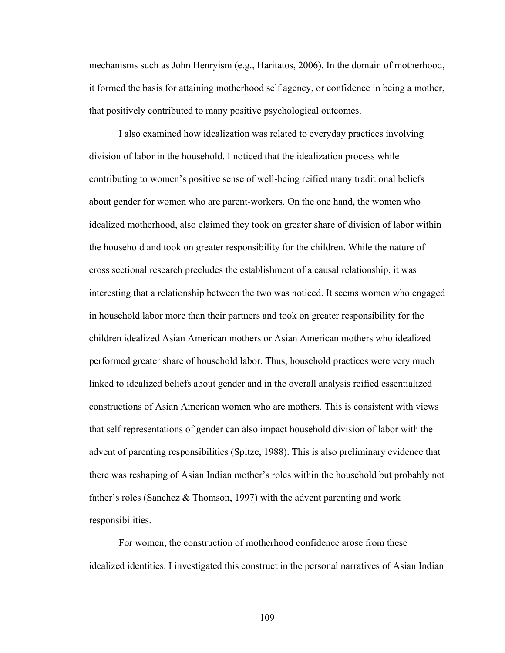mechanisms such as John Henryism (e.g., Haritatos, 2006). In the domain of motherhood, it formed the basis for attaining motherhood self agency, or confidence in being a mother, that positively contributed to many positive psychological outcomes.

I also examined how idealization was related to everyday practices involving division of labor in the household. I noticed that the idealization process while contributing to women's positive sense of well-being reified many traditional beliefs about gender for women who are parent-workers. On the one hand, the women who idealized motherhood, also claimed they took on greater share of division of labor within the household and took on greater responsibility for the children. While the nature of cross sectional research precludes the establishment of a causal relationship, it was interesting that a relationship between the two was noticed. It seems women who engaged in household labor more than their partners and took on greater responsibility for the children idealized Asian American mothers or Asian American mothers who idealized performed greater share of household labor. Thus, household practices were very much linked to idealized beliefs about gender and in the overall analysis reified essentialized constructions of Asian American women who are mothers. This is consistent with views that self representations of gender can also impact household division of labor with the advent of parenting responsibilities (Spitze, 1988). This is also preliminary evidence that there was reshaping of Asian Indian mother's roles within the household but probably not father's roles (Sanchez & Thomson, 1997) with the advent parenting and work responsibilities.

For women, the construction of motherhood confidence arose from these idealized identities. I investigated this construct in the personal narratives of Asian Indian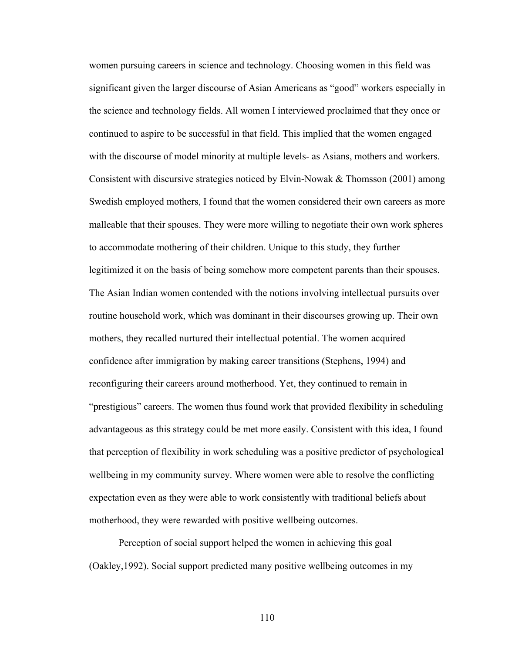women pursuing careers in science and technology. Choosing women in this field was significant given the larger discourse of Asian Americans as "good" workers especially in the science and technology fields. All women I interviewed proclaimed that they once or continued to aspire to be successful in that field. This implied that the women engaged with the discourse of model minority at multiple levels- as Asians, mothers and workers. Consistent with discursive strategies noticed by Elvin-Nowak & Thomsson (2001) among Swedish employed mothers, I found that the women considered their own careers as more malleable that their spouses. They were more willing to negotiate their own work spheres to accommodate mothering of their children. Unique to this study, they further legitimized it on the basis of being somehow more competent parents than their spouses. The Asian Indian women contended with the notions involving intellectual pursuits over routine household work, which was dominant in their discourses growing up. Their own mothers, they recalled nurtured their intellectual potential. The women acquired confidence after immigration by making career transitions (Stephens, 1994) and reconfiguring their careers around motherhood. Yet, they continued to remain in "prestigious" careers. The women thus found work that provided flexibility in scheduling advantageous as this strategy could be met more easily. Consistent with this idea, I found that perception of flexibility in work scheduling was a positive predictor of psychological wellbeing in my community survey. Where women were able to resolve the conflicting expectation even as they were able to work consistently with traditional beliefs about motherhood, they were rewarded with positive wellbeing outcomes.

Perception of social support helped the women in achieving this goal (Oakley,1992). Social support predicted many positive wellbeing outcomes in my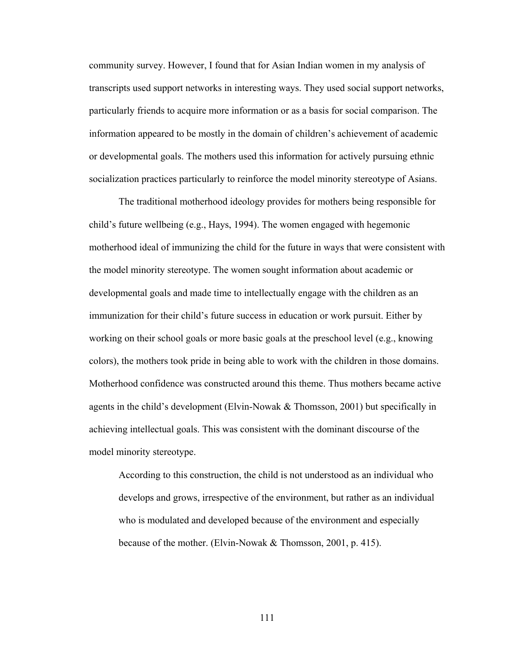community survey. However, I found that for Asian Indian women in my analysis of transcripts used support networks in interesting ways. They used social support networks, particularly friends to acquire more information or as a basis for social comparison. The information appeared to be mostly in the domain of children's achievement of academic or developmental goals. The mothers used this information for actively pursuing ethnic socialization practices particularly to reinforce the model minority stereotype of Asians.

The traditional motherhood ideology provides for mothers being responsible for child's future wellbeing (e.g., Hays, 1994). The women engaged with hegemonic motherhood ideal of immunizing the child for the future in ways that were consistent with the model minority stereotype. The women sought information about academic or developmental goals and made time to intellectually engage with the children as an immunization for their child's future success in education or work pursuit. Either by working on their school goals or more basic goals at the preschool level (e.g., knowing colors), the mothers took pride in being able to work with the children in those domains. Motherhood confidence was constructed around this theme. Thus mothers became active agents in the child's development (Elvin-Nowak  $&$  Thomsson, 2001) but specifically in achieving intellectual goals. This was consistent with the dominant discourse of the model minority stereotype.

According to this construction, the child is not understood as an individual who develops and grows, irrespective of the environment, but rather as an individual who is modulated and developed because of the environment and especially because of the mother. (Elvin-Nowak & Thomsson, 2001, p. 415).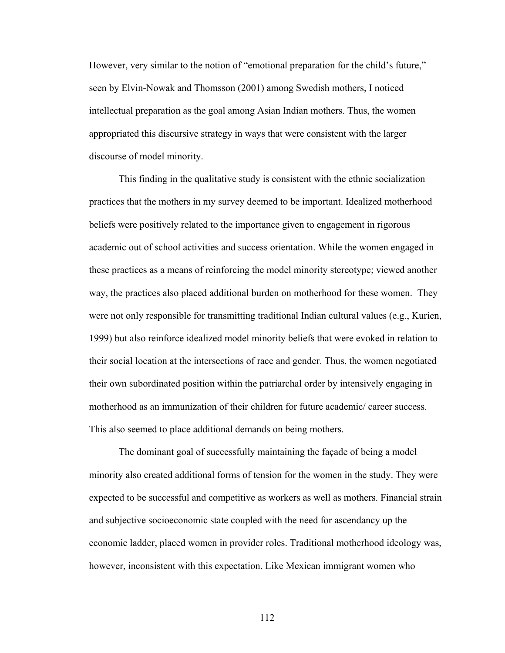However, very similar to the notion of "emotional preparation for the child's future," seen by Elvin-Nowak and Thomsson (2001) among Swedish mothers, I noticed intellectual preparation as the goal among Asian Indian mothers. Thus, the women appropriated this discursive strategy in ways that were consistent with the larger discourse of model minority.

 This finding in the qualitative study is consistent with the ethnic socialization practices that the mothers in my survey deemed to be important. Idealized motherhood beliefs were positively related to the importance given to engagement in rigorous academic out of school activities and success orientation. While the women engaged in these practices as a means of reinforcing the model minority stereotype; viewed another way, the practices also placed additional burden on motherhood for these women. They were not only responsible for transmitting traditional Indian cultural values (e.g., Kurien, 1999) but also reinforce idealized model minority beliefs that were evoked in relation to their social location at the intersections of race and gender. Thus, the women negotiated their own subordinated position within the patriarchal order by intensively engaging in motherhood as an immunization of their children for future academic/ career success. This also seemed to place additional demands on being mothers.

The dominant goal of successfully maintaining the façade of being a model minority also created additional forms of tension for the women in the study. They were expected to be successful and competitive as workers as well as mothers. Financial strain and subjective socioeconomic state coupled with the need for ascendancy up the economic ladder, placed women in provider roles. Traditional motherhood ideology was, however, inconsistent with this expectation. Like Mexican immigrant women who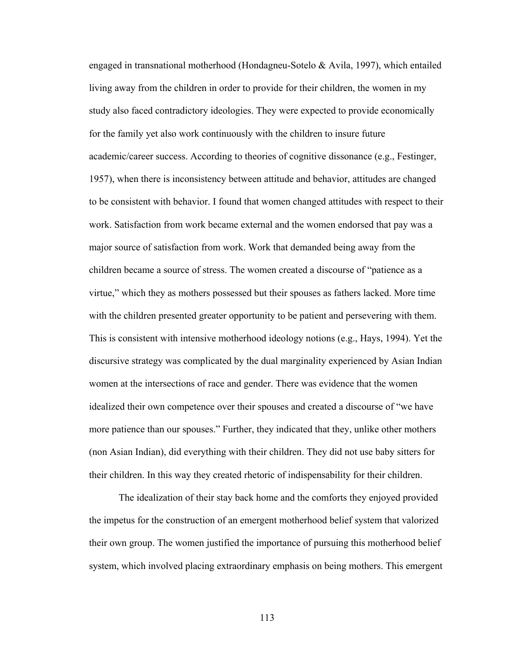engaged in transnational motherhood (Hondagneu-Sotelo & Avila, 1997), which entailed living away from the children in order to provide for their children, the women in my study also faced contradictory ideologies. They were expected to provide economically for the family yet also work continuously with the children to insure future academic/career success. According to theories of cognitive dissonance (e.g., Festinger, 1957), when there is inconsistency between attitude and behavior, attitudes are changed to be consistent with behavior. I found that women changed attitudes with respect to their work. Satisfaction from work became external and the women endorsed that pay was a major source of satisfaction from work. Work that demanded being away from the children became a source of stress. The women created a discourse of "patience as a virtue," which they as mothers possessed but their spouses as fathers lacked. More time with the children presented greater opportunity to be patient and persevering with them. This is consistent with intensive motherhood ideology notions (e.g., Hays, 1994). Yet the discursive strategy was complicated by the dual marginality experienced by Asian Indian women at the intersections of race and gender. There was evidence that the women idealized their own competence over their spouses and created a discourse of "we have more patience than our spouses." Further, they indicated that they, unlike other mothers (non Asian Indian), did everything with their children. They did not use baby sitters for their children. In this way they created rhetoric of indispensability for their children.

The idealization of their stay back home and the comforts they enjoyed provided the impetus for the construction of an emergent motherhood belief system that valorized their own group. The women justified the importance of pursuing this motherhood belief system, which involved placing extraordinary emphasis on being mothers. This emergent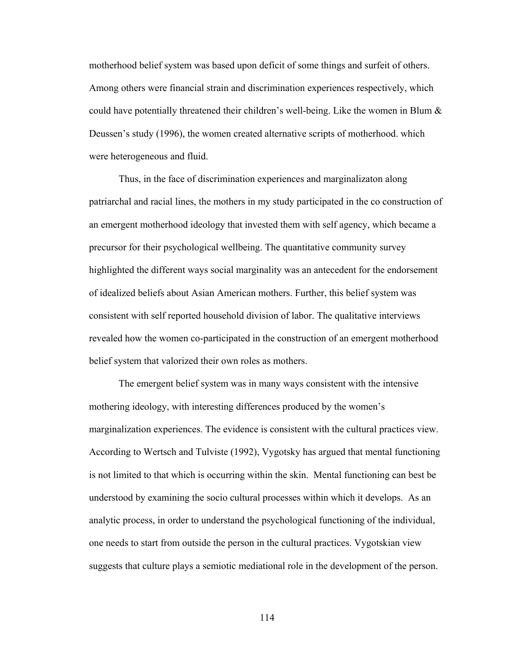motherhood belief system was based upon deficit of some things and surfeit of others. Among others were financial strain and discrimination experiences respectively, which could have potentially threatened their children's well-being. Like the women in Blum  $\&$ Deussen's study (1996), the women created alternative scripts of motherhood. which were heterogeneous and fluid.

Thus, in the face of discrimination experiences and marginalizaton along patriarchal and racial lines, the mothers in my study participated in the co construction of an emergent motherhood ideology that invested them with self agency, which became a precursor for their psychological wellbeing. The quantitative community survey highlighted the different ways social marginality was an antecedent for the endorsement of idealized beliefs about Asian American mothers. Further, this belief system was consistent with self reported household division of labor. The qualitative interviews revealed how the women co-participated in the construction of an emergent motherhood belief system that valorized their own roles as mothers.

The emergent belief system was in many ways consistent with the intensive mothering ideology, with interesting differences produced by the women's marginalization experiences. The evidence is consistent with the cultural practices view. According to Wertsch and Tulviste (1992), Vygotsky has argued that mental functioning is not limited to that which is occurring within the skin. Mental functioning can best be understood by examining the socio cultural processes within which it develops. As an analytic process, in order to understand the psychological functioning of the individual, one needs to start from outside the person in the cultural practices. Vygotskian view suggests that culture plays a semiotic mediational role in the development of the person.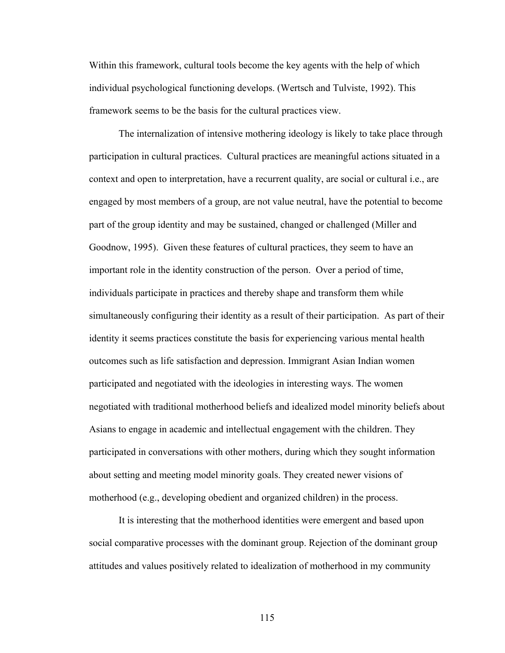Within this framework, cultural tools become the key agents with the help of which individual psychological functioning develops. (Wertsch and Tulviste, 1992). This framework seems to be the basis for the cultural practices view.

The internalization of intensive mothering ideology is likely to take place through participation in cultural practices. Cultural practices are meaningful actions situated in a context and open to interpretation, have a recurrent quality, are social or cultural i.e., are engaged by most members of a group, are not value neutral, have the potential to become part of the group identity and may be sustained, changed or challenged (Miller and Goodnow, 1995). Given these features of cultural practices, they seem to have an important role in the identity construction of the person. Over a period of time, individuals participate in practices and thereby shape and transform them while simultaneously configuring their identity as a result of their participation. As part of their identity it seems practices constitute the basis for experiencing various mental health outcomes such as life satisfaction and depression. Immigrant Asian Indian women participated and negotiated with the ideologies in interesting ways. The women negotiated with traditional motherhood beliefs and idealized model minority beliefs about Asians to engage in academic and intellectual engagement with the children. They participated in conversations with other mothers, during which they sought information about setting and meeting model minority goals. They created newer visions of motherhood (e.g., developing obedient and organized children) in the process.

 It is interesting that the motherhood identities were emergent and based upon social comparative processes with the dominant group. Rejection of the dominant group attitudes and values positively related to idealization of motherhood in my community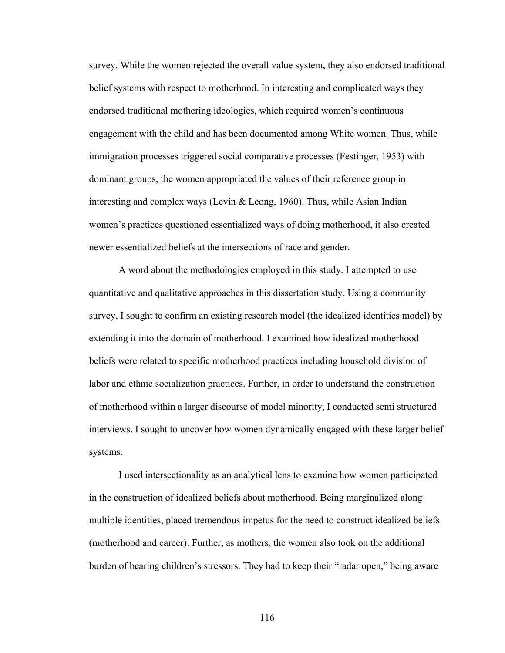survey. While the women rejected the overall value system, they also endorsed traditional belief systems with respect to motherhood. In interesting and complicated ways they endorsed traditional mothering ideologies, which required women's continuous engagement with the child and has been documented among White women. Thus, while immigration processes triggered social comparative processes (Festinger, 1953) with dominant groups, the women appropriated the values of their reference group in interesting and complex ways (Levin  $\&$  Leong, 1960). Thus, while Asian Indian women's practices questioned essentialized ways of doing motherhood, it also created newer essentialized beliefs at the intersections of race and gender.

 A word about the methodologies employed in this study. I attempted to use quantitative and qualitative approaches in this dissertation study. Using a community survey, I sought to confirm an existing research model (the idealized identities model) by extending it into the domain of motherhood. I examined how idealized motherhood beliefs were related to specific motherhood practices including household division of labor and ethnic socialization practices. Further, in order to understand the construction of motherhood within a larger discourse of model minority, I conducted semi structured interviews. I sought to uncover how women dynamically engaged with these larger belief systems.

I used intersectionality as an analytical lens to examine how women participated in the construction of idealized beliefs about motherhood. Being marginalized along multiple identities, placed tremendous impetus for the need to construct idealized beliefs (motherhood and career). Further, as mothers, the women also took on the additional burden of bearing children's stressors. They had to keep their "radar open," being aware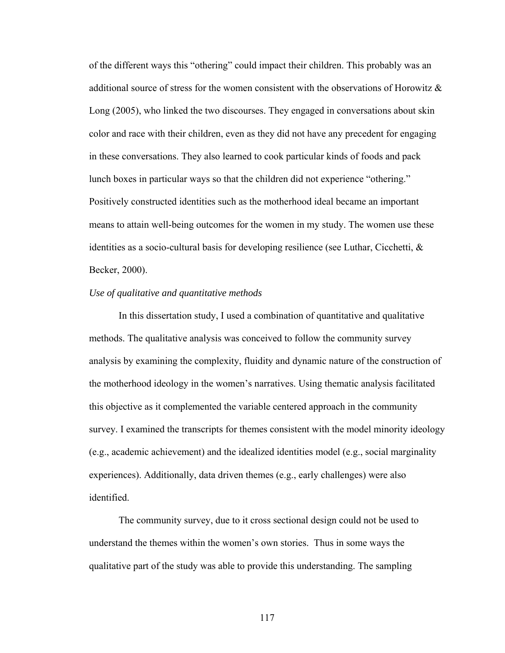of the different ways this "othering" could impact their children. This probably was an additional source of stress for the women consistent with the observations of Horowitz  $\&$ Long (2005), who linked the two discourses. They engaged in conversations about skin color and race with their children, even as they did not have any precedent for engaging in these conversations. They also learned to cook particular kinds of foods and pack lunch boxes in particular ways so that the children did not experience "othering." Positively constructed identities such as the motherhood ideal became an important means to attain well-being outcomes for the women in my study. The women use these identities as a socio-cultural basis for developing resilience (see Luthar, Cicchetti, & Becker, 2000).

#### *Use of qualitative and quantitative methods*

 In this dissertation study, I used a combination of quantitative and qualitative methods. The qualitative analysis was conceived to follow the community survey analysis by examining the complexity, fluidity and dynamic nature of the construction of the motherhood ideology in the women's narratives. Using thematic analysis facilitated this objective as it complemented the variable centered approach in the community survey. I examined the transcripts for themes consistent with the model minority ideology (e.g., academic achievement) and the idealized identities model (e.g., social marginality experiences). Additionally, data driven themes (e.g., early challenges) were also identified.

 The community survey, due to it cross sectional design could not be used to understand the themes within the women's own stories. Thus in some ways the qualitative part of the study was able to provide this understanding. The sampling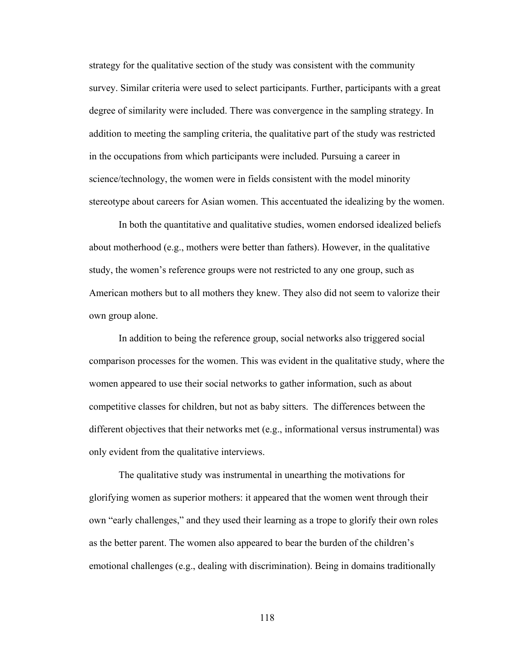strategy for the qualitative section of the study was consistent with the community survey. Similar criteria were used to select participants. Further, participants with a great degree of similarity were included. There was convergence in the sampling strategy. In addition to meeting the sampling criteria, the qualitative part of the study was restricted in the occupations from which participants were included. Pursuing a career in science/technology, the women were in fields consistent with the model minority stereotype about careers for Asian women. This accentuated the idealizing by the women.

 In both the quantitative and qualitative studies, women endorsed idealized beliefs about motherhood (e.g., mothers were better than fathers). However, in the qualitative study, the women's reference groups were not restricted to any one group, such as American mothers but to all mothers they knew. They also did not seem to valorize their own group alone.

 In addition to being the reference group, social networks also triggered social comparison processes for the women. This was evident in the qualitative study, where the women appeared to use their social networks to gather information, such as about competitive classes for children, but not as baby sitters. The differences between the different objectives that their networks met (e.g., informational versus instrumental) was only evident from the qualitative interviews.

The qualitative study was instrumental in unearthing the motivations for glorifying women as superior mothers: it appeared that the women went through their own "early challenges," and they used their learning as a trope to glorify their own roles as the better parent. The women also appeared to bear the burden of the children's emotional challenges (e.g., dealing with discrimination). Being in domains traditionally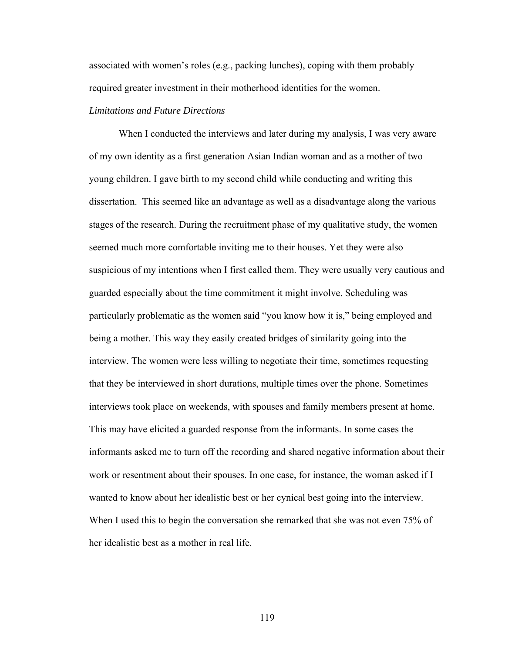associated with women's roles (e.g., packing lunches), coping with them probably required greater investment in their motherhood identities for the women.

# *Limitations and Future Directions*

When I conducted the interviews and later during my analysis, I was very aware of my own identity as a first generation Asian Indian woman and as a mother of two young children. I gave birth to my second child while conducting and writing this dissertation. This seemed like an advantage as well as a disadvantage along the various stages of the research. During the recruitment phase of my qualitative study, the women seemed much more comfortable inviting me to their houses. Yet they were also suspicious of my intentions when I first called them. They were usually very cautious and guarded especially about the time commitment it might involve. Scheduling was particularly problematic as the women said "you know how it is," being employed and being a mother. This way they easily created bridges of similarity going into the interview. The women were less willing to negotiate their time, sometimes requesting that they be interviewed in short durations, multiple times over the phone. Sometimes interviews took place on weekends, with spouses and family members present at home. This may have elicited a guarded response from the informants. In some cases the informants asked me to turn off the recording and shared negative information about their work or resentment about their spouses. In one case, for instance, the woman asked if I wanted to know about her idealistic best or her cynical best going into the interview. When I used this to begin the conversation she remarked that she was not even 75% of her idealistic best as a mother in real life.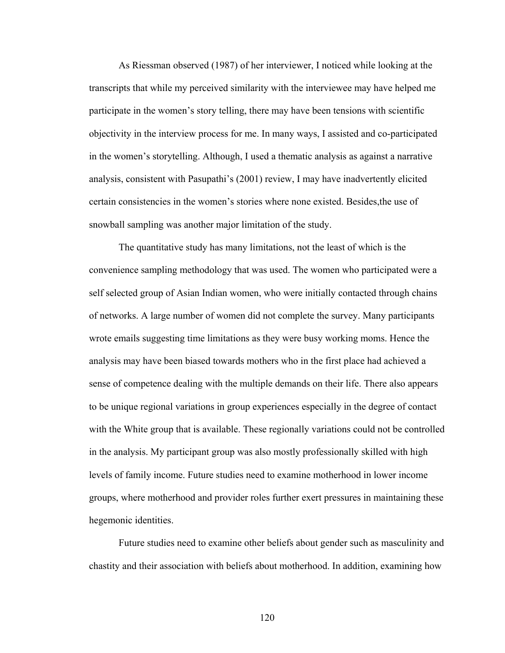As Riessman observed (1987) of her interviewer, I noticed while looking at the transcripts that while my perceived similarity with the interviewee may have helped me participate in the women's story telling, there may have been tensions with scientific objectivity in the interview process for me. In many ways, I assisted and co-participated in the women's storytelling. Although, I used a thematic analysis as against a narrative analysis, consistent with Pasupathi's (2001) review, I may have inadvertently elicited certain consistencies in the women's stories where none existed. Besides,the use of snowball sampling was another major limitation of the study.

The quantitative study has many limitations, not the least of which is the convenience sampling methodology that was used. The women who participated were a self selected group of Asian Indian women, who were initially contacted through chains of networks. A large number of women did not complete the survey. Many participants wrote emails suggesting time limitations as they were busy working moms. Hence the analysis may have been biased towards mothers who in the first place had achieved a sense of competence dealing with the multiple demands on their life. There also appears to be unique regional variations in group experiences especially in the degree of contact with the White group that is available. These regionally variations could not be controlled in the analysis. My participant group was also mostly professionally skilled with high levels of family income. Future studies need to examine motherhood in lower income groups, where motherhood and provider roles further exert pressures in maintaining these hegemonic identities.

Future studies need to examine other beliefs about gender such as masculinity and chastity and their association with beliefs about motherhood. In addition, examining how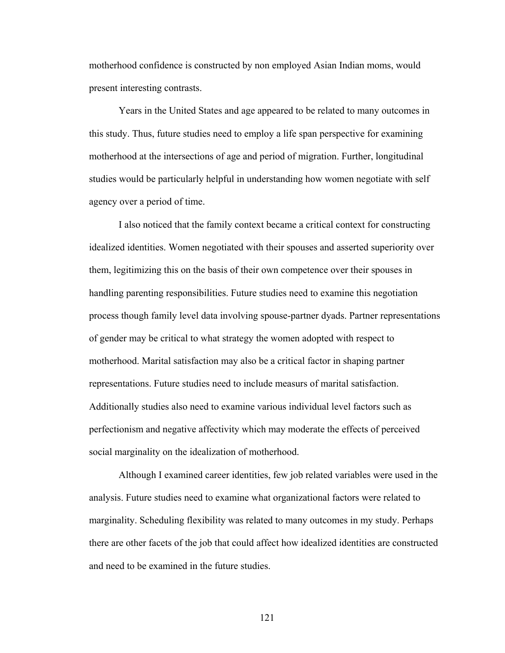motherhood confidence is constructed by non employed Asian Indian moms, would present interesting contrasts.

Years in the United States and age appeared to be related to many outcomes in this study. Thus, future studies need to employ a life span perspective for examining motherhood at the intersections of age and period of migration. Further, longitudinal studies would be particularly helpful in understanding how women negotiate with self agency over a period of time.

I also noticed that the family context became a critical context for constructing idealized identities. Women negotiated with their spouses and asserted superiority over them, legitimizing this on the basis of their own competence over their spouses in handling parenting responsibilities. Future studies need to examine this negotiation process though family level data involving spouse-partner dyads. Partner representations of gender may be critical to what strategy the women adopted with respect to motherhood. Marital satisfaction may also be a critical factor in shaping partner representations. Future studies need to include measurs of marital satisfaction. Additionally studies also need to examine various individual level factors such as perfectionism and negative affectivity which may moderate the effects of perceived social marginality on the idealization of motherhood.

Although I examined career identities, few job related variables were used in the analysis. Future studies need to examine what organizational factors were related to marginality. Scheduling flexibility was related to many outcomes in my study. Perhaps there are other facets of the job that could affect how idealized identities are constructed and need to be examined in the future studies.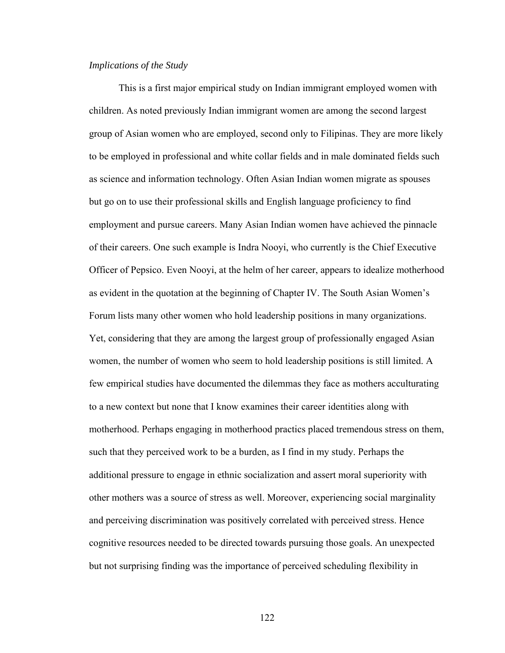# *Implications of the Study*

This is a first major empirical study on Indian immigrant employed women with children. As noted previously Indian immigrant women are among the second largest group of Asian women who are employed, second only to Filipinas. They are more likely to be employed in professional and white collar fields and in male dominated fields such as science and information technology. Often Asian Indian women migrate as spouses but go on to use their professional skills and English language proficiency to find employment and pursue careers. Many Asian Indian women have achieved the pinnacle of their careers. One such example is Indra Nooyi, who currently is the Chief Executive Officer of Pepsico. Even Nooyi, at the helm of her career, appears to idealize motherhood as evident in the quotation at the beginning of Chapter IV. The South Asian Women's Forum lists many other women who hold leadership positions in many organizations. Yet, considering that they are among the largest group of professionally engaged Asian women, the number of women who seem to hold leadership positions is still limited. A few empirical studies have documented the dilemmas they face as mothers acculturating to a new context but none that I know examines their career identities along with motherhood. Perhaps engaging in motherhood practics placed tremendous stress on them, such that they perceived work to be a burden, as I find in my study. Perhaps the additional pressure to engage in ethnic socialization and assert moral superiority with other mothers was a source of stress as well. Moreover, experiencing social marginality and perceiving discrimination was positively correlated with perceived stress. Hence cognitive resources needed to be directed towards pursuing those goals. An unexpected but not surprising finding was the importance of perceived scheduling flexibility in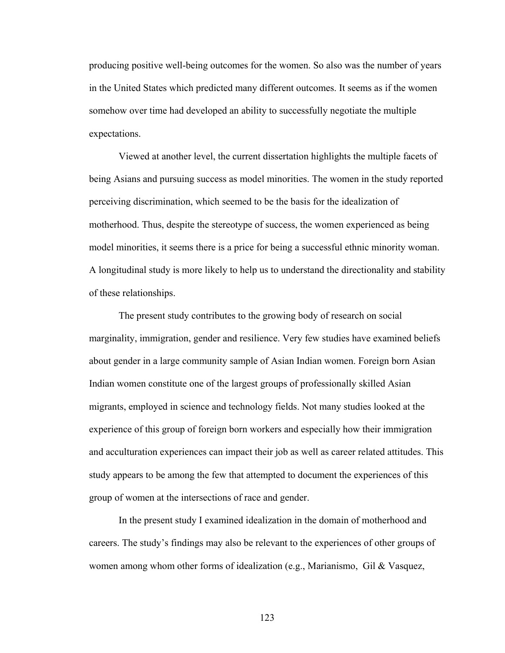producing positive well-being outcomes for the women. So also was the number of years in the United States which predicted many different outcomes. It seems as if the women somehow over time had developed an ability to successfully negotiate the multiple expectations.

Viewed at another level, the current dissertation highlights the multiple facets of being Asians and pursuing success as model minorities. The women in the study reported perceiving discrimination, which seemed to be the basis for the idealization of motherhood. Thus, despite the stereotype of success, the women experienced as being model minorities, it seems there is a price for being a successful ethnic minority woman. A longitudinal study is more likely to help us to understand the directionality and stability of these relationships.

 The present study contributes to the growing body of research on social marginality, immigration, gender and resilience. Very few studies have examined beliefs about gender in a large community sample of Asian Indian women. Foreign born Asian Indian women constitute one of the largest groups of professionally skilled Asian migrants, employed in science and technology fields. Not many studies looked at the experience of this group of foreign born workers and especially how their immigration and acculturation experiences can impact their job as well as career related attitudes. This study appears to be among the few that attempted to document the experiences of this group of women at the intersections of race and gender.

In the present study I examined idealization in the domain of motherhood and careers. The study's findings may also be relevant to the experiences of other groups of women among whom other forms of idealization (e.g., Marianismo, Gil & Vasquez,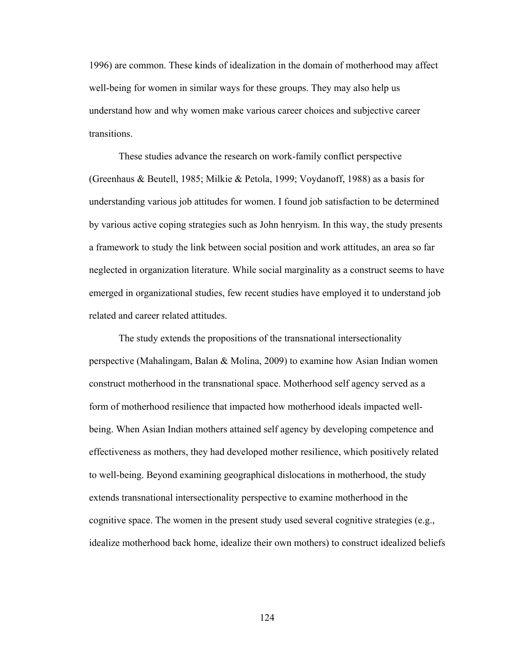1996) are common. These kinds of idealization in the domain of motherhood may affect well-being for women in similar ways for these groups. They may also help us understand how and why women make various career choices and subjective career transitions.

These studies advance the research on work-family conflict perspective (Greenhaus & Beutell, 1985; Milkie & Petola, 1999; Voydanoff, 1988) as a basis for understanding various job attitudes for women. I found job satisfaction to be determined by various active coping strategies such as John henryism. In this way, the study presents a framework to study the link between social position and work attitudes, an area so far neglected in organization literature. While social marginality as a construct seems to have emerged in organizational studies, few recent studies have employed it to understand job related and career related attitudes.

The study extends the propositions of the transnational intersectionality perspective (Mahalingam, Balan & Molina, 2009) to examine how Asian Indian women construct motherhood in the transnational space. Motherhood self agency served as a form of motherhood resilience that impacted how motherhood ideals impacted wellbeing. When Asian Indian mothers attained self agency by developing competence and effectiveness as mothers, they had developed mother resilience, which positively related to well-being. Beyond examining geographical dislocations in motherhood, the study extends transnational intersectionality perspective to examine motherhood in the cognitive space. The women in the present study used several cognitive strategies (e.g., idealize motherhood back home, idealize their own mothers) to construct idealized beliefs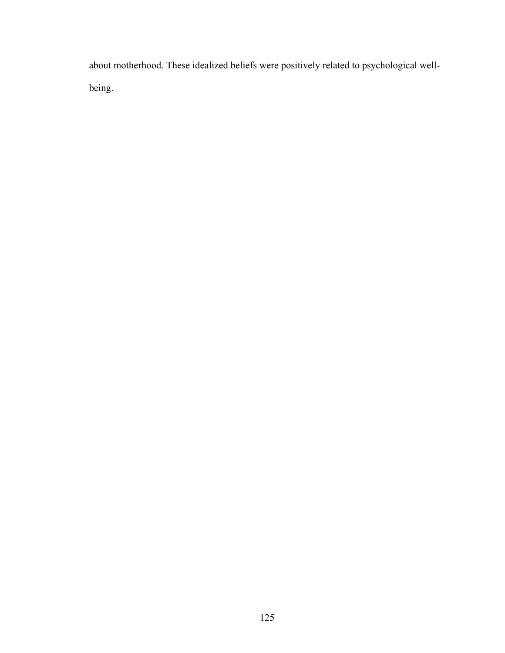about motherhood. These idealized beliefs were positively related to psychological wellbeing.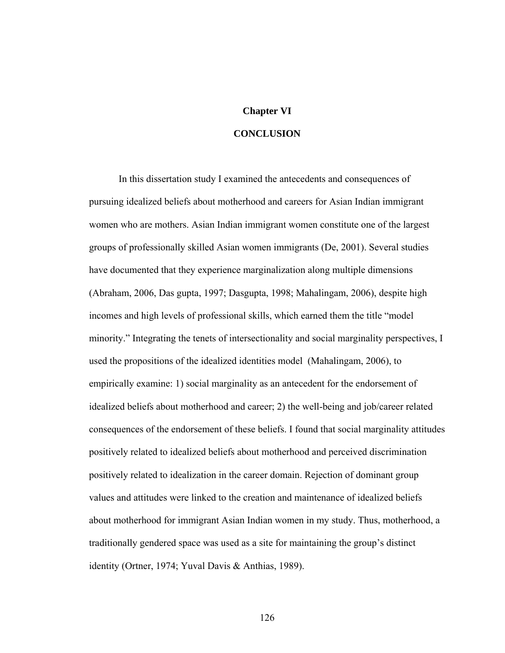## **Chapter VI**

### **CONCLUSION**

In this dissertation study I examined the antecedents and consequences of pursuing idealized beliefs about motherhood and careers for Asian Indian immigrant women who are mothers. Asian Indian immigrant women constitute one of the largest groups of professionally skilled Asian women immigrants (De, 2001). Several studies have documented that they experience marginalization along multiple dimensions (Abraham, 2006, Das gupta, 1997; Dasgupta, 1998; Mahalingam, 2006), despite high incomes and high levels of professional skills, which earned them the title "model minority." Integrating the tenets of intersectionality and social marginality perspectives, I used the propositions of the idealized identities model (Mahalingam, 2006), to empirically examine: 1) social marginality as an antecedent for the endorsement of idealized beliefs about motherhood and career; 2) the well-being and job/career related consequences of the endorsement of these beliefs. I found that social marginality attitudes positively related to idealized beliefs about motherhood and perceived discrimination positively related to idealization in the career domain. Rejection of dominant group values and attitudes were linked to the creation and maintenance of idealized beliefs about motherhood for immigrant Asian Indian women in my study. Thus, motherhood, a traditionally gendered space was used as a site for maintaining the group's distinct identity (Ortner, 1974; Yuval Davis & Anthias, 1989).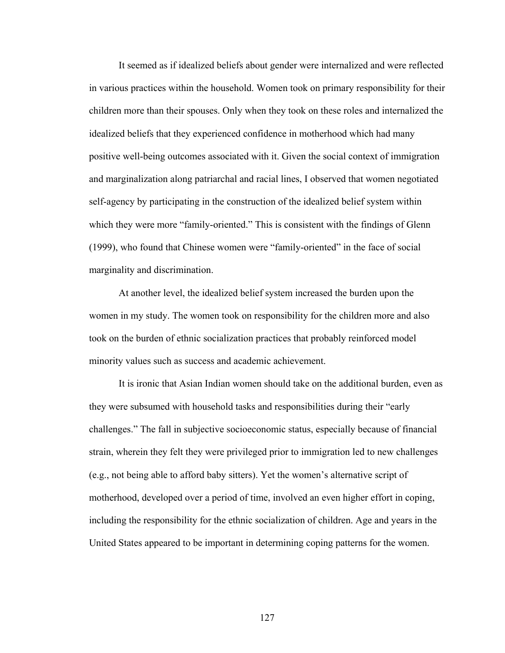It seemed as if idealized beliefs about gender were internalized and were reflected in various practices within the household. Women took on primary responsibility for their children more than their spouses. Only when they took on these roles and internalized the idealized beliefs that they experienced confidence in motherhood which had many positive well-being outcomes associated with it. Given the social context of immigration and marginalization along patriarchal and racial lines, I observed that women negotiated self-agency by participating in the construction of the idealized belief system within which they were more "family-oriented." This is consistent with the findings of Glenn (1999), who found that Chinese women were "family-oriented" in the face of social marginality and discrimination.

At another level, the idealized belief system increased the burden upon the women in my study. The women took on responsibility for the children more and also took on the burden of ethnic socialization practices that probably reinforced model minority values such as success and academic achievement.

It is ironic that Asian Indian women should take on the additional burden, even as they were subsumed with household tasks and responsibilities during their "early challenges." The fall in subjective socioeconomic status, especially because of financial strain, wherein they felt they were privileged prior to immigration led to new challenges (e.g., not being able to afford baby sitters). Yet the women's alternative script of motherhood, developed over a period of time, involved an even higher effort in coping, including the responsibility for the ethnic socialization of children. Age and years in the United States appeared to be important in determining coping patterns for the women.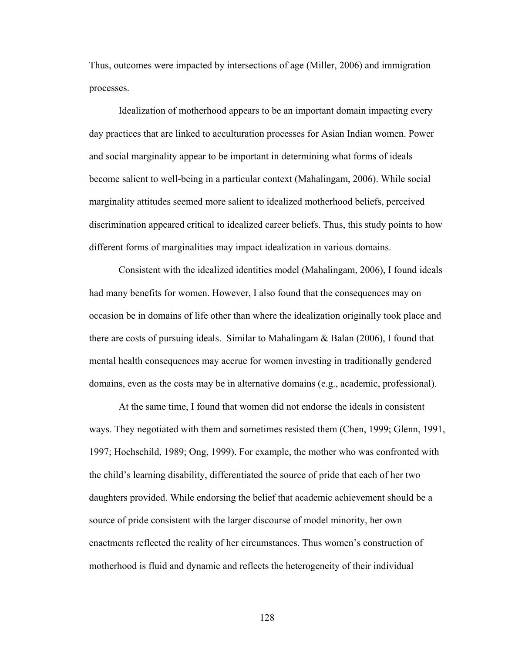Thus, outcomes were impacted by intersections of age (Miller, 2006) and immigration processes.

Idealization of motherhood appears to be an important domain impacting every day practices that are linked to acculturation processes for Asian Indian women. Power and social marginality appear to be important in determining what forms of ideals become salient to well-being in a particular context (Mahalingam, 2006). While social marginality attitudes seemed more salient to idealized motherhood beliefs, perceived discrimination appeared critical to idealized career beliefs. Thus, this study points to how different forms of marginalities may impact idealization in various domains.

Consistent with the idealized identities model (Mahalingam, 2006), I found ideals had many benefits for women. However, I also found that the consequences may on occasion be in domains of life other than where the idealization originally took place and there are costs of pursuing ideals. Similar to Mahalingam & Balan (2006), I found that mental health consequences may accrue for women investing in traditionally gendered domains, even as the costs may be in alternative domains (e.g., academic, professional).

At the same time, I found that women did not endorse the ideals in consistent ways. They negotiated with them and sometimes resisted them (Chen, 1999; Glenn, 1991, 1997; Hochschild, 1989; Ong, 1999). For example, the mother who was confronted with the child's learning disability, differentiated the source of pride that each of her two daughters provided. While endorsing the belief that academic achievement should be a source of pride consistent with the larger discourse of model minority, her own enactments reflected the reality of her circumstances. Thus women's construction of motherhood is fluid and dynamic and reflects the heterogeneity of their individual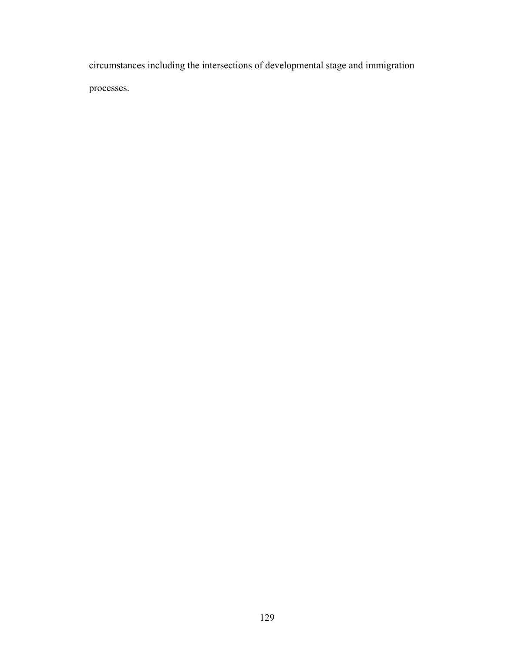circumstances including the intersections of developmental stage and immigration processes.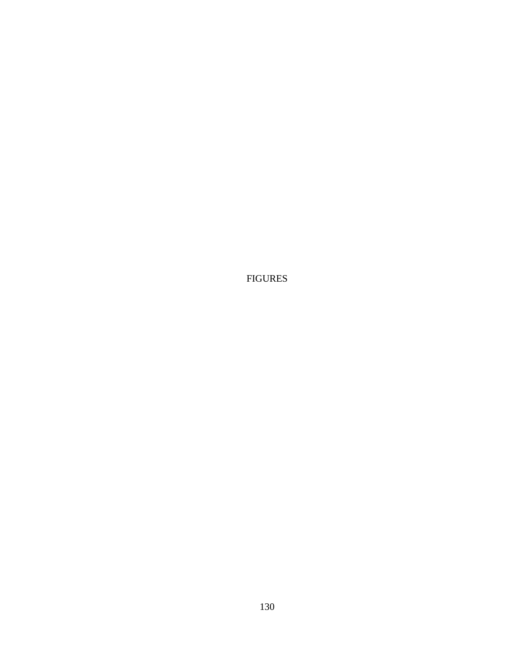FIGURES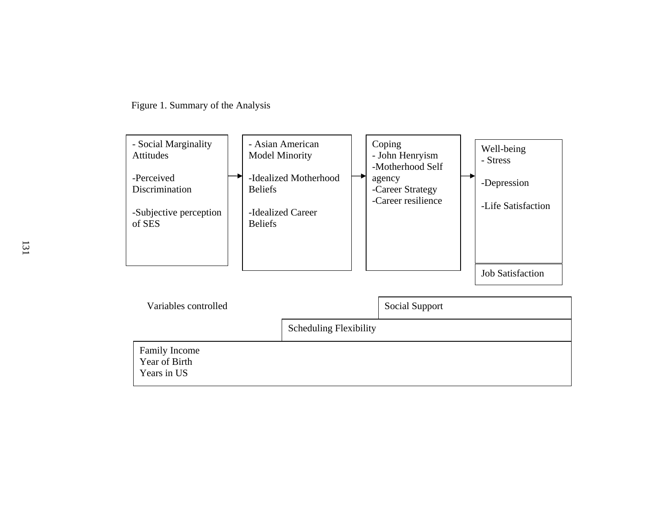

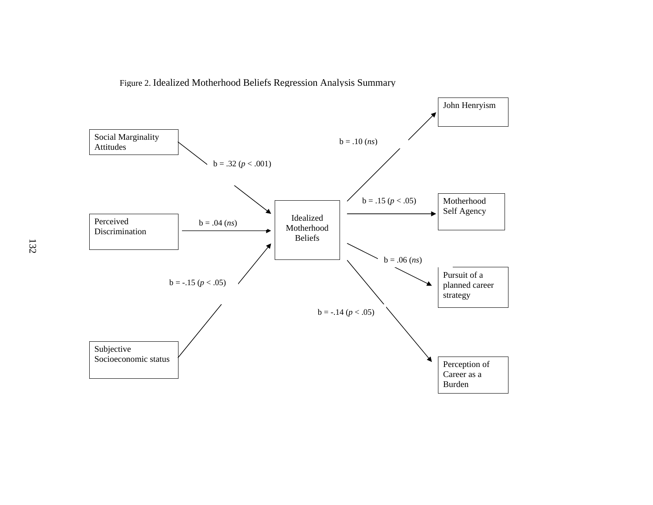Figure 2. Idealized Motherhood Beliefs Regression Analysis Summary

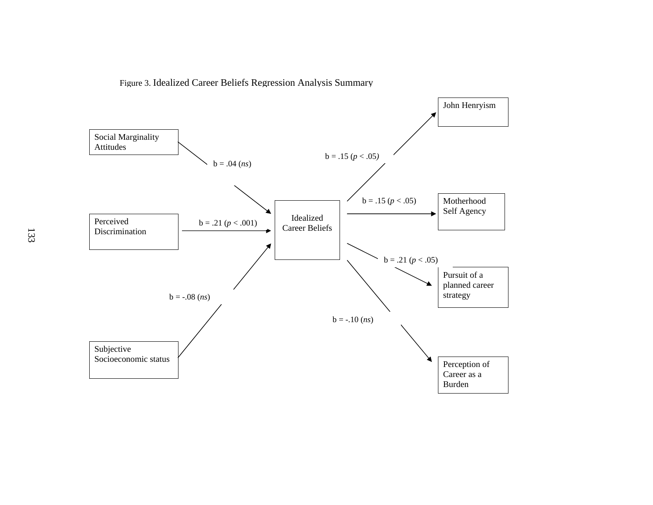Figure 3. Idealized Career Beliefs Regression Analysis Summary

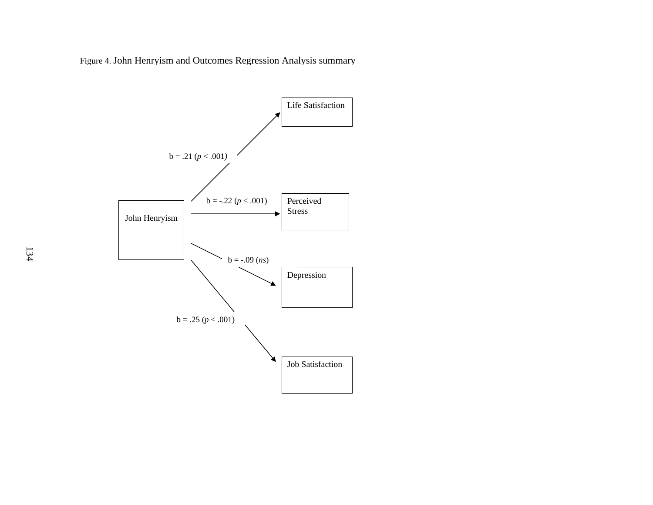Figure 4. John Henryism and Outcomes Regression Analysis summary

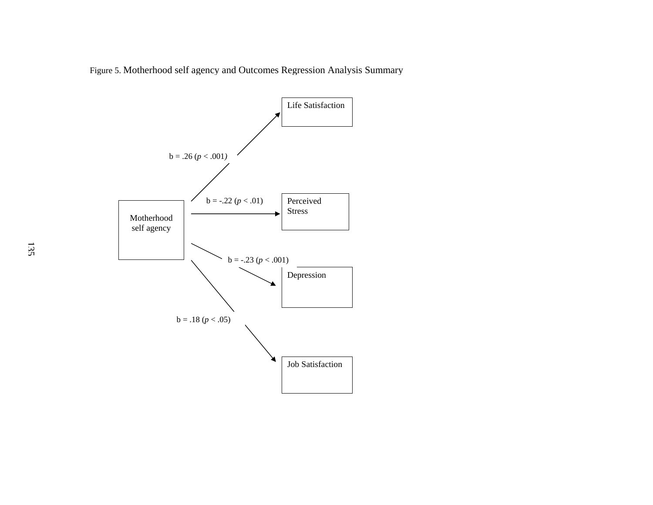Figure 5. Motherhood self agency and Outcomes Regression Analysis Summary

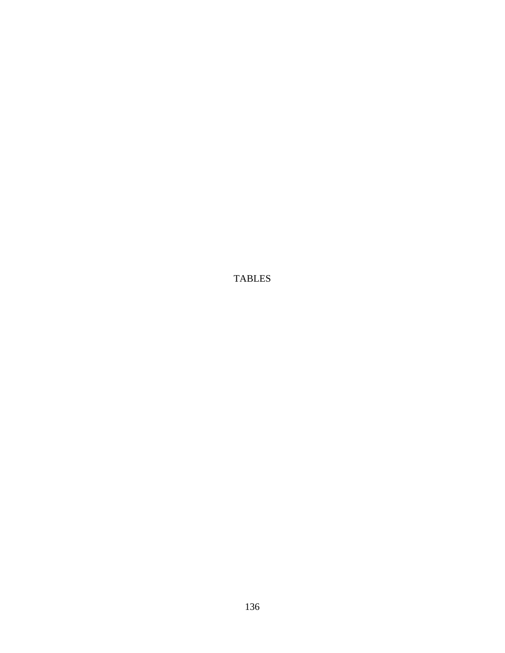TABLES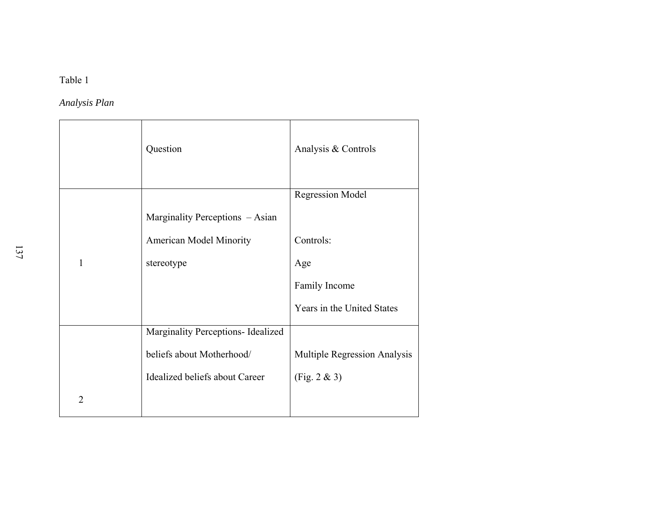## *Analysis Plan*

|                | Question                           | Analysis & Controls          |
|----------------|------------------------------------|------------------------------|
|                |                                    | <b>Regression Model</b>      |
|                | Marginality Perceptions - Asian    |                              |
|                | <b>American Model Minority</b>     | Controls:                    |
| 1              | stereotype                         | Age                          |
|                |                                    | Family Income                |
|                |                                    | Years in the United States   |
|                | Marginality Perceptions- Idealized |                              |
|                | beliefs about Motherhood/          | Multiple Regression Analysis |
|                | Idealized beliefs about Career     | (Fig. 2 & 3)                 |
| $\overline{2}$ |                                    |                              |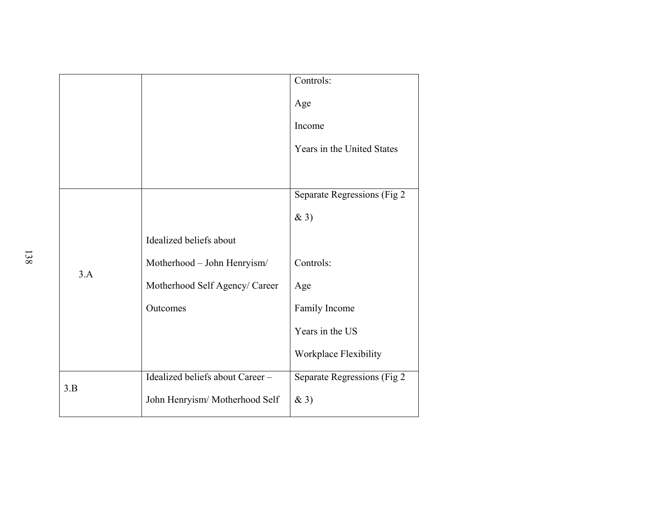|     |                                  | Controls:                    |
|-----|----------------------------------|------------------------------|
|     |                                  | Age                          |
|     |                                  | Income                       |
|     |                                  | Years in the United States   |
|     |                                  |                              |
|     |                                  | Separate Regressions (Fig 2) |
|     |                                  | &3)                          |
|     | Idealized beliefs about          |                              |
| 3.A | Motherhood - John Henryism/      | Controls:                    |
|     | Motherhood Self Agency/ Career   | Age                          |
|     | Outcomes                         | Family Income                |
|     |                                  | Years in the US              |
|     |                                  | Workplace Flexibility        |
|     | Idealized beliefs about Career - | Separate Regressions (Fig 2  |
| 3.B | John Henryism/ Motherhood Self   | & 3)                         |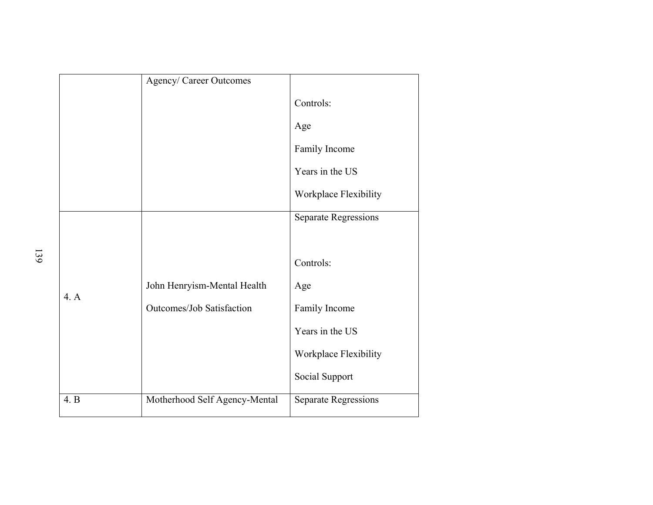|      | <b>Agency/ Career Outcomes</b> |                             |
|------|--------------------------------|-----------------------------|
|      |                                | Controls:                   |
|      |                                | Age                         |
|      |                                | Family Income               |
|      |                                | Years in the US             |
|      |                                | Workplace Flexibility       |
|      |                                | <b>Separate Regressions</b> |
|      |                                |                             |
|      |                                | Controls:                   |
| 4. A | John Henryism-Mental Health    | Age                         |
|      | Outcomes/Job Satisfaction      | Family Income               |
|      |                                | Years in the US             |
|      |                                | Workplace Flexibility       |
|      |                                | Social Support              |
| 4. B | Motherhood Self Agency-Mental  | <b>Separate Regressions</b> |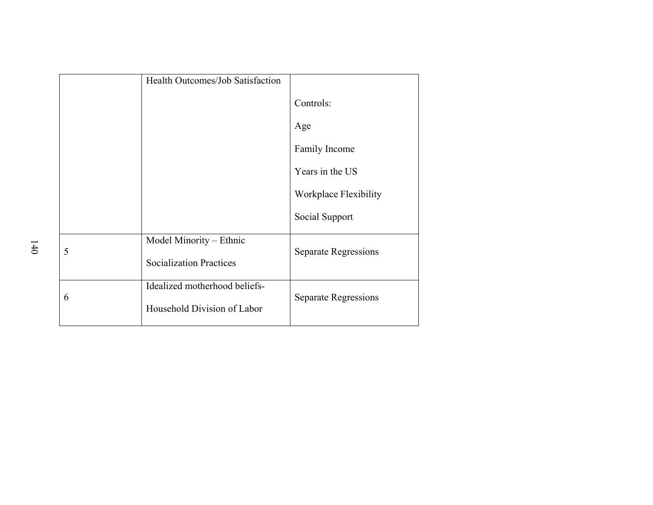|   | Health Outcomes/Job Satisfaction                             |                              |
|---|--------------------------------------------------------------|------------------------------|
|   |                                                              | Controls:                    |
|   |                                                              | Age                          |
|   |                                                              | Family Income                |
|   |                                                              | Years in the US              |
|   |                                                              | <b>Workplace Flexibility</b> |
|   |                                                              | Social Support               |
| 5 | Model Minority - Ethnic<br><b>Socialization Practices</b>    | Separate Regressions         |
| 6 | Idealized motherhood beliefs-<br>Household Division of Labor | <b>Separate Regressions</b>  |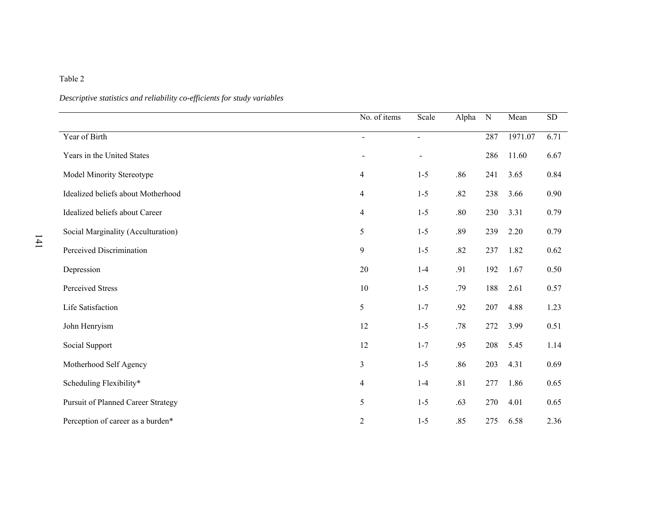|                                           | No. of items   | Scale          | Alpha | $\overline{N}$ | Mean    | SD   |
|-------------------------------------------|----------------|----------------|-------|----------------|---------|------|
| Year of Birth                             | $\blacksquare$ | $\blacksquare$ |       | 287            | 1971.07 | 6.71 |
| Years in the United States                |                | $\blacksquare$ |       | 286            | 11.60   | 6.67 |
| Model Minority Stereotype                 | $\overline{4}$ | $1-5$          | .86   | 241            | 3.65    | 0.84 |
| Idealized beliefs about Motherhood        | $\overline{4}$ | $1 - 5$        | .82   | 238            | 3.66    | 0.90 |
| Idealized beliefs about Career            | 4              | $1 - 5$        | .80   | 230            | 3.31    | 0.79 |
| Social Marginality (Acculturation)        | 5              | $1 - 5$        | .89   | 239            | 2.20    | 0.79 |
| Perceived Discrimination                  | 9              | $1-5$          | .82   | 237            | 1.82    | 0.62 |
| Depression                                | 20             | $1-4$          | .91   | 192            | 1.67    | 0.50 |
| <b>Perceived Stress</b>                   | 10             | $1-5$          | .79   | 188            | 2.61    | 0.57 |
| Life Satisfaction                         | 5              | $1 - 7$        | .92   | 207            | 4.88    | 1.23 |
| John Henryism                             | 12             | $1-5$          | .78   | 272            | 3.99    | 0.51 |
| Social Support                            | 12             | $1 - 7$        | .95   | 208            | 5.45    | 1.14 |
| Motherhood Self Agency                    | 3              | $1-5$          | .86   | 203            | 4.31    | 0.69 |
| Scheduling Flexibility*                   | $\overline{4}$ | $1-4$          | .81   | 277            | 1.86    | 0.65 |
| <b>Pursuit of Planned Career Strategy</b> | 5              | $1-5$          | .63   | 270            | 4.01    | 0.65 |
| Perception of career as a burden*         | $\sqrt{2}$     | $1-5$          | .85   | 275            | 6.58    | 2.36 |

*Descriptive statistics and reliability co-efficients for study variables*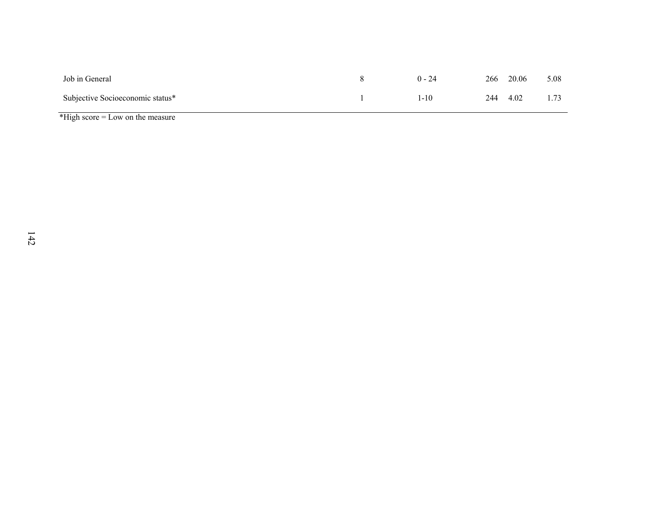| Job in General                   | $0 - 24$ |     | 266 20.06 | 5.08 |
|----------------------------------|----------|-----|-----------|------|
| Subjective Socioeconomic status* | 1-10     | 244 | 4.02      |      |
| .<br>$\sim$                      |          |     |           |      |

 $*$ High score = Low on the measure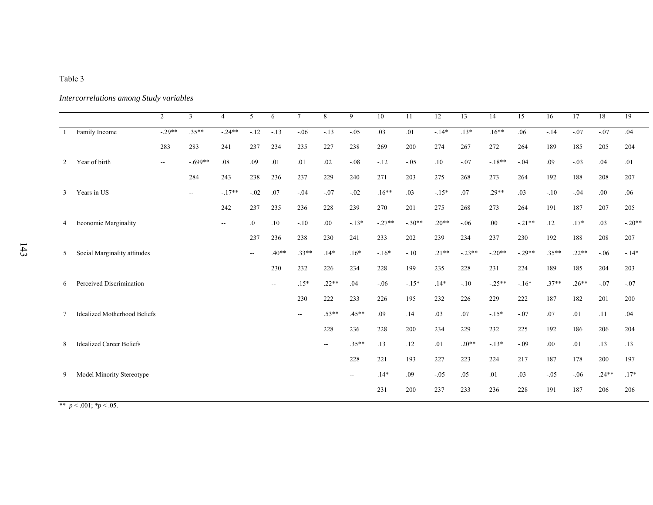### *Intercorrelations among Study variables*

|                 |                                     | 2       | 3             | $\overline{4}$ | 5                        | 6                        | $\overline{7}$           | 8                        | 9       | 10       | 11       | 12      | 13       | 14       | 15       | 16      | 17      | 18      | 19       |
|-----------------|-------------------------------------|---------|---------------|----------------|--------------------------|--------------------------|--------------------------|--------------------------|---------|----------|----------|---------|----------|----------|----------|---------|---------|---------|----------|
| - 1             | Family Income                       | $-29**$ | $.35***$      | $-24**$        | $-.12$                   | $-.13$                   | $-.06$                   | $-.13$                   | $-.05$  | .03      | .01      | $-14*$  | $.13*$   | $.16***$ | .06      | $-14$   | $-.07$  | $-.07$  | .04      |
|                 |                                     | 283     | 283           | 241            | 237                      | 234                      | 235                      | 227                      | 238     | 269      | 200      | 274     | 267      | 272      | 264      | 189     | 185     | 205     | 204      |
| 2               | Year of birth                       | $-$     | $-699**$      | .08            | .09                      | .01                      | .01                      | .02                      | $-.08$  | $-12$    | $-.05$   | .10     | $-.07$   | $-.18**$ | $-.04$   | .09     | $-.03$  | .04     | .01      |
|                 |                                     |         | 284           | 243            | 238                      | 236                      | 237                      | 229                      | 240     | 271      | 203      | 275     | 268      | 273      | 264      | 192     | 188     | 208     | 207      |
| 3               | Years in US                         |         | $\sim$ $\sim$ | $-17**$        | $-.02$                   | .07                      | $-.04$                   | $-.07$                   | $-.02$  | $.16**$  | .03      | $-.15*$ | .07      | $.29**$  | .03      | $-.10$  | $-.04$  | .00.    | .06      |
|                 |                                     |         |               | 242            | 237                      | 235                      | 236                      | 228                      | 239     | 270      | 201      | 275     | 268      | 273      | 264      | 191     | 187     | 207     | 205      |
| 4               | <b>Economic Marginality</b>         |         |               | $\sim$ $\sim$  | $\overline{0}$ .         | .10                      | $-.10$                   | .00                      | $-.13*$ | $-.27**$ | $-.30**$ | $.20**$ | $-.06$   | .00.     | $-21**$  | .12     | $.17*$  | .03     | $-.20**$ |
|                 |                                     |         |               |                | 237                      | 236                      | 238                      | 230                      | 241     | 233      | 202      | 239     | 234      | 237      | 230      | 192     | 188     | 208     | 207      |
| 5               | Social Marginality attitudes        |         |               |                | $\overline{\phantom{a}}$ | $40**$                   | $.33**$                  | $.14*$                   | $.16*$  | $-.16*$  | $-.10$   | $.21**$ | $-.23**$ | $-20**$  | $-.29**$ | $.35**$ | $.22**$ | $-.06$  | $-.14*$  |
|                 |                                     |         |               |                |                          | 230                      | 232                      | 226                      | 234     | 228      | 199      | 235     | 228      | 231      | 224      | 189     | 185     | 204     | 203      |
| 6               | Perceived Discrimination            |         |               |                |                          | $\overline{\phantom{a}}$ | $.15*$                   | $.22**$                  | .04     | $-.06$   | $-.15*$  | $.14*$  | $-.10$   | $-25**$  | $-16*$   | $.37**$ | $.26**$ | $-.07$  | $-.07$   |
|                 |                                     |         |               |                |                          |                          | 230                      | 222                      | 233     | 226      | 195      | 232     | 226      | 229      | 222      | 187     | 182     | 201     | 200      |
| $7\overline{ }$ | <b>Idealized Motherhood Beliefs</b> |         |               |                |                          |                          | $\overline{\phantom{m}}$ | $.53**$                  | $.45**$ | .09      | .14      | .03     | .07      | $-15*$   | $-.07$   | .07     | .01     | .11     | .04      |
|                 |                                     |         |               |                |                          |                          |                          | 228                      | 236     | 228      | 200      | 234     | 229      | 232      | 225      | 192     | 186     | 206     | 204      |
| 8               | <b>Idealized Career Beliefs</b>     |         |               |                |                          |                          |                          | $\overline{\phantom{a}}$ | $.35**$ | .13      | .12      | .01     | $.20**$  | $-.13*$  | $-.09$   | .00.    | .01     | .13     | .13      |
|                 |                                     |         |               |                |                          |                          |                          |                          | 228     | 221      | 193      | 227     | 223      | 224      | 217      | 187     | 178     | 200     | 197      |
| 9               | Model Minority Stereotype           |         |               |                |                          |                          |                          |                          |         | $.14*$   | .09      | $-.05$  | .05      | .01      | .03      | $-.05$  | $-.06$  | $.24**$ | $.17*$   |
|                 |                                     |         |               |                |                          |                          |                          |                          |         | 231      | 200      | 237     | 233      | 236      | 228      | 191     | 187     | 206     | 206      |
|                 |                                     |         |               |                |                          |                          |                          |                          |         |          |          |         |          |          |          |         |         |         |          |

\*\*  $p < .001$ ; \* $p < .05$ .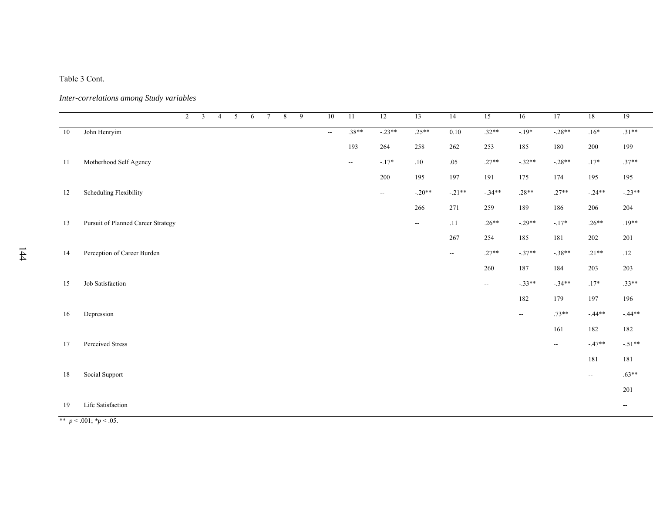#### Table 3 Cont.

*Inter-correlations among Study variables* 

|    |                                    | $\overline{2}$ | $\mathfrak{Z}$ | $\overline{4}$ | 5 | 6 | $7\overline{ }$ | 8<br>9 | 10                        | 11      | 12                       | 13       | 14                       | 15                       | 16       | 17                       | 18                       | 19                          |
|----|------------------------------------|----------------|----------------|----------------|---|---|-----------------|--------|---------------------------|---------|--------------------------|----------|--------------------------|--------------------------|----------|--------------------------|--------------------------|-----------------------------|
| 10 | John Henryim                       |                |                |                |   |   |                 |        | $\mathbb{Z}^{\mathbb{Z}}$ | $.38**$ | $-23**$                  | $.25***$ | 0.10                     | $.32**$                  | $-19*$   | $-.28**$                 | $.16*$                   | $.31**$                     |
|    |                                    |                |                |                |   |   |                 |        |                           | 193     | 264                      | 258      | $262\,$                  | 253                      | 185      | 180                      | 200                      | 199                         |
| 11 | Motherhood Self Agency             |                |                |                |   |   |                 |        |                           | $\sim$  | $-17*$                   | $.10\,$  | .05                      | $.27**$                  | $-.32**$ | $-.28**$                 | $.17*$                   | $.37**$                     |
|    |                                    |                |                |                |   |   |                 |        |                           |         | 200                      | 195      | 197                      | 191                      | 175      | 174                      | 195                      | 195                         |
| 12 | Scheduling Flexibility             |                |                |                |   |   |                 |        |                           |         | $\overline{\phantom{a}}$ | $-.20**$ | $-.21**$                 | $-.34**$                 | $.28**$  | $.27**$                  | $-.24**$                 | $-.23**$                    |
|    |                                    |                |                |                |   |   |                 |        |                           |         |                          | 266      | 271                      | 259                      | 189      | 186                      | 206                      | 204                         |
| 13 | Pursuit of Planned Career Strategy |                |                |                |   |   |                 |        |                           |         |                          | $\sim$   | .11                      | $.26**$                  | $-.29**$ | $-.17*$                  | $.26**$                  | $.19**$                     |
|    |                                    |                |                |                |   |   |                 |        |                           |         |                          |          | $267\,$                  | 254                      | 185      | 181                      | 202                      | 201                         |
| 14 | Perception of Career Burden        |                |                |                |   |   |                 |        |                           |         |                          |          | $\overline{\phantom{a}}$ | $.27**$                  | $-.37**$ | $-38**$                  | $.21**$                  | $.12$                       |
|    |                                    |                |                |                |   |   |                 |        |                           |         |                          |          |                          | 260                      | 187      | 184                      | 203                      | 203                         |
| 15 | Job Satisfaction                   |                |                |                |   |   |                 |        |                           |         |                          |          |                          | $\overline{\phantom{a}}$ | $-.33**$ | $-.34**$                 | $.17*$                   | $.33**$                     |
|    |                                    |                |                |                |   |   |                 |        |                           |         |                          |          |                          |                          | 182      | 179                      | 197                      | 196                         |
| 16 | Depression                         |                |                |                |   |   |                 |        |                           |         |                          |          |                          |                          | $\sim$   | $.73**$                  | $-.44**$                 | $-.44**$                    |
|    |                                    |                |                |                |   |   |                 |        |                           |         |                          |          |                          |                          |          | 161                      | 182                      | 182                         |
| 17 | Perceived Stress                   |                |                |                |   |   |                 |        |                           |         |                          |          |                          |                          |          | $\overline{\phantom{a}}$ | $-.47**$                 | $-.51**$                    |
|    |                                    |                |                |                |   |   |                 |        |                           |         |                          |          |                          |                          |          |                          | 181                      | 181                         |
| 18 | Social Support                     |                |                |                |   |   |                 |        |                           |         |                          |          |                          |                          |          |                          | $\overline{\phantom{a}}$ | $.63**$                     |
|    |                                    |                |                |                |   |   |                 |        |                           |         |                          |          |                          |                          |          |                          |                          | 201                         |
| 19 | Life Satisfaction                  |                |                |                |   |   |                 |        |                           |         |                          |          |                          |                          |          |                          |                          | $\mathcal{L}_{\mathcal{F}}$ |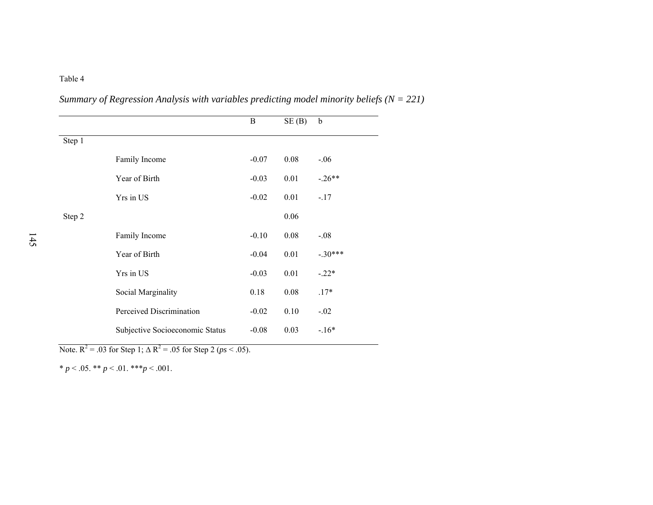|        |                                 | B       | SE(B) | $\mathbf b$ |
|--------|---------------------------------|---------|-------|-------------|
| Step 1 |                                 |         |       |             |
|        | Family Income                   | $-0.07$ | 0.08  | $-.06$      |
|        | Year of Birth                   | $-0.03$ | 0.01  | $-.26**$    |
|        | Yrs in US                       | $-0.02$ | 0.01  | $-.17$      |
| Step 2 |                                 |         | 0.06  |             |
|        | Family Income                   | $-0.10$ | 0.08  | $-.08$      |
|        | Year of Birth                   | $-0.04$ | 0.01  | $-.30***$   |
|        | Yrs in US                       | $-0.03$ | 0.01  | $-.22*$     |
|        | Social Marginality              | 0.18    | 0.08  | $.17*$      |
|        | Perceived Discrimination        | $-0.02$ | 0.10  | $-.02$      |
|        | Subjective Socioeconomic Status | $-0.08$ | 0.03  | $-.16*$     |

*Summary of Regression Analysis with variables predicting model minority beliefs (N = 221)* 

Note.  $R^2 = .03$  for Step 1;  $\Delta R^2 = .05$  for Step 2 ( $ps < .05$ ).

\*  $p < .05$ . \*\*  $p < .01$ . \*\*\* $p < .001$ .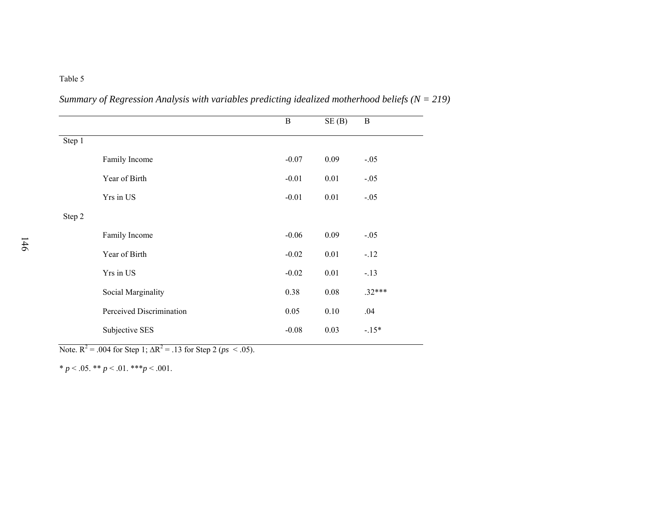|        |                          | B       | SE(B) | $\bf{B}$ |
|--------|--------------------------|---------|-------|----------|
| Step 1 |                          |         |       |          |
|        | Family Income            | $-0.07$ | 0.09  | $-.05$   |
|        | Year of Birth            | $-0.01$ | 0.01  | $-.05$   |
|        | Yrs in US                | $-0.01$ | 0.01  | $-.05$   |
| Step 2 |                          |         |       |          |
|        | Family Income            | $-0.06$ | 0.09  | $-.05$   |
|        | Year of Birth            | $-0.02$ | 0.01  | $-12$    |
|        | Yrs in US                | $-0.02$ | 0.01  | $-.13$   |
|        | Social Marginality       | 0.38    | 0.08  | $.32***$ |
|        | Perceived Discrimination | 0.05    | 0.10  | .04      |
|        | Subjective SES           | $-0.08$ | 0.03  | $-15*$   |

*Summary of Regression Analysis with variables predicting idealized motherhood beliefs (N = 219)* 

Note.  $R^2$  = .004 for Step 1;  $\Delta R^2$  = .13 for Step 2 (*ps* < .05).

\*  $p < .05$ . \*\*  $p < .01$ . \*\*\* $p < .001$ .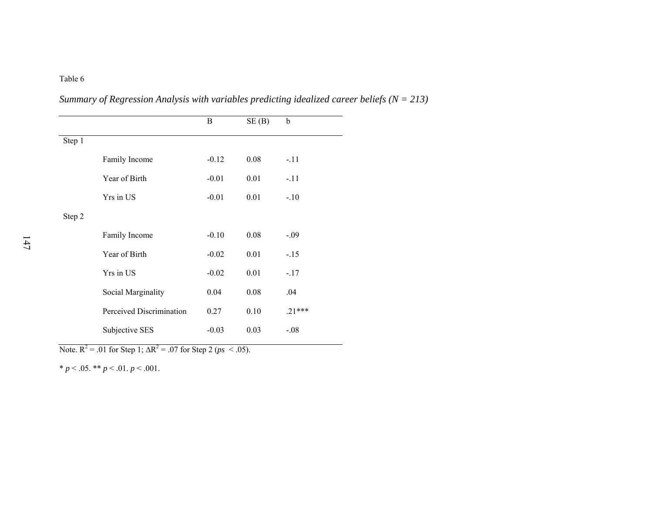|        |                          | B       | SE(B) | $\mathbf b$ |
|--------|--------------------------|---------|-------|-------------|
| Step 1 |                          |         |       |             |
|        | Family Income            | $-0.12$ | 0.08  | $-.11$      |
|        | Year of Birth            | $-0.01$ | 0.01  | $-.11$      |
|        | Yrs in US                | $-0.01$ | 0.01  | $-.10$      |
| Step 2 |                          |         |       |             |
|        | Family Income            | $-0.10$ | 0.08  | $-.09$      |
|        | Year of Birth            | $-0.02$ | 0.01  | $-15$       |
|        | Yrs in US                | $-0.02$ | 0.01  | $-.17$      |
|        | Social Marginality       | 0.04    | 0.08  | .04         |
|        | Perceived Discrimination | 0.27    | 0.10  | $.21***$    |
|        | Subjective SES           | $-0.03$ | 0.03  | $-.08$      |

*Summary of Regression Analysis with variables predicting idealized career beliefs (N = 213)* 

Note.  $R^2$  = .01 for Step 1; Δ $R^2$  = .07 for Step 2 (*ps* < .05).

 $* p < .05. ** p < .01. p < .001.$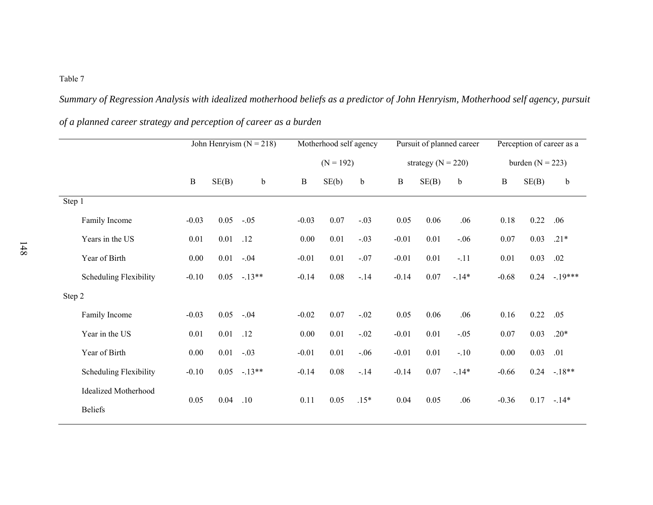*Summary of Regression Analysis with idealized motherhood beliefs as a predictor of John Henryism, Motherhood self agency, pursuit of a planned career strategy and perception of career as a burden* 

|                               | John Henryism $(N = 218)$ |       |               |              | Motherhood self agency |             |              |                        | Pursuit of planned career | Perception of career as a |                    |               |  |
|-------------------------------|---------------------------|-------|---------------|--------------|------------------------|-------------|--------------|------------------------|---------------------------|---------------------------|--------------------|---------------|--|
|                               |                           |       |               |              | $(N = 192)$            |             |              | strategy ( $N = 220$ ) |                           |                           | burden $(N = 223)$ |               |  |
|                               | $\, {\bf B}$              | SE(B) | $\mathfrak b$ | $\, {\bf B}$ | SE(b)                  | $\mathbf b$ | $\, {\bf B}$ | SE(B)                  | $\mathbf b$               | $\, {\bf B}$              | SE(B)              | $\mathbf b$   |  |
| Step 1                        |                           |       |               |              |                        |             |              |                        |                           |                           |                    |               |  |
| Family Income                 | $-0.03$                   | 0.05  | $-.05$        | $-0.03$      | 0.07                   | $-.03$      | 0.05         | 0.06                   | .06                       | 0.18                      | 0.22               | .06           |  |
| Years in the US               | 0.01                      | 0.01  | .12           | 0.00         | 0.01                   | $-.03$      | $-0.01$      | 0.01                   | $-.06$                    | $0.07\,$                  | 0.03               | $.21*$        |  |
| Year of Birth                 | 0.00                      | 0.01  | $-.04$        | $-0.01$      | 0.01                   | $-.07$      | $-0.01$      | 0.01                   | $-.11$                    | $0.01\,$                  | 0.03               | .02           |  |
| <b>Scheduling Flexibility</b> | $-0.10$                   | 0.05  | $-13**$       | $-0.14$      | 0.08                   | $-14$       | $-0.14$      | 0.07                   | $-14*$                    | $-0.68$                   | 0.24               | $-19***$      |  |
| Step 2                        |                           |       |               |              |                        |             |              |                        |                           |                           |                    |               |  |
| Family Income                 | $-0.03$                   | 0.05  | $-.04$        | $-0.02$      | 0.07                   | $-.02$      | 0.05         | 0.06                   | .06                       | 0.16                      | 0.22               | .05           |  |
| Year in the US                | 0.01                      | 0.01  | .12           | 0.00         | 0.01                   | $-.02$      | $-0.01$      | 0.01                   | $-.05$                    | 0.07                      | 0.03               | $.20*$        |  |
| Year of Birth                 | 0.00                      | 0.01  | $-.03$        | $-0.01$      | 0.01                   | $-.06$      | $-0.01$      | 0.01                   | $-.10$                    | 0.00                      | 0.03               | .01           |  |
| <b>Scheduling Flexibility</b> | $-0.10$                   | 0.05  | $-.13**$      | $-0.14$      | 0.08                   | $-.14$      | $-0.14$      | 0.07                   | $-14*$                    | $-0.66$                   |                    | $0.24 - 18**$ |  |
| <b>Idealized Motherhood</b>   |                           |       |               |              |                        |             |              |                        |                           |                           |                    |               |  |
| <b>Beliefs</b>                | 0.05                      | 0.04  | .10           | 0.11         | 0.05                   | $.15*$      | 0.04         | 0.05                   | .06                       | $-0.36$                   | 0.17               | $-.14*$       |  |
|                               |                           |       |               |              |                        |             |              |                        |                           |                           |                    |               |  |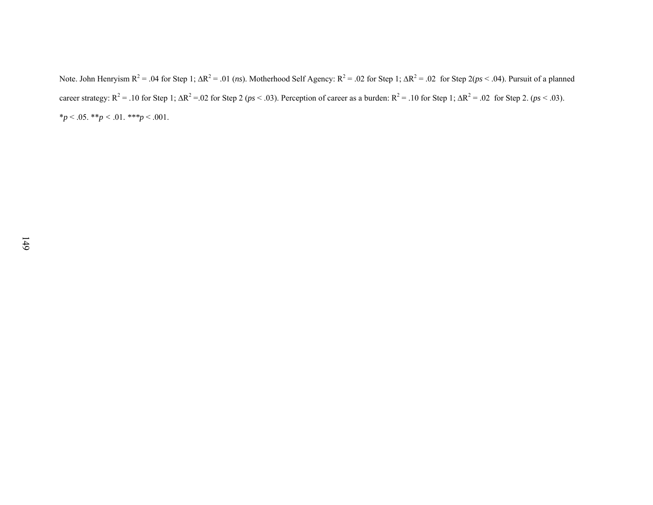Note. John Henryism R<sup>2</sup> = .04 for Step 1; ∆R<sup>2</sup> = .01 (*ns*). Motherhood Self Agency: R<sup>2</sup> = .02 for Step 1; ∆R<sup>2</sup> = .02 for Step 2(*ps* < .04). Pursuit of a planned career strategy:  $R^2 = .10$  for Step 1;  $\Delta R^2 = .02$  for Step 2 ( $ps < .03$ ). Perception of career as a burden:  $R^2 = .10$  for Step 1;  $\Delta R^2 = .02$  for Step 2. ( $ps < .03$ ). \**p* < .05. \*\**p <* .01. *\*\*\*p* < .001.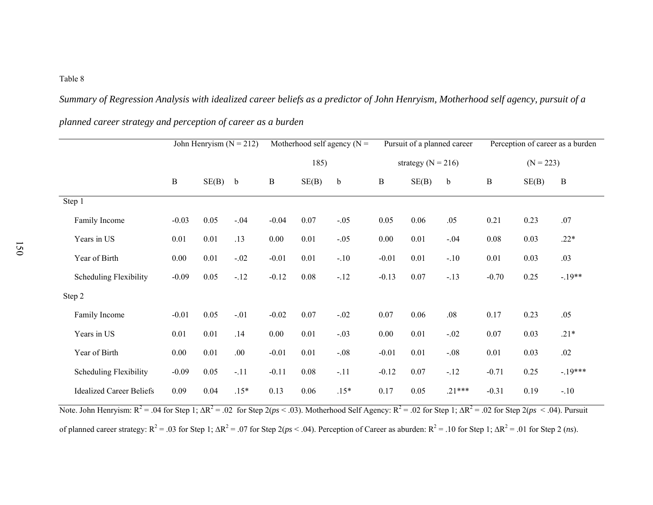*Summary of Regression Analysis with idealized career beliefs as a predictor of John Henryism, Motherhood self agency, pursuit of a* 

|                                 |              | John Henryism ( $N = 212$ ) |             |              |       | Motherhood self agency ( $N =$ |              | Pursuit of a planned career |             | Perception of career as a burden |             |              |  |
|---------------------------------|--------------|-----------------------------|-------------|--------------|-------|--------------------------------|--------------|-----------------------------|-------------|----------------------------------|-------------|--------------|--|
|                                 |              |                             |             |              | 185)  |                                |              | strategy ( $N = 216$ )      |             |                                  | $(N = 223)$ |              |  |
|                                 | $\, {\bf B}$ | SE(B)                       | $\mathbf b$ | $\, {\bf B}$ | SE(B) | $\mathbf b$                    | $\, {\bf B}$ | SE(B)                       | $\mathbf b$ | $\bf{B}$                         | SE(B)       | $\mathbf{B}$ |  |
| Step 1                          |              |                             |             |              |       |                                |              |                             |             |                                  |             |              |  |
| Family Income                   | $-0.03$      | 0.05                        | $-.04$      | $-0.04$      | 0.07  | $-.05$                         | 0.05         | 0.06                        | .05         | 0.21                             | 0.23        | .07          |  |
| Years in US                     | 0.01         | 0.01                        | .13         | 0.00         | 0.01  | $-.05$                         | 0.00         | 0.01                        | $-.04$      | 0.08                             | 0.03        | $.22*$       |  |
| Year of Birth                   | 0.00         | 0.01                        | $-.02$      | $-0.01$      | 0.01  | $-.10$                         | $-0.01$      | 0.01                        | $-.10$      | 0.01                             | 0.03        | .03          |  |
| <b>Scheduling Flexibility</b>   | $-0.09$      | 0.05                        | $-12$       | $-0.12$      | 0.08  | $-12$                          | $-0.13$      | 0.07                        | $-.13$      | $-0.70$                          | 0.25        | $-19**$      |  |
| Step 2                          |              |                             |             |              |       |                                |              |                             |             |                                  |             |              |  |
| Family Income                   | $-0.01$      | 0.05                        | $-.01$      | $-0.02$      | 0.07  | $-.02$                         | 0.07         | 0.06                        | .08         | 0.17                             | 0.23        | .05          |  |
| Years in US                     | 0.01         | 0.01                        | .14         | $0.00\,$     | 0.01  | $-.03$                         | 0.00         | 0.01                        | $-.02$      | 0.07                             | 0.03        | $.21*$       |  |
| Year of Birth                   | 0.00         | 0.01                        | .00         | $-0.01$      | 0.01  | $-.08$                         | $-0.01$      | 0.01                        | $-.08$      | 0.01                             | 0.03        | .02          |  |
| Scheduling Flexibility          | $-0.09$      | 0.05                        | $-.11$      | $-0.11$      | 0.08  | $-.11$                         | $-0.12$      | 0.07                        | $-12$       | $-0.71$                          | 0.25        | $-19***$     |  |
| <b>Idealized Career Beliefs</b> | 0.09         | 0.04                        | $.15*$      | 0.13         | 0.06  | $.15*$                         | 0.17         | 0.05                        | $.21***$    | $-0.31$                          | 0.19        | $-.10$       |  |

*planned career strategy and perception of career as a burden* 

Note. John Henryism:  $R^2 = .04$  for Step 1;  $\Delta R^2 = .02$  for Step 2( $ps < .03$ ). Motherhood Self Agency:  $R^2 = .02$  for Step 1;  $\Delta R^2 = .02$  for Step 2( $ps < .04$ ). Pursuit of planned career strategy:  $R^2 = .03$  for Step 1;  $\Delta R^2 = .07$  for Step 2(*ps* < .04). Perception of Career as aburden:  $R^2 = .10$  for Step 1;  $\Delta R^2 = .01$  for Step 2 (*ns*).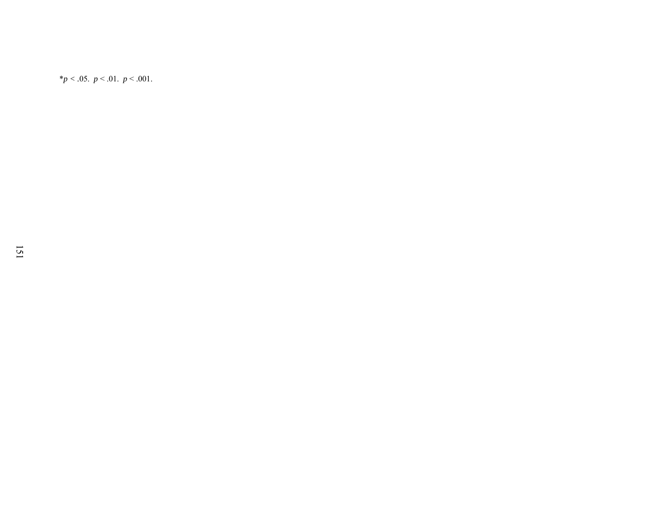$*$ *p* < .05. *p* < .01. *p* < .001.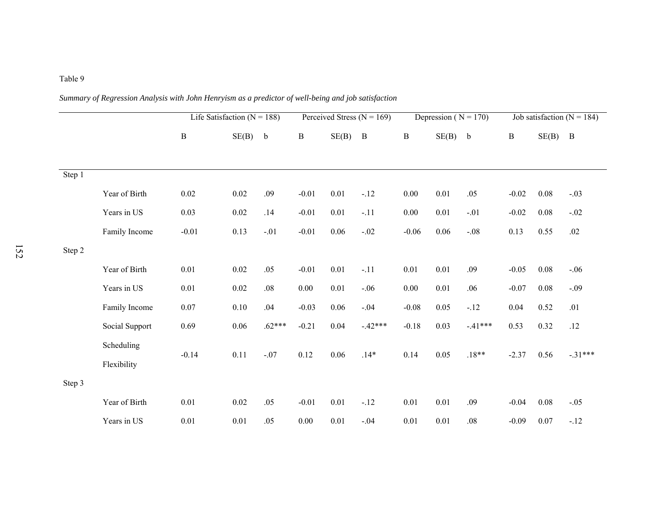## *Summary of Regression Analysis with John Henryism as a predictor of well-being and job satisfaction*

|        |                | Life Satisfaction ( $N = 188$ ) |           |          | Perceived Stress ( $N = 169$ ) |          |              |              | Depression ( $N = 170$ ) |          | Job satisfaction ( $N = 184$ ) |           |           |
|--------|----------------|---------------------------------|-----------|----------|--------------------------------|----------|--------------|--------------|--------------------------|----------|--------------------------------|-----------|-----------|
|        |                | $\, {\bf B}$                    | $SE(B)$ b |          | $\, {\bf B}$                   | SE(B)    | $\, {\bf B}$ | $\, {\bf B}$ | $SE(B)$ b                |          | $\, {\bf B}$                   | $SE(B)$ B |           |
|        |                |                                 |           |          |                                |          |              |              |                          |          |                                |           |           |
| Step 1 |                |                                 |           |          |                                |          |              |              |                          |          |                                |           |           |
|        | Year of Birth  | 0.02                            | $0.02\,$  | .09      | $-0.01$                        | $0.01\,$ | $-.12$       | 0.00         | 0.01                     | .05      | $-0.02$                        | 0.08      | $-.03$    |
|        | Years in US    | 0.03                            | 0.02      | .14      | $-0.01$                        | 0.01     | $-.11$       | $0.00\,$     | 0.01                     | $-.01$   | $-0.02$                        | 0.08      | $-.02$    |
|        | Family Income  | $-0.01$                         | 0.13      | $-.01$   | $-0.01$                        | 0.06     | $-.02$       | $-0.06$      | 0.06                     | $-.08$   | 0.13                           | 0.55      | .02       |
| Step 2 |                |                                 |           |          |                                |          |              |              |                          |          |                                |           |           |
|        | Year of Birth  | $0.01\,$                        | $0.02\,$  | .05      | $-0.01$                        | $0.01\,$ | $-.11$       | $0.01\,$     | $0.01\,$                 | .09      | $-0.05$                        | $0.08\,$  | $-.06$    |
|        | Years in US    | 0.01                            | 0.02      | $.08\,$  | $0.00\,$                       | $0.01\,$ | $-.06$       | $0.00\,$     | 0.01                     | .06      | $-0.07$                        | $0.08\,$  | $-.09$    |
|        | Family Income  | 0.07                            | 0.10      | .04      | $-0.03$                        | 0.06     | $-.04$       | $-0.08$      | 0.05                     | $-12$    | 0.04                           | 0.52      | .01       |
|        | Social Support | 0.69                            | 0.06      | $.62***$ | $-0.21$                        | 0.04     | $-42***$     | $-0.18$      | 0.03                     | $-41***$ | 0.53                           | 0.32      | .12       |
|        | Scheduling     |                                 |           |          |                                |          |              |              |                          |          |                                |           |           |
|        | Flexibility    | $-0.14$                         | 0.11      | $-.07$   | 0.12                           | 0.06     | $.14*$       | 0.14         | 0.05                     | $.18**$  | $-2.37$                        | 0.56      | $-.31***$ |
| Step 3 |                |                                 |           |          |                                |          |              |              |                          |          |                                |           |           |
|        | Year of Birth  | 0.01                            | 0.02      | .05      | $-0.01$                        | 0.01     | $-.12$       | 0.01         | $0.01\,$                 | .09      | $-0.04$                        | $0.08\,$  | $-.05$    |
|        | Years in US    | 0.01                            | 0.01      | .05      | 0.00                           | 0.01     | $-.04$       | 0.01         | 0.01                     | .08      | $-0.09$                        | 0.07      | $-.12$    |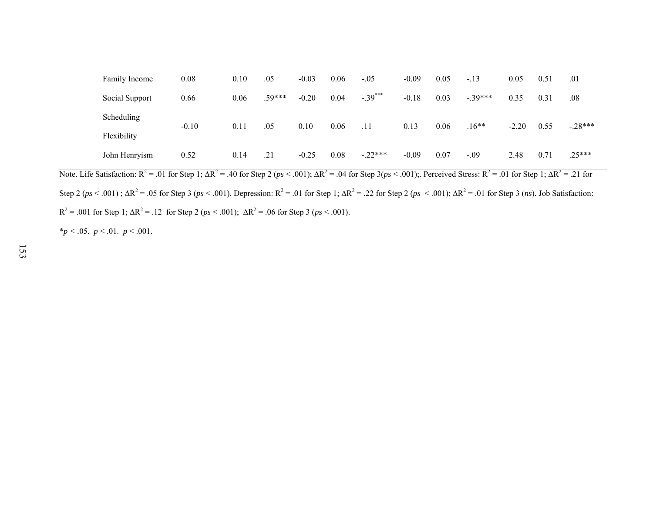| Family Income  | 0.08    | 0.10 | .05      | $-0.03$ | 0.06 | $-.05$    | $-0.09$ | 0.05 | $-.13$   | 0.05    | 0.51 | .01      |
|----------------|---------|------|----------|---------|------|-----------|---------|------|----------|---------|------|----------|
| Social Support | 0.66    | 0.06 | $.59***$ | $-0.20$ | 0.04 | $-.39***$ | $-0.18$ | 0.03 | $-39***$ | 0.35    | 0.31 | .08      |
| Scheduling     | $-0.10$ | 0.11 | .05      | 0.10    | 0.06 | .11       | 0.13    | 0.06 | $.16**$  | $-2.20$ | 0.55 | $-28***$ |
| Flexibility    |         |      |          |         |      |           |         |      |          |         |      |          |
| John Henryism  | 0.52    | 0.14 | .21      | $-0.25$ | 0.08 | $-.22***$ | $-0.09$ | 0.07 | $-.09$   | 2.48    | 0.71 | $.25***$ |

Note. Life Satisfaction:  $R^2 = .01$  for Step 1;  $\Delta R^2 = .40$  for Step 2 ( $ps < .001$ );  $\Delta R^2 = .04$  for Step 3( $ps < .001$ );. Perceived Stress:  $R^2 = .01$  for Step 1;  $\Delta R^2 = .21$  for Step 2 (*ps* < .001) ; ∆R2 = .05 for Step 3 (*ps* < .001). Depression: R2 = .01 for Step 1; <sup>∆</sup>R2 = .22 for Step 2 (*ps* < .001); ∆R2 = .01 for Step 3 (*ns*). Job Satisfaction:  $R^2 = .001$  for Step 1;  $\Delta R^2 = .12$  for Step 2 ( $ps < .001$ );  $\Delta R^2 = .06$  for Step 3 ( $ps < .001$ ).

 $*$ *p* < .05. *p* < .01. *p* < .001.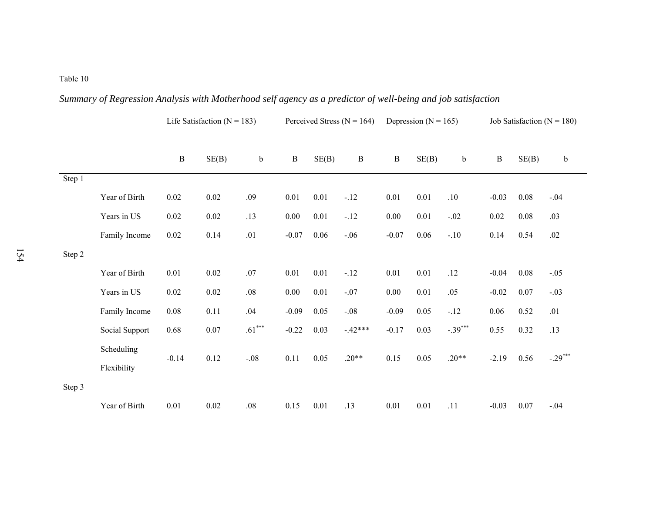## *Summary of Regression Analysis with Motherhood self agency as a predictor of well-being and job satisfaction*

|        |                | Life Satisfaction ( $N = 183$ ) |          |             | Perceived Stress ( $N = 164$ ) |          |              | Depression ( $N = 165$ ) |       | Job Satisfaction ( $N = 180$ ) |              |       |             |
|--------|----------------|---------------------------------|----------|-------------|--------------------------------|----------|--------------|--------------------------|-------|--------------------------------|--------------|-------|-------------|
|        |                | $\, {\bf B}$                    | SE(B)    | $\mathbf b$ | $\, {\bf B}$                   | SE(B)    | $\, {\bf B}$ | $\, {\bf B}$             | SE(B) | $\mathbf b$                    | $\, {\bf B}$ | SE(B) | $\mathbf b$ |
| Step 1 |                |                                 |          |             |                                |          |              |                          |       |                                |              |       |             |
|        | Year of Birth  | 0.02                            | $0.02\,$ | .09         | 0.01                           | $0.01\,$ | $-.12$       | 0.01                     | 0.01  | .10                            | $-0.03$      | 0.08  | $-.04$      |
|        | Years in US    | $0.02\,$                        | $0.02\,$ | .13         | 0.00                           | 0.01     | $-.12$       | 0.00                     | 0.01  | $-.02$                         | 0.02         | 0.08  | .03         |
|        | Family Income  | $0.02\,$                        | 0.14     | .01         | $-0.07$                        | 0.06     | $-.06$       | $-0.07$                  | 0.06  | $-.10$                         | 0.14         | 0.54  | .02         |
| Step 2 |                |                                 |          |             |                                |          |              |                          |       |                                |              |       |             |
|        | Year of Birth  | 0.01                            | 0.02     | .07         | 0.01                           | 0.01     | $-.12$       | 0.01                     | 0.01  | .12                            | $-0.04$      | 0.08  | $-.05$      |
|        | Years in US    | 0.02                            | $0.02\,$ | .08         | 0.00                           | 0.01     | $-.07$       | 0.00                     | 0.01  | .05                            | $-0.02$      | 0.07  | $-.03$      |
|        | Family Income  | 0.08                            | 0.11     | .04         | $-0.09$                        | 0.05     | $-.08$       | $-0.09$                  | 0.05  | $-12$                          | 0.06         | 0.52  | .01         |
|        | Social Support | 0.68                            | 0.07     | $.61***$    | $-0.22$                        | 0.03     | $-42***$     | $-0.17$                  | 0.03  | $-.39***$                      | 0.55         | 0.32  | .13         |
|        | Scheduling     |                                 |          |             |                                |          |              |                          |       |                                |              |       |             |
|        | Flexibility    | $-0.14$                         | 0.12     | $-.08$      | 0.11                           | 0.05     | $.20**$      | 0.15                     | 0.05  | $.20**$                        | $-2.19$      | 0.56  | $-.29***$   |
| Step 3 |                |                                 |          |             |                                |          |              |                          |       |                                |              |       |             |
|        | Year of Birth  | 0.01                            | 0.02     | .08         | 0.15                           | 0.01     | .13          | 0.01                     | 0.01  | .11                            | $-0.03$      | 0.07  | $-.04$      |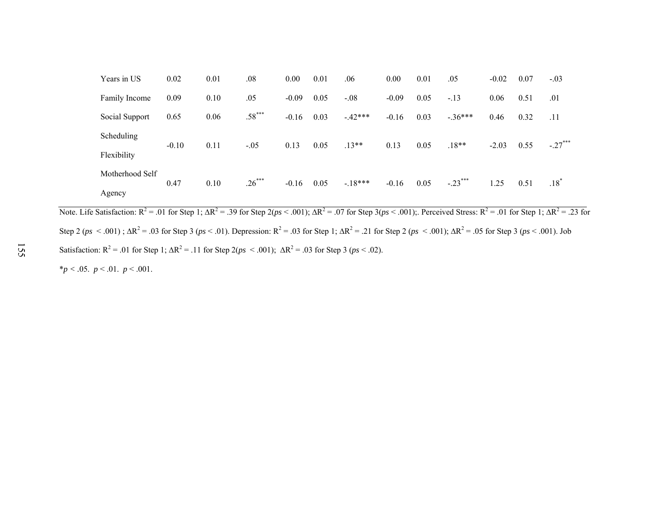| Years in US     | 0.02    | 0.01 | .08      | 0.00    | 0.01 | .06      | 0.00    | 0.01 | .05       | $-0.02$ | 0.07 | $-.03$    |
|-----------------|---------|------|----------|---------|------|----------|---------|------|-----------|---------|------|-----------|
| Family Income   | 0.09    | 0.10 | .05      | $-0.09$ | 0.05 | $-.08$   | $-0.09$ | 0.05 | $-.13$    | 0.06    | 0.51 | .01       |
| Social Support  | 0.65    | 0.06 | $.58***$ | $-0.16$ | 0.03 | $-42***$ | $-0.16$ | 0.03 | $-.36***$ | 0.46    | 0.32 | .11       |
| Scheduling      | $-0.10$ | 0.11 | $-.05$   | 0.13    | 0.05 | $.13**$  | 0.13    | 0.05 | $.18**$   | $-2.03$ | 0.55 | $-.27***$ |
| Flexibility     |         |      |          |         |      |          |         |      |           |         |      |           |
| Motherhood Self | 0.47    | 0.10 | $.26***$ | $-0.16$ | 0.05 | $-18***$ | $-0.16$ | 0.05 | $-.23***$ | 1.25    | 0.51 | $.18*$    |
| Agency          |         |      |          |         |      |          |         |      |           |         |      |           |

Note. Life Satisfaction:  $R^2 = .01$  for Step 1;  $\Delta R^2 = .39$  for Step 2( $ps < .001$ );  $\Delta R^2 = .07$  for Step 3( $ps < .001$ );. Perceived Stress:  $R^2 = .01$  for Step 1;  $\Delta R^2 = .23$  for Step 2 ( $ps < .001$ );  $\Delta R^2 = .03$  for Step 3 ( $ps < .01$ ). Depression:  $R^2 = .03$  for Step 1;  $\Delta R^2 = .21$  for Step 2 ( $ps < .001$ );  $\Delta R^2 = .05$  for Step 3 ( $ps < .001$ ). Job Satisfaction:  $R^2 = .01$  for Step 1;  $\Delta R^2 = .11$  for Step 2(*ps* < .001);  $\Delta R^2 = .03$  for Step 3 (*ps* < .02).

 $**p* < .05.$  *p*  $< .01.$  *p*  $< .001.$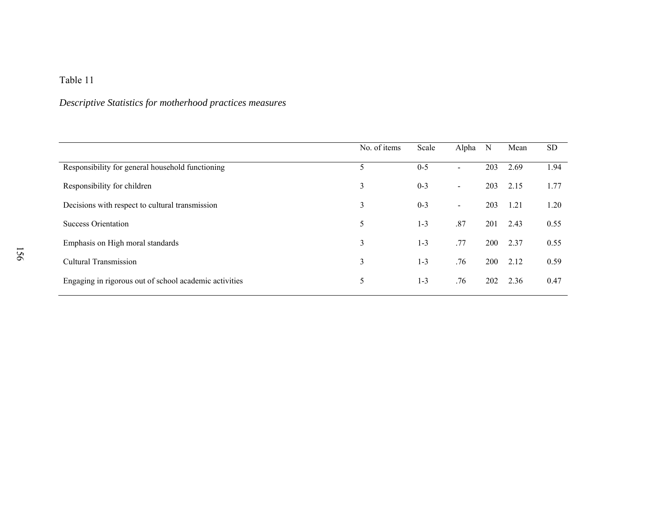## *Descriptive Statistics for motherhood practices measures*

|                                                        | No. of items | Scale   | Alpha                    | N          | Mean | <b>SD</b> |
|--------------------------------------------------------|--------------|---------|--------------------------|------------|------|-----------|
| Responsibility for general household functioning       | 5            | $0-5$   | $\overline{\phantom{0}}$ | 203        | 2.69 | 1.94      |
| Responsibility for children                            | 3            | $0 - 3$ | $\blacksquare$           | 203        | 2.15 | 1.77      |
| Decisions with respect to cultural transmission        | 3            | $0 - 3$ | $\blacksquare$           | 203        | 1.21 | 1.20      |
| <b>Success Orientation</b>                             | 5            | 1-3     | .87                      | 201        | 2.43 | 0.55      |
| Emphasis on High moral standards                       | 3            | $1-3$   | .77                      | <b>200</b> | 2.37 | 0.55      |
| <b>Cultural Transmission</b>                           | 3            | $1 - 3$ | .76                      | <b>200</b> | 2.12 | 0.59      |
| Engaging in rigorous out of school academic activities | 5            | $1 - 3$ | .76                      | <b>202</b> | 2.36 | 0.47      |
|                                                        |              |         |                          |            |      |           |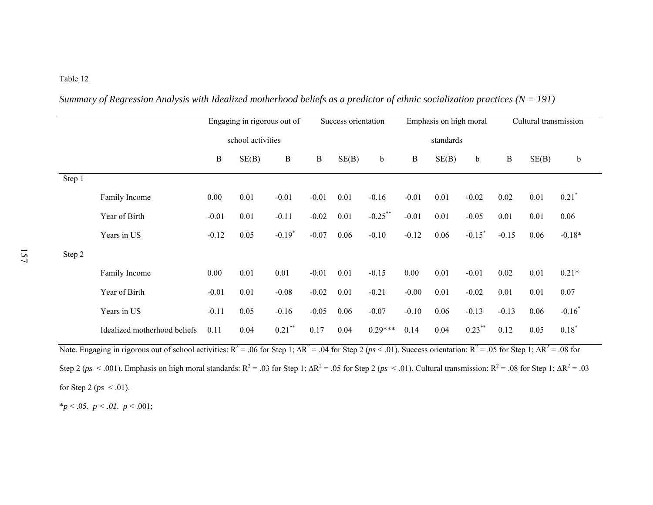|        |                              |              | Engaging in rigorous out of |                      |              | Success orientation |             |              | Emphasis on high moral |                      | Cultural transmission |       |                      |
|--------|------------------------------|--------------|-----------------------------|----------------------|--------------|---------------------|-------------|--------------|------------------------|----------------------|-----------------------|-------|----------------------|
|        |                              |              | school activities           |                      |              |                     |             |              | standards              |                      |                       |       |                      |
|        |                              | $\, {\bf B}$ | SE(B)                       | $\, {\bf B}$         | $\, {\bf B}$ | SE(B)               | $\mathbf b$ | $\, {\bf B}$ | SE(B)                  | $\mathbf b$          | $\, {\bf B}$          | SE(B) | $\mathbf b$          |
| Step 1 |                              |              |                             |                      |              |                     |             |              |                        |                      |                       |       |                      |
|        | Family Income                | 0.00         | 0.01                        | $-0.01$              | $-0.01$      | 0.01                | $-0.16$     | $-0.01$      | 0.01                   | $-0.02$              | 0.02                  | 0.01  | $0.21$ <sup>*</sup>  |
|        | Year of Birth                | $-0.01$      | 0.01                        | $-0.11$              | $-0.02$      | 0.01                | $-0.25$ **  | $-0.01$      | 0.01                   | $-0.05$              | 0.01                  | 0.01  | 0.06                 |
|        | Years in US                  | $-0.12$      | 0.05                        | $-0.19$ <sup>*</sup> | $-0.07$      | 0.06                | $-0.10$     | $-0.12$      | 0.06                   | $-0.15$ <sup>*</sup> | $-0.15$               | 0.06  | $-0.18*$             |
| Step 2 |                              |              |                             |                      |              |                     |             |              |                        |                      |                       |       |                      |
|        | Family Income                | 0.00         | 0.01                        | 0.01                 | $-0.01$      | 0.01                | $-0.15$     | 0.00         | 0.01                   | $-0.01$              | 0.02                  | 0.01  | $0.21*$              |
|        | Year of Birth                | $-0.01$      | 0.01                        | $-0.08$              | $-0.02$      | 0.01                | $-0.21$     | $-0.00$      | 0.01                   | $-0.02$              | 0.01                  | 0.01  | 0.07                 |
|        | Years in US                  | $-0.11$      | 0.05                        | $-0.16$              | $-0.05$      | 0.06                | $-0.07$     | $-0.10$      | 0.06                   | $-0.13$              | $-0.13$               | 0.06  | $-0.16$ <sup>*</sup> |
|        | Idealized motherhood beliefs | 0.11         | 0.04                        | $0.21$ **            | 0.17         | 0.04                | $0.29***$   | 0.14         | 0.04                   | $0.23***$            | 0.12                  | 0.05  | $0.18*$              |

|  |  |  |  |  |  |  |  | Summary of Regression Analysis with Idealized motherhood beliefs as a predictor of ethnic socialization practices ( $N = 191$ ) |  |  |
|--|--|--|--|--|--|--|--|---------------------------------------------------------------------------------------------------------------------------------|--|--|
|  |  |  |  |  |  |  |  |                                                                                                                                 |  |  |

Note. Engaging in rigorous out of school activities:  $R^2 = .06$  for Step 1;  $\Delta R^2 = .04$  for Step 2 ( $ps < .01$ ). Success orientation:  $R^2 = .05$  for Step 1;  $\Delta R^2 = .08$  for Step 2 ( $ps < .001$ ). Emphasis on high moral standards: R<sup>2</sup> = .03 for Step 1;  $\Delta R^2$  = .05 for Step 2 ( $ps < .01$ ). Cultural transmission: R<sup>2</sup> = .08 for Step 1;  $\Delta R^2$  = .03 for Step 2 ( $ps < .01$ ).

 $**p* < .05.$  *p*  $< .01.$  *p*  $< .001;$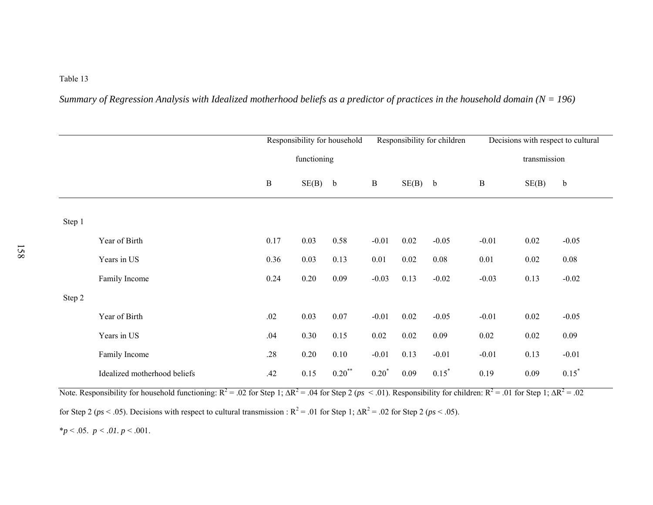*Summary of Regression Analysis with Idealized motherhood beliefs as a predictor of practices in the household domain (N = 196)* 

|        |                              | Responsibility for household |           |           |              |           | Responsibility for children | Decisions with respect to cultural |          |             |  |
|--------|------------------------------|------------------------------|-----------|-----------|--------------|-----------|-----------------------------|------------------------------------|----------|-------------|--|
|        |                              | functioning                  |           |           |              |           |                             | transmission                       |          |             |  |
|        |                              | $\, {\bf B}$                 | $SE(B)$ b |           | $\, {\bf B}$ | $SE(B)$ b |                             | $\, {\bf B}$                       | SE(B)    | $\mathbf b$ |  |
| Step 1 |                              |                              |           |           |              |           |                             |                                    |          |             |  |
|        | Year of Birth                | 0.17                         | 0.03      | 0.58      | $-0.01$      | 0.02      | $-0.05$                     | $-0.01$                            | $0.02\,$ | $-0.05$     |  |
|        | Years in US                  | 0.36                         | 0.03      | 0.13      | 0.01         | 0.02      | $0.08\,$                    | 0.01                               | $0.02\,$ | 0.08        |  |
|        | Family Income                | 0.24                         | $0.20\,$  | 0.09      | $-0.03$      | 0.13      | $-0.02$                     | $-0.03$                            | 0.13     | $-0.02$     |  |
| Step 2 |                              |                              |           |           |              |           |                             |                                    |          |             |  |
|        | Year of Birth                | .02                          | 0.03      | 0.07      | $-0.01$      | $0.02\,$  | $-0.05$                     | $-0.01$                            | $0.02\,$ | $-0.05$     |  |
|        | Years in US                  | .04                          | 0.30      | 0.15      | 0.02         | 0.02      | 0.09                        | 0.02                               | $0.02\,$ | 0.09        |  |
|        | Family Income                | .28                          | 0.20      | 0.10      | $-0.01$      | 0.13      | $-0.01$                     | $-0.01$                            | 0.13     | $-0.01$     |  |
|        | Idealized motherhood beliefs | .42                          | 0.15      | $0.20$ ** | $0.20*$      | 0.09      | $0.15*$                     | 0.19                               | 0.09     | $0.15*$     |  |

Note. Responsibility for household functioning:  $R^2 = .02$  for Step 1;  $\Delta R^2 = .04$  for Step 2 (*ps* < .01). Responsibility for children:  $R^2 = .01$  for Step 1;  $\Delta R^2 = .02$ for Step 2 ( $ps < .05$ ). Decisions with respect to cultural transmission :  $R^2 = .01$  for Step 1;  $\Delta R^2 = .02$  for Step 2 ( $ps < .05$ ).  $**p* < .05.$  *p*  $< .01.$  *p*  $< .001.$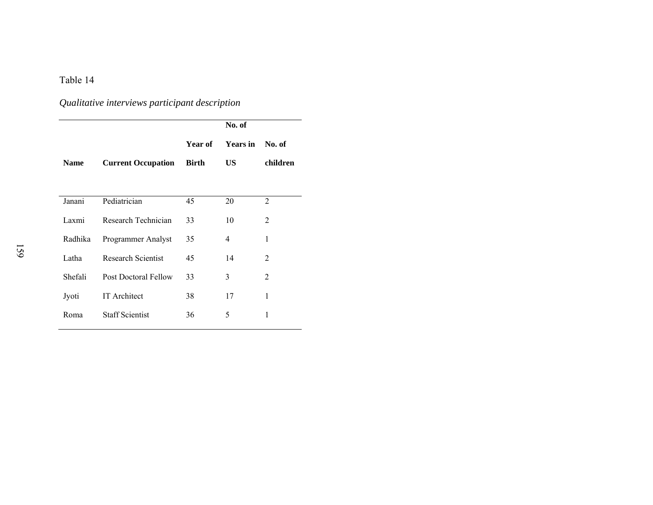# *Qualitative interviews participant description*

|             |                             |              | No. of          |                |
|-------------|-----------------------------|--------------|-----------------|----------------|
|             |                             | Year of      | <b>Years</b> in | No. of         |
| <b>Name</b> | <b>Current Occupation</b>   | <b>Birth</b> | US              | children       |
|             |                             |              |                 |                |
| Janani      | Pediatrician                | 45           | 20              | $\overline{2}$ |
| Laxmi       | Research Technician         | 33           | 10              | 2              |
| Radhika     | <b>Programmer Analyst</b>   | 35           | 4               | 1              |
| Latha       | <b>Research Scientist</b>   | 45           | 14              | $\mathfrak{D}$ |
| Shefali     | <b>Post Doctoral Fellow</b> | 33           | 3               | 2              |
| Jyoti       | <b>IT</b> Architect         | 38           | 17              | 1              |
| Roma        | <b>Staff Scientist</b>      | 36           | 5               | 1              |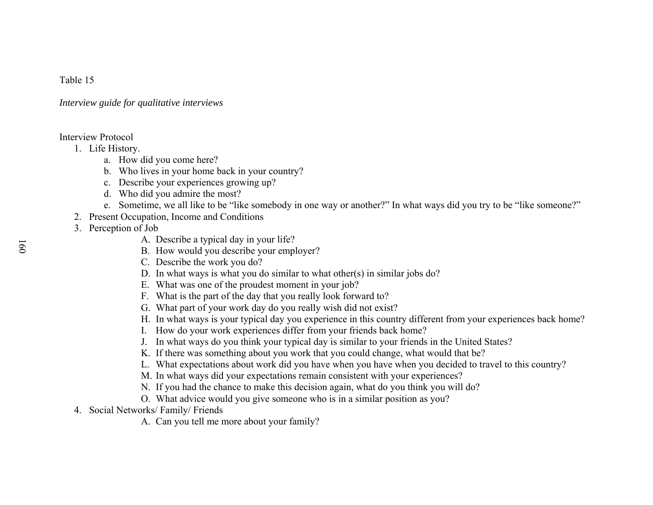*Interview guide for qualitative interviews* 

Interview Protocol

- 1. Life History.
	- a. How did you come here?
	- b. Who lives in your home back in your country?
	- c. Describe your experiences growing up?
	- d. Who did you admire the most?
	- e. Sometime, we all like to be "like somebody in one way or another?" In what ways did you try to be "like someone?"
- 2. Present Occupation, Income and Conditions
- 3. Perception of Job
	- A. Describe a typical day in your life?
	- B. How would you describe your employer?
	- C. Describe the work you do?
	- D. In what ways is what you do similar to what other(s) in similar jobs do?
	- E. What was one of the proudest moment in your job?
	- F. What is the part of the day that you really look forward to?
	- G. What part of your work day do you really wish did not exist?
	- H. In what ways is your typical day you experience in this country different from your experiences back home?
	- I. How do your work experiences differ from your friends back home?
	- J. In what ways do you think your typical day is similar to your friends in the United States?
	- K. If there was something about you work that you could change, what would that be?
	- L. What expectations about work did you have when you have when you decided to travel to this country?
	- M. In what ways did your expectations remain consistent with your experiences?
	- N. If you had the chance to make this decision again, what do you think you will do?
	- O. What advice would you give someone who is in a similar position as you?
- 4. Social Networks/ Family/ Friends
	- A. Can you tell me more about your family?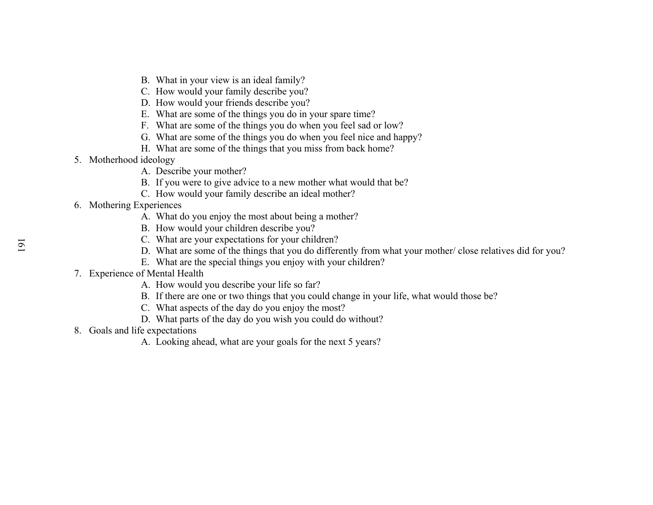- B. What in your view is an ideal family?
- C. How would your family describe you?
- D. How would your friends describe you?
- E. What are some of the things you do in your spare time?
- F. What are some of the things you do when you feel sad or low?
- G. What are some of the things you do when you feel nice and happy?
- H. What are some of the things that you miss from back home?
- 5. Motherhood ideology
	- A. Describe your mother?
	- B. If you were to give advice to a new mother what would that be?
	- C. How would your family describe an ideal mother?
- 6. Mothering Experiences
	- A. What do you enjoy the most about being a mother?
	- B. How would your children describe you?
	- C. What are your expectations for your children?
	- D. What are some of the things that you do differently from what your mother/ close relatives did for you?
	- E. What are the special things you enjoy with your children?
- 7. Experience of Mental Health
	- A. How would you describe your life so far?
	- B. If there are one or two things that you could change in your life, what would those be?
	- C. What aspects of the day do you enjoy the most?
	- D. What parts of the day do you wish you could do without?
- 8. Goals and life expectations
	- A. Looking ahead, what are your goals for the next 5 years?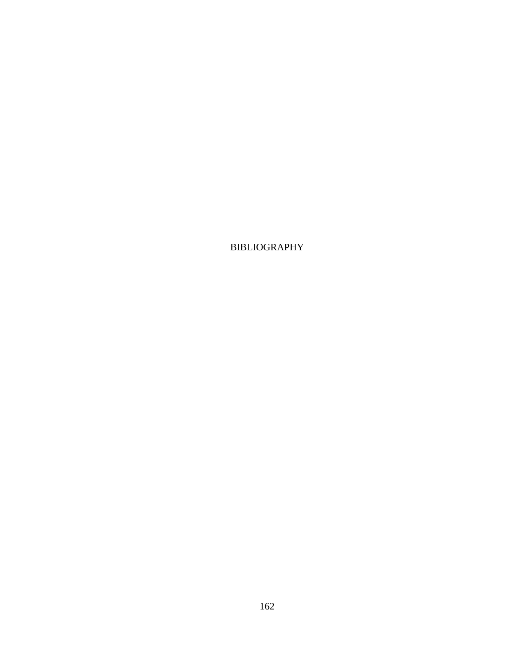BIBLIOGRAPHY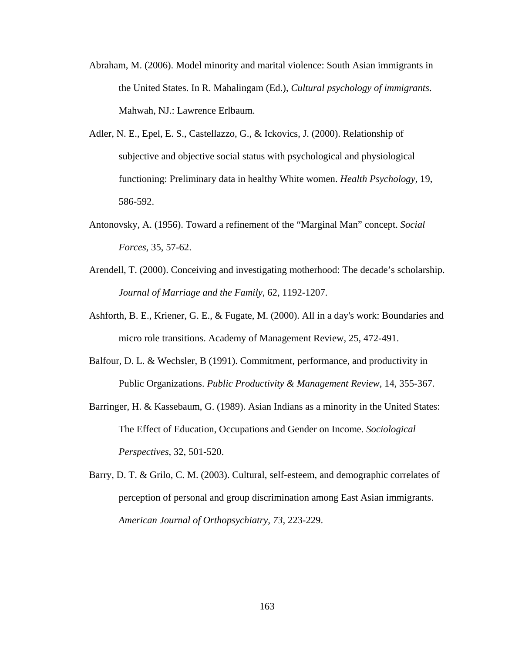- Abraham, M. (2006). Model minority and marital violence: South Asian immigrants in the United States. In R. Mahalingam (Ed.), *Cultural psychology of immigrants*. Mahwah, NJ.: Lawrence Erlbaum.
- Adler, N. E., Epel, E. S., Castellazzo, G., & Ickovics, J. (2000). Relationship of subjective and objective social status with psychological and physiological functioning: Preliminary data in healthy White women. *Health Psychology,* 19, 586-592.
- Antonovsky, A. (1956). Toward a refinement of the "Marginal Man" concept. *Social Forces,* 35, 57-62.
- Arendell, T. (2000). Conceiving and investigating motherhood: The decade's scholarship. *Journal of Marriage and the Family*, 62, 1192-1207.
- Ashforth, B. E., Kriener, G. E., & Fugate, M. (2000). [All in a day's work: Boundaries and](http://web.ebscohost.com.proxy.lib.umich.edu/ehost/viewarticle?data=dGJyMPPp44rp2%2fdV0%2bnjisfk5Ie46bZQtam0Ta6k63nn5Kx95uXxjL6nrUuupbBIrq%2beT7iqsFKyrZ5oy5zyit%2fk8Xnh6ueH7N%2fiVaunr06up7FOs6azPurX7H%2b72%2bw%2b4ti7iPHv5j7y1%2bVVv8SkeeyzsEiup6tJsqqyTKumrkmk3O2K69fyVeTr6oTy2%2faM&hid=109)  [micro role transitions.](http://web.ebscohost.com.proxy.lib.umich.edu/ehost/viewarticle?data=dGJyMPPp44rp2%2fdV0%2bnjisfk5Ie46bZQtam0Ta6k63nn5Kx95uXxjL6nrUuupbBIrq%2beT7iqsFKyrZ5oy5zyit%2fk8Xnh6ueH7N%2fiVaunr06up7FOs6azPurX7H%2b72%2bw%2b4ti7iPHv5j7y1%2bVVv8SkeeyzsEiup6tJsqqyTKumrkmk3O2K69fyVeTr6oTy2%2faM&hid=109) Academy of Management Review, 25, 472-491.
- Balfour, D. L. & Wechsler, B (1991). Commitment, performance, and productivity in Public Organizations. *Public Productivity & Management Review*, 14, 355-367.
- Barringer, H. & Kassebaum, G. (1989). Asian Indians as a minority in the United States: The Effect of Education, Occupations and Gender on Income. *Sociological Perspectives*, 32, 501-520.
- Barry, D. T. & Grilo, C. M. (2003). Cultural, self-esteem, and demographic correlates of perception of personal and group discrimination among East Asian immigrants. *American Journal of Orthopsychiatry, 73*, 223-229.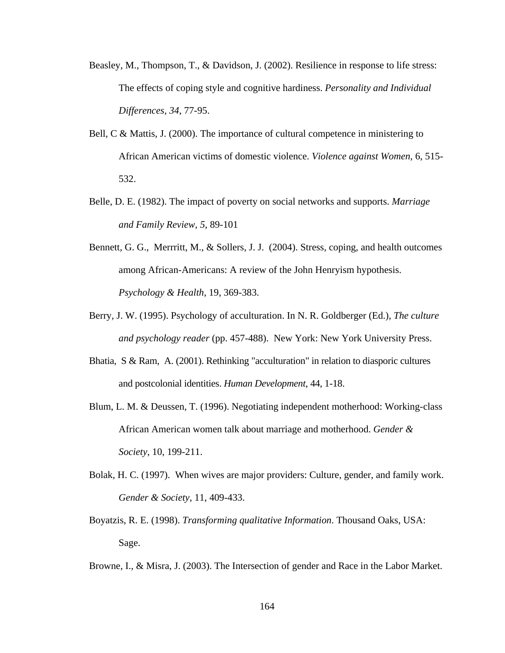- Beasley, M., Thompson, T., & Davidson, J. (2002). Resilience in response to life stress: The effects of coping style and cognitive hardiness. *Personality and Individual Differences, 34*, 77-95.
- Bell,  $C \&$  Mattis, J. (2000). The importance of cultural competence in ministering to African American victims of domestic violence. *Violence against Women*, 6, 515- 532.
- Belle, D. E. (1982). The impact of poverty on social networks and supports. *Marriage and Family Review*, *5*, 89-101
- Bennett, G. G., Merrritt, M., & Sollers, J. J. (2004). [Stress, coping, and health outcomes](http://web.ebscohost.com.proxy.lib.umich.edu/ehost/viewarticle?data=dGJyMPPp44rp2%2fdV0%2bnjisfk5Ie46bZQtam0Ta6k63nn5Kx95uXxjL6prUmzpbBIrq2eSa6wsU%2b4qa44v8OkjPDX7Ivf2fKB7eTnfLuprkizqrZRs5zqeezdu33snOJ6u%2bbxkeac8nnls79mpNfsVbCmrkyrp7JRsKurSK6tpH7t6Ot58rPkjeri0n326gAA&hid=105)  [among African-Americans: A review of the John Henryism hypothesis.](http://web.ebscohost.com.proxy.lib.umich.edu/ehost/viewarticle?data=dGJyMPPp44rp2%2fdV0%2bnjisfk5Ie46bZQtam0Ta6k63nn5Kx95uXxjL6prUmzpbBIrq2eSa6wsU%2b4qa44v8OkjPDX7Ivf2fKB7eTnfLuprkizqrZRs5zqeezdu33snOJ6u%2bbxkeac8nnls79mpNfsVbCmrkyrp7JRsKurSK6tpH7t6Ot58rPkjeri0n326gAA&hid=105) *Psychology & Health*, 19, 369-383.
- Berry, J. W. (1995). Psychology of acculturation. In N. R. Goldberger (Ed.), *The culture and psychology reader* (pp. 457-488). New York: New York University Press.
- Bhatia, S & Ram, A. (2001). Rethinking "acculturation" in relation to diasporic cultures and postcolonial identities. *Human Development*, 44, 1-18.
- Blum, L. M. & Deussen, T. (1996). Negotiating independent motherhood: Working-class African American women talk about marriage and motherhood. *Gender & Society*, 10, 199-211.
- Bolak, H. C. (1997). When wives are major providers: Culture, gender, and family work. *Gender & Society*, 11, 409-433.
- Boyatzis, R. E. (1998). *Transforming qualitative Information*. Thousand Oaks, USA: Sage.

Browne, I., & Misra, J. (2003). The Intersection of gender and Race in the Labor Market.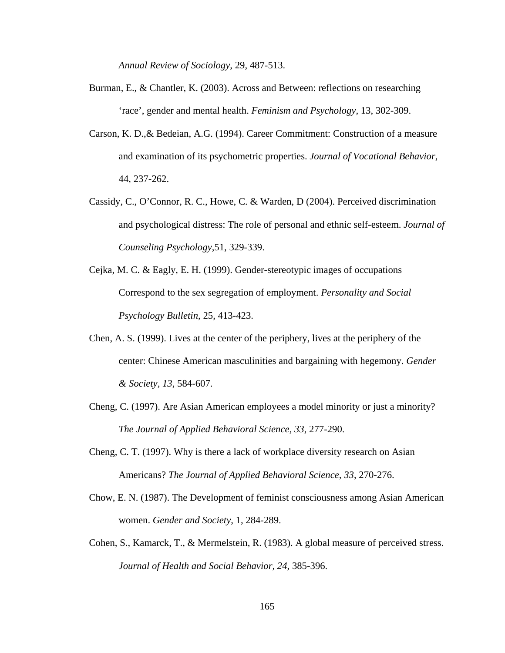*Annual Review of Sociology*, 29, 487-513.

- Burman, E., & Chantler, K. (2003). Across and Between: reflections on researching 'race', gender and mental health. *Feminism and Psychology*, 13, 302-309.
- Carson, K. D.,& Bedeian, A.G. (1994). Career Commitment: Construction of a measure and examination of its psychometric properties. *Journal of Vocational Behavior*, 44, 237-262.
- Cassidy, C., O'Connor, R. C., Howe, C. & Warden, D (2004). Perceived discrimination and psychological distress: The role of personal and ethnic self-esteem. *Journal of Counseling Psychology*,51, 329-339.
- Cejka, M. C. & Eagly, E. H. (1999). Gender-stereotypic images of occupations Correspond to the sex segregation of employment. *Personality and Social Psychology Bulletin*, 25, 413-423.
- Chen, A. S. (1999). Lives at the center of the periphery, lives at the periphery of the center: Chinese American masculinities and bargaining with hegemony. *Gender & Society, 13*, 584-607.
- Cheng, C. (1997). Are Asian American employees a model minority or just a minority? *The Journal of Applied Behavioral Science, 33*, 277-290.
- Cheng, C. T. (1997). Why is there a lack of workplace diversity research on Asian Americans? *The Journal of Applied Behavioral Science, 33*, 270-276.
- Chow, E. N. (1987). The Development of feminist consciousness among Asian American women. *Gender and Society*, 1, 284-289.
- Cohen, S., Kamarck, T., & Mermelstein, R. (1983). A global measure of perceived stress. *Journal of Health and Social Behavior, 24*, 385-396.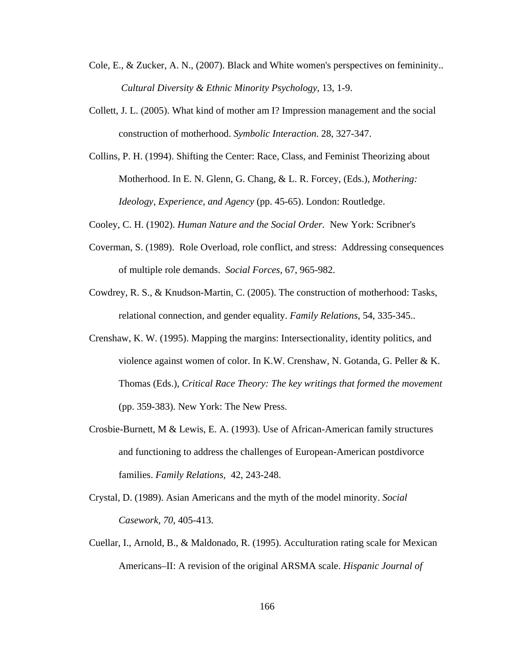- Cole, E., & Zucker, A. N., (2007). [Black and White women's perspectives on femininity..](http://web.ebscohost.com.proxy.lib.umich.edu/ehost/viewarticle?data=dGJyMPPp44rp2%2fdV0%2bnjisfk5Ie46bZQtam0Ta6k63nn5Kx95uXxjL6prUmzpbBIrq2eSa6wsU%2b4qa44v8OkjPDX7Ivf2fKB7eTnfLuprkizqrZRs5zqeezdu33snOJ6u%2bbxkeac8nnls79mpNfsVbCmrk%2brpq5IrqirSK6npH7t6Ot58rPkjeri0n326gAA&hid=105) *Cultural Diversity & Ethnic Minority Psychology*, 13, 1-9.
- Collett, J. L. (2005). What kind of mother am I? Impression management and the social construction of motherhood. *Symbolic Interaction*. 28, 327-347.
- Collins, P. H. (1994). Shifting the Center: Race, Class, and Feminist Theorizing about Motherhood. In E. N. Glenn, G. Chang, & L. R. Forcey, (Eds.), *Mothering: Ideology, Experience, and Agency* (pp. 45-65). London: Routledge.
- Cooley, C. H. (1902). *Human Nature and the Social Order.* New York: Scribner's
- Coverman, S. (1989). Role Overload, role conflict, and stress: Addressing consequences of multiple role demands. *Social Forces,* 67, 965-982.
- Cowdrey, R. S., & Knudson-Martin, C. (2005). The construction of motherhood: Tasks, relational connection, and gender equality. *Family Relations*, 54, 335-345..
- Crenshaw, K. W. (1995). Mapping the margins: Intersectionality, identity politics, and violence against women of color. In K.W. Crenshaw, N. Gotanda, G. Peller & K. Thomas (Eds.), *Critical Race Theory: The key writings that formed the movement* (pp. 359-383). New York: The New Press.
- Crosbie-Burnett, M & Lewis, E. A. (1993). [Use of African-American family structures](http://web.ebscohost.com.proxy.lib.umich.edu/ehost/viewarticle?data=dGJyMPPp44rp2%2fdV0%2bnjisfk5Ie46bZQtam0Ta6k63nn5Kx95uXxjL6nrUuvpbBIrq%2beUbims1KyqJ5Zy5zyit%2fk8Xnh6ueH7N%2fiVauor0qyrrJKs62wPurX7H%2b72%2bw%2b4ti7iPHv5j7y1%2bVVv8SkeeyzsEiup6tIs6quS6umrkqk3O2K69fyVeTr6oTy2%2faM&hid=104)  [and functioning to address the challenges of European-American postdivorce](http://web.ebscohost.com.proxy.lib.umich.edu/ehost/viewarticle?data=dGJyMPPp44rp2%2fdV0%2bnjisfk5Ie46bZQtam0Ta6k63nn5Kx95uXxjL6nrUuvpbBIrq%2beUbims1KyqJ5Zy5zyit%2fk8Xnh6ueH7N%2fiVauor0qyrrJKs62wPurX7H%2b72%2bw%2b4ti7iPHv5j7y1%2bVVv8SkeeyzsEiup6tIs6quS6umrkqk3O2K69fyVeTr6oTy2%2faM&hid=104)  [families.](http://web.ebscohost.com.proxy.lib.umich.edu/ehost/viewarticle?data=dGJyMPPp44rp2%2fdV0%2bnjisfk5Ie46bZQtam0Ta6k63nn5Kx95uXxjL6nrUuvpbBIrq%2beUbims1KyqJ5Zy5zyit%2fk8Xnh6ueH7N%2fiVauor0qyrrJKs62wPurX7H%2b72%2bw%2b4ti7iPHv5j7y1%2bVVv8SkeeyzsEiup6tIs6quS6umrkqk3O2K69fyVeTr6oTy2%2faM&hid=104) *Family Relations,* 42, 243-248.
- Crystal, D. (1989). Asian Americans and the myth of the model minority. *Social Casework, 70*, 405-413.
- Cuellar, I., Arnold, B., & Maldonado, R. (1995). Acculturation rating scale for Mexican Americans–II: A revision of the original ARSMA scale. *Hispanic Journal of*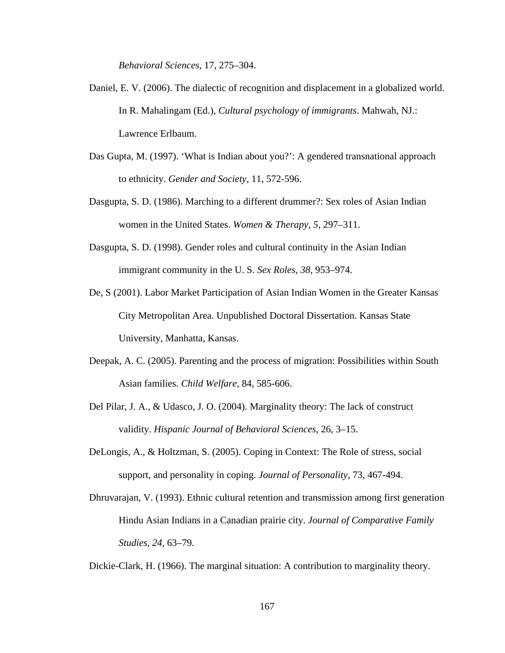*Behavioral Sciences*, 17, 275–304.

- Daniel, E. V. (2006). The dialectic of recognition and displacement in a globalized world. In R. Mahalingam (Ed.), *Cultural psychology of immigrants*. Mahwah, NJ.: Lawrence Erlbaum.
- Das Gupta, M. (1997). 'What is Indian about you?': A gendered transnational approach to ethnicity. *Gender and Society*, 11, 572-596.
- Dasgupta, S. D. (1986). Marching to a different drummer?: Sex roles of Asian Indian women in the United States. *Women & Therapy, 5,* 297–311.
- Dasgupta, S. D. (1998). Gender roles and cultural continuity in the Asian Indian immigrant community in the U. S. *Sex Roles, 38,* 953–974.
- De, S (2001). Labor Market Participation of Asian Indian Women in the Greater Kansas City Metropolitan Area. Unpublished Doctoral Dissertation. Kansas State University, Manhatta, Kansas.
- Deepak, A. C. (2005). Parenting and the process of migration: Possibilities within South Asian families. *Child Welfare,* 84, 585-606.
- Del Pilar, J. A., & Udasco, J. O. (2004). Marginality theory: The lack of construct validity. *Hispanic Journal of Behavioral Sciences*, 26, 3–15.
- DeLongis, A., & Holtzman, S. (2005). Coping in Context: The Role of stress, social support, and personality in coping. *Journal of Personality*, 73, 467-494.
- Dhruvarajan, V. (1993). Ethnic cultural retention and transmission among first generation Hindu Asian Indians in a Canadian prairie city. *Journal of Comparative Family Studies, 24,* 63–79.

Dickie-Clark, H. (1966). [The marginal situation: A contribution to marginality theory.](http://web.ebscohost.com.proxy.lib.umich.edu/ehost/viewarticle?data=dGJyMPPp44rp2%2fdV0%2bnjisfk5Ie46bZQtam0Ta6k63nn5Kx95uXxjL6nrUuupbBIrq%2beTbipslKypp5oy5zyit%2fk8Xnh6ueH7N%2fiVauor0mupq9IsqyzPurX7H%2b72%2bw%2b4ti7iPHv5j7y1%2bVVv8Skeeyzr1G0rKtIs6i3Tqumrkmk3O2K69fyVeTr6oTy2%2faM&hid=117)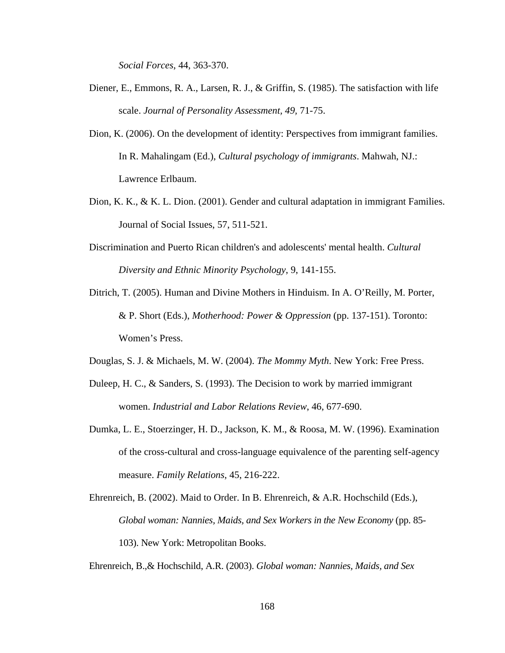*Social Forces*, 44, 363-370.

- Diener, E., Emmons, R. A., Larsen, R. J., & Griffin, S. (1985). The satisfaction with life scale. *Journal of Personality Assessment, 49,* 71-75.
- Dion, K. (2006). On the development of identity: Perspectives from immigrant families. In R. Mahalingam (Ed.), *Cultural psychology of immigrants*. Mahwah, NJ.: Lawrence Erlbaum.
- Dion, K. K., & K. L. Dion. (2001). Gender and cultural adaptation in immigrant Families. Journal of Social Issues, 57, 511-521.
- [Discrimination and Puerto Rican children's and adolescents' mental health.](http://web.ebscohost.com.proxy.lib.umich.edu/ehost/viewarticle?data=dGJyMPPp44rp2%2fdV0%2bnjisfk5Ie46bZQtam0Ta6k63nn5Kx95uXxjL6nrUuupbBIrq%2beTbipslKypp5oy5zyit%2fk8Xnh6ueH7N%2fiVauor0mupq9IsqyzPurX7H%2b72%2bw%2b4ti7iPHv5j7y1%2bVVv8SkeeyzsEiuqatIsK6yUKumrk2k3O2K69fyVeTr6oTy2%2faM&hid=117) *Cultural Diversity and Ethnic Minority Psychology*, 9, 141-155.
- Ditrich, T. (2005). Human and Divine Mothers in Hinduism. In A. O'Reilly, M. Porter, & P. Short (Eds.), *Motherhood: Power & Oppression* (pp. 137-151). Toronto: Women's Press.
- Douglas, S. J. & Michaels, M. W. (2004). *The Mommy Myth*. New York: Free Press.
- Duleep, H. C., & Sanders, S. (1993). The Decision to work by married immigrant women. *Industrial and Labor Relations Review*, 46, 677-690.
- Dumka, L. E., Stoerzinger, H. D., Jackson, K. M., & Roosa, M. W. (1996). Examination of the cross-cultural and cross-language equivalence of the parenting self-agency measure. *Family Relations*, 45, 216-222.
- Ehrenreich, B. (2002). Maid to Order. In B. Ehrenreich, & A.R. Hochschild (Eds.), *Global woman: Nannies, Maids, and Sex Workers in the New Economy* (pp. 85- 103). New York: Metropolitan Books.

Ehrenreich, B.,& Hochschild, A.R. (2003). *Global woman: Nannies, Maids, and Sex*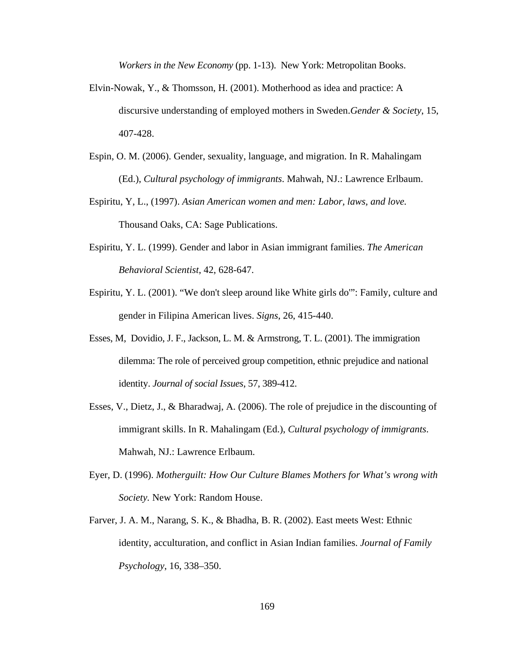*Workers in the New Economy* (pp. 1-13). New York: Metropolitan Books.

- Elvin-Nowak, Y., & Thomsson, H. (2001). [Motherhood as idea and practice: A](http://web.ebscohost.com.proxy.lib.umich.edu/ehost/viewarticle?data=dGJyMPPp44rp2%2fdV0%2bnjisfk5Ie46bZQtam0Ta6k63nn5Kx95uXxjL6nrUuupbBIrq%2beT7imtlKxrZ5oy5zyit%2fk8Xnh6ueH7N%2fiVaunr06up7FOs6azPurX7H%2b72%2bw%2b4ti7iPHv5j7y1%2bVVv8SkeeyzsEiup6tJta%2bxTqumrkyk3O2K69fyVeTr6oTy2%2faM&hid=109)  [discursive understanding of employed mothers in Sweden.](http://web.ebscohost.com.proxy.lib.umich.edu/ehost/viewarticle?data=dGJyMPPp44rp2%2fdV0%2bnjisfk5Ie46bZQtam0Ta6k63nn5Kx95uXxjL6nrUuupbBIrq%2beT7imtlKxrZ5oy5zyit%2fk8Xnh6ueH7N%2fiVaunr06up7FOs6azPurX7H%2b72%2bw%2b4ti7iPHv5j7y1%2bVVv8SkeeyzsEiup6tJta%2bxTqumrkyk3O2K69fyVeTr6oTy2%2faM&hid=109)*Gender & Society*, 15, 407-428.
- Espin, O. M. (2006). Gender, sexuality, language, and migration. In R. Mahalingam (Ed.), *Cultural psychology of immigrants*. Mahwah, NJ.: Lawrence Erlbaum.
- Espiritu, Y, L., (1997). *[Asian American women and men: Labor, laws, and love.](http://web.ebscohost.com.proxy.lib.umich.edu/ehost/viewarticle?data=dGJyMPPp44rp2%2fdV0%2bnjisfk5Ie46bZQtam0Ta6k63nn5Kx95uXxjL6nrUuupbBIrq%2beTbipslKypp5oy5zyit%2fk8Xnh6ueH7N%2fiVauor0mupq9IsqyzPurX7H%2b72%2bw%2b4ti7iPHv5j7y1%2bVVv8Skeeyzr1G3rKtRtq%2b1Uaumrkik3O2K69fyVeTr6oTy2%2faM&hid=117)* Thousand Oaks, CA: Sage Publications.
- Espiritu, Y. L. (1999). Gender and labor in Asian immigrant families. *The American Behavioral Scientist*, 42, 628-647.
- Espiritu, Y. L. (2001). "We don't sleep around like White girls do'": Family, culture and gender in Filipina American lives. *Signs*, 26, 415-440.
- Esses, M, Dovidio, J. F., Jackson, L. M. & Armstrong, T. L. (2001). The immigration dilemma: The role of perceived group competition, ethnic prejudice and national identity. *Journal of social Issues*, 57, 389-412.
- Esses, V., Dietz, J., & Bharadwaj, A. (2006). The role of prejudice in the discounting of immigrant skills. In R. Mahalingam (Ed.), *Cultural psychology of immigrants*. Mahwah, NJ.: Lawrence Erlbaum.
- Eyer, D. (1996). *Motherguilt: How Our Culture Blames Mothers for What's wrong with Society.* New York: Random House.
- Farver, J. A. M., Narang, S. K., & Bhadha, B. R. (2002). East meets West: Ethnic identity, acculturation, and conflict in Asian Indian families. *Journal of Family Psychology*, 16, 338–350.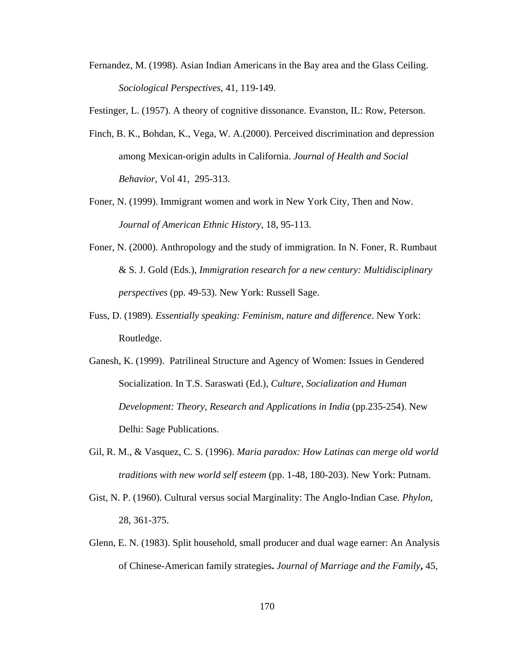Fernandez, M. (1998). Asian Indian Americans in the Bay area and the Glass Ceiling. *Sociological Perspectives*, 41, 119-149.

Festinger, L. (1957). A theory of cognitive dissonance. Evanston, IL: Row, Peterson.

- Finch, B. K., Bohdan, K., Vega, W. A.(2000). [Perceived discrimination and depression](http://web.ebscohost.com.proxy.lib.umich.edu/ehost/viewarticle?data=dGJyMPPp44rp2%2fdV0%2bnjisfk5Ie46bZQtam0Ta6k63nn5Kx95uXxjL6prUmzpbBIrq2eSa6wsU%2b4qa44v8OkjPDX7Ivf2fKB7eTnfLuprkizqrZRs5zqeezdu33snOJ6u%2bbxkeac8nnls79mpNfsVbCmrkmrp65Irq6rSK6qpH7t6Ot58rPkjeri0n326gAA&hid=105)  [among Mexican-origin adults in California.](http://web.ebscohost.com.proxy.lib.umich.edu/ehost/viewarticle?data=dGJyMPPp44rp2%2fdV0%2bnjisfk5Ie46bZQtam0Ta6k63nn5Kx95uXxjL6prUmzpbBIrq2eSa6wsU%2b4qa44v8OkjPDX7Ivf2fKB7eTnfLuprkizqrZRs5zqeezdu33snOJ6u%2bbxkeac8nnls79mpNfsVbCmrkmrp65Irq6rSK6qpH7t6Ot58rPkjeri0n326gAA&hid=105) *Journal of Health and Social Behavior*, Vol 41, 295-313.
- Foner, N. (1999). Immigrant women and work in New York City, Then and Now. *Journal of American Ethnic History*, 18, 95-113.
- Foner, N. (2000). Anthropology and the study of immigration. In N. Foner, R. Rumbaut & S. J. Gold (Eds.), *Immigration research for a new century: Multidisciplinary perspectives* (pp. 49-53). New York: Russell Sage.
- Fuss, D. (1989). *Essentially speaking: Feminism, nature and difference*. New York: Routledge.
- Ganesh, K. (1999). Patrilineal Structure and Agency of Women: Issues in Gendered Socialization. In T.S. Saraswati (Ed.), *Culture, Socialization and Human Development: Theory, Research and Applications in India* (pp.235-254). New Delhi: Sage Publications.
- Gil, R. M., & Vasquez, C. S. (1996). *Maria paradox: How Latinas can merge old world traditions with new world self esteem* (pp. 1-48, 180-203). New York: Putnam.
- Gist, N. P. (1960). Cultural versus social Marginality: The Anglo-Indian Case*. Phylon*, 28, 361-375.
- Glenn, E. N. (1983). Split household, small producer and dual wage earner: An Analysis of Chinese-American family strategies**.** *Journal of Marriage and the Family***,** 45,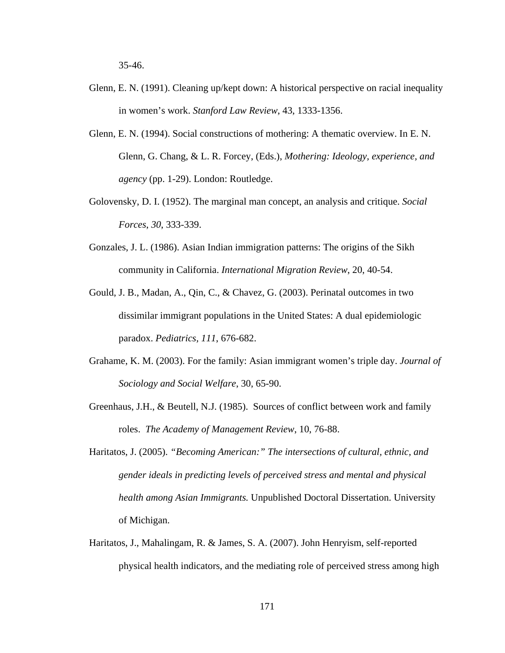35-46.

- Glenn, E. N. (1991). Cleaning up/kept down: A historical perspective on racial inequality in women's work. *Stanford Law Review*, 43, 1333-1356.
- Glenn, E. N. (1994). Social constructions of mothering: A thematic overview. In E. N. Glenn, G. Chang, & L. R. Forcey, (Eds.), *Mothering: Ideology, experience, and agency* (pp. 1-29). London: Routledge.
- Golovensky, D. I. (1952). The marginal man concept, an analysis and critique. *Social Forces*, *30*, 333-339.
- Gonzales, J. L. (1986). Asian Indian immigration patterns: The origins of the Sikh community in California. *International Migration Review*, 20, 40-54.
- Gould, J. B., Madan, A., Qin, C., & Chavez, G. (2003). Perinatal outcomes in two dissimilar immigrant populations in the United States: A dual epidemiologic paradox. *Pediatrics, 111*, 676-682.
- Grahame, K. M. (2003). For the family: Asian immigrant women's triple day. *Journal of Sociology and Social Welfare*, 30, 65-90.
- Greenhaus, J.H., & Beutell, N.J. (1985). Sources of conflict between work and family roles. *The Academy of Management Review*, 10, 76-88.
- Haritatos, J. (2005). *"Becoming American:" The intersections of cultural, ethnic, and gender ideals in predicting levels of perceived stress and mental and physical health among Asian Immigrants.* Unpublished Doctoral Dissertation. University of Michigan.
- Haritatos, J., Mahalingam, R. & James, S. A. (2007). John Henryism, self-reported physical health indicators, and the mediating role of perceived stress among high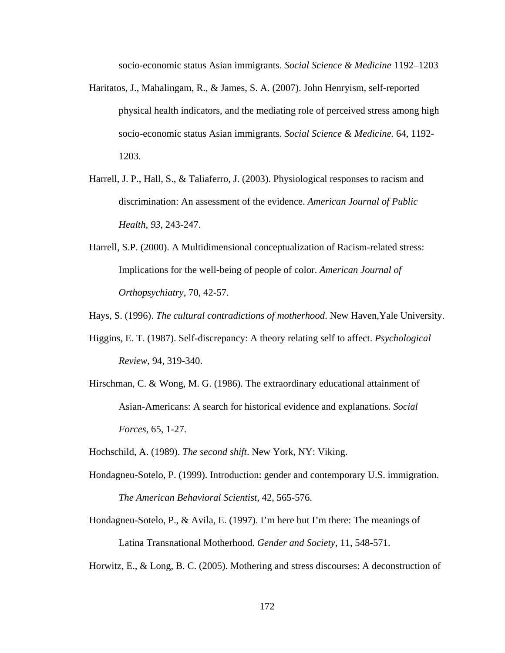socio-economic status Asian immigrants. *Social Science & Medicine* 1192–1203

- Haritatos, J., Mahalingam, R., & James, S. A. (2007). [John Henryism, self-reported](http://web.ebscohost.com.proxy.lib.umich.edu/ehost/viewarticle?data=dGJyMPPp44rp2%2fdV0%2bnjisfk5Ie46bZQtam0Ta6k63nn5Kx95uXxjL6nrUuupbBIrq%2beUbiqtlKurp5oy5zyit%2fk8Xnh6ueH7N%2fiVa%2bqt0q3rLBRsK%2bkhN%2fk5VXj5KR84LPui%2ffepIzf3btZzJzfhruorki1o65LrqqzRa6msj7k5fCF3%2bq7fvPi6ozj7vIA&hid=101)  [physical health indicators, and the mediating role of perceived stress among high](http://web.ebscohost.com.proxy.lib.umich.edu/ehost/viewarticle?data=dGJyMPPp44rp2%2fdV0%2bnjisfk5Ie46bZQtam0Ta6k63nn5Kx95uXxjL6nrUuupbBIrq%2beUbiqtlKurp5oy5zyit%2fk8Xnh6ueH7N%2fiVa%2bqt0q3rLBRsK%2bkhN%2fk5VXj5KR84LPui%2ffepIzf3btZzJzfhruorki1o65LrqqzRa6msj7k5fCF3%2bq7fvPi6ozj7vIA&hid=101)  [socio-economic status Asian immigrants.](http://web.ebscohost.com.proxy.lib.umich.edu/ehost/viewarticle?data=dGJyMPPp44rp2%2fdV0%2bnjisfk5Ie46bZQtam0Ta6k63nn5Kx95uXxjL6nrUuupbBIrq%2beUbiqtlKurp5oy5zyit%2fk8Xnh6ueH7N%2fiVa%2bqt0q3rLBRsK%2bkhN%2fk5VXj5KR84LPui%2ffepIzf3btZzJzfhruorki1o65LrqqzRa6msj7k5fCF3%2bq7fvPi6ozj7vIA&hid=101) *Social Science & Medicine.* 64, 1192- 1203.
- Harrell, J. P., Hall, S., & Taliaferro, J. (2003). Physiological responses to racism and discrimination: An assessment of the evidence. *American Journal of Public Health, 93*, 243-247.
- Harrell, S.P. (2000). A Multidimensional conceptualization of Racism-related stress: Implications for the well-being of people of color. *American Journal of Orthopsychiatry*, 70, 42-57.
- Hays, S. (1996). *The cultural contradictions of motherhood*. New Haven,Yale University.
- Higgins, E. T. (1987). Self-discrepancy: A theory relating self to affect. *Psychological Review,* 94, 319-340.
- Hirschman, C. & Wong, M. G. (1986). The extraordinary educational attainment of Asian-Americans: A search for historical evidence and explanations. *Social Forces*, 65, 1-27.
- Hochschild, A. (1989). *The second shift*. New York, NY: Viking.
- Hondagneu-Sotelo, P. (1999). Introduction: gender and contemporary U.S. immigration. *The American Behavioral Scientist*, 42, 565-576.
- Hondagneu-Sotelo, P., & Avila, E. (1997). I'm here but I'm there: The meanings of Latina Transnational Motherhood. *Gender and Society*, 11, 548-571.

Horwitz, E., & Long, B. C. (2005). Mothering and stress discourses: A deconstruction of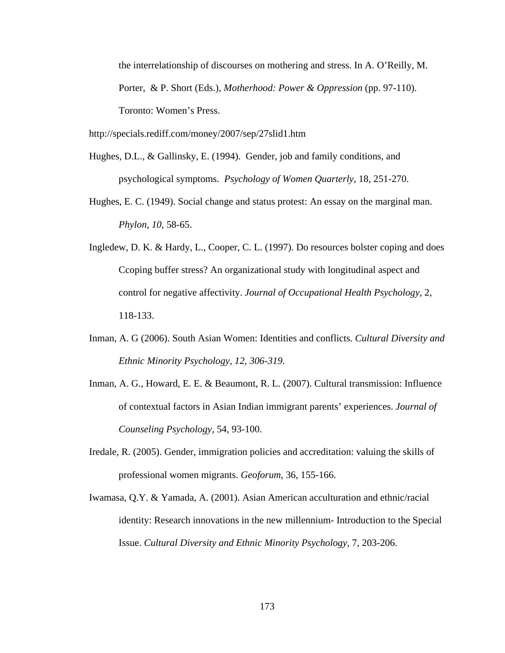the interrelationship of discourses on mothering and stress. In A. O'Reilly, M. Porter, & P. Short (Eds.), *Motherhood: Power & Oppression* (pp. 97-110). Toronto: Women's Press.

http://specials.rediff.com/money/2007/sep/27slid1.htm

- Hughes, D.L., & Gallinsky, E. (1994). Gender, job and family conditions, and psychological symptoms. *Psychology of Women Quarterly*, 18, 251-270.
- Hughes, E. C. (1949). Social change and status protest: An essay on the marginal man. *Phylon*, *10*, 58-65.
- Ingledew, D. K. & Hardy, L., Cooper, C. L. (1997). Do resources bolster coping and does Ccoping buffer stress? An organizational study with longitudinal aspect and control for negative affectivity. *Journal of Occupational Health Psychology*, 2, 118-133.
- Inman, A. G (2006). South Asian Women: Identities and conflicts*. Cultural Diversity and Ethnic Minority Psychology, 12, 306-319.*
- Inman, A. G., Howard, E. E. & Beaumont, R. L. (2007). Cultural transmission: Influence of contextual factors in Asian Indian immigrant parents' experiences. *Journal of Counseling Psychology*, 54, 93-100.
- Iredale, R. (2005). Gender, immigration policies and accreditation: valuing the skills of professional women migrants. *Geoforum*, 36, 155-166.
- Iwamasa, Q.Y. & Yamada, A. (2001). Asian American acculturation and ethnic/racial identity: Research innovations in the new millennium- Introduction to the Special Issue. *Cultural Diversity and Ethnic Minority Psychology*, 7, 203-206.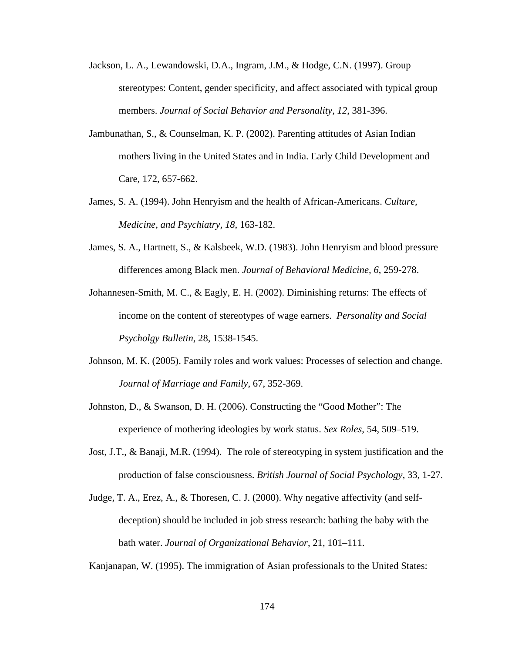- Jackson, L. A., Lewandowski, D.A., Ingram, J.M., & Hodge, C.N. (1997). Group stereotypes: Content, gender specificity, and affect associated with typical group members. *Journal of Social Behavior and Personality, 12*, 381-396.
- Jambunathan, S., & Counselman, K. P. (2002). Parenting attitudes of Asian Indian mothers living in the United States and in India. Early Child Development and Care, 172, 657-662.
- James, S. A. (1994). John Henryism and the health of African-Americans. *Culture, Medicine, and Psychiatry, 18*, 163-182.
- James, S. A., Hartnett, S., & Kalsbeek, W.D. (1983). John Henryism and blood pressure differences among Black men. *Journal of Behavioral Medicine, 6*, 259-278.
- Johannesen-Smith, M. C., & Eagly, E. H. (2002). Diminishing returns: The effects of income on the content of stereotypes of wage earners. *Personality and Social Psycholgy Bulletin*, 28, 1538-1545.
- Johnson, M. K. (2005). Family roles and work values: Processes of selection and change. *Journal of Marriage and Family*, 67, 352-369.
- Johnston, D., & Swanson, D. H. (2006). Constructing the "Good Mother": The experience of mothering ideologies by work status. *Sex Roles*, 54, 509–519.
- Jost, J.T., & Banaji, M.R. (1994). The role of stereotyping in system justification and the production of false consciousness. *British Journal of Social Psychology*, 33, 1-27.
- Judge, T. A., Erez, A., & Thoresen, C. J. (2000). Why negative affectivity (and selfdeception) should be included in job stress research: bathing the baby with the bath water. *Journal of Organizational Behavior*, 21, 101–111.

Kanjanapan, W. (1995). The immigration of Asian professionals to the United States: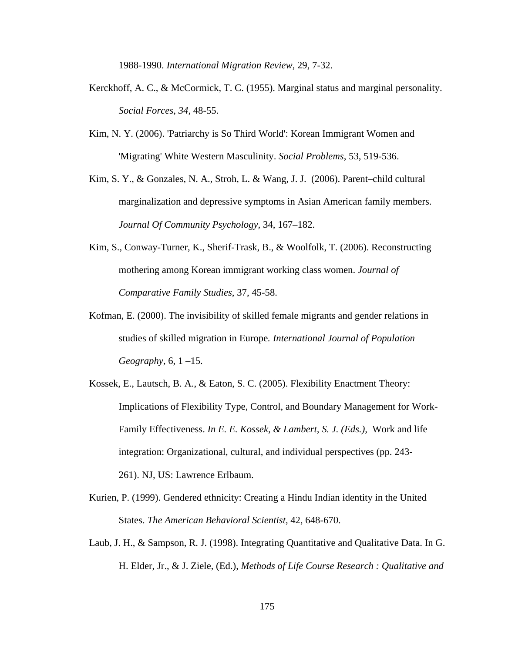1988-1990. *International Migration Review*, 29, 7-32.

- Kerckhoff, A. C., & McCormick, T. C. (1955). Marginal status and marginal personality. *Social Forces*, *34*, 48-55.
- Kim, N. Y. (2006). ['Patriarchy is So Third World': Korean Immigrant Women and](http://web.ebscohost.com.proxy.lib.umich.edu/ehost/viewarticle?data=dGJyMPPp44rp2%2fdV0%2bnjisfk5Ie46bZQtam0Ta6k63nn5Kx95uXxjL6nrUuupbBIrq%2beSa6wsEy4qbY4zsOkjPDX7Ivf2fKB7eTnfLunslGwr7RKt6i3PurX7H%2b72%2bw%2b4ti7iPHv5j7y1%2bVVv8SkeeyzsEiurKtKsK6vT6umrkuk3O2K69fyVeTr6oTy2%2faM&hid=101)  ['Migrating' White Western Masculinity.](http://web.ebscohost.com.proxy.lib.umich.edu/ehost/viewarticle?data=dGJyMPPp44rp2%2fdV0%2bnjisfk5Ie46bZQtam0Ta6k63nn5Kx95uXxjL6nrUuupbBIrq%2beSa6wsEy4qbY4zsOkjPDX7Ivf2fKB7eTnfLunslGwr7RKt6i3PurX7H%2b72%2bw%2b4ti7iPHv5j7y1%2bVVv8SkeeyzsEiurKtKsK6vT6umrkuk3O2K69fyVeTr6oTy2%2faM&hid=101) *Social Problems*, 53, 519-536.
- Kim, S. Y., & Gonzales, N. A., Stroh, L. & Wang, J. J. (2006). Parent–child cultural marginalization and depressive symptoms in Asian American family members. *Journal Of Community Psychology,* 34, 167–182.
- Kim, S., Conway-Turner, K., Sherif-Trask, B., & Woolfolk, T. (2006). Reconstructing mothering among Korean immigrant working class women. *Journal of Comparative Family Studies*, 37, 45-58.
- Kofman, E. (2000). The invisibility of skilled female migrants and gender relations in studies of skilled migration in Europe*. International Journal of Population Geography*, 6, 1 –15.
- Kossek, E., Lautsch, B. A., & Eaton, S. C. (2005). [Flexibility Enactment Theory:](http://web.ebscohost.com.proxy.lib.umich.edu/ehost/viewarticle?data=dGJyMPPp44rp2%2fdV0%2bnjisfk5Ie46bZQtam0Ta6k63nn5Kx95uXxjL6nrUuupbBIrq%2beUbiqtlKurp5oy5zyit%2fk8Xnh6ueH7N%2fiVa%2bqt0q3rLBRsK%2bkhN%2fk5VXj5KR84LPui%2ffepIzf3btZzJzfhruorkiyo7BJsKq0Ra6nsD7k5fCF3%2bq7fvPi6ozj7vIA&hid=101)  [Implications of Flexibility Type, Control, and Boundary Management for Work-](http://web.ebscohost.com.proxy.lib.umich.edu/ehost/viewarticle?data=dGJyMPPp44rp2%2fdV0%2bnjisfk5Ie46bZQtam0Ta6k63nn5Kx95uXxjL6nrUuupbBIrq%2beUbiqtlKurp5oy5zyit%2fk8Xnh6ueH7N%2fiVa%2bqt0q3rLBRsK%2bkhN%2fk5VXj5KR84LPui%2ffepIzf3btZzJzfhruorkiyo7BJsKq0Ra6nsD7k5fCF3%2bq7fvPi6ozj7vIA&hid=101)[Family Effectiveness.](http://web.ebscohost.com.proxy.lib.umich.edu/ehost/viewarticle?data=dGJyMPPp44rp2%2fdV0%2bnjisfk5Ie46bZQtam0Ta6k63nn5Kx95uXxjL6nrUuupbBIrq%2beUbiqtlKurp5oy5zyit%2fk8Xnh6ueH7N%2fiVa%2bqt0q3rLBRsK%2bkhN%2fk5VXj5KR84LPui%2ffepIzf3btZzJzfhruorkiyo7BJsKq0Ra6nsD7k5fCF3%2bq7fvPi6ozj7vIA&hid=101) *In E. E. Kossek, & Lambert, S. J. (Eds.),* Work and life integration: Organizational, cultural, and individual perspectives (pp. 243- 261). NJ, US: Lawrence Erlbaum.
- Kurien, P. (1999). Gendered ethnicity: Creating a Hindu Indian identity in the United States. *The American Behavioral Scientist*, 42, 648-670.
- Laub, J. H., & Sampson, R. J. (1998). Integrating Quantitative and Qualitative Data. In G. H. Elder, Jr., & J. Ziele, (Ed.), *Methods of Life Course Research : Qualitative and*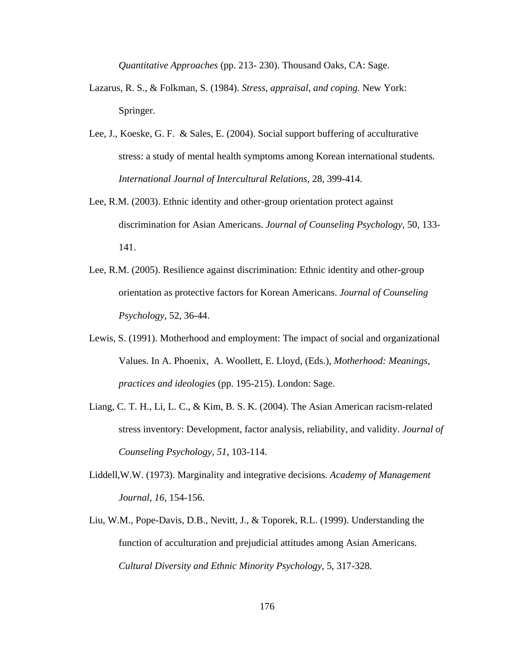*Quantitative Approaches* (pp. 213- 230). Thousand Oaks, CA: Sage.

- Lazarus, R. S., & Folkman, S. (1984). *Stress, appraisal, and coping.* New York: Springer.
- Lee, J., Koeske, G. F. & Sales, E. (2004). Social support buffering of acculturative stress: a study of mental health symptoms among Korean international students*. International Journal of Intercultural Relations*, 28, 399-414.
- Lee, R.M. (2003). Ethnic identity and other-group orientation protect against discrimination for Asian Americans. *Journal of Counseling Psychology*, 50, 133- 141.
- Lee, R.M. (2005). Resilience against discrimination: Ethnic identity and other-group orientation as protective factors for Korean Americans. *Journal of Counseling Psychology*, 52, 36-44.
- Lewis, S. (1991). Motherhood and employment: The impact of social and organizational Values. In A. Phoenix, A. Woollett, E. Lloyd, (Eds.), *Motherhood: Meanings, practices and ideologies* (pp. 195-215). London: Sage.
- Liang, C. T. H., Li, L. C., & Kim, B. S. K. (2004). The Asian American racism-related stress inventory: Development, factor analysis, reliability, and validity. *Journal of Counseling Psychology, 51*, 103-114.
- Liddell,W.W. (1973). Marginality and integrative decisions. *Academy of Management Journal*, *16*, 154-156.
- Liu, W.M., Pope-Davis, D.B., Nevitt, J., & Toporek, R.L. (1999). Understanding the function of acculturation and prejudicial attitudes among Asian Americans. *Cultural Diversity and Ethnic Minority Psychology*, 5, 317-328.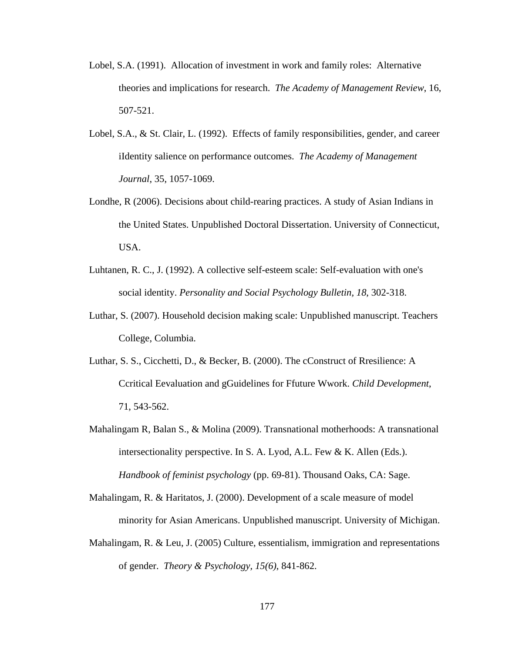- Lobel, S.A. (1991). Allocation of investment in work and family roles: Alternative theories and implications for research. *The Academy of Management Review*, 16, 507-521.
- Lobel, S.A., & St. Clair, L. (1992). Effects of family responsibilities, gender, and career iIdentity salience on performance outcomes. *The Academy of Management Journal*, 35, 1057-1069.
- Londhe, R (2006). Decisions about child-rearing practices. A study of Asian Indians in the United States. Unpublished Doctoral Dissertation. University of Connecticut, USA.
- Luhtanen, R. C., J. (1992). A collective self-esteem scale: Self-evaluation with one's social identity. *Personality and Social Psychology Bulletin, 18*, 302-318.
- Luthar, S. (2007). Household decision making scale: Unpublished manuscript. Teachers College, Columbia.
- Luthar, S. S., Cicchetti, D., & Becker, B. (2000). The cConstruct of Rresilience: A Ccritical Eevaluation and gGuidelines for Ffuture Wwork. *Child Development*, 71, 543-562.
- Mahalingam R, Balan S., & Molina (2009). Transnational motherhoods: A transnational intersectionality perspective. In S. A. Lyod, A.L. Few & K. Allen (Eds.). *Handbook of feminist psychology* (pp. 69-81). Thousand Oaks, CA: Sage.
- Mahalingam, R. & Haritatos, J. (2000). Development of a scale measure of model minority for Asian Americans. Unpublished manuscript. University of Michigan.
- Mahalingam, R. & Leu, J. (2005) Culture, essentialism, immigration and representations of gender. *Theory & Psychology, 15(6)*, 841-862.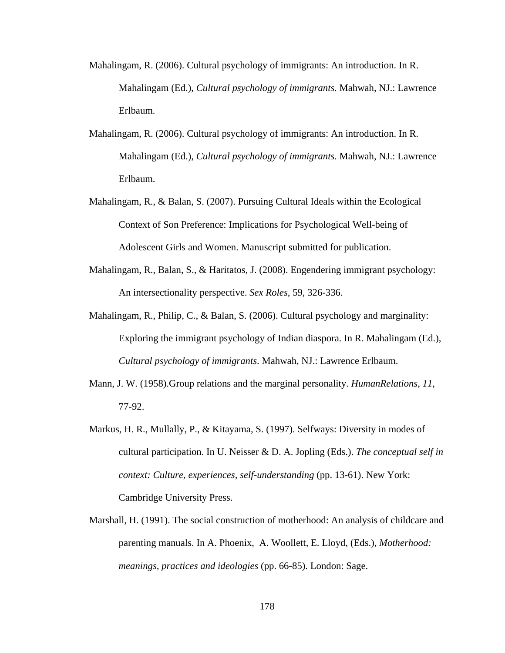- Mahalingam, R. (2006). Cultural psychology of immigrants: An introduction. In R. Mahalingam (Ed.), *Cultural psychology of immigrants.* Mahwah, NJ.: Lawrence Erlbaum.
- Mahalingam, R. (2006). Cultural psychology of immigrants: An introduction. In R. Mahalingam (Ed.), *Cultural psychology of immigrants.* Mahwah, NJ.: Lawrence Erlbaum.
- Mahalingam, R., & Balan, S. (2007). Pursuing Cultural Ideals within the Ecological Context of Son Preference: Implications for Psychological Well-being of Adolescent Girls and Women. Manuscript submitted for publication.
- Mahalingam, R., Balan, S., & Haritatos, J. (2008). [Engendering immigrant psychology:](http://web.ebscohost.com.proxy.lib.umich.edu/ehost/viewarticle?data=dGJyMPPp44rp2%2fdV0%2bnjisfk5Ie46bZQtam0Ta6k63nn5Kx95uXxjL6nrUuupbBIrq%2beTbipslKypp5oy5zyit%2fk8Xnh6ueH7N%2fiVauor0mupq9IsqyzPurX7H%2b72%2bw%2b4ti7iPHv5j7y1%2bVVv8SkeeyzsEiurqtJr6%2byUKumrkuk3O2K69fyVeTr6oTy2%2faM&hid=117)  [An intersectionality perspective.](http://web.ebscohost.com.proxy.lib.umich.edu/ehost/viewarticle?data=dGJyMPPp44rp2%2fdV0%2bnjisfk5Ie46bZQtam0Ta6k63nn5Kx95uXxjL6nrUuupbBIrq%2beTbipslKypp5oy5zyit%2fk8Xnh6ueH7N%2fiVauor0mupq9IsqyzPurX7H%2b72%2bw%2b4ti7iPHv5j7y1%2bVVv8SkeeyzsEiurqtJr6%2byUKumrkuk3O2K69fyVeTr6oTy2%2faM&hid=117) *Sex Roles*, 59, 326-336.
- Mahalingam, R., Philip, C., & Balan, S. (2006). Cultural psychology and marginality: Exploring the immigrant psychology of Indian diaspora. In R. Mahalingam (Ed.), *Cultural psychology of immigrants*. Mahwah, NJ.: Lawrence Erlbaum.
- Mann, J. W. (1958).Group relations and the marginal personality. *HumanRelations*, *11*, 77-92.
- Markus, H. R., Mullally, P., & Kitayama, S. (1997). Selfways: Diversity in modes of cultural participation. In U. Neisser & D. A. Jopling (Eds.). *The conceptual self in context: Culture, experiences, self-understanding (pp. 13-61). New York:* Cambridge University Press.
- Marshall, H. (1991). The social construction of motherhood: An analysis of childcare and parenting manuals. In A. Phoenix, A. Woollett, E. Lloyd, (Eds.), *Motherhood: meanings, practices and ideologies* (pp. 66-85). London: Sage.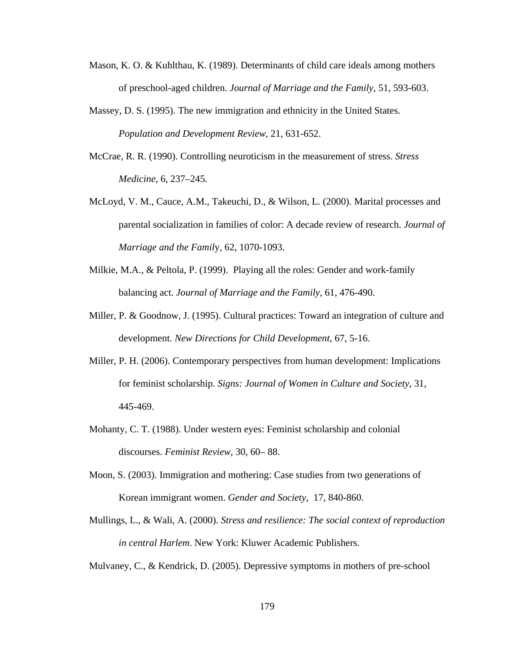- Mason, K. O. & Kuhlthau, K. (1989). Determinants of child care ideals among mothers of preschool-aged children. *Journal of Marriage and the Family*, 51, 593-603.
- Massey, D. S. (1995). The new immigration and ethnicity in the United States. *Population and Development Review*, 21, 631-652.
- McCrae, R. R. (1990). Controlling neuroticism in the measurement of stress. *Stress Medicine,* 6, 237–245.
- McLoyd, V. M., Cauce, A.M., Takeuchi, D., & Wilson, L. (2000). Marital processes and parental socialization in families of color: A decade review of research. *Journal of Marriage and the Famil*y, 62, 1070-1093.
- Milkie, M.A., & Peltola, P. (1999). Playing all the roles: Gender and work-family balancing act. *Journal of Marriage and the Family*, 61, 476-490.
- Miller, P. & Goodnow, J. (1995). Cultural practices: Toward an integration of culture and development. *New Directions for Child Development*, 67, 5-16.
- Miller, P. H. (2006). Contemporary perspectives from human development: Implications for feminist scholarship. *Signs: Journal of Women in Culture and Society*, 31, 445-469.
- Mohanty, C. T. (1988). Under western eyes: Feminist scholarship and colonial discourses. *Feminist Review*, 30, 60– 88.
- Moon, S. (2003). Immigration and mothering: Case studies from two generations of Korean immigrant women. *Gender and Society*, 17, 840-860.
- Mullings, L., & Wali, A. (2000). *Stress and resilience: The social context of reproduction in central Harlem*. New York: Kluwer Academic Publishers.

Mulvaney, C., & Kendrick, D. (2005). Depressive symptoms in mothers of pre-school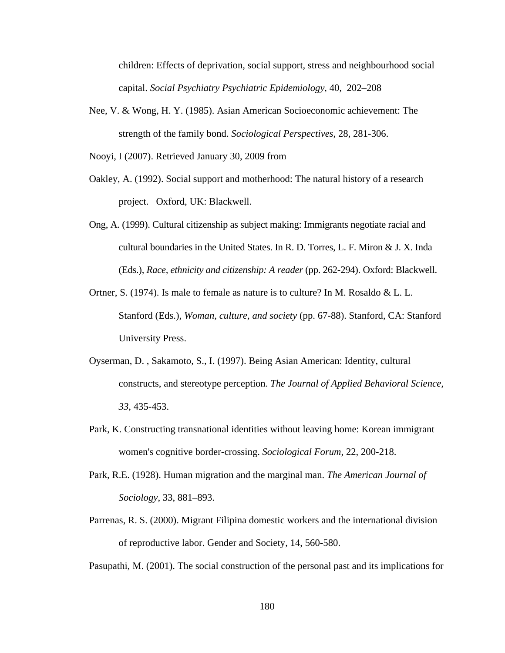children: Effects of deprivation, social support, stress and neighbourhood social capital. *Social Psychiatry Psychiatric Epidemiology*, 40, 202–208

Nee, V. & Wong, H. Y. (1985). Asian American Socioeconomic achievement: The strength of the family bond. *Sociological Perspectives*, 28, 281-306.

Nooyi, I (2007). Retrieved January 30, 2009 from

- Oakley, A. (1992). Social support and motherhood: The natural history of a research project. Oxford, UK: Blackwell.
- Ong, A. (1999). Cultural citizenship as subject making: Immigrants negotiate racial and cultural boundaries in the United States. In R. D. Torres, L. F. Miron & J. X. Inda (Eds.), *Race, ethnicity and citizenship: A reader* (pp. 262-294). Oxford: Blackwell.
- Ortner, S. (1974). Is male to female as nature is to culture? In M. Rosaldo  $& L. L.$ Stanford (Eds.), *Woman, culture, and society* (pp. 67-88). Stanford, CA: Stanford University Press.
- Oyserman, D. , Sakamoto, S., I. (1997). Being Asian American: Identity, cultural constructs, and stereotype perception. *The Journal of Applied Behavioral Science, 33*, 435-453.
- Park, K. [Constructing transnational identities without leaving home: Korean immigrant](http://web.ebscohost.com.proxy.lib.umich.edu/ehost/viewarticle?data=dGJyMPPp44rp2%2fdV0%2bnjisfk5Ie46bZQtam0Ta6k63nn5Kx95uXxjL6nrUuupbBIrq%2beSa6wsEy4qbY4zsOkjPDX7Ivf2fKB7eTnfLunslGwr7RKt6i3PurX7H%2b72%2bw%2b4ti7iPHv5j7y1%2bVVv8SkeeyzsEiuratItquyS6umrkyk3O2K69fyVeTr6oTy2%2faM&hid=101)  [women's cognitive border-crossing.](http://web.ebscohost.com.proxy.lib.umich.edu/ehost/viewarticle?data=dGJyMPPp44rp2%2fdV0%2bnjisfk5Ie46bZQtam0Ta6k63nn5Kx95uXxjL6nrUuupbBIrq%2beSa6wsEy4qbY4zsOkjPDX7Ivf2fKB7eTnfLunslGwr7RKt6i3PurX7H%2b72%2bw%2b4ti7iPHv5j7y1%2bVVv8SkeeyzsEiuratItquyS6umrkyk3O2K69fyVeTr6oTy2%2faM&hid=101) *Sociological Forum*, 22, 200-218.
- Park, R.E. (1928). Human migration and the marginal man. *The American Journal of Sociology*, 33, 881–893.
- Parrenas, R. S. (2000). Migrant Filipina domestic workers and the international division of reproductive labor. Gender and Society, 14, 560-580.

Pasupathi, M. (2001). [The social construction of the personal past and its implications for](http://web.ebscohost.com.proxy.lib.umich.edu/ehost/viewarticle?data=dGJyMPPp44rp2%2fdV0%2bnjisfk5Ie46bZQtam0Ta6k63nn5Kx95uXxjL6nrUuupbBIrq%2beTripr1Kxrp5oy5zyit%2fk8Xnh6ueH7N%2fiVaunr06up7FOs6azPurX7H%2b72%2bw%2b4ti7iPHv5j7y1%2bVVv8SkeeyzsEiup6tJtqe0TKumrk2k3O2K69fyVeTr6oTy2%2faM&hid=109)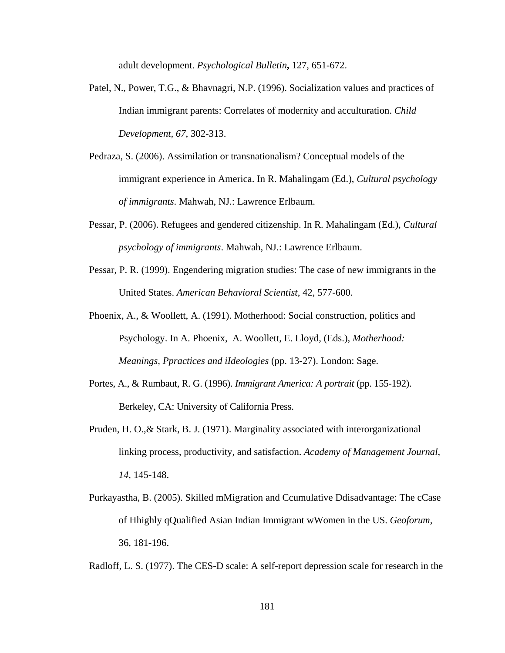[adult development.](http://web.ebscohost.com.proxy.lib.umich.edu/ehost/viewarticle?data=dGJyMPPp44rp2%2fdV0%2bnjisfk5Ie46bZQtam0Ta6k63nn5Kx95uXxjL6nrUuupbBIrq%2beTripr1Kxrp5oy5zyit%2fk8Xnh6ueH7N%2fiVaunr06up7FOs6azPurX7H%2b72%2bw%2b4ti7iPHv5j7y1%2bVVv8SkeeyzsEiup6tJtqe0TKumrk2k3O2K69fyVeTr6oTy2%2faM&hid=109) *Psychological Bulletin***,** 127, 651-672.

- Patel, N., Power, T.G., & Bhavnagri, N.P. (1996). Socialization values and practices of Indian immigrant parents: Correlates of modernity and acculturation. *Child Development, 67*, 302-313.
- Pedraza, S. (2006). Assimilation or transnationalism? Conceptual models of the immigrant experience in America. In R. Mahalingam (Ed.), *Cultural psychology of immigrants*. Mahwah, NJ.: Lawrence Erlbaum.
- Pessar, P. (2006). Refugees and gendered citizenship. In R. Mahalingam (Ed.), *Cultural psychology of immigrants*. Mahwah, NJ.: Lawrence Erlbaum.
- Pessar, P. R. (1999). Engendering migration studies: The case of new immigrants in the United States. *American Behavioral Scientist*, 42, 577-600.
- Phoenix, A., & Woollett, A. (1991). Motherhood: Social construction, politics and Psychology. In A. Phoenix, A. Woollett, E. Lloyd, (Eds.), *Motherhood: Meanings, Ppractices and iIdeologies* (pp. 13-27). London: Sage.
- Portes, A., & Rumbaut, R. G. (1996). *Immigrant America: A portrait* (pp. 155-192). Berkeley, CA: University of California Press.
- Pruden, H. O.,& Stark, B. J. (1971). Marginality associated with interorganizational linking process, productivity, and satisfaction. *Academy of Management Journal*, *14*, 145-148.
- Purkayastha, B. (2005). Skilled mMigration and Ccumulative Ddisadvantage: The cCase of Hhighly qQualified Asian Indian Immigrant wWomen in the US. *Geoforum,* 36, 181-196.

Radloff, L. S. (1977). The CES-D scale: A self-report depression scale for research in the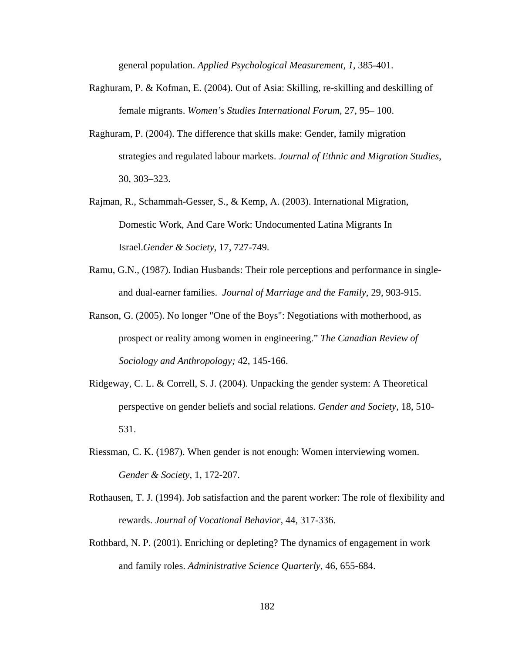general population. *Applied Psychological Measurement, 1*, 385-401.

- Raghuram, P. & Kofman, E. (2004). Out of Asia: Skilling, re-skilling and deskilling of female migrants. *Women's Studies International Forum*, 27, 95– 100.
- Raghuram, P. (2004). The difference that skills make: Gender, family migration strategies and regulated labour markets. *Journal of Ethnic and Migration Studies*, 30, 303–323.
- Rajman, R., Schammah-Gesser, S., & Kemp, A. (2003). [International Migration,](http://web.ebscohost.com.proxy.lib.umich.edu/ehost/viewarticle?data=dGJyMPPp44rp2%2fdV0%2bnjisfk5Ie46bZQtam0Ta6k63nn5Kx95uXxjL6nrUuupbBIrq%2beULimt1Kuqp5oy5zyit%2fk8Xnh6ueH7N%2fiVa%2bqt0q3rLBRsK%2bkhN%2fk5VXj5KR84LPui%2ffepIzf3btZzJzfhruorkixo65Qrq6xRa6msj7k5fCF3%2bq7fvPi6ozj7vIA&hid=101)  [Domestic Work, And Care Work: Undocumented Latina Migrants In](http://web.ebscohost.com.proxy.lib.umich.edu/ehost/viewarticle?data=dGJyMPPp44rp2%2fdV0%2bnjisfk5Ie46bZQtam0Ta6k63nn5Kx95uXxjL6nrUuupbBIrq%2beULimt1Kuqp5oy5zyit%2fk8Xnh6ueH7N%2fiVa%2bqt0q3rLBRsK%2bkhN%2fk5VXj5KR84LPui%2ffepIzf3btZzJzfhruorkixo65Qrq6xRa6msj7k5fCF3%2bq7fvPi6ozj7vIA&hid=101)  [Israel.](http://web.ebscohost.com.proxy.lib.umich.edu/ehost/viewarticle?data=dGJyMPPp44rp2%2fdV0%2bnjisfk5Ie46bZQtam0Ta6k63nn5Kx95uXxjL6nrUuupbBIrq%2beULimt1Kuqp5oy5zyit%2fk8Xnh6ueH7N%2fiVa%2bqt0q3rLBRsK%2bkhN%2fk5VXj5KR84LPui%2ffepIzf3btZzJzfhruorkixo65Qrq6xRa6msj7k5fCF3%2bq7fvPi6ozj7vIA&hid=101)*Gender & Society*, 17, 727-749.
- Ramu, G.N., (1987). Indian Husbands: Their role perceptions and performance in singleand dual-earner families. *Journal of Marriage and the Family*, 29, 903-915.
- Ranson, G. (2005). No longer "One of the Boys": Negotiations with motherhood, as prospect or reality among women in engineering." *The Canadian Review of Sociology and Anthropology;* 42, 145-166.
- Ridgeway, C. L. & Correll, S. J. (2004). Unpacking the gender system: A Theoretical perspective on gender beliefs and social relations. *Gender and Society,* 18, 510- 531.
- Riessman, C. K. (1987). [When gender is not enough: Women interviewing women.](http://web.ebscohost.com.proxy.lib.umich.edu/ehost/viewarticle?data=dGJyMPPp44rp2%2fdV0%2bnjisfk5Ie46bZQtam0Ta6k63nn5Kx95uXxjL6nrUuupbBIrq%2beTripr1Kxrp5oy5zyit%2fk8Xnh6ueH7N%2fiVaunr06up7FOs6azPurX7H%2b72%2bw%2b4ti7iPHv5j7y1%2bVVv8Skeeyzr1G2r6tIr6ixTaumrkmk3O2K69fyVeTr6oTy2%2faM&hid=109) *Gender & Society*, 1, 172-207.
- Rothausen, T. J. (1994). [Job satisfaction and the parent worker: The role of flexibility and](http://web.ebscohost.com.proxy.lib.umich.edu/ehost/viewarticle?data=dGJyMPPp44rp2%2fdV0%2bnjisfk5Ie46bZQtam0Ta6k63nn5Kx95uXxjL6nrUuupbBIrq%2beSa6wsEy4qbY4zsOkjPDX7Ivf2fKB7eTnfLunslGwr7RKt6i3PurX7H%2b72%2bw%2b4ti7iPHv5j7y1%2bVVv8Skeeyzr1G3qqtMsamwT6umrkmk3O2K69fyVeTr6oTy2%2faM&hid=101)  [rewards.](http://web.ebscohost.com.proxy.lib.umich.edu/ehost/viewarticle?data=dGJyMPPp44rp2%2fdV0%2bnjisfk5Ie46bZQtam0Ta6k63nn5Kx95uXxjL6nrUuupbBIrq%2beSa6wsEy4qbY4zsOkjPDX7Ivf2fKB7eTnfLunslGwr7RKt6i3PurX7H%2b72%2bw%2b4ti7iPHv5j7y1%2bVVv8Skeeyzr1G3qqtMsamwT6umrkmk3O2K69fyVeTr6oTy2%2faM&hid=101) *Journal of Vocational Behavior*, 44, 317-336.
- Rothbard, N. P. (2001). [Enriching or depleting? The dynamics of engagement in work](http://web.ebscohost.com.proxy.lib.umich.edu/ehost/viewarticle?data=dGJyMPPp44rp2%2fdV0%2bnjisfk5Ie46bZQtam0Ta6k63nn5Kx95uXxjL6nrUuupbBIrq%2beULimt1Kuqp5oy5zyit%2fk8Xnh6ueH7N%2fiVa%2bqt0q3rLBRsK%2bkhN%2fk5VXj5KR84LPui%2ffepIzf3btZzJzfhruorkiwo65KtqexRa6msT7k5fCF3%2bq7fvPi6ozj7vIA&hid=101)  [and family roles.](http://web.ebscohost.com.proxy.lib.umich.edu/ehost/viewarticle?data=dGJyMPPp44rp2%2fdV0%2bnjisfk5Ie46bZQtam0Ta6k63nn5Kx95uXxjL6nrUuupbBIrq%2beULimt1Kuqp5oy5zyit%2fk8Xnh6ueH7N%2fiVa%2bqt0q3rLBRsK%2bkhN%2fk5VXj5KR84LPui%2ffepIzf3btZzJzfhruorkiwo65KtqexRa6msT7k5fCF3%2bq7fvPi6ozj7vIA&hid=101) *Administrative Science Quarterly*, 46, 655-684.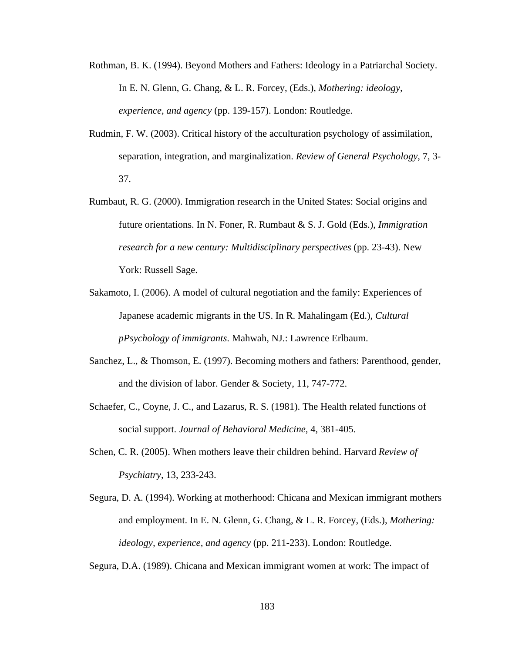- Rothman, B. K. (1994). Beyond Mothers and Fathers: Ideology in a Patriarchal Society. In E. N. Glenn, G. Chang, & L. R. Forcey, (Eds.), *Mothering: ideology, experience, and agency* (pp. 139-157). London: Routledge.
- Rudmin, F. W. (2003). [Critical history of the acculturation psychology of assimilation,](http://web.ebscohost.com.proxy.lib.umich.edu/ehost/viewarticle?data=dGJyMPPp44rp2%2fdV0%2bnjisfk5Ie46bZQtam0Ta6k63nn5Kx95uXxjL6nrUuupbBIrq%2beTbipslKypp5oy5zyit%2fk8Xnh6ueH7N%2fiVauor0mupq9IsqyzPurX7H%2b72%2bw%2b4ti7iPHv5j7y1%2bVVv8SkeeyzsEiuqatIr6y0S6umrkqk3O2K69fyVeTr6oTy2%2faM&hid=117)  [separation, integration, and marginalization.](http://web.ebscohost.com.proxy.lib.umich.edu/ehost/viewarticle?data=dGJyMPPp44rp2%2fdV0%2bnjisfk5Ie46bZQtam0Ta6k63nn5Kx95uXxjL6nrUuupbBIrq%2beTbipslKypp5oy5zyit%2fk8Xnh6ueH7N%2fiVauor0mupq9IsqyzPurX7H%2b72%2bw%2b4ti7iPHv5j7y1%2bVVv8SkeeyzsEiuqatIr6y0S6umrkqk3O2K69fyVeTr6oTy2%2faM&hid=117) *Review of General Psychology*, 7, 3- 37.
- Rumbaut, R. G. (2000). Immigration research in the United States: Social origins and future orientations. In N. Foner, R. Rumbaut & S. J. Gold (Eds.), *Immigration research for a new century: Multidisciplinary perspectives* (pp. 23-43). New York: Russell Sage.
- Sakamoto, I. (2006). A model of cultural negotiation and the family: Experiences of Japanese academic migrants in the US. In R. Mahalingam (Ed.), *Cultural pPsychology of immigrants*. Mahwah, NJ.: Lawrence Erlbaum.
- Sanchez, L., & Thomson, E. (1997). [Becoming mothers and fathers: Parenthood, gender,](http://web.ebscohost.com.proxy.lib.umich.edu/ehost/viewarticle?data=dGJyMPPp44rp2%2fdV0%2bnjisfk5Ie46bZQtam0Ta6k63nn5Kx95uXxjL6nrUuupbBIrq%2beT7iqsFKyrZ5oy5zyit%2fk8Xnh6ueH7N%2fiVaunr06up7FOs6azPurX7H%2b72%2bw%2b4ti7iPHv5j7y1%2bVVv8Skeeyzr1G3ratMsKy1Taumrkmk3O2K69fyVeTr6oTy2%2faM&hid=109)  [and the division of labor.](http://web.ebscohost.com.proxy.lib.umich.edu/ehost/viewarticle?data=dGJyMPPp44rp2%2fdV0%2bnjisfk5Ie46bZQtam0Ta6k63nn5Kx95uXxjL6nrUuupbBIrq%2beT7iqsFKyrZ5oy5zyit%2fk8Xnh6ueH7N%2fiVaunr06up7FOs6azPurX7H%2b72%2bw%2b4ti7iPHv5j7y1%2bVVv8Skeeyzr1G3ratMsKy1Taumrkmk3O2K69fyVeTr6oTy2%2faM&hid=109) Gender & Society, 11, 747-772.
- Schaefer, C., Coyne, J. C., and Lazarus, R. S. (1981). The Health related functions of social support. *Journal of Behavioral Medicine*, 4, 381-405.
- Schen, C. R. (2005). When mothers leave their children behind. Harvard *Review of Psychiatry*, 13, 233-243.
- Segura, D. A. (1994). Working at motherhood: Chicana and Mexican immigrant mothers and employment. In E. N. Glenn, G. Chang, & L. R. Forcey, (Eds.), *Mothering: ideology, experience, and agency* (pp. 211-233). London: Routledge.

Segura, D.A. (1989). Chicana and Mexican immigrant women at work: The impact of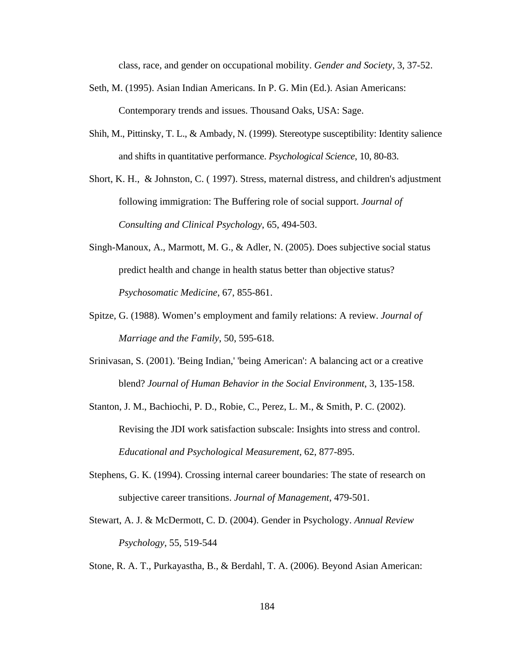class, race, and gender on occupational mobility. *Gender and Society*, 3, 37-52.

- Seth, M. (1995). Asian Indian Americans. In P. G. Min (Ed.). Asian Americans: Contemporary trends and issues. Thousand Oaks, USA: Sage.
- Shih, M., Pittinsky, T. L., & Ambady, N. (1999). Stereotype susceptibility: Identity salience and shifts in quantitative performance. *Psychological Science*, 10, 80-83.
- Short, K. H., & Johnston, C. ( 1997). Stress, maternal distress, and children's adjustment following immigration: The Buffering role of social support. *Journal of Consulting and Clinical Psychology*, 65, 494-503.
- Singh-Manoux, A., Marmott, M. G., & Adler, N. (2005). [Does subjective social status](http://web.ebscohost.com.proxy.lib.umich.edu/ehost/viewarticle?data=dGJyMPPp44rp2%2fdV0%2bnjisfk5Ie46bZQtam0Ta6k63nn5Kx95uXxjL6nrUuupbBIrq%2beUbiqtlKurp5oy5zyit%2fk8Xnh6ueH7N%2fiVa%2bqt0q3rLBRsK%2bkhN%2fk5VXj5KR84LPui%2ffepIzf3btZzJzfhruorkizo69Osae2Ra6msj7k5fCF3%2bq7fvPi6ozj7vIA&hid=101)  [predict health and change in health status better than objective status?](http://web.ebscohost.com.proxy.lib.umich.edu/ehost/viewarticle?data=dGJyMPPp44rp2%2fdV0%2bnjisfk5Ie46bZQtam0Ta6k63nn5Kx95uXxjL6nrUuupbBIrq%2beUbiqtlKurp5oy5zyit%2fk8Xnh6ueH7N%2fiVa%2bqt0q3rLBRsK%2bkhN%2fk5VXj5KR84LPui%2ffepIzf3btZzJzfhruorkizo69Osae2Ra6msj7k5fCF3%2bq7fvPi6ozj7vIA&hid=101) *Psychosomatic Medicine*, 67, 855-861.
- Spitze, G. (1988). Women's employment and family relations: A review. *Journal of Marriage and the Family*, 50, 595-618.
- Srinivasan, S. (2001). ['Being Indian,' 'being American': A balancing act or a creative](http://web.ebscohost.com.proxy.lib.umich.edu/ehost/viewarticle?data=dGJyMPPp44rp2%2fdV0%2bnjisfk5Ie46bZQtam0Ta6k63nn5Kx95uXxjL6nrUuupbBIrq%2beUbiqtlKurp5oy5zyit%2fk8Xnh6ueH7N%2fiVa%2bqt0q3rLBRsK%2bkhN%2fk5VXj5KR84LPui%2ffepIzf3btZzJzfhruorkivo65Os6i3Ra6mtj7k5fCF3%2bq7fvPi6ozj7vIA&hid=101)  [blend?](http://web.ebscohost.com.proxy.lib.umich.edu/ehost/viewarticle?data=dGJyMPPp44rp2%2fdV0%2bnjisfk5Ie46bZQtam0Ta6k63nn5Kx95uXxjL6nrUuupbBIrq%2beUbiqtlKurp5oy5zyit%2fk8Xnh6ueH7N%2fiVa%2bqt0q3rLBRsK%2bkhN%2fk5VXj5KR84LPui%2ffepIzf3btZzJzfhruorkivo65Os6i3Ra6mtj7k5fCF3%2bq7fvPi6ozj7vIA&hid=101) *Journal of Human Behavior in the Social Environment*, 3, 135-158.
- Stanton, J. M., Bachiochi, P. D., Robie, C., Perez, L. M., & Smith, P. C. (2002). Revising the JDI work satisfaction subscale: Insights into stress and control. *Educational and Psychological Measurement,* 62, 877-895.
- Stephens, G. K. (1994). Crossing internal career boundaries: The state of research on subjective career transitions. *Journal of Management*, 479-501.
- Stewart, A. J. & McDermott, C. D. (2004). Gender in Psychology. *Annual Review Psychology*, 55, 519-544
- Stone, R. A. T., Purkayastha, B., & Berdahl, T. A. (2006). [Beyond Asian American:](http://web.ebscohost.com.proxy.lib.umich.edu/ehost/viewarticle?data=dGJyMPPp44rp2%2fdV0%2bnjisfk5Ie46bZQtam0Ta6k63nn5Kx95uXxjL6nrUuupbBIrq%2beTbipslKypp5oy5zyit%2fk8Xnh6ueH7N%2fiVauor0mupq9IsqyzPurX7H%2b72%2bw%2b4ti7iPHv5j7y1%2bVVv8SkeeyzsEiurKtIt6a0T6umrk2k3O2K69fyVeTr6oTy2%2faM&hid=117)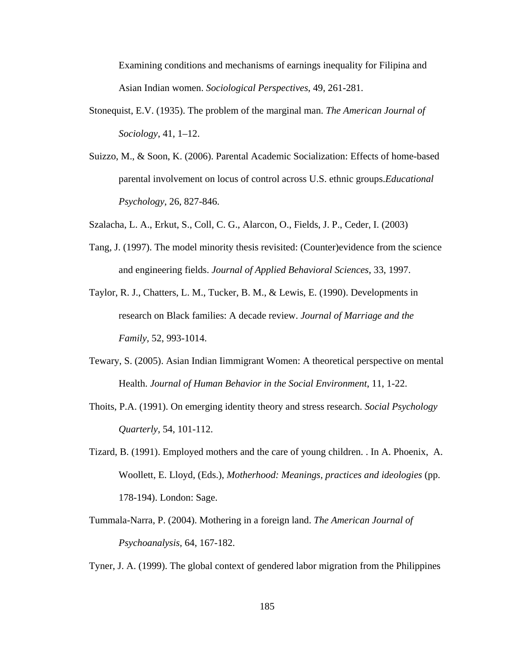[Examining conditions and mechanisms of earnings inequality for Filipina and](http://web.ebscohost.com.proxy.lib.umich.edu/ehost/viewarticle?data=dGJyMPPp44rp2%2fdV0%2bnjisfk5Ie46bZQtam0Ta6k63nn5Kx95uXxjL6nrUuupbBIrq%2beTbipslKypp5oy5zyit%2fk8Xnh6ueH7N%2fiVauor0mupq9IsqyzPurX7H%2b72%2bw%2b4ti7iPHv5j7y1%2bVVv8SkeeyzsEiurKtIt6a0T6umrk2k3O2K69fyVeTr6oTy2%2faM&hid=117)  [Asian Indian women.](http://web.ebscohost.com.proxy.lib.umich.edu/ehost/viewarticle?data=dGJyMPPp44rp2%2fdV0%2bnjisfk5Ie46bZQtam0Ta6k63nn5Kx95uXxjL6nrUuupbBIrq%2beTbipslKypp5oy5zyit%2fk8Xnh6ueH7N%2fiVauor0mupq9IsqyzPurX7H%2b72%2bw%2b4ti7iPHv5j7y1%2bVVv8SkeeyzsEiurKtIt6a0T6umrk2k3O2K69fyVeTr6oTy2%2faM&hid=117) *Sociological Perspectives*, 49, 261-281.

- Stonequist, E.V. (1935). The problem of the marginal man. *The American Journal of Sociology*, 41, 1–12.
- Suizzo, M., & Soon, K. (2006). [Parental Academic Socialization: Effects of home-based](http://web.ebscohost.com.proxy.lib.umich.edu/ehost/viewarticle?data=dGJyMPPp44rp2%2fdV0%2bnjisfk5Ie46bZQtam0Ta6k63nn5Kx95uXxjL6nrUuupbBIrq%2beSa6wsEy4qbY4zsOkjPDX7Ivf2fKB7eTnfLunslGwr7RKt6i3PurX7H%2b72%2bw%2b4ti7iPHv5j7y1%2bVVv8SkeeyzsEiurKtKsKq3Saumrk%2bk3O2K69fyVeTr6oTy2%2faM&hid=101)  [parental involvement on locus of control across U.S. ethnic groups.](http://web.ebscohost.com.proxy.lib.umich.edu/ehost/viewarticle?data=dGJyMPPp44rp2%2fdV0%2bnjisfk5Ie46bZQtam0Ta6k63nn5Kx95uXxjL6nrUuupbBIrq%2beSa6wsEy4qbY4zsOkjPDX7Ivf2fKB7eTnfLunslGwr7RKt6i3PurX7H%2b72%2bw%2b4ti7iPHv5j7y1%2bVVv8SkeeyzsEiurKtKsKq3Saumrk%2bk3O2K69fyVeTr6oTy2%2faM&hid=101)*Educational Psychology*, 26, 827-846.
- Szalacha, L. A., Erkut, S., Coll, C. G., Alarcon, O., Fields, J. P., Ceder, I. (2003)
- Tang, J. (1997). The model minority thesis revisited: (Counter)evidence from the science and engineering fields. *Journal of Applied Behavioral Sciences*, 33, 1997.
- Taylor, R. J., Chatters, L. M., Tucker, B. M., & Lewis, E. (1990). Developments in research on Black families: A decade review. *Journal of Marriage and the Family,* 52, 993-1014.
- Tewary, S. (2005). Asian Indian Iimmigrant Women: A theoretical perspective on mental Health. *Journal of Human Behavior in the Social Environment*, 11, 1-22.
- Thoits, P.A. (1991). On emerging identity theory and stress research. *Social Psychology Quarterly*, 54, 101-112.
- Tizard, B. (1991). Employed mothers and the care of young children. . In A. Phoenix, A. Woollett, E. Lloyd, (Eds.), *Motherhood: Meanings, practices and ideologies* (pp. 178-194). London: Sage.
- Tummala-Narra, P. (2004). Mothering in a foreign land. *The American Journal of Psychoanalysis,* 64, 167-182.

Tyner, J. A. (1999). The global context of gendered labor migration from the Philippines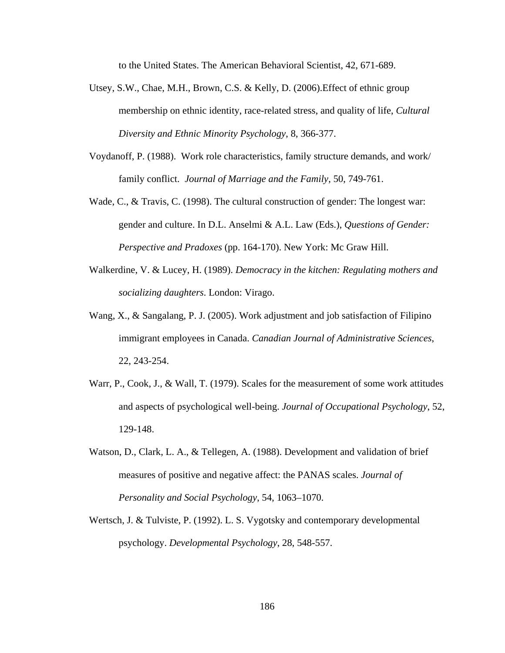to the United States. The American Behavioral Scientist, 42, 671-689.

- Utsey, S.W., Chae, M.H., Brown, C.S. & Kelly, D. (2006).Effect of ethnic group membership on ethnic identity, race-related stress, and quality of life, *Cultural Diversity and Ethnic Minority Psychology*, 8, 366-377.
- Voydanoff, P. (1988). Work role characteristics, family structure demands, and work/ family conflict. *Journal of Marriage and the Family*, 50, 749-761.
- Wade, C., & Travis, C. (1998). The cultural construction of gender: The longest war: gender and culture. In D.L. Anselmi & A.L. Law (Eds.), *Questions of Gender: Perspective and Pradoxes* (pp. 164-170). New York: Mc Graw Hill.
- Walkerdine, V. & Lucey, H. (1989). *Democracy in the kitchen: Regulating mothers and socializing daughters*. London: Virago.
- Wang, X., & Sangalang, P. J. (2005). Work adjustment and job satisfaction of Filipino immigrant employees in Canada. *Canadian Journal of Administrative Sciences*, 22, 243-254.
- Warr, P., Cook, J., & Wall, T. (1979). [Scales for the measurement of some work attitudes](http://web.ebscohost.com.proxy.lib.umich.edu/ehost/viewarticle?data=dGJyMPPp44rp2%2fdV0%2bnjisfk5Ie46bZQtam0Ta6k63nn5Kx95uXxjL6prUmzpbBIrq2eSa6wsU%2b4qa44v8OkjPDX7Ivf2fKB7eTnfLuprkizqrZRs5zqeezdu33snOJ6u%2bbxkeac8nnls79mpNfsVa%2bvtkirqLdKt66rSK6npH7t6Ot58rPkjeri0n326gAA&hid=105)  [and aspects of psychological well-being.](http://web.ebscohost.com.proxy.lib.umich.edu/ehost/viewarticle?data=dGJyMPPp44rp2%2fdV0%2bnjisfk5Ie46bZQtam0Ta6k63nn5Kx95uXxjL6prUmzpbBIrq2eSa6wsU%2b4qa44v8OkjPDX7Ivf2fKB7eTnfLuprkizqrZRs5zqeezdu33snOJ6u%2bbxkeac8nnls79mpNfsVa%2bvtkirqLdKt66rSK6npH7t6Ot58rPkjeri0n326gAA&hid=105) *Journal of Occupational Psychology*, 52, 129-148.
- Watson, D., Clark, L. A., & Tellegen, A. (1988). Development and validation of brief measures of positive and negative affect: the PANAS scales. *Journal of Personality and Social Psychology*, 54, 1063–1070.
- Wertsch, J. & Tulviste, P. (1992). [L. S. Vygotsky and contemporary developmental](http://web.ebscohost.com.proxy.lib.umich.edu/ehost/viewarticle?data=dGJyMPPp44rp2%2fdV0%2bnjisfk5Ie46bZQtam0Ta6k63nn5Kx95uXxjL6nrUuupbBIrq%2beT7imtlKxrZ5oy5zyit%2fk8Xnh6ueH7N%2fiVaunr06up7FOs6azPurX7H%2b72%2bw%2b4ti7iPHv5j7y1%2bVVv8Skeeyzr1G3qKtLtqyyUKumrkmk3O2K69fyVeTr6oTy2%2faM&hid=109)  [psychology.](http://web.ebscohost.com.proxy.lib.umich.edu/ehost/viewarticle?data=dGJyMPPp44rp2%2fdV0%2bnjisfk5Ie46bZQtam0Ta6k63nn5Kx95uXxjL6nrUuupbBIrq%2beT7imtlKxrZ5oy5zyit%2fk8Xnh6ueH7N%2fiVaunr06up7FOs6azPurX7H%2b72%2bw%2b4ti7iPHv5j7y1%2bVVv8Skeeyzr1G3qKtLtqyyUKumrkmk3O2K69fyVeTr6oTy2%2faM&hid=109) *Developmental Psychology*, 28, 548-557.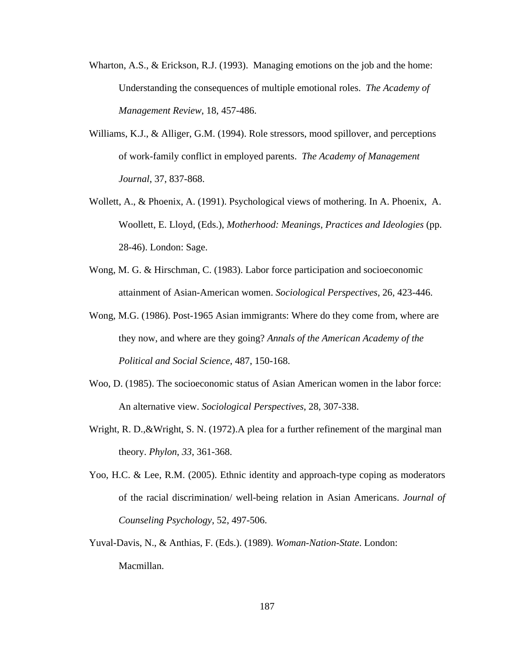- Wharton, A.S., & Erickson, R.J. (1993). Managing emotions on the job and the home: Understanding the consequences of multiple emotional roles. *The Academy of Management Review*, 18, 457-486.
- Williams, K.J., & Alliger, G.M. (1994). Role stressors, mood spillover, and perceptions of work-family conflict in employed parents. *The Academy of Management Journal*, 37, 837-868.
- Wollett, A., & Phoenix, A. (1991). Psychological views of mothering. In A. Phoenix, A. Woollett, E. Lloyd, (Eds.), *Motherhood: Meanings, Practices and Ideologies* (pp. 28-46). London: Sage.
- Wong, M. G. & Hirschman, C. (1983). Labor force participation and socioeconomic attainment of Asian-American women. *Sociological Perspectives*, 26, 423-446.
- Wong, M.G. (1986). Post-1965 Asian immigrants: Where do they come from, where are they now, and where are they going? *Annals of the American Academy of the Political and Social Science*, 487, 150-168.
- Woo, D. (1985). The socioeconomic status of Asian American women in the labor force: An alternative view. *Sociological Perspectives*, 28, 307-338.
- Wright, R. D., & Wright, S. N. (1972). A plea for a further refinement of the marginal man theory. *Phylon*, *33*, 361-368.
- Yoo, H.C. & Lee, R.M. (2005). Ethnic identity and approach-type coping as moderators of the racial discrimination/ well-being relation in Asian Americans. *Journal of Counseling Psychology*, 52, 497-506.
- Yuval-Davis, N., & Anthias, F. (Eds.). (1989). *Woman-Nation-State*. London: Macmillan.